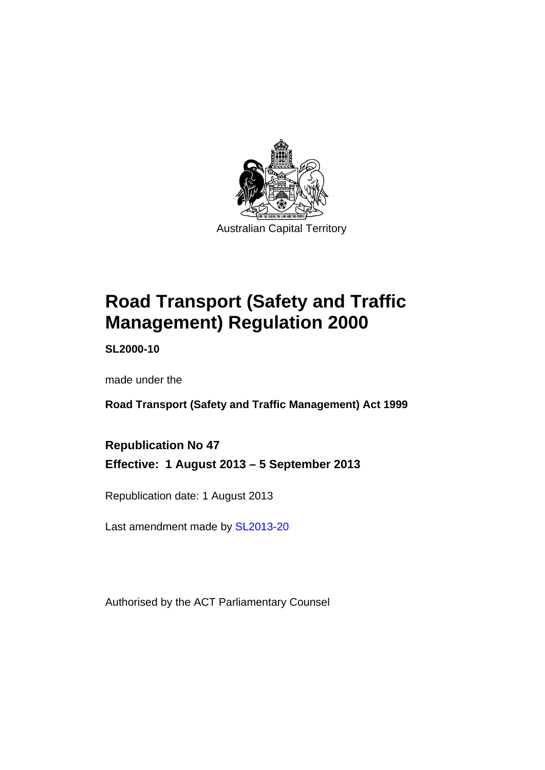

# **Road Transport (Safety and Traffic Management) Regulation 2000**

**SL2000-10** 

made under the

**Road Transport (Safety and Traffic Management) Act 1999** 

**Republication No 47 Effective: 1 August 2013 – 5 September 2013** 

Republication date: 1 August 2013

Last amendment made by [SL2013-20](http://www.legislation.act.gov.au/sl/2013-20)

Authorised by the ACT Parliamentary Counsel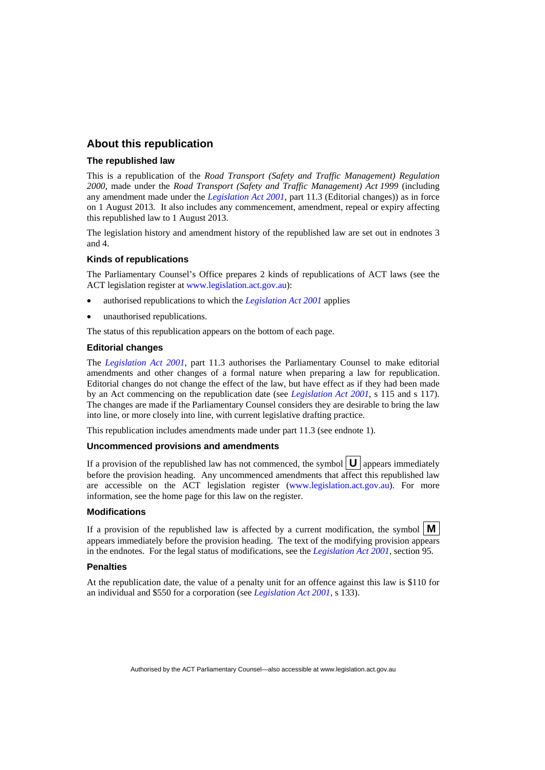## **About this republication**

#### **The republished law**

This is a republication of the *Road Transport (Safety and Traffic Management) Regulation 2000*, made under the *Road Transport (Safety and Traffic Management) Act 1999* (including any amendment made under the *[Legislation Act 2001](http://www.legislation.act.gov.au/a/2001-14)*, part 11.3 (Editorial changes)) as in force on 1 August 2013*.* It also includes any commencement, amendment, repeal or expiry affecting this republished law to 1 August 2013.

The legislation history and amendment history of the republished law are set out in endnotes 3 and 4.

#### **Kinds of republications**

The Parliamentary Counsel's Office prepares 2 kinds of republications of ACT laws (see the ACT legislation register at [www.legislation.act.gov.au](http://www.legislation.act.gov.au/)):

- authorised republications to which the *[Legislation Act 2001](http://www.legislation.act.gov.au/a/2001-14)* applies
- unauthorised republications.

The status of this republication appears on the bottom of each page.

#### **Editorial changes**

The *[Legislation Act 2001](http://www.legislation.act.gov.au/a/2001-14)*, part 11.3 authorises the Parliamentary Counsel to make editorial amendments and other changes of a formal nature when preparing a law for republication. Editorial changes do not change the effect of the law, but have effect as if they had been made by an Act commencing on the republication date (see *[Legislation Act 2001](http://www.legislation.act.gov.au/a/2001-14)*, s 115 and s 117). The changes are made if the Parliamentary Counsel considers they are desirable to bring the law into line, or more closely into line, with current legislative drafting practice.

This republication includes amendments made under part 11.3 (see endnote 1).

#### **Uncommenced provisions and amendments**

If a provision of the republished law has not commenced, the symbol  $\mathbf{U}$  appears immediately before the provision heading. Any uncommenced amendments that affect this republished law are accessible on the ACT legislation register [\(www.legislation.act.gov.au](http://www.legislation.act.gov.au/)). For more information, see the home page for this law on the register.

#### **Modifications**

If a provision of the republished law is affected by a current modification, the symbol  $\mathbf{M}$ appears immediately before the provision heading. The text of the modifying provision appears in the endnotes. For the legal status of modifications, see the *[Legislation Act 2001](http://www.legislation.act.gov.au/a/2001-14)*, section 95.

#### **Penalties**

At the republication date, the value of a penalty unit for an offence against this law is \$110 for an individual and \$550 for a corporation (see *[Legislation Act 2001](http://www.legislation.act.gov.au/a/2001-14)*, s 133).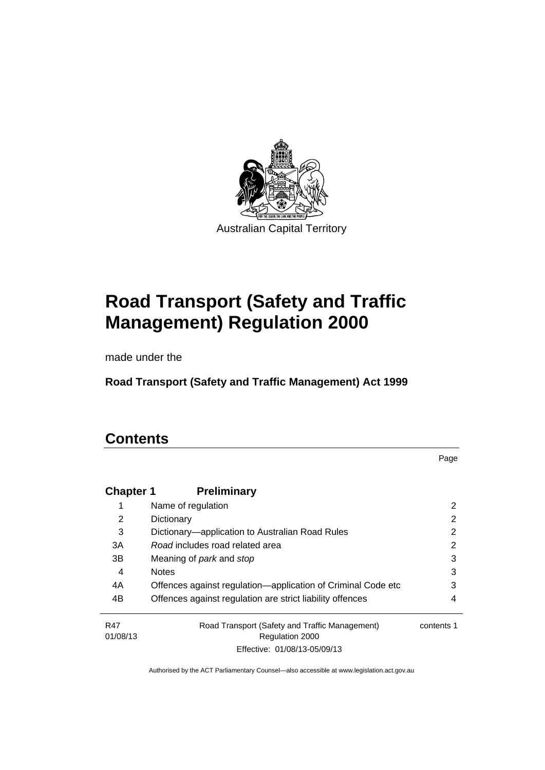

# **Road Transport (Safety and Traffic Management) Regulation 2000**

made under the

**Road Transport (Safety and Traffic Management) Act 1999** 

# **Contents**

Page

| <b>Chapter 1</b> | <b>Preliminary</b>                                           |            |
|------------------|--------------------------------------------------------------|------------|
|                  | Name of regulation                                           | 2          |
| 2                | Dictionary                                                   | 2          |
| 3                | Dictionary—application to Australian Road Rules              | 2          |
| 3A               | Road includes road related area                              | 2          |
| 3B               | Meaning of <i>park</i> and <i>stop</i>                       | 3          |
| 4                | <b>Notes</b>                                                 | 3          |
| 4A               | Offences against regulation-application of Criminal Code etc | 3          |
| 4B               | Offences against regulation are strict liability offences    | 4          |
| R47              | Road Transport (Safety and Traffic Management)               | contents 1 |
| 01/08/13         | <b>Regulation 2000</b>                                       |            |
|                  | Effective: 01/08/13-05/09/13                                 |            |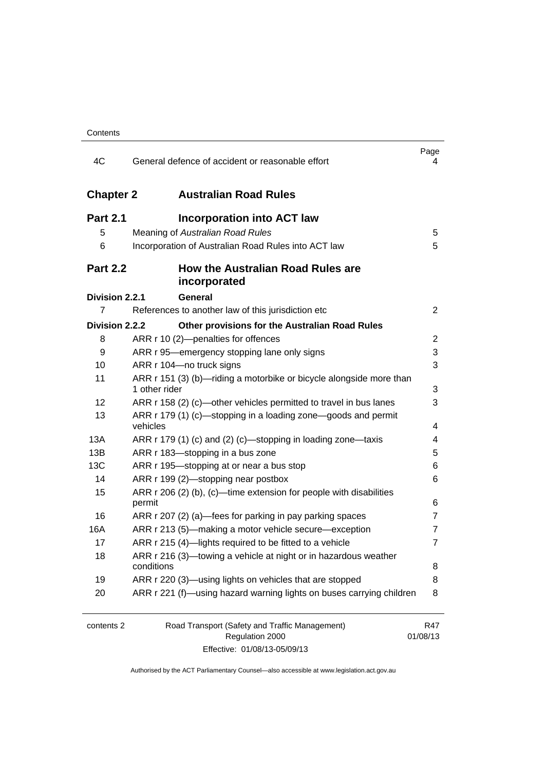| 4C               | General defence of accident or reasonable effort                                     | Page<br>4       |
|------------------|--------------------------------------------------------------------------------------|-----------------|
| <b>Chapter 2</b> | <b>Australian Road Rules</b>                                                         |                 |
| <b>Part 2.1</b>  | <b>Incorporation into ACT law</b>                                                    |                 |
| 5                | Meaning of Australian Road Rules                                                     | 5               |
| 6                | Incorporation of Australian Road Rules into ACT law                                  | 5               |
| <b>Part 2.2</b>  | <b>How the Australian Road Rules are</b><br>incorporated                             |                 |
| Division 2.2.1   | General                                                                              |                 |
| 7                | References to another law of this jurisdiction etc                                   | $\overline{2}$  |
| Division 2.2.2   | Other provisions for the Australian Road Rules                                       |                 |
| 8                | ARR r 10 (2)-penalties for offences                                                  | 2               |
| 9                | ARR r 95—emergency stopping lane only signs                                          | 3               |
| 10               | ARR r 104-no truck signs                                                             | 3               |
| 11               | ARR r 151 (3) (b)—riding a motorbike or bicycle alongside more than<br>1 other rider | 3               |
| 12               | ARR r 158 (2) (c)—other vehicles permitted to travel in bus lanes                    | 3               |
| 13               | ARR r 179 (1) (c)—stopping in a loading zone—goods and permit<br>vehicles            | 4               |
| 13A              | ARR r 179 (1) (c) and (2) (c)-stopping in loading zone-taxis                         | 4               |
| 13B              | ARR r 183-stopping in a bus zone                                                     | 5               |
| 13C              | ARR r 195-stopping at or near a bus stop                                             | 6               |
| 14               | ARR r 199 (2)-stopping near postbox                                                  | 6               |
| 15               | ARR r 206 (2) (b), (c)—time extension for people with disabilities                   |                 |
|                  | permit                                                                               | 6               |
| 16               | ARR r 207 (2) (a)—fees for parking in pay parking spaces                             | 7               |
| 16A              | ARR r 213 (5)—making a motor vehicle secure—exception                                | 7               |
| 17               | ARR r 215 (4)-lights required to be fitted to a vehicle                              | 7               |
| 18               | ARR r 216 (3)-towing a vehicle at night or in hazardous weather<br>conditions        | 8               |
| 19               | ARR r 220 (3)—using lights on vehicles that are stopped                              | 8               |
| 20               | ARR r 221 (f)—using hazard warning lights on buses carrying children                 | 8               |
| contents 2       | Road Transport (Safety and Traffic Management)<br>Regulation 2000                    | R47<br>01/08/13 |

Effective: 01/08/13-05/09/13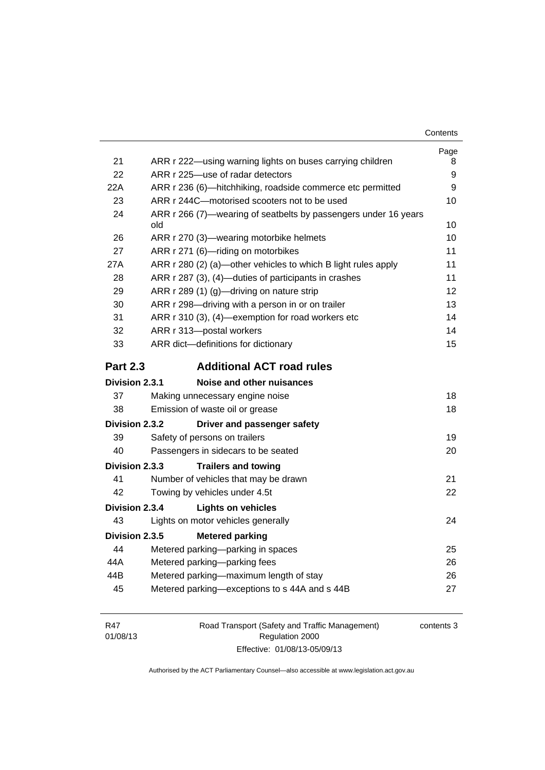| Contents |
|----------|
|----------|

|                       |                                                                        | Page |
|-----------------------|------------------------------------------------------------------------|------|
| 21                    | ARR r 222-using warning lights on buses carrying children              | 8    |
| 22                    | ARR r 225-use of radar detectors                                       | 9    |
| 22A                   | ARR r 236 (6)—hitchhiking, roadside commerce etc permitted             | 9    |
| 23                    | ARR r 244C-motorised scooters not to be used                           | 10   |
| 24                    | ARR r 266 (7)—wearing of seatbelts by passengers under 16 years<br>old | 10   |
| 26                    | ARR r 270 (3)—wearing motorbike helmets                                | 10   |
| 27                    | ARR r 271 (6)-riding on motorbikes                                     | 11   |
| 27A                   | ARR r 280 (2) (a)—other vehicles to which B light rules apply          | 11   |
| 28                    | ARR r 287 (3), (4)-duties of participants in crashes                   | 11   |
| 29                    | ARR r 289 (1) (g)-driving on nature strip                              | 12   |
| 30                    | ARR r 298-driving with a person in or on trailer                       | 13   |
| 31                    | ARR r 310 (3), (4)-exemption for road workers etc                      | 14   |
| 32                    | ARR r 313-postal workers                                               | 14   |
| 33                    | ARR dict-definitions for dictionary                                    | 15   |
| <b>Part 2.3</b>       | <b>Additional ACT road rules</b>                                       |      |
| Division 2.3.1        | Noise and other nuisances                                              |      |
| 37                    | Making unnecessary engine noise                                        | 18   |
| 38                    | Emission of waste oil or grease                                        | 18   |
| <b>Division 2.3.2</b> | Driver and passenger safety                                            |      |
| 39                    | Safety of persons on trailers                                          | 19   |
| 40                    | Passengers in sidecars to be seated                                    | 20   |
| Division 2.3.3        | <b>Trailers and towing</b>                                             |      |
| 41                    | Number of vehicles that may be drawn                                   | 21   |
| 42                    | Towing by vehicles under 4.5t                                          | 22   |
| Division 2.3.4        | <b>Lights on vehicles</b>                                              |      |
| 43                    | Lights on motor vehicles generally                                     | 24   |
| Division 2.3.5        | <b>Metered parking</b>                                                 |      |
| 44                    |                                                                        |      |
|                       | Metered parking-parking in spaces                                      | 25   |
| 44A                   | Metered parking-parking fees                                           | 26   |
| 44B                   | Metered parking-maximum length of stay                                 | 26   |
| 45                    | Metered parking-exceptions to s 44A and s 44B                          | 27   |

| R47      | Road Transport (Safety and Traffic Management) | contents 3 |
|----------|------------------------------------------------|------------|
| 01/08/13 | Regulation 2000                                |            |
|          | Effective: 01/08/13-05/09/13                   |            |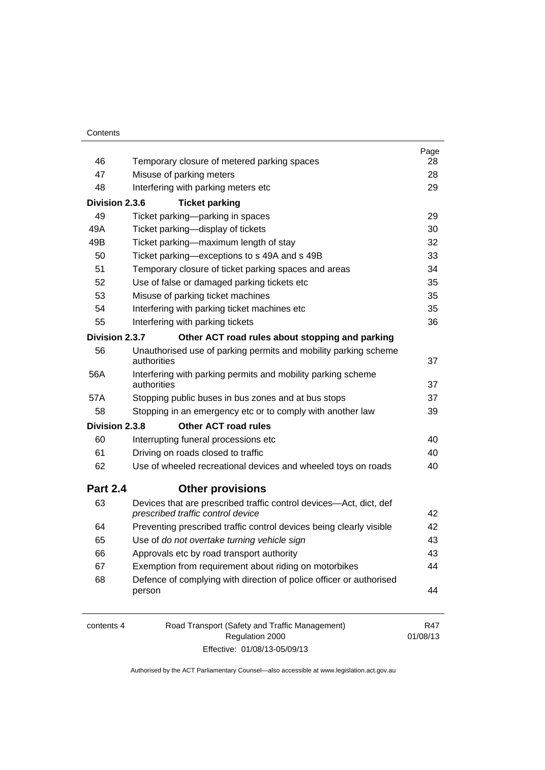| 46<br>Temporary closure of metered parking spaces<br>47<br>Misuse of parking meters<br>48<br>Interfering with parking meters etc<br>Division 2.3.6<br><b>Ticket parking</b><br>49<br>Ticket parking-parking in spaces<br>49A<br>Ticket parking-display of tickets<br>49B<br>Ticket parking-maximum length of stay<br>Ticket parking-exceptions to s 49A and s 49B<br>50<br>51<br>Temporary closure of ticket parking spaces and areas<br>52<br>Use of false or damaged parking tickets etc<br>53<br>Misuse of parking ticket machines<br>54<br>Interfering with parking ticket machines etc<br>55<br>Interfering with parking tickets<br>Division 2.3.7<br>Other ACT road rules about stopping and parking | 28<br>28 |
|------------------------------------------------------------------------------------------------------------------------------------------------------------------------------------------------------------------------------------------------------------------------------------------------------------------------------------------------------------------------------------------------------------------------------------------------------------------------------------------------------------------------------------------------------------------------------------------------------------------------------------------------------------------------------------------------------------|----------|
|                                                                                                                                                                                                                                                                                                                                                                                                                                                                                                                                                                                                                                                                                                            |          |
|                                                                                                                                                                                                                                                                                                                                                                                                                                                                                                                                                                                                                                                                                                            |          |
|                                                                                                                                                                                                                                                                                                                                                                                                                                                                                                                                                                                                                                                                                                            | 29       |
|                                                                                                                                                                                                                                                                                                                                                                                                                                                                                                                                                                                                                                                                                                            |          |
|                                                                                                                                                                                                                                                                                                                                                                                                                                                                                                                                                                                                                                                                                                            | 29       |
|                                                                                                                                                                                                                                                                                                                                                                                                                                                                                                                                                                                                                                                                                                            | 30       |
|                                                                                                                                                                                                                                                                                                                                                                                                                                                                                                                                                                                                                                                                                                            | 32       |
|                                                                                                                                                                                                                                                                                                                                                                                                                                                                                                                                                                                                                                                                                                            | 33       |
|                                                                                                                                                                                                                                                                                                                                                                                                                                                                                                                                                                                                                                                                                                            | 34       |
|                                                                                                                                                                                                                                                                                                                                                                                                                                                                                                                                                                                                                                                                                                            | 35       |
|                                                                                                                                                                                                                                                                                                                                                                                                                                                                                                                                                                                                                                                                                                            | 35       |
|                                                                                                                                                                                                                                                                                                                                                                                                                                                                                                                                                                                                                                                                                                            | 35       |
|                                                                                                                                                                                                                                                                                                                                                                                                                                                                                                                                                                                                                                                                                                            | 36       |
|                                                                                                                                                                                                                                                                                                                                                                                                                                                                                                                                                                                                                                                                                                            |          |
| 56<br>Unauthorised use of parking permits and mobility parking scheme<br>authorities                                                                                                                                                                                                                                                                                                                                                                                                                                                                                                                                                                                                                       | 37       |
| 56A<br>Interfering with parking permits and mobility parking scheme<br>authorities                                                                                                                                                                                                                                                                                                                                                                                                                                                                                                                                                                                                                         | 37       |
| Stopping public buses in bus zones and at bus stops<br>57A                                                                                                                                                                                                                                                                                                                                                                                                                                                                                                                                                                                                                                                 | 37       |
| 58<br>Stopping in an emergency etc or to comply with another law                                                                                                                                                                                                                                                                                                                                                                                                                                                                                                                                                                                                                                           | 39       |
| Other ACT road rules<br>Division 2.3.8                                                                                                                                                                                                                                                                                                                                                                                                                                                                                                                                                                                                                                                                     |          |
| 60<br>Interrupting funeral processions etc                                                                                                                                                                                                                                                                                                                                                                                                                                                                                                                                                                                                                                                                 | 40       |
| 61<br>Driving on roads closed to traffic                                                                                                                                                                                                                                                                                                                                                                                                                                                                                                                                                                                                                                                                   | 40       |
| 62<br>Use of wheeled recreational devices and wheeled toys on roads                                                                                                                                                                                                                                                                                                                                                                                                                                                                                                                                                                                                                                        | 40       |
| <b>Part 2.4</b><br><b>Other provisions</b>                                                                                                                                                                                                                                                                                                                                                                                                                                                                                                                                                                                                                                                                 |          |
| 63<br>Devices that are prescribed traffic control devices—Act, dict, def<br>prescribed traffic control device                                                                                                                                                                                                                                                                                                                                                                                                                                                                                                                                                                                              | 42       |
| 64<br>Preventing prescribed traffic control devices being clearly visible                                                                                                                                                                                                                                                                                                                                                                                                                                                                                                                                                                                                                                  | 42       |
| Use of do not overtake turning vehicle sign<br>65                                                                                                                                                                                                                                                                                                                                                                                                                                                                                                                                                                                                                                                          | 43       |
| 66<br>Approvals etc by road transport authority                                                                                                                                                                                                                                                                                                                                                                                                                                                                                                                                                                                                                                                            | 43       |
| 67<br>Exemption from requirement about riding on motorbikes                                                                                                                                                                                                                                                                                                                                                                                                                                                                                                                                                                                                                                                | 44       |
| 68<br>Defence of complying with direction of police officer or authorised                                                                                                                                                                                                                                                                                                                                                                                                                                                                                                                                                                                                                                  |          |
| person                                                                                                                                                                                                                                                                                                                                                                                                                                                                                                                                                                                                                                                                                                     | 44       |
| Road Transport (Safety and Traffic Management)<br>contents 4<br>Regulation 2000<br>01/08/13                                                                                                                                                                                                                                                                                                                                                                                                                                                                                                                                                                                                                | R47      |

Effective: 01/08/13-05/09/13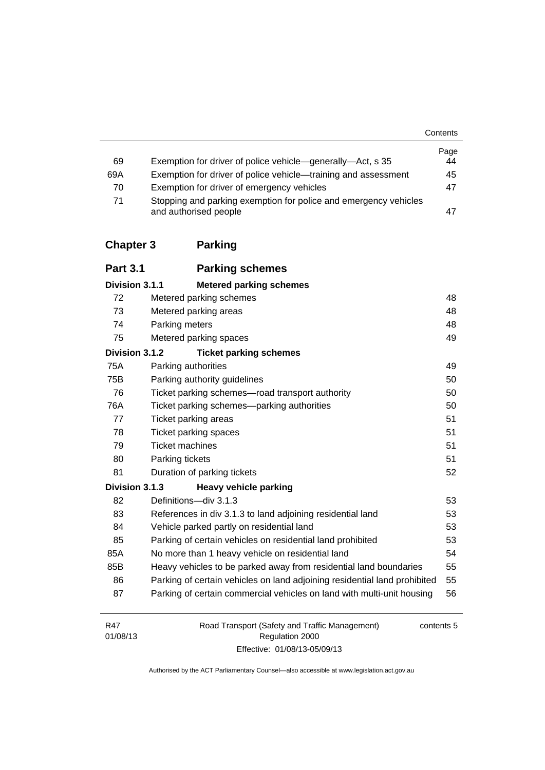**Contents** 

|                  |                                                                                           | Page |
|------------------|-------------------------------------------------------------------------------------------|------|
| 69               | Exemption for driver of police vehicle—generally—Act, s 35                                | 44   |
| 69A              | Exemption for driver of police vehicle—training and assessment                            | 45   |
| 70               | Exemption for driver of emergency vehicles                                                | 47   |
| 71               | Stopping and parking exemption for police and emergency vehicles<br>and authorised people | 47   |
| <b>Chapter 3</b> | <b>Parking</b>                                                                            |      |
| <b>Part 3.1</b>  | <b>Parking schemes</b>                                                                    |      |
| Division 3.1.1   | <b>Metered parking schemes</b>                                                            |      |
| 72               | Metered parking schemes                                                                   | 48   |
| 73               | Metered parking areas                                                                     | 48   |
| 74               | Parking meters                                                                            | 48   |

## 75 [Metered parking spaces 49](#page-65-0)

## **Division 3.1.2 [Ticket parking schemes](#page-65-1)**

| ז.ו.ט ווטופועוש | <b>INVELUATING</b> SUITCHES                                               |    |
|-----------------|---------------------------------------------------------------------------|----|
| 75A             | Parking authorities                                                       | 49 |
| 75B             | Parking authority guidelines                                              | 50 |
| 76              | Ticket parking schemes—road transport authority                           | 50 |
| 76A             | Ticket parking schemes—parking authorities                                | 50 |
| 77              | Ticket parking areas                                                      | 51 |
| 78              | Ticket parking spaces                                                     | 51 |
| 79              | Ticket machines                                                           | 51 |
| 80              | Parking tickets                                                           | 51 |
| 81              | Duration of parking tickets                                               | 52 |
| Division 3.1.3  | <b>Heavy vehicle parking</b>                                              |    |
| 82              | Definitions-div 3.1.3                                                     | 53 |
| 83              | References in div 3.1.3 to land adjoining residential land                | 53 |
| 84              | Vehicle parked partly on residential land                                 | 53 |
| 85              | Parking of certain vehicles on residential land prohibited                | 53 |
| 85A             | No more than 1 heavy vehicle on residential land                          | 54 |
| 85B             | Heavy vehicles to be parked away from residential land boundaries         | 55 |
| 86              | Parking of certain vehicles on land adjoining residential land prohibited | 55 |
| 87              | Parking of certain commercial vehicles on land with multi-unit housing    | 56 |
|                 |                                                                           |    |

| R47      | Road Transport (Safety and Traffic Management) | contents 5 |
|----------|------------------------------------------------|------------|
| 01/08/13 | Regulation 2000                                |            |
|          | Effective: 01/08/13-05/09/13                   |            |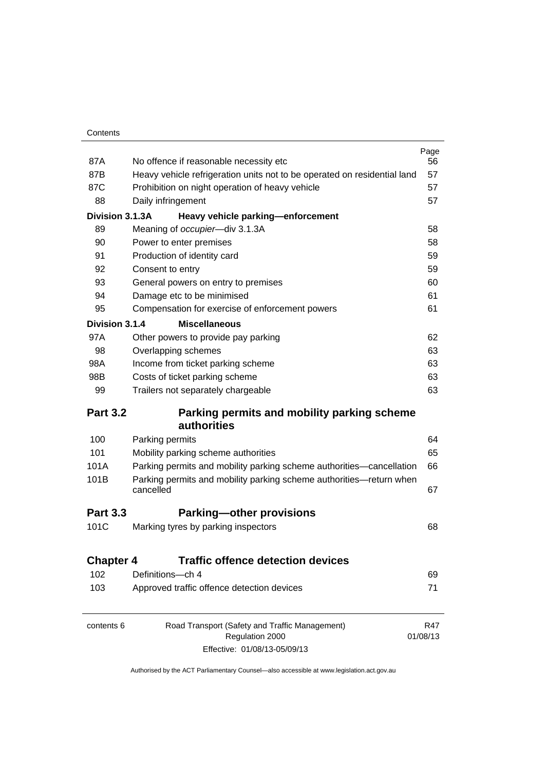| 87A              | No offence if reasonable necessity etc                                           | Page<br>56      |  |  |
|------------------|----------------------------------------------------------------------------------|-----------------|--|--|
| 87B              | Heavy vehicle refrigeration units not to be operated on residential land         |                 |  |  |
| 87C              | Prohibition on night operation of heavy vehicle                                  | 57              |  |  |
| 88               | Daily infringement                                                               |                 |  |  |
| Division 3.1.3A  | Heavy vehicle parking-enforcement                                                |                 |  |  |
| 89               | Meaning of occupier-div 3.1.3A                                                   | 58              |  |  |
| 90               | Power to enter premises                                                          | 58              |  |  |
| 91               | Production of identity card                                                      | 59              |  |  |
| 92               | Consent to entry                                                                 | 59              |  |  |
| 93               | General powers on entry to premises                                              | 60              |  |  |
| 94               | Damage etc to be minimised                                                       | 61              |  |  |
| 95               | Compensation for exercise of enforcement powers                                  | 61              |  |  |
| Division 3.1.4   | <b>Miscellaneous</b>                                                             |                 |  |  |
| 97A              | Other powers to provide pay parking                                              | 62              |  |  |
| 98               | Overlapping schemes                                                              | 63              |  |  |
| 98A              | Income from ticket parking scheme                                                | 63              |  |  |
| 98B              | Costs of ticket parking scheme                                                   |                 |  |  |
| 99               | Trailers not separately chargeable                                               |                 |  |  |
| <b>Part 3.2</b>  | Parking permits and mobility parking scheme<br><b>authorities</b>                |                 |  |  |
| 100              | Parking permits                                                                  | 64              |  |  |
| 101              | Mobility parking scheme authorities                                              | 65              |  |  |
| 101A             | Parking permits and mobility parking scheme authorities—cancellation             | 66              |  |  |
| 101B             | Parking permits and mobility parking scheme authorities-return when<br>cancelled | 67              |  |  |
| <b>Part 3.3</b>  | <b>Parking-other provisions</b>                                                  |                 |  |  |
| 101C             | Marking tyres by parking inspectors                                              | 68              |  |  |
| <b>Chapter 4</b> | <b>Traffic offence detection devices</b>                                         |                 |  |  |
| 102              | Definitions-ch 4                                                                 | 69              |  |  |
| 103              | Approved traffic offence detection devices                                       | 71              |  |  |
|                  |                                                                                  |                 |  |  |
| contents 6       | Road Transport (Safety and Traffic Management)<br>Regulation 2000                | R47<br>01/08/13 |  |  |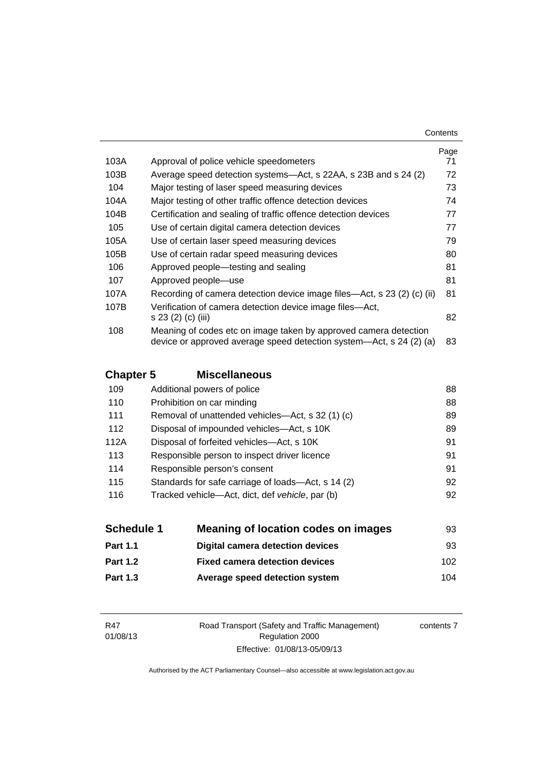| Contents |
|----------|
|----------|

|      |                                                                                                                                         | Page |
|------|-----------------------------------------------------------------------------------------------------------------------------------------|------|
| 103A | Approval of police vehicle speedometers                                                                                                 | 71   |
| 103B | Average speed detection systems—Act, s 22AA, s 23B and s 24 (2)                                                                         | 72   |
| 104  | Major testing of laser speed measuring devices                                                                                          | 73   |
| 104A | Major testing of other traffic offence detection devices                                                                                | 74   |
| 104B | Certification and sealing of traffic offence detection devices                                                                          | 77   |
| 105  | Use of certain digital camera detection devices                                                                                         | 77   |
| 105A | Use of certain laser speed measuring devices                                                                                            | 79   |
| 105B | Use of certain radar speed measuring devices                                                                                            | 80   |
| 106  | Approved people—testing and sealing                                                                                                     | 81   |
| 107  | Approved people-use                                                                                                                     | 81   |
| 107A | Recording of camera detection device image files—Act, s 23 (2) (c) (ii)                                                                 | 81   |
| 107B | Verification of camera detection device image files-Act,<br>s 23 (2) (c) (iii)                                                          | 82   |
| 108  | Meaning of codes etc on image taken by approved camera detection<br>device or approved average speed detection system—Act, s 24 (2) (a) | 83   |

## **Chapter 5 [Miscellaneous](#page-104-0)**

| 109  | Additional powers of police                        | 88 |
|------|----------------------------------------------------|----|
| 110  | Prohibition on car minding                         | 88 |
| 111  | Removal of unattended vehicles—Act, s 32 (1) (c)   | 89 |
| 112  | Disposal of impounded vehicles—Act, s 10K          | 89 |
| 112A | Disposal of forfeited vehicles-Act, s 10K          | 91 |
| 113  | Responsible person to inspect driver licence       | 91 |
| 114  | Responsible person's consent                       | 91 |
| 115  | Standards for safe carriage of loads—Act, s 14 (2) | 92 |
| 116  | Tracked vehicle-Act, dict, def vehicle, par (b)    | 92 |
|      |                                                    |    |

| <b>Schedule 1</b> | <b>Meaning of location codes on images</b> | 93   |
|-------------------|--------------------------------------------|------|
| <b>Part 1.1</b>   | <b>Digital camera detection devices</b>    | 93   |
| <b>Part 1.2</b>   | <b>Fixed camera detection devices</b>      | 102. |
| <b>Part 1.3</b>   | Average speed detection system             | 104  |

Road Transport (Safety and Traffic Management) Regulation 2000 Effective: 01/08/13-05/09/13

contents 7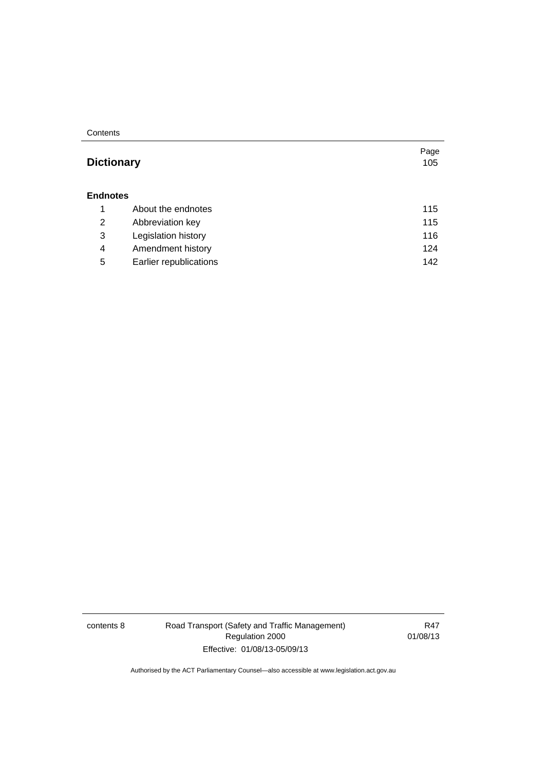**Contents** 

| <b>Dictionary</b> |                        | Page<br>105 |
|-------------------|------------------------|-------------|
| <b>Endnotes</b>   |                        |             |
| 1                 | About the endnotes     | 115         |
| 2                 | Abbreviation key       | 115         |
| 3                 | Legislation history    | 116         |
| 4                 | Amendment history      | 124         |
| 5                 | Earlier republications | 142         |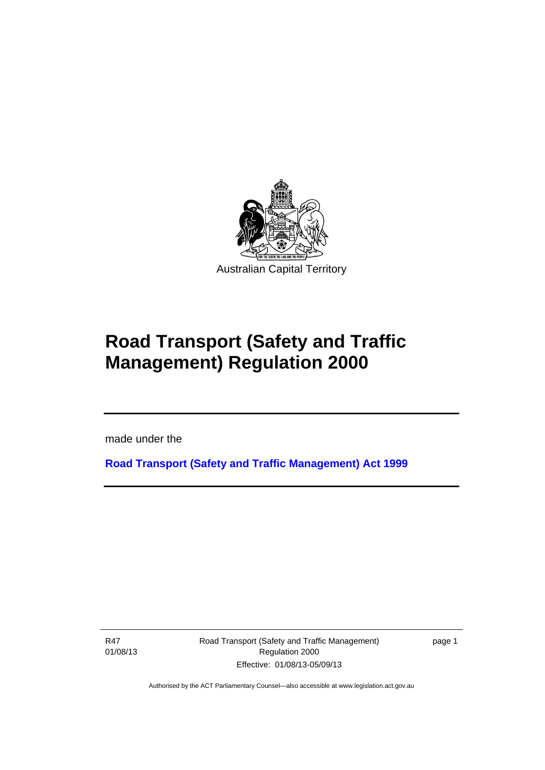

# **Road Transport (Safety and Traffic Management) Regulation 2000**

made under the

**[Road Transport \(Safety and Traffic Management\) Act 1999](http://www.legislation.act.gov.au/a/1999-80)**

R47 01/08/13

Ī

Road Transport (Safety and Traffic Management) Regulation 2000 Effective: 01/08/13-05/09/13

page 1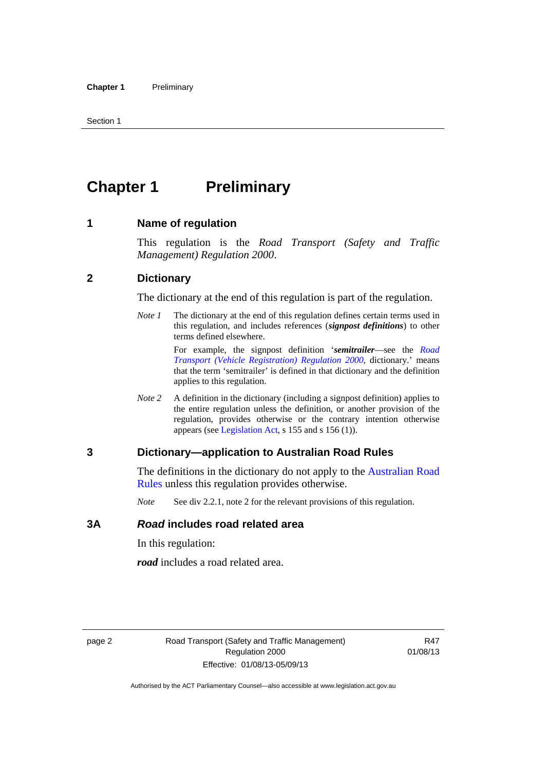# <span id="page-11-0"></span>**Chapter 1** Preliminary

#### <span id="page-11-1"></span>**1 Name of regulation**

This regulation is the *Road Transport (Safety and Traffic Management) Regulation 2000*.

## <span id="page-11-2"></span>**2 Dictionary**

The dictionary at the end of this regulation is part of the regulation.

*Note 1* The dictionary at the end of this regulation defines certain terms used in this regulation, and includes references (*signpost definitions*) to other terms defined elsewhere.

> For example, the signpost definition '*semitrailer*—see the *[Road](http://www.legislation.act.gov.au/sl/2000-12)  [Transport \(Vehicle Registration\) Regulation 2000](http://www.legislation.act.gov.au/sl/2000-12)*, dictionary.' means that the term 'semitrailer' is defined in that dictionary and the definition applies to this regulation.

*Note 2* A definition in the dictionary (including a signpost definition) applies to the entire regulation unless the definition, or another provision of the regulation, provides otherwise or the contrary intention otherwise appears (see [Legislation Act,](http://www.legislation.act.gov.au/a/2001-14) s 155 and s 156 (1)).

#### <span id="page-11-3"></span>**3 Dictionary—application to Australian Road Rules**

The definitions in the dictionary do not apply to the Australian Road [Rules](http://www.legislation.act.gov.au//ni/db_37271/default.asp) unless this regulation provides otherwise.

*Note* See div 2.2.1, note 2 for the relevant provisions of this regulation.

#### <span id="page-11-4"></span>**3A** *Road* **includes road related area**

In this regulation:

*road* includes a road related area.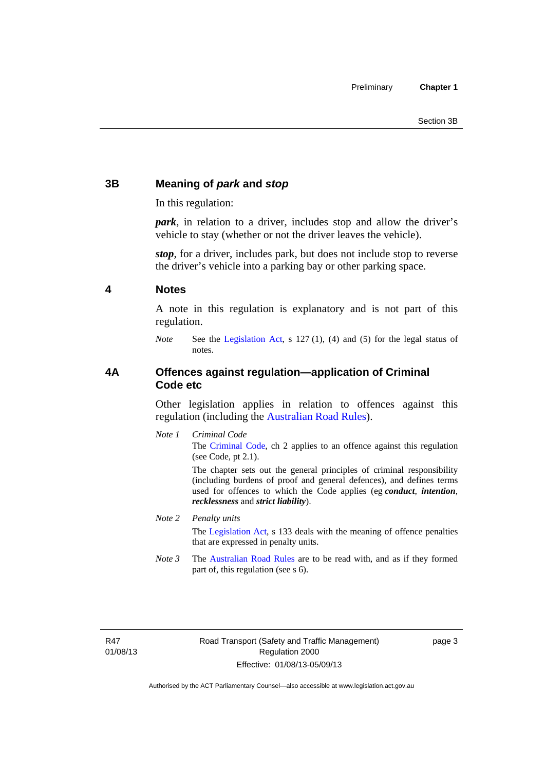## <span id="page-12-0"></span>**3B Meaning of** *park* **and** *stop*

In this regulation:

*park*, in relation to a driver, includes stop and allow the driver's vehicle to stay (whether or not the driver leaves the vehicle).

*stop*, for a driver, includes park, but does not include stop to reverse the driver's vehicle into a parking bay or other parking space.

## <span id="page-12-1"></span>**4 Notes**

A note in this regulation is explanatory and is not part of this regulation.

*Note* See the [Legislation Act,](http://www.legislation.act.gov.au/a/2001-14) s 127 (1), (4) and (5) for the legal status of notes.

## <span id="page-12-2"></span>**4A Offences against regulation—application of Criminal Code etc**

Other legislation applies in relation to offences against this regulation (including the [Australian Road Rules](http://www.legislation.act.gov.au//ni/db_37271/default.asp)).

*Note 1 Criminal Code* The [Criminal Code,](http://www.legislation.act.gov.au/a/2002-51) ch 2 applies to an offence against this regulation (see Code, pt 2.1).

> The chapter sets out the general principles of criminal responsibility (including burdens of proof and general defences), and defines terms used for offences to which the Code applies (eg *conduct*, *intention*, *recklessness* and *strict liability*).

#### *Note 2 Penalty units*

The [Legislation Act](http://www.legislation.act.gov.au/a/2001-14), s 133 deals with the meaning of offence penalties that are expressed in penalty units.

*Note 3* The [Australian Road Rules](http://www.legislation.act.gov.au//ni/db_37271/default.asp) are to be read with, and as if they formed part of, this regulation (see s 6).

R47 01/08/13 page 3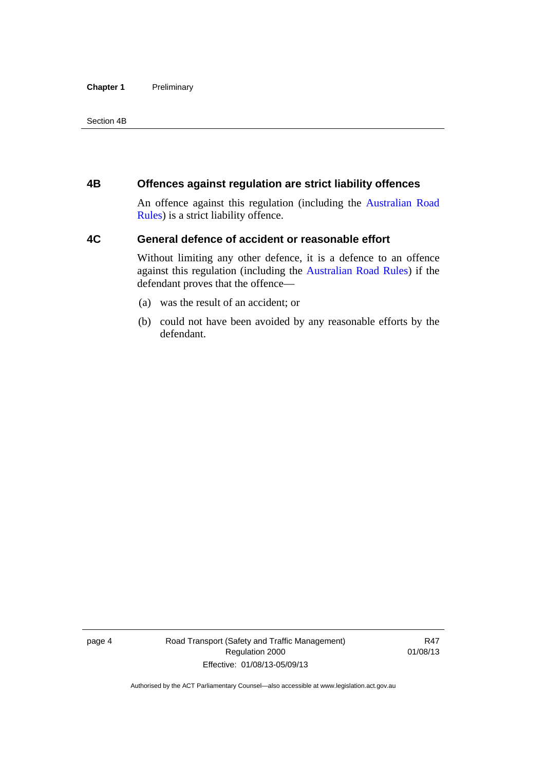#### **Chapter 1** Preliminary

Section 4B

## <span id="page-13-0"></span>**4B Offences against regulation are strict liability offences**

An offence against this regulation (including the [Australian Road](http://www.legislation.act.gov.au//ni/db_37271/default.asp)  [Rules](http://www.legislation.act.gov.au//ni/db_37271/default.asp)) is a strict liability offence.

## <span id="page-13-1"></span>**4C General defence of accident or reasonable effort**

Without limiting any other defence, it is a defence to an offence against this regulation (including the [Australian Road Rules\)](http://www.legislation.act.gov.au//ni/db_37271/default.asp) if the defendant proves that the offence—

- (a) was the result of an accident; or
- (b) could not have been avoided by any reasonable efforts by the defendant.

page 4 Road Transport (Safety and Traffic Management) Regulation 2000 Effective: 01/08/13-05/09/13

R47 01/08/13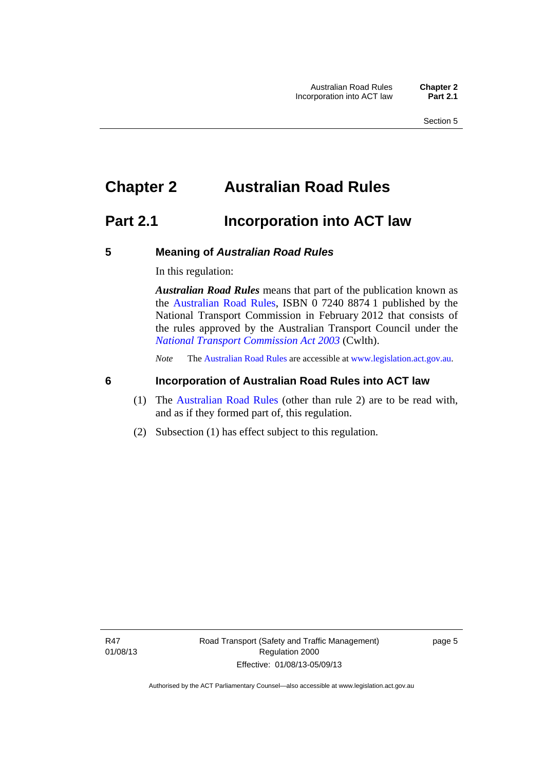# <span id="page-14-0"></span>**Chapter 2 Australian Road Rules**

## <span id="page-14-1"></span>**Part 2.1 Incorporation into ACT law**

#### <span id="page-14-2"></span>**5 Meaning of** *Australian Road Rules*

In this regulation:

*Australian Road Rules* means that part of the publication known as the [Australian Road Rules](http://www.legislation.act.gov.au//ni/db_37271/default.asp), ISBN 0 7240 8874 1 published by the National Transport Commission in February 2012 that consists of the rules approved by the Australian Transport Council under the *[National Transport Commission Act 2003](http://www.comlaw.gov.au/Series/C2004A01166)* (Cwlth).

*Note* The [Australian Road Rules](http://www.legislation.act.gov.au//ni/db_37271/default.asp) are accessible at [www.legislation.act.gov.au](http://www.legislation.act.gov.au/).

## <span id="page-14-3"></span>**6 Incorporation of Australian Road Rules into ACT law**

- (1) The [Australian Road Rules](http://www.legislation.act.gov.au//ni/db_37271/default.asp) (other than rule 2) are to be read with, and as if they formed part of, this regulation.
- (2) Subsection (1) has effect subject to this regulation.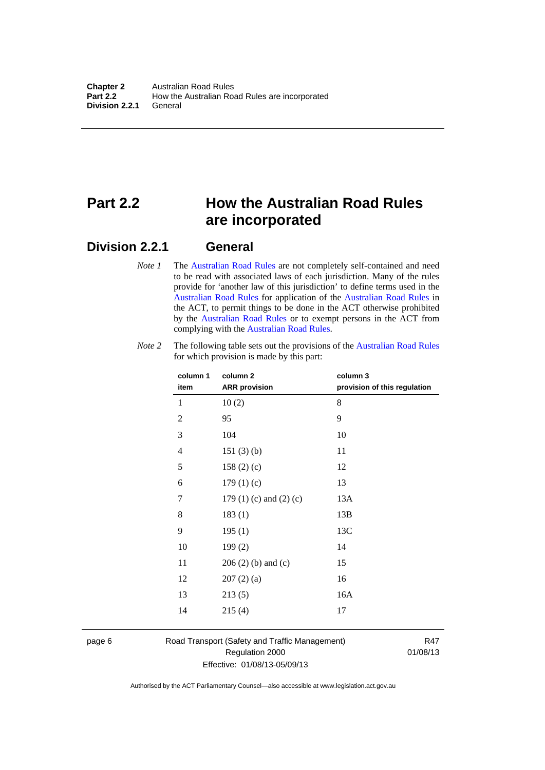# <span id="page-15-0"></span>**Part 2.2 How the Australian Road Rules are incorporated**

## <span id="page-15-1"></span>**Division 2.2.1 General**

*Note 1* The [Australian Road Rules](http://www.legislation.act.gov.au//ni/db_37271/default.asp) are not completely self-contained and need to be read with associated laws of each jurisdiction. Many of the rules provide for 'another law of this jurisdiction' to define terms used in the [Australian Road Rules](http://www.legislation.act.gov.au//ni/db_37271/default.asp) for application of the [Australian Road Rules](http://www.legislation.act.gov.au//ni/db_37271/default.asp) in the ACT, to permit things to be done in the ACT otherwise prohibited by the [Australian Road Rules](http://www.legislation.act.gov.au//ni/db_37271/default.asp) or to exempt persons in the ACT from complying with the [Australian Road Rules.](http://www.legislation.act.gov.au//ni/db_37271/default.asp)

| column 1<br>item | column 2<br><b>ARR</b> provision | column 3<br>provision of this regulation |
|------------------|----------------------------------|------------------------------------------|
| 1                | 10(2)                            | 8                                        |
| $\mathbf{2}$     | 95                               | 9                                        |
| $\mathfrak{Z}$   | 104                              | 10                                       |
| 4                | 151(3)(b)                        | 11                                       |
| 5                | 158(2)(c)                        | 12                                       |
| 6                | 179(1)(c)                        | 13                                       |
| 7                | 179 $(1)$ $(c)$ and $(2)$ $(c)$  | 13A                                      |
| 8                | 183(1)                           | 13B                                      |
| 9                | 195(1)                           | 13C                                      |
| 10               | 199(2)                           | 14                                       |
| 11               | $206(2)$ (b) and (c)             | 15                                       |
| 12               | 207(2)(a)                        | 16                                       |
| 13               | 213(5)                           | 16A                                      |
| 14               | 215(4)                           | 17                                       |

*Note 2* The following table sets out the provisions of the [Australian Road Rules](http://www.legislation.act.gov.au//ni/db_37271/default.asp) for which provision is made by this part:

page 6 Road Transport (Safety and Traffic Management) Regulation 2000 Effective: 01/08/13-05/09/13

R47 01/08/13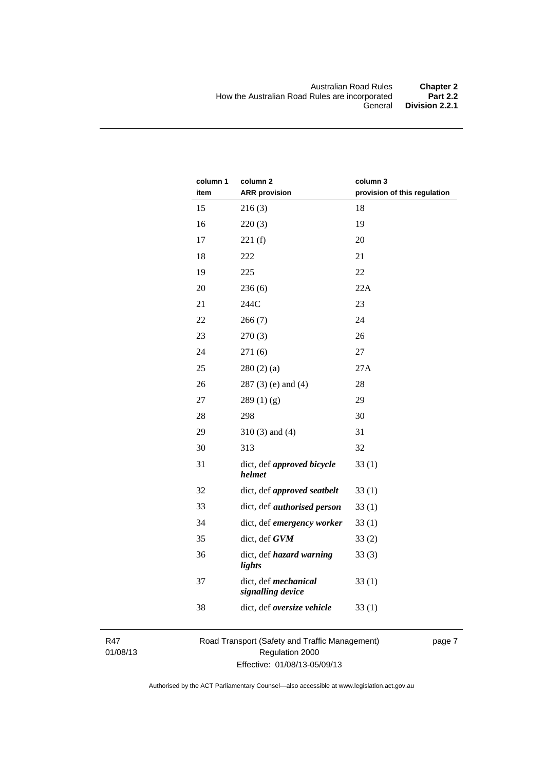| column 1<br>item | column 2<br><b>ARR provision</b>          | column 3<br>provision of this regulation |
|------------------|-------------------------------------------|------------------------------------------|
| 15               | 216(3)                                    | 18                                       |
| 16               | 220(3)                                    | 19                                       |
| 17               | 221(f)                                    | 20                                       |
| 18               | 222                                       | 21                                       |
| 19               | 225                                       | 22                                       |
| 20               | 236(6)                                    | 22A                                      |
| 21               | 244C                                      | 23                                       |
| 22               | 266(7)                                    | 24                                       |
| 23               | 270(3)                                    | 26                                       |
| 24               | 271(6)                                    | 27                                       |
| 25               | 280(2)(a)                                 | 27A                                      |
| 26               | $287(3)$ (e) and (4)                      | 28                                       |
| 27               | 289(1)(g)                                 | 29                                       |
| 28               | 298                                       | 30                                       |
| 29               | $310(3)$ and $(4)$                        | 31                                       |
| 30               | 313                                       | 32                                       |
| 31               | dict, def approved bicycle<br>helmet      | 33(1)                                    |
| 32               | dict, def approved seatbelt               | 33(1)                                    |
| 33               | dict, def <i>authorised</i> person        | 33(1)                                    |
| 34               | dict, def emergency worker                | 33(1)                                    |
| 35               | dict, def GVM                             | 33(2)                                    |
| 36               | dict, def hazard warning<br>lights        | 33(3)                                    |
| 37               | dict, def mechanical<br>signalling device | 33(1)                                    |
| 38               | dict, def oversize vehicle                | 33(1)                                    |

R47 01/08/13 Road Transport (Safety and Traffic Management) Regulation 2000 Effective: 01/08/13-05/09/13

page 7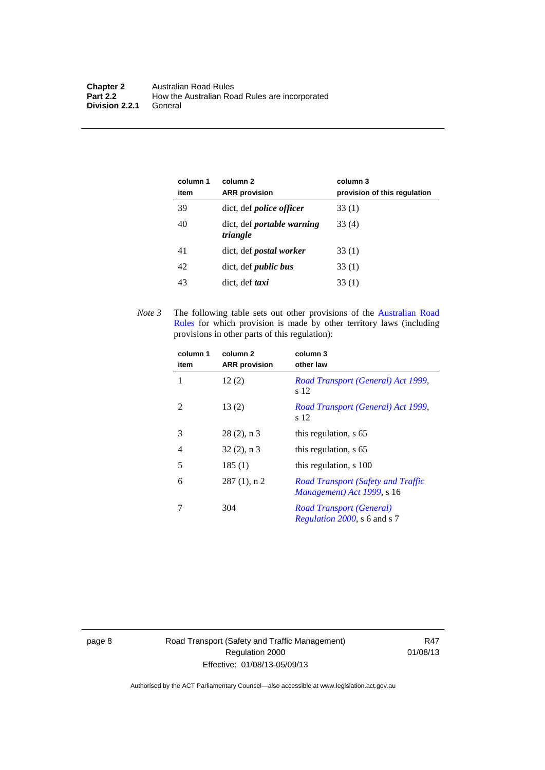| column 1<br>item | column 2<br><b>ARR</b> provision              | column 3<br>provision of this regulation |
|------------------|-----------------------------------------------|------------------------------------------|
| 39               | dict, def <i>police</i> officer               | 33(1)                                    |
| 40               | dict, def <i>portable</i> warning<br>triangle | 33 (4)                                   |
| 41               | dict, def <i>postal</i> worker                | 33(1)                                    |
| 42               | dict, def <i>public</i> bus                   | 33 (1)                                   |
| 43               | dict, def taxi                                | 33(1)                                    |

*Note 3* The following table sets out other provisions of the [Australian Road](http://www.legislation.act.gov.au//ni/db_37271/default.asp)  [Rules](http://www.legislation.act.gov.au//ni/db_37271/default.asp) for which provision is made by other territory laws (including provisions in other parts of this regulation):

| column 1<br>item | column 2<br><b>ARR</b> provision | column 3<br>other law                                                   |
|------------------|----------------------------------|-------------------------------------------------------------------------|
| 1                | 12(2)                            | Road Transport (General) Act 1999,<br>s 12                              |
| 2                | 13(2)                            | Road Transport (General) Act 1999,<br>s 12                              |
| 3                | $28(2)$ , n 3                    | this regulation, s 65                                                   |
| 4                | $32(2)$ , n 3                    | this regulation, s 65                                                   |
| 5                | 185(1)                           | this regulation, s 100                                                  |
| 6                | $287(1)$ , n 2                   | <b>Road Transport (Safety and Traffic</b><br>Management) Act 1999, s 16 |
|                  | 304                              | Road Transport (General)<br><i>Regulation 2000, s 6 and s 7</i>         |

page 8 Road Transport (Safety and Traffic Management) Regulation 2000 Effective: 01/08/13-05/09/13

R47 01/08/13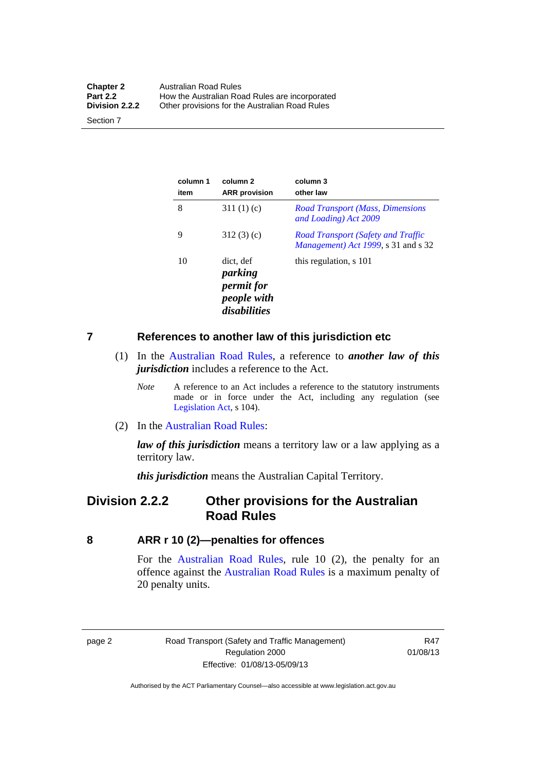| <b>Chapter 2</b> | Australian Road Rules                          |
|------------------|------------------------------------------------|
| <b>Part 2.2</b>  | How the Australian Road Rules are incorporated |
| Division 2.2.2   | Other provisions for the Australian Road Rules |

Section 7

| column 1<br>item | column 2<br><b>ARR</b> provision                                         | column 3<br>other law                                                            |
|------------------|--------------------------------------------------------------------------|----------------------------------------------------------------------------------|
| 8                | 311 $(1)(c)$                                                             | <b>Road Transport (Mass, Dimensions</b><br>and Loading) Act 2009                 |
| 9                | 312(3)(c)                                                                | <b>Road Transport (Safety and Traffic</b><br>Management) Act 1999, s 31 and s 32 |
| 10               | dict, def<br>parking<br><i>permit for</i><br>people with<br>disabilities | this regulation, s 101                                                           |

#### <span id="page-18-0"></span>**7 References to another law of this jurisdiction etc**

- (1) In the [Australian Road Rules,](http://www.legislation.act.gov.au//ni/db_37271/default.asp) a reference to *another law of this jurisdiction* includes a reference to the Act.
	- *Note* A reference to an Act includes a reference to the statutory instruments made or in force under the Act, including any regulation (see [Legislation Act,](http://www.legislation.act.gov.au/a/2001-14) s 104).
- (2) In the [Australian Road Rules](http://www.legislation.act.gov.au//ni/db_37271/default.asp):

*law of this jurisdiction* means a territory law or a law applying as a territory law.

*this jurisdiction* means the Australian Capital Territory.

## <span id="page-18-1"></span>**Division 2.2.2 Other provisions for the Australian Road Rules**

#### <span id="page-18-2"></span>**8 ARR r 10 (2)—penalties for offences**

For the [Australian Road Rules,](http://www.legislation.act.gov.au//ni/db_37271/default.asp) rule 10 (2), the penalty for an offence against the [Australian Road Rules](http://www.legislation.act.gov.au//ni/db_37271/default.asp) is a maximum penalty of 20 penalty units.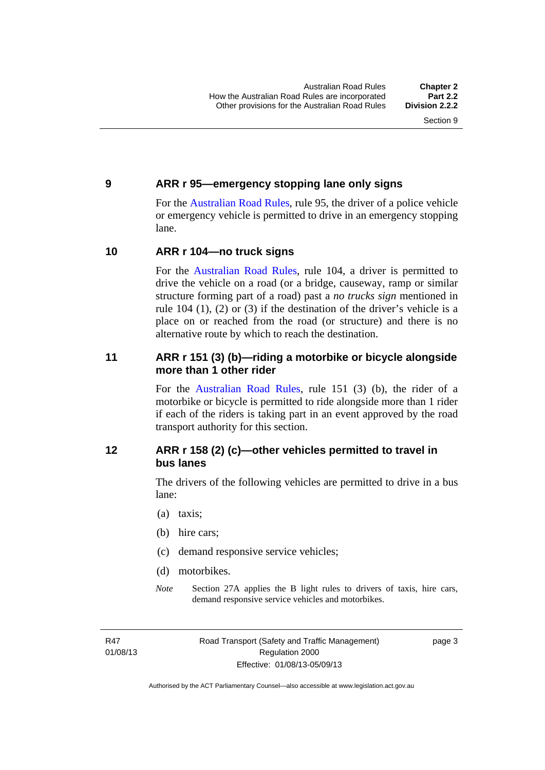## <span id="page-19-0"></span>**9 ARR r 95—emergency stopping lane only signs**

For the [Australian Road Rules,](http://www.legislation.act.gov.au//ni/db_37271/default.asp) rule 95, the driver of a police vehicle or emergency vehicle is permitted to drive in an emergency stopping lane.

## <span id="page-19-1"></span>**10 ARR r 104—no truck signs**

For the [Australian Road Rules,](http://www.legislation.act.gov.au//ni/db_37271/default.asp) rule 104, a driver is permitted to drive the vehicle on a road (or a bridge, causeway, ramp or similar structure forming part of a road) past a *no trucks sign* mentioned in rule 104 (1), (2) or (3) if the destination of the driver's vehicle is a place on or reached from the road (or structure) and there is no alternative route by which to reach the destination.

## <span id="page-19-2"></span>**11 ARR r 151 (3) (b)—riding a motorbike or bicycle alongside more than 1 other rider**

For the [Australian Road Rules](http://www.legislation.act.gov.au//ni/db_37271/default.asp), rule 151 (3) (b), the rider of a motorbike or bicycle is permitted to ride alongside more than 1 rider if each of the riders is taking part in an event approved by the road transport authority for this section.

## <span id="page-19-3"></span>**12 ARR r 158 (2) (c)—other vehicles permitted to travel in bus lanes**

The drivers of the following vehicles are permitted to drive in a bus lane:

- (a) taxis;
- (b) hire cars;
- (c) demand responsive service vehicles;
- (d) motorbikes.
- *Note* Section 27A applies the B light rules to drivers of taxis, hire cars, demand responsive service vehicles and motorbikes.

R47 01/08/13 page 3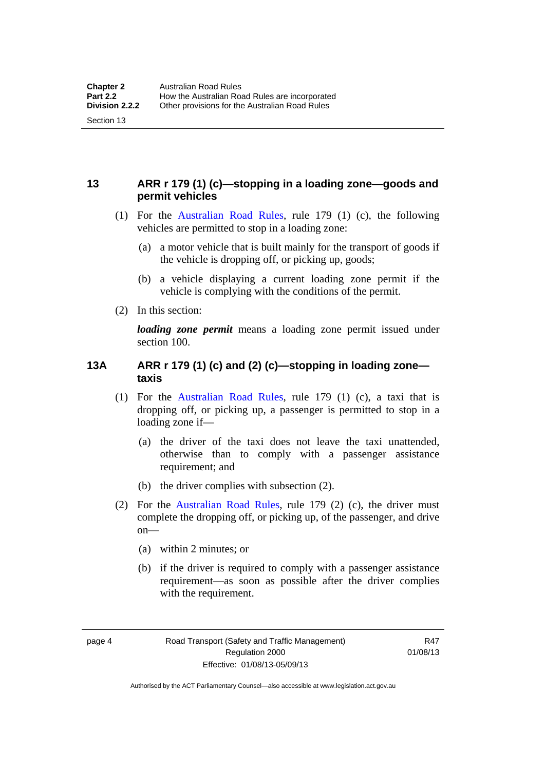## <span id="page-20-0"></span>**13 ARR r 179 (1) (c)—stopping in a loading zone—goods and permit vehicles**

- (1) For the [Australian Road Rules,](http://www.legislation.act.gov.au//ni/db_37271/default.asp) rule 179 (1) (c), the following vehicles are permitted to stop in a loading zone:
	- (a) a motor vehicle that is built mainly for the transport of goods if the vehicle is dropping off, or picking up, goods;
	- (b) a vehicle displaying a current loading zone permit if the vehicle is complying with the conditions of the permit.
- (2) In this section:

Section 13

*loading zone permit* means a loading zone permit issued under section 100.

## <span id="page-20-1"></span>**13A ARR r 179 (1) (c) and (2) (c)—stopping in loading zone taxis**

- (1) For the [Australian Road Rules,](http://www.legislation.act.gov.au//ni/db_37271/default.asp) rule 179 (1) (c), a taxi that is dropping off, or picking up, a passenger is permitted to stop in a loading zone if—
	- (a) the driver of the taxi does not leave the taxi unattended, otherwise than to comply with a passenger assistance requirement; and
	- (b) the driver complies with subsection (2).
- (2) For the [Australian Road Rules,](http://www.legislation.act.gov.au//ni/db_37271/default.asp) rule 179 (2) (c), the driver must complete the dropping off, or picking up, of the passenger, and drive on—
	- (a) within 2 minutes; or
	- (b) if the driver is required to comply with a passenger assistance requirement—as soon as possible after the driver complies with the requirement.

R47 01/08/13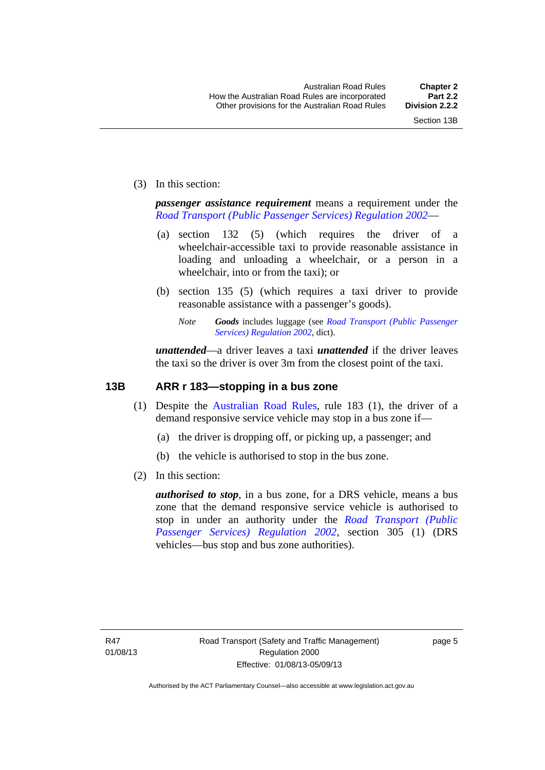(3) In this section:

*passenger assistance requirement* means a requirement under the *[Road Transport \(Public Passenger Services\) Regulation 2002](http://www.legislation.act.gov.au/sl/2002-3)*—

- (a) section 132 (5) (which requires the driver of a wheelchair-accessible taxi to provide reasonable assistance in loading and unloading a wheelchair, or a person in a wheelchair, into or from the taxi); or
- (b) section 135 (5) (which requires a taxi driver to provide reasonable assistance with a passenger's goods).
	- *Note Goods* includes luggage (see *[Road Transport \(Public Passenger](http://www.legislation.act.gov.au/sl/2002-3)  [Services\) Regulation 2002](http://www.legislation.act.gov.au/sl/2002-3)*, dict).

*unattended*—a driver leaves a taxi *unattended* if the driver leaves the taxi so the driver is over 3m from the closest point of the taxi.

## <span id="page-21-0"></span>**13B ARR r 183—stopping in a bus zone**

- (1) Despite the [Australian Road Rules](http://www.legislation.act.gov.au//ni/db_37271/default.asp), rule 183 (1), the driver of a demand responsive service vehicle may stop in a bus zone if—
	- (a) the driver is dropping off, or picking up, a passenger; and
	- (b) the vehicle is authorised to stop in the bus zone.
- (2) In this section:

*authorised to stop*, in a bus zone, for a DRS vehicle, means a bus zone that the demand responsive service vehicle is authorised to stop in under an authority under the *[Road Transport \(Public](http://www.legislation.act.gov.au/sl/2002-3)  [Passenger Services\) Regulation 2002](http://www.legislation.act.gov.au/sl/2002-3)*, section 305 (1) (DRS vehicles—bus stop and bus zone authorities).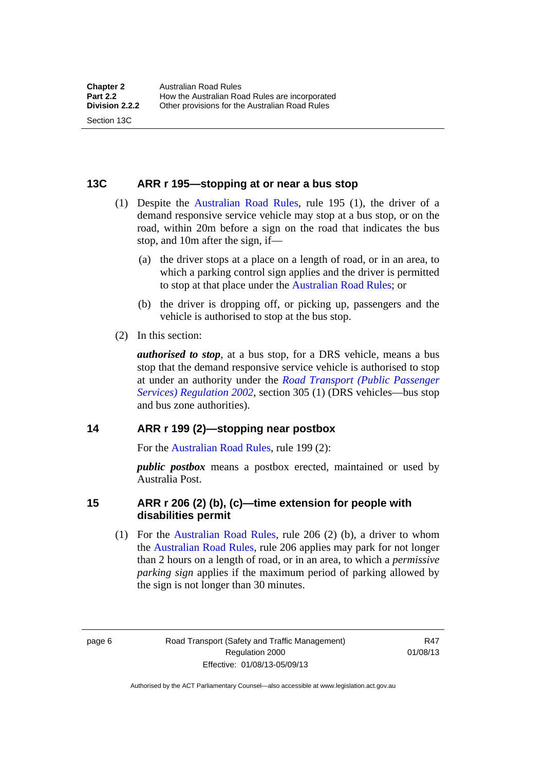## <span id="page-22-0"></span>**13C ARR r 195—stopping at or near a bus stop**

- (1) Despite the [Australian Road Rules](http://www.legislation.act.gov.au//ni/db_37271/default.asp), rule 195 (1), the driver of a demand responsive service vehicle may stop at a bus stop, or on the road, within 20m before a sign on the road that indicates the bus stop, and 10m after the sign, if—
	- (a) the driver stops at a place on a length of road, or in an area, to which a parking control sign applies and the driver is permitted to stop at that place under the [Australian Road Rules;](http://www.legislation.act.gov.au//ni/db_37271/default.asp) or
	- (b) the driver is dropping off, or picking up, passengers and the vehicle is authorised to stop at the bus stop.
- (2) In this section:

Section 13C

*authorised to stop*, at a bus stop, for a DRS vehicle, means a bus stop that the demand responsive service vehicle is authorised to stop at under an authority under the *[Road Transport \(Public Passenger](http://www.legislation.act.gov.au/sl/2002-3)  [Services\) Regulation 2002](http://www.legislation.act.gov.au/sl/2002-3)*, section 305 (1) (DRS vehicles—bus stop and bus zone authorities).

#### <span id="page-22-1"></span>**14 ARR r 199 (2)—stopping near postbox**

For the [Australian Road Rules,](http://www.legislation.act.gov.au//ni/db_37271/default.asp) rule 199 (2):

*public postbox* means a postbox erected, maintained or used by Australia Post.

#### <span id="page-22-2"></span>**15 ARR r 206 (2) (b), (c)—time extension for people with disabilities permit**

 (1) For the [Australian Road Rules](http://www.legislation.act.gov.au//ni/db_37271/default.asp), rule 206 (2) (b), a driver to whom the [Australian Road Rules](http://www.legislation.act.gov.au//ni/db_37271/default.asp), rule 206 applies may park for not longer than 2 hours on a length of road, or in an area, to which a *permissive parking sign* applies if the maximum period of parking allowed by the sign is not longer than 30 minutes.

page 6 Road Transport (Safety and Traffic Management) Regulation 2000 Effective: 01/08/13-05/09/13

R47 01/08/13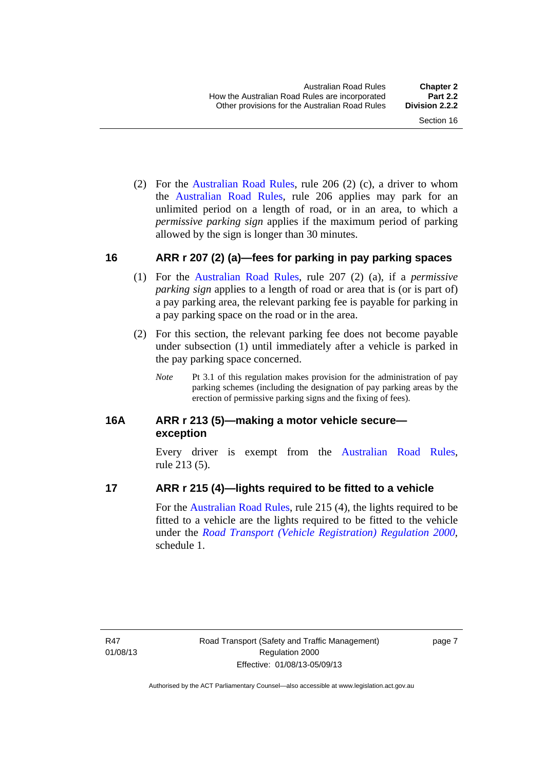(2) For the [Australian Road Rules,](http://www.legislation.act.gov.au//ni/db_37271/default.asp) rule 206 (2) (c), a driver to whom the [Australian Road Rules](http://www.legislation.act.gov.au//ni/db_37271/default.asp), rule 206 applies may park for an unlimited period on a length of road, or in an area, to which a *permissive parking sign* applies if the maximum period of parking allowed by the sign is longer than 30 minutes.

## <span id="page-23-0"></span>**16 ARR r 207 (2) (a)—fees for parking in pay parking spaces**

- (1) For the [Australian Road Rules,](http://www.legislation.act.gov.au//ni/db_37271/default.asp) rule 207 (2) (a), if a *permissive parking sign* applies to a length of road or area that is (or is part of) a pay parking area, the relevant parking fee is payable for parking in a pay parking space on the road or in the area.
- (2) For this section, the relevant parking fee does not become payable under subsection (1) until immediately after a vehicle is parked in the pay parking space concerned.
	- *Note* Pt 3.1 of this regulation makes provision for the administration of pay parking schemes (including the designation of pay parking areas by the erection of permissive parking signs and the fixing of fees).

## <span id="page-23-1"></span>**16A ARR r 213 (5)—making a motor vehicle secure exception**

Every driver is exempt from the [Australian Road Rules](http://www.legislation.act.gov.au//ni/db_37271/default.asp), rule 213 (5).

## <span id="page-23-2"></span>**17 ARR r 215 (4)—lights required to be fitted to a vehicle**

For the [Australian Road Rules,](http://www.legislation.act.gov.au//ni/db_37271/default.asp) rule 215 (4), the lights required to be fitted to a vehicle are the lights required to be fitted to the vehicle under the *[Road Transport \(Vehicle Registration\) Regulation 2000](http://www.legislation.act.gov.au/sl/2000-12),*  schedule 1.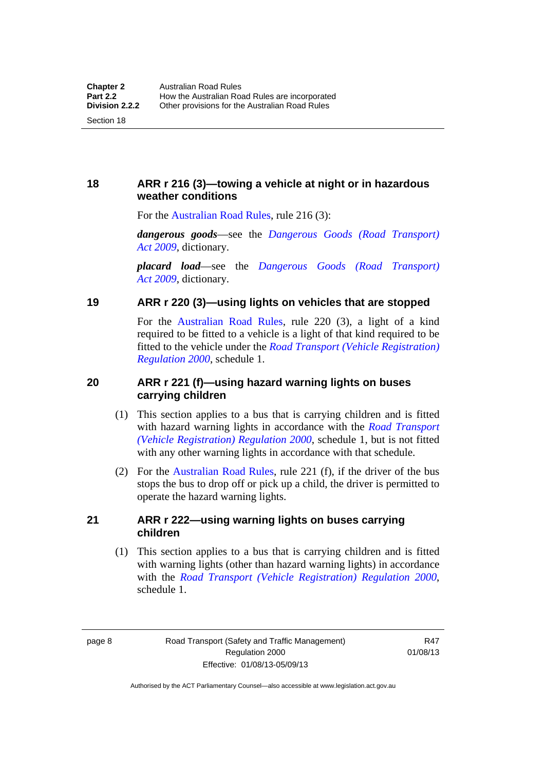## <span id="page-24-0"></span>**18 ARR r 216 (3)—towing a vehicle at night or in hazardous weather conditions**

For the [Australian Road Rules,](http://www.legislation.act.gov.au//ni/db_37271/default.asp) rule 216 (3):

*dangerous goods*—see the *[Dangerous Goods \(Road Transport\)](http://www.legislation.act.gov.au/a/2009-34)  [Act 2009](http://www.legislation.act.gov.au/a/2009-34)*, dictionary.

*placard load*—see the *[Dangerous Goods \(Road Transport\)](http://www.legislation.act.gov.au/a/2009-34)  [Act 2009](http://www.legislation.act.gov.au/a/2009-34)*, dictionary.

## <span id="page-24-1"></span>**19 ARR r 220 (3)—using lights on vehicles that are stopped**

For the [Australian Road Rules](http://www.legislation.act.gov.au//ni/db_37271/default.asp), rule 220 (3), a light of a kind required to be fitted to a vehicle is a light of that kind required to be fitted to the vehicle under the *[Road Transport \(Vehicle Registration\)](http://www.legislation.act.gov.au/sl/2000-12)  [Regulation 2000](http://www.legislation.act.gov.au/sl/2000-12)*, schedule 1.

## <span id="page-24-2"></span>**20 ARR r 221 (f)—using hazard warning lights on buses carrying children**

- (1) This section applies to a bus that is carrying children and is fitted with hazard warning lights in accordance with the *[Road Transport](http://www.legislation.act.gov.au/sl/2000-12)  [\(Vehicle Registration\) Regulation 2000](http://www.legislation.act.gov.au/sl/2000-12)*, schedule 1, but is not fitted with any other warning lights in accordance with that schedule.
- (2) For the [Australian Road Rules](http://www.legislation.act.gov.au//ni/db_37271/default.asp), rule 221 (f), if the driver of the bus stops the bus to drop off or pick up a child, the driver is permitted to operate the hazard warning lights.

## <span id="page-24-3"></span>**21 ARR r 222—using warning lights on buses carrying children**

(1) This section applies to a bus that is carrying children and is fitted with warning lights (other than hazard warning lights) in accordance with the *[Road Transport \(Vehicle Registration\) Regulation 2000](http://www.legislation.act.gov.au/sl/2000-12)*, schedule 1.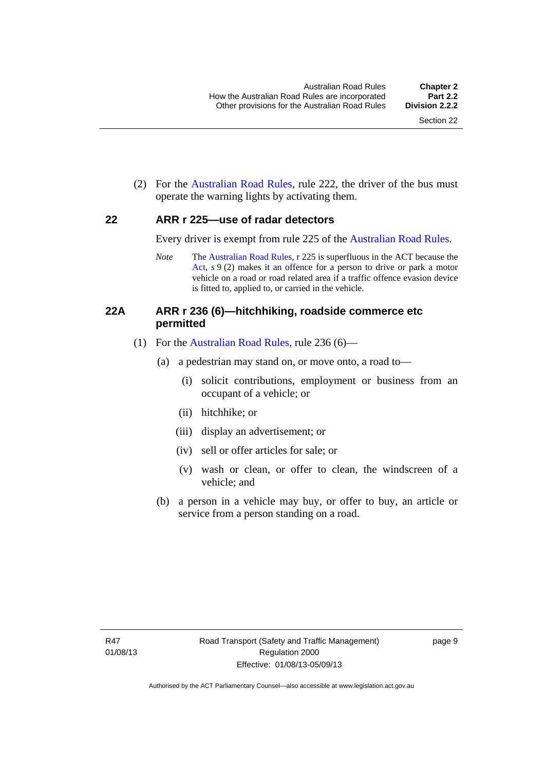(2) For the [Australian Road Rules](http://www.legislation.act.gov.au//ni/db_37271/default.asp), rule 222, the driver of the bus must operate the warning lights by activating them.

#### <span id="page-25-0"></span>**22 ARR r 225—use of radar detectors**

Every driver is exempt from rule 225 of the [Australian Road Rules.](http://www.legislation.act.gov.au//ni/db_37271/default.asp)

*Note* The [Australian Road Rules](http://www.legislation.act.gov.au//ni/db_37271/default.asp), r 225 is superfluous in the ACT because the [Act,](http://www.legislation.act.gov.au/a/1999-80/default.asp) s 9 (2) makes it an offence for a person to drive or park a motor vehicle on a road or road related area if a traffic offence evasion device is fitted to, applied to, or carried in the vehicle.

## <span id="page-25-1"></span>**22A ARR r 236 (6)—hitchhiking, roadside commerce etc permitted**

- (1) For the [Australian Road Rules](http://www.legislation.act.gov.au//ni/db_37271/default.asp), rule 236 (6)—
	- (a) a pedestrian may stand on, or move onto, a road to—
		- (i) solicit contributions, employment or business from an occupant of a vehicle; or
		- (ii) hitchhike; or
		- (iii) display an advertisement; or
		- (iv) sell or offer articles for sale; or
		- (v) wash or clean, or offer to clean, the windscreen of a vehicle; and
	- (b) a person in a vehicle may buy, or offer to buy, an article or service from a person standing on a road.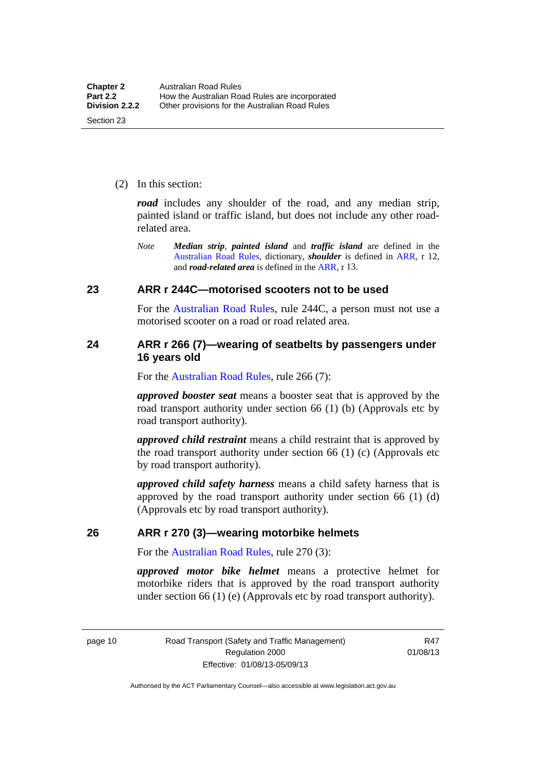(2) In this section:

*road* includes any shoulder of the road, and any median strip, painted island or traffic island, but does not include any other roadrelated area.

*Note Median strip*, *painted island* and *traffic island* are defined in the [Australian Road Rules](http://www.legislation.act.gov.au//ni/db_37271/default.asp), dictionary, *shoulder* is defined in [ARR,](http://www.legislation.act.gov.au//ni/db_37271/default.asp) r 12, and *road-related area* is defined in the [ARR,](http://www.legislation.act.gov.au//ni/db_37271/default.asp) r 13.

## <span id="page-26-0"></span>**23 ARR r 244C—motorised scooters not to be used**

For the [Australian Road Rules](http://www.legislation.act.gov.au//ni/db_37271/default.asp), rule 244C, a person must not use a motorised scooter on a road or road related area.

## <span id="page-26-1"></span>**24 ARR r 266 (7)—wearing of seatbelts by passengers under 16 years old**

For the [Australian Road Rules,](http://www.legislation.act.gov.au//ni/db_37271/default.asp) rule 266 (7):

*approved booster seat* means a booster seat that is approved by the road transport authority under section 66 (1) (b) (Approvals etc by road transport authority).

*approved child restraint* means a child restraint that is approved by the road transport authority under section 66 (1) (c) (Approvals etc by road transport authority).

*approved child safety harness* means a child safety harness that is approved by the road transport authority under section 66 (1) (d) (Approvals etc by road transport authority).

#### <span id="page-26-2"></span>**26 ARR r 270 (3)—wearing motorbike helmets**

For the [Australian Road Rules,](http://www.legislation.act.gov.au//ni/db_37271/default.asp) rule 270 (3):

*approved motor bike helmet* means a protective helmet for motorbike riders that is approved by the road transport authority under section 66 (1) (e) (Approvals etc by road transport authority).

page 10 Road Transport (Safety and Traffic Management) Regulation 2000 Effective: 01/08/13-05/09/13

R47 01/08/13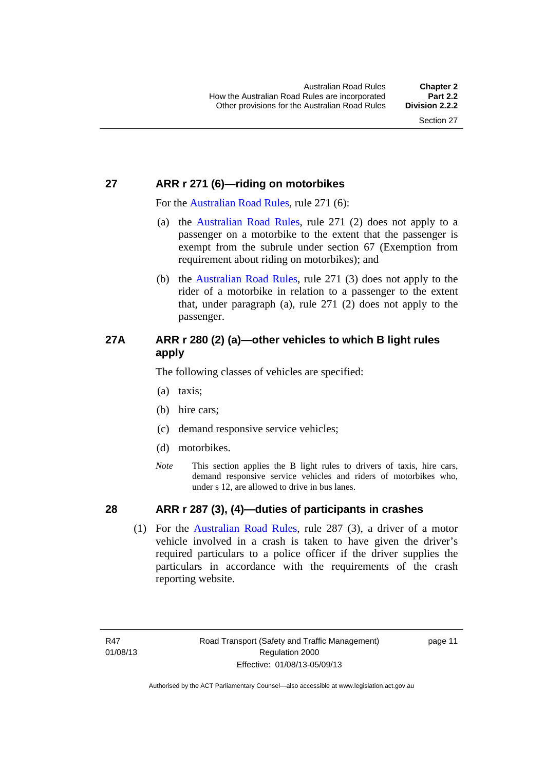## <span id="page-27-0"></span>**27 ARR r 271 (6)—riding on motorbikes**

For the [Australian Road Rules](http://www.legislation.act.gov.au//ni/db_37271/default.asp), rule 271 (6):

- (a) the [Australian Road Rules,](http://www.legislation.act.gov.au//ni/db_37271/default.asp) rule 271 (2) does not apply to a passenger on a motorbike to the extent that the passenger is exempt from the subrule under section 67 (Exemption from requirement about riding on motorbikes); and
- (b) the [Australian Road Rules](http://www.legislation.act.gov.au//ni/db_37271/default.asp), rule 271 (3) does not apply to the rider of a motorbike in relation to a passenger to the extent that, under paragraph (a), rule 271 (2) does not apply to the passenger.

## <span id="page-27-1"></span>**27A ARR r 280 (2) (a)—other vehicles to which B light rules apply**

The following classes of vehicles are specified:

- (a) taxis;
- (b) hire cars;
- (c) demand responsive service vehicles;
- (d) motorbikes.
- *Note* This section applies the B light rules to drivers of taxis, hire cars, demand responsive service vehicles and riders of motorbikes who, under s 12, are allowed to drive in bus lanes.

## <span id="page-27-2"></span>**28 ARR r 287 (3), (4)—duties of participants in crashes**

 (1) For the [Australian Road Rules,](http://www.legislation.act.gov.au//ni/db_37271/default.asp) rule 287 (3), a driver of a motor vehicle involved in a crash is taken to have given the driver's required particulars to a police officer if the driver supplies the particulars in accordance with the requirements of the crash reporting website.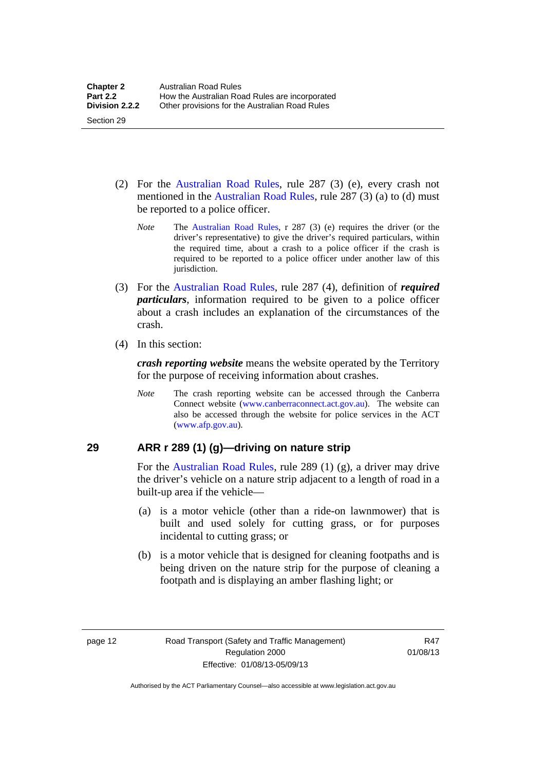- (2) For the [Australian Road Rules](http://www.legislation.act.gov.au//ni/db_37271/default.asp), rule 287 (3) (e), every crash not mentioned in the [Australian Road Rules,](http://www.legislation.act.gov.au//ni/db_37271/default.asp) rule 287 (3) (a) to (d) must be reported to a police officer.
	- *Note* The [Australian Road Rules](http://www.legislation.act.gov.au//ni/db_37271/default.asp), r 287 (3) (e) requires the driver (or the driver's representative) to give the driver's required particulars, within the required time, about a crash to a police officer if the crash is required to be reported to a police officer under another law of this jurisdiction.
- (3) For the [Australian Road Rules](http://www.legislation.act.gov.au//ni/db_37271/default.asp), rule 287 (4), definition of *required particulars*, information required to be given to a police officer about a crash includes an explanation of the circumstances of the crash.
- (4) In this section:

Section 29

*crash reporting website* means the website operated by the Territory for the purpose of receiving information about crashes.

*Note* The crash reporting website can be accessed through the Canberra Connect website [\(www.canberraconnect.act.gov.au](http://www.canberraconnect.act.gov.au/)). The website can also be accessed through the website for police services in the ACT [\(www.afp.gov.au\)](http://www.afp.gov.au/).

## <span id="page-28-0"></span>**29 ARR r 289 (1) (g)—driving on nature strip**

For the [Australian Road Rules](http://www.legislation.act.gov.au//ni/db_37271/default.asp), rule 289 (1) (g), a driver may drive the driver's vehicle on a nature strip adjacent to a length of road in a built-up area if the vehicle—

- (a) is a motor vehicle (other than a ride-on lawnmower) that is built and used solely for cutting grass, or for purposes incidental to cutting grass; or
- (b) is a motor vehicle that is designed for cleaning footpaths and is being driven on the nature strip for the purpose of cleaning a footpath and is displaying an amber flashing light; or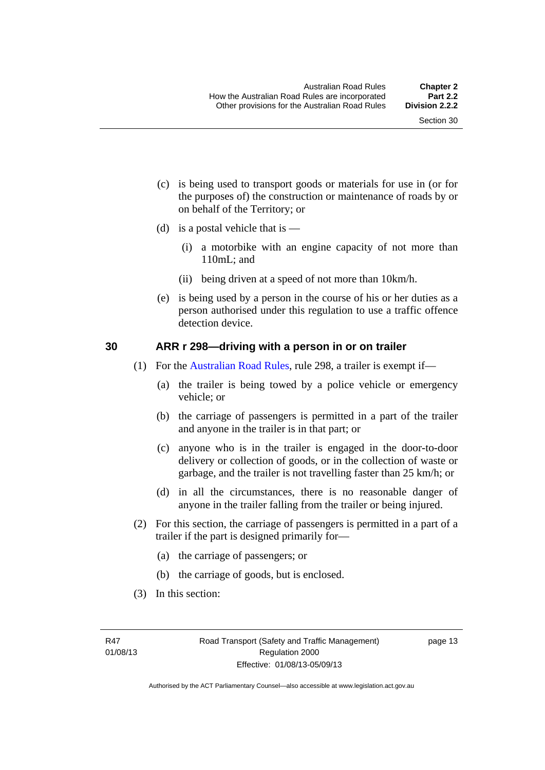- (c) is being used to transport goods or materials for use in (or for the purposes of) the construction or maintenance of roads by or on behalf of the Territory; or
- (d) is a postal vehicle that is  $-$ 
	- (i) a motorbike with an engine capacity of not more than 110mL; and
	- (ii) being driven at a speed of not more than 10km/h.
- (e) is being used by a person in the course of his or her duties as a person authorised under this regulation to use a traffic offence detection device.

#### <span id="page-29-0"></span>**30 ARR r 298—driving with a person in or on trailer**

- (1) For the [Australian Road Rules](http://www.legislation.act.gov.au//ni/db_37271/default.asp), rule 298, a trailer is exempt if—
	- (a) the trailer is being towed by a police vehicle or emergency vehicle; or
	- (b) the carriage of passengers is permitted in a part of the trailer and anyone in the trailer is in that part; or
	- (c) anyone who is in the trailer is engaged in the door-to-door delivery or collection of goods, or in the collection of waste or garbage, and the trailer is not travelling faster than 25 km/h; or
	- (d) in all the circumstances, there is no reasonable danger of anyone in the trailer falling from the trailer or being injured.
- (2) For this section, the carriage of passengers is permitted in a part of a trailer if the part is designed primarily for—
	- (a) the carriage of passengers; or
	- (b) the carriage of goods, but is enclosed.
- (3) In this section: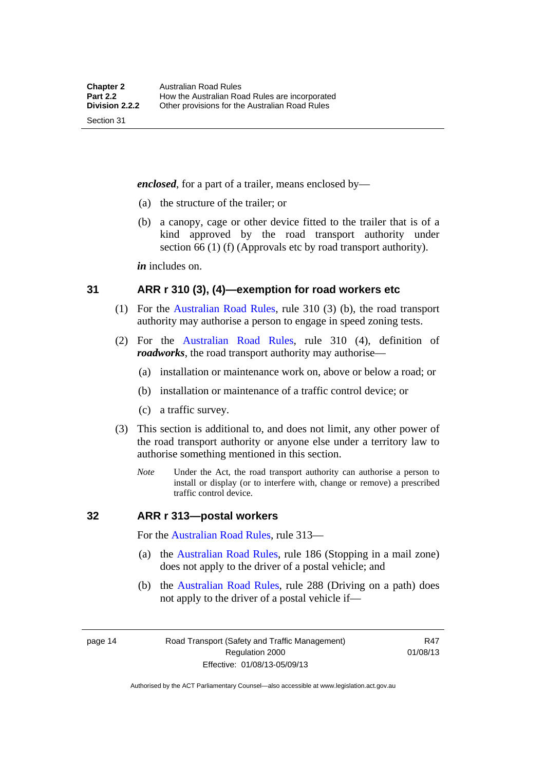*enclosed*, for a part of a trailer, means enclosed by—

- (a) the structure of the trailer; or
- (b) a canopy, cage or other device fitted to the trailer that is of a kind approved by the road transport authority under section 66 (1) (f) (Approvals etc by road transport authority).

*in* includes on.

#### <span id="page-30-0"></span>**31 ARR r 310 (3), (4)—exemption for road workers etc**

- (1) For the [Australian Road Rules](http://www.legislation.act.gov.au//ni/db_37271/default.asp), rule 310 (3) (b), the road transport authority may authorise a person to engage in speed zoning tests.
- (2) For the [Australian Road Rules,](http://www.legislation.act.gov.au//ni/db_37271/default.asp) rule 310 (4), definition of *roadworks*, the road transport authority may authorise—
	- (a) installation or maintenance work on, above or below a road; or
	- (b) installation or maintenance of a traffic control device; or
	- (c) a traffic survey.
- (3) This section is additional to, and does not limit, any other power of the road transport authority or anyone else under a territory law to authorise something mentioned in this section.
	- *Note* Under the Act, the road transport authority can authorise a person to install or display (or to interfere with, change or remove) a prescribed traffic control device.

#### <span id="page-30-1"></span>**32 ARR r 313—postal workers**

For the [Australian Road Rules,](http://www.legislation.act.gov.au//ni/db_37271/default.asp) rule 313—

- (a) the [Australian Road Rules,](http://www.legislation.act.gov.au//ni/db_37271/default.asp) rule 186 (Stopping in a mail zone) does not apply to the driver of a postal vehicle; and
- (b) the [Australian Road Rules](http://www.legislation.act.gov.au//ni/db_37271/default.asp), rule 288 (Driving on a path) does not apply to the driver of a postal vehicle if—

page 14 Road Transport (Safety and Traffic Management) Regulation 2000 Effective: 01/08/13-05/09/13

R47 01/08/13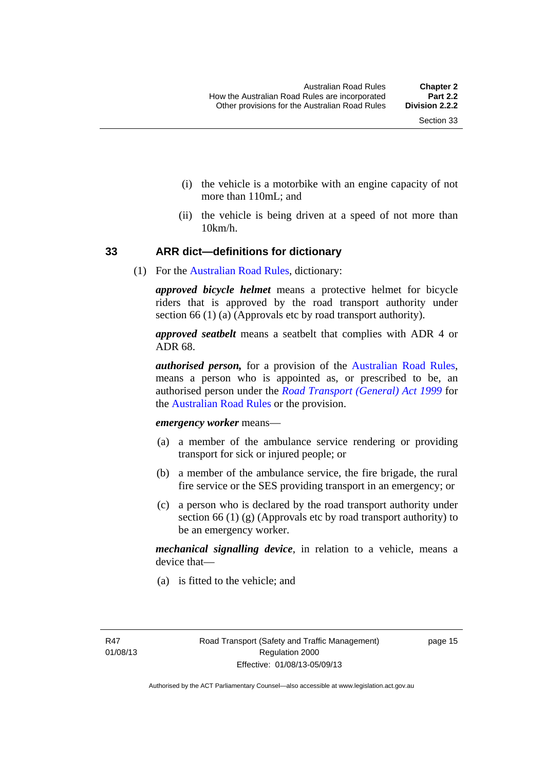- (i) the vehicle is a motorbike with an engine capacity of not more than 110mL; and
- (ii) the vehicle is being driven at a speed of not more than 10km/h.

## <span id="page-31-0"></span>**33 ARR dict—definitions for dictionary**

(1) For the [Australian Road Rules](http://www.legislation.act.gov.au//ni/db_37271/default.asp), dictionary:

*approved bicycle helmet* means a protective helmet for bicycle riders that is approved by the road transport authority under section 66 (1) (a) (Approvals etc by road transport authority).

*approved seatbelt* means a seatbelt that complies with ADR 4 or ADR 68.

*authorised person,* for a provision of the [Australian Road Rules](http://www.legislation.act.gov.au//ni/db_37271/default.asp), means a person who is appointed as, or prescribed to be, an authorised person under the *[Road Transport \(General\) Act 1999](http://www.legislation.act.gov.au/a/1999-77)* for the [Australian Road Rules](http://www.legislation.act.gov.au//ni/db_37271/default.asp) or the provision.

#### *emergency worker* means—

- (a) a member of the ambulance service rendering or providing transport for sick or injured people; or
- (b) a member of the ambulance service, the fire brigade, the rural fire service or the SES providing transport in an emergency; or
- (c) a person who is declared by the road transport authority under section 66 (1) (g) (Approvals etc by road transport authority) to be an emergency worker.

*mechanical signalling device*, in relation to a vehicle, means a device that—

(a) is fitted to the vehicle; and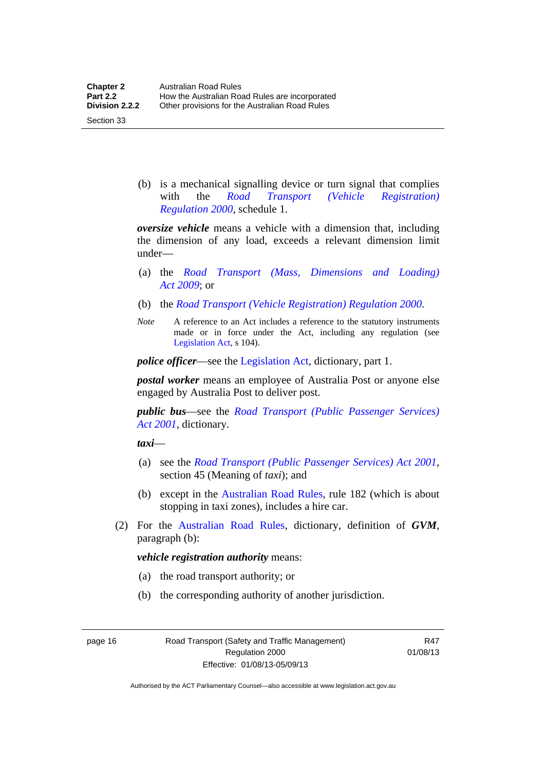Section 33

 (b) is a mechanical signalling device or turn signal that complies with the *[Road Transport \(Vehicle Registration\)](http://www.legislation.act.gov.au/sl/2000-12)  [Regulation 2000](http://www.legislation.act.gov.au/sl/2000-12)*, schedule 1.

*oversize vehicle* means a vehicle with a dimension that, including the dimension of any load, exceeds a relevant dimension limit under—

- (a) the *[Road Transport \(Mass, Dimensions and Loading\)](http://www.legislation.act.gov.au/a/2009-22)  [Act 2009](http://www.legislation.act.gov.au/a/2009-22)*; or
- (b) the *[Road Transport \(Vehicle Registration\) Regulation 2000](http://www.legislation.act.gov.au/sl/2000-12)*.
- *Note* A reference to an Act includes a reference to the statutory instruments made or in force under the Act, including any regulation (see [Legislation Act,](http://www.legislation.act.gov.au/a/2001-14) s 104).

*police officer*—see the [Legislation Act](http://www.legislation.act.gov.au/a/2001-14), dictionary, part 1.

*postal worker* means an employee of Australia Post or anyone else engaged by Australia Post to deliver post.

*public bus*—see the *[Road Transport \(Public Passenger Services\)](http://www.legislation.act.gov.au/a/2001-62)  [Act 2001](http://www.legislation.act.gov.au/a/2001-62)*, dictionary.

*taxi*—

- (a) see the *[Road Transport \(Public Passenger Services\) Act 2001](http://www.legislation.act.gov.au/a/2001-62)*, section 45 (Meaning of *taxi*); and
- (b) except in the [Australian Road Rules,](http://www.legislation.act.gov.au//ni/db_37271/default.asp) rule 182 (which is about stopping in taxi zones), includes a hire car.
- (2) For the [Australian Road Rules](http://www.legislation.act.gov.au//ni/db_37271/default.asp), dictionary, definition of *GVM*, paragraph (b):

*vehicle registration authority* means:

- (a) the road transport authority; or
- (b) the corresponding authority of another jurisdiction.

page 16 Road Transport (Safety and Traffic Management) Regulation 2000 Effective: 01/08/13-05/09/13

R47 01/08/13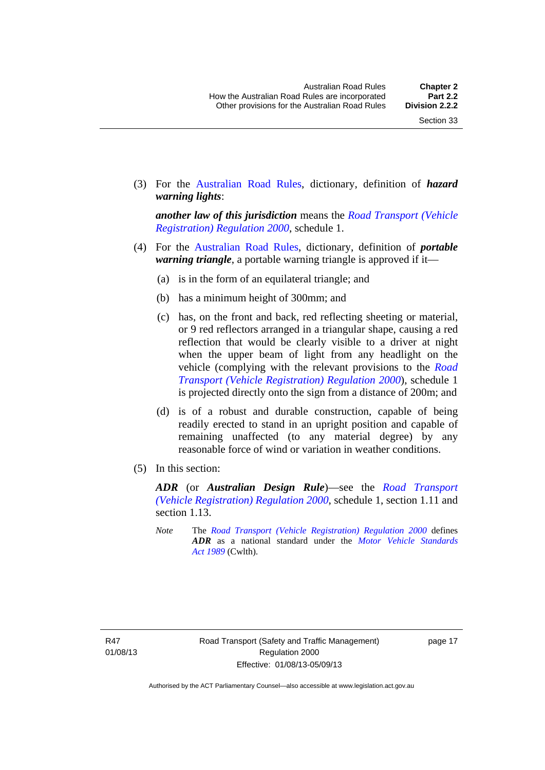(3) For the [Australian Road Rules,](http://www.legislation.act.gov.au//ni/db_37271/default.asp) dictionary, definition of *hazard warning lights*:

*another law of this jurisdiction* means the *[Road Transport \(Vehicle](http://www.legislation.act.gov.au/sl/2000-12)  [Registration\) Regulation 2000](http://www.legislation.act.gov.au/sl/2000-12)*, schedule 1.

- (4) For the [Australian Road Rules](http://www.legislation.act.gov.au//ni/db_37271/default.asp), dictionary, definition of *portable warning triangle*, a portable warning triangle is approved if it—
	- (a) is in the form of an equilateral triangle; and
	- (b) has a minimum height of 300mm; and
	- (c) has, on the front and back, red reflecting sheeting or material, or 9 red reflectors arranged in a triangular shape, causing a red reflection that would be clearly visible to a driver at night when the upper beam of light from any headlight on the vehicle (complying with the relevant provisions to the *[Road](http://www.legislation.act.gov.au/sl/2000-12)  [Transport \(Vehicle Registration\) Regulation 2000](http://www.legislation.act.gov.au/sl/2000-12)*), schedule 1 is projected directly onto the sign from a distance of 200m; and
	- (d) is of a robust and durable construction, capable of being readily erected to stand in an upright position and capable of remaining unaffected (to any material degree) by any reasonable force of wind or variation in weather conditions.
- (5) In this section:

*ADR* (or *Australian Design Rule*)—see the *[Road Transport](http://www.legislation.act.gov.au/sl/2000-12)  [\(Vehicle Registration\) Regulation 2000](http://www.legislation.act.gov.au/sl/2000-12)*, schedule 1, section 1.11 and section 1.13.

*Note* The *[Road Transport \(Vehicle Registration\) Regulation 2000](http://www.legislation.act.gov.au/sl/2000-12)* defines *ADR* as a national standard under the *[Motor Vehicle Standards](http://www.comlaw.gov.au/Series/C2004A03813)  [Act 1989](http://www.comlaw.gov.au/Series/C2004A03813)* (Cwlth).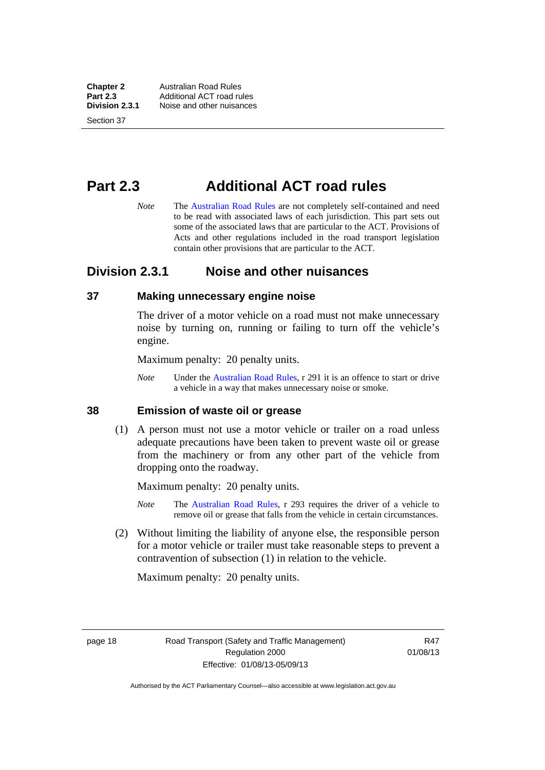**Chapter 2 Australian Road Rules**<br>**Part 2.3 Additional ACT road rules Part 2.3** Additional ACT road rules<br>**Division 2.3.1** Noise and other nuisances **Division 2.3.1** Noise and other nuisances

Section 37

# <span id="page-34-0"></span>**Part 2.3 Additional ACT road rules**

*Note* The [Australian Road Rules](http://www.legislation.act.gov.au//ni/db_37271/default.asp) are not completely self-contained and need to be read with associated laws of each jurisdiction. This part sets out some of the associated laws that are particular to the ACT. Provisions of Acts and other regulations included in the road transport legislation contain other provisions that are particular to the ACT.

## <span id="page-34-1"></span>**Division 2.3.1 Noise and other nuisances**

#### <span id="page-34-2"></span>**37 Making unnecessary engine noise**

The driver of a motor vehicle on a road must not make unnecessary noise by turning on, running or failing to turn off the vehicle's engine.

Maximum penalty: 20 penalty units.

*Note* Under the [Australian Road Rules,](http://www.legislation.act.gov.au//ni/db_37271/default.asp) r 291 it is an offence to start or drive a vehicle in a way that makes unnecessary noise or smoke.

## <span id="page-34-3"></span>**38 Emission of waste oil or grease**

 (1) A person must not use a motor vehicle or trailer on a road unless adequate precautions have been taken to prevent waste oil or grease from the machinery or from any other part of the vehicle from dropping onto the roadway.

Maximum penalty: 20 penalty units.

- *Note* The [Australian Road Rules,](http://www.legislation.act.gov.au//ni/db_37271/default.asp) r 293 requires the driver of a vehicle to remove oil or grease that falls from the vehicle in certain circumstances.
- (2) Without limiting the liability of anyone else, the responsible person for a motor vehicle or trailer must take reasonable steps to prevent a contravention of subsection (1) in relation to the vehicle.

Maximum penalty: 20 penalty units.

page 18 Road Transport (Safety and Traffic Management) Regulation 2000 Effective: 01/08/13-05/09/13

R47 01/08/13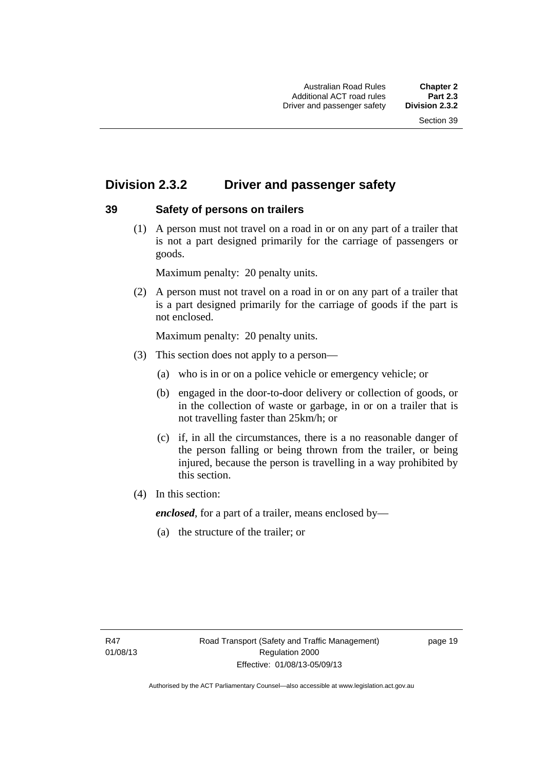## <span id="page-35-0"></span>**Division 2.3.2 Driver and passenger safety**

## <span id="page-35-1"></span>**39 Safety of persons on trailers**

 (1) A person must not travel on a road in or on any part of a trailer that is not a part designed primarily for the carriage of passengers or goods.

Maximum penalty: 20 penalty units.

 (2) A person must not travel on a road in or on any part of a trailer that is a part designed primarily for the carriage of goods if the part is not enclosed.

Maximum penalty: 20 penalty units.

- (3) This section does not apply to a person—
	- (a) who is in or on a police vehicle or emergency vehicle; or
	- (b) engaged in the door-to-door delivery or collection of goods, or in the collection of waste or garbage, in or on a trailer that is not travelling faster than 25km/h; or
	- (c) if, in all the circumstances, there is a no reasonable danger of the person falling or being thrown from the trailer, or being injured, because the person is travelling in a way prohibited by this section.
- (4) In this section:

*enclosed*, for a part of a trailer, means enclosed by—

(a) the structure of the trailer; or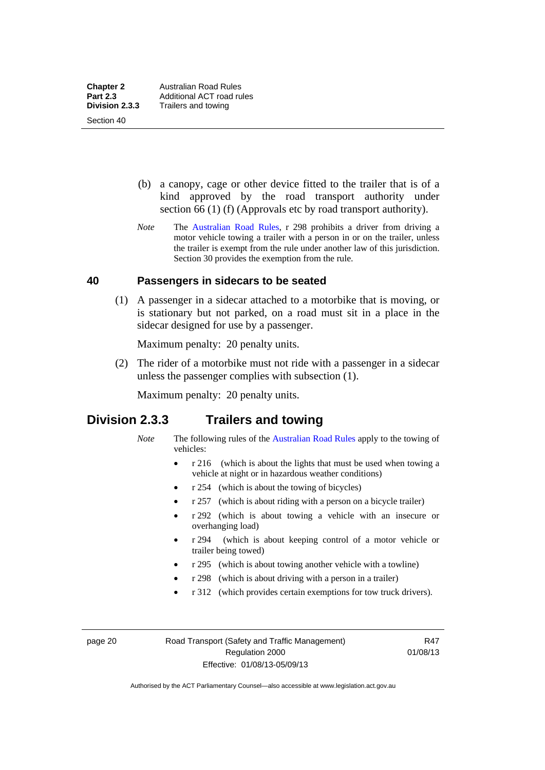Section 40

 (b) a canopy, cage or other device fitted to the trailer that is of a kind approved by the road transport authority under section 66 (1) (f) (Approvals etc by road transport authority).

*Note* The [Australian Road Rules](http://www.legislation.act.gov.au//ni/db_37271/default.asp), r 298 prohibits a driver from driving a motor vehicle towing a trailer with a person in or on the trailer, unless the trailer is exempt from the rule under another law of this jurisdiction. Section 30 provides the exemption from the rule.

#### **40 Passengers in sidecars to be seated**

 (1) A passenger in a sidecar attached to a motorbike that is moving, or is stationary but not parked, on a road must sit in a place in the sidecar designed for use by a passenger.

Maximum penalty: 20 penalty units.

 (2) The rider of a motorbike must not ride with a passenger in a sidecar unless the passenger complies with subsection (1).

Maximum penalty: 20 penalty units.

## **Division 2.3.3 Trailers and towing**

- *Note* The following rules of the [Australian Road Rules](http://www.legislation.act.gov.au//ni/db_37271/default.asp) apply to the towing of vehicles:
	- r 216 (which is about the lights that must be used when towing a vehicle at night or in hazardous weather conditions)
	- r 254 (which is about the towing of bicycles)
	- r 257 (which is about riding with a person on a bicycle trailer)
	- r 292 (which is about towing a vehicle with an insecure or overhanging load)
	- r 294 (which is about keeping control of a motor vehicle or trailer being towed)
	- r 295 (which is about towing another vehicle with a towline)
	- r 298 (which is about driving with a person in a trailer)
	- r 312 (which provides certain exemptions for tow truck drivers).

page 20 Road Transport (Safety and Traffic Management) Regulation 2000 Effective: 01/08/13-05/09/13

R47 01/08/13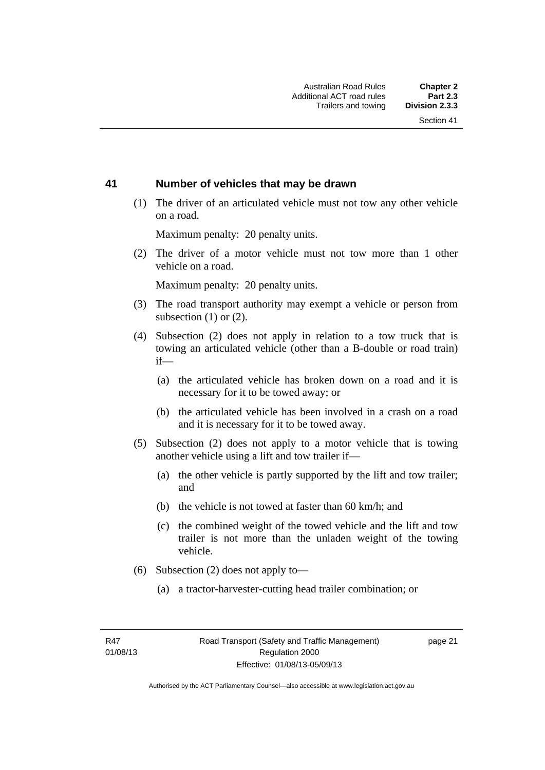### **41 Number of vehicles that may be drawn**

 (1) The driver of an articulated vehicle must not tow any other vehicle on a road.

Maximum penalty: 20 penalty units.

 (2) The driver of a motor vehicle must not tow more than 1 other vehicle on a road.

Maximum penalty: 20 penalty units.

- (3) The road transport authority may exempt a vehicle or person from subsection (1) or (2).
- (4) Subsection (2) does not apply in relation to a tow truck that is towing an articulated vehicle (other than a B-double or road train) if—
	- (a) the articulated vehicle has broken down on a road and it is necessary for it to be towed away; or
	- (b) the articulated vehicle has been involved in a crash on a road and it is necessary for it to be towed away.
- (5) Subsection (2) does not apply to a motor vehicle that is towing another vehicle using a lift and tow trailer if—
	- (a) the other vehicle is partly supported by the lift and tow trailer; and
	- (b) the vehicle is not towed at faster than 60 km/h; and
	- (c) the combined weight of the towed vehicle and the lift and tow trailer is not more than the unladen weight of the towing vehicle.
- (6) Subsection (2) does not apply to—
	- (a) a tractor-harvester-cutting head trailer combination; or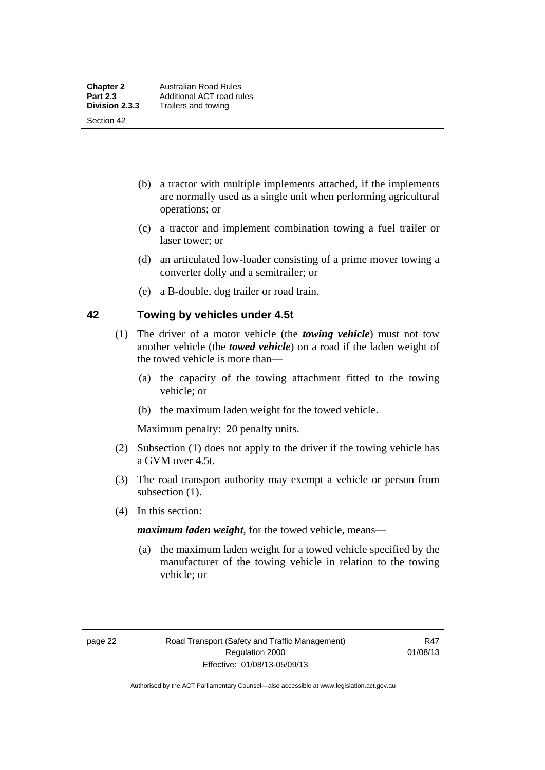Section 42

- (b) a tractor with multiple implements attached, if the implements are normally used as a single unit when performing agricultural operations; or
- (c) a tractor and implement combination towing a fuel trailer or laser tower; or
- (d) an articulated low-loader consisting of a prime mover towing a converter dolly and a semitrailer; or
- (e) a B-double, dog trailer or road train.

#### **42 Towing by vehicles under 4.5t**

- (1) The driver of a motor vehicle (the *towing vehicle*) must not tow another vehicle (the *towed vehicle*) on a road if the laden weight of the towed vehicle is more than—
	- (a) the capacity of the towing attachment fitted to the towing vehicle; or
	- (b) the maximum laden weight for the towed vehicle.

Maximum penalty: 20 penalty units.

- (2) Subsection (1) does not apply to the driver if the towing vehicle has a GVM over 4.5t.
- (3) The road transport authority may exempt a vehicle or person from subsection  $(1)$ .
- (4) In this section:

*maximum laden weight*, for the towed vehicle, means—

 (a) the maximum laden weight for a towed vehicle specified by the manufacturer of the towing vehicle in relation to the towing vehicle; or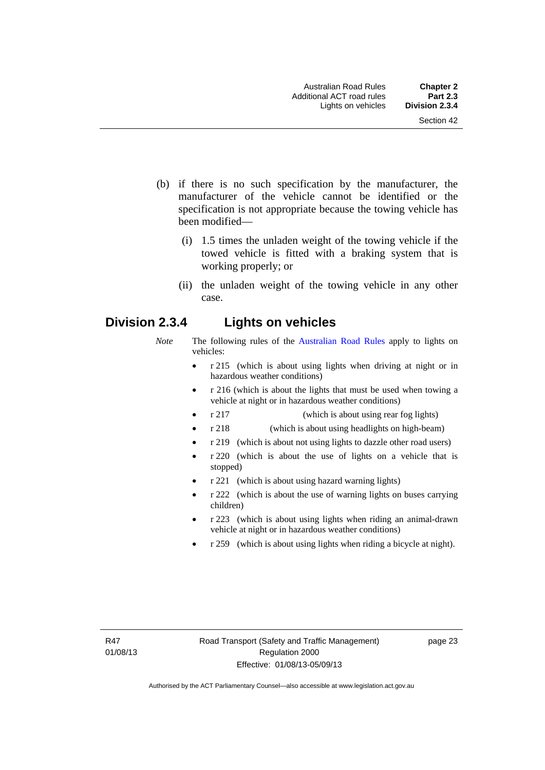- (b) if there is no such specification by the manufacturer, the manufacturer of the vehicle cannot be identified or the specification is not appropriate because the towing vehicle has been modified—
	- (i) 1.5 times the unladen weight of the towing vehicle if the towed vehicle is fitted with a braking system that is working properly; or
	- (ii) the unladen weight of the towing vehicle in any other case.

# **Division 2.3.4 Lights on vehicles**

- *Note* The following rules of the [Australian Road Rules](http://www.legislation.act.gov.au//ni/db_37271/default.asp) apply to lights on vehicles:
	- r 215 (which is about using lights when driving at night or in hazardous weather conditions)
	- r 216 (which is about the lights that must be used when towing a vehicle at night or in hazardous weather conditions)
	- r 217 (which is about using rear fog lights)
	- r 218 (which is about using headlights on high-beam)
	- r 219 (which is about not using lights to dazzle other road users)
	- r 220 (which is about the use of lights on a vehicle that is stopped)
	- r 221 (which is about using hazard warning lights)
	- r 222 (which is about the use of warning lights on buses carrying children)
	- r 223 (which is about using lights when riding an animal-drawn vehicle at night or in hazardous weather conditions)
	- r 259 (which is about using lights when riding a bicycle at night).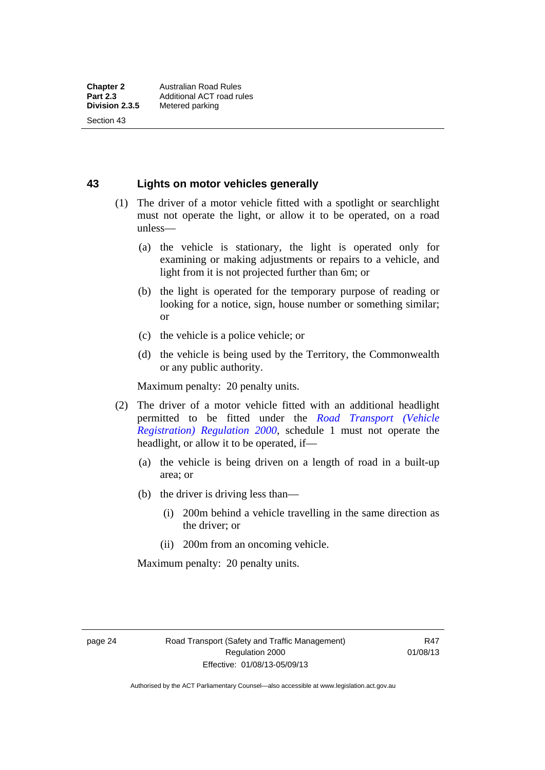Section 43

**43 Lights on motor vehicles generally**

- (1) The driver of a motor vehicle fitted with a spotlight or searchlight must not operate the light, or allow it to be operated, on a road unless—
	- (a) the vehicle is stationary, the light is operated only for examining or making adjustments or repairs to a vehicle, and light from it is not projected further than 6m; or
	- (b) the light is operated for the temporary purpose of reading or looking for a notice, sign, house number or something similar; or
	- (c) the vehicle is a police vehicle; or
	- (d) the vehicle is being used by the Territory, the Commonwealth or any public authority.

Maximum penalty: 20 penalty units.

- (2) The driver of a motor vehicle fitted with an additional headlight permitted to be fitted under the *[Road Transport \(Vehicle](http://www.legislation.act.gov.au/sl/2000-12)  [Registration\) Regulation 2000](http://www.legislation.act.gov.au/sl/2000-12)*, schedule 1 must not operate the headlight, or allow it to be operated, if—
	- (a) the vehicle is being driven on a length of road in a built-up area; or
	- (b) the driver is driving less than—
		- (i) 200m behind a vehicle travelling in the same direction as the driver; or
		- (ii) 200m from an oncoming vehicle.

Maximum penalty: 20 penalty units.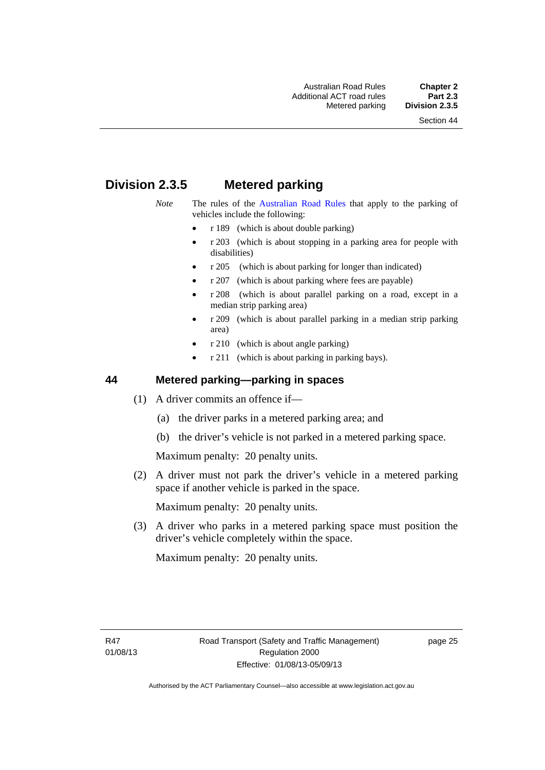# **Division 2.3.5 Metered parking**

- *Note* The rules of the [Australian Road Rules](http://www.legislation.act.gov.au//ni/db_37271/default.asp) that apply to the parking of vehicles include the following:
	- r 189 (which is about double parking)
	- r 203 (which is about stopping in a parking area for people with disabilities)
	- r 205 (which is about parking for longer than indicated)
	- r 207 (which is about parking where fees are payable)
	- r 208 (which is about parallel parking on a road, except in a median strip parking area)
	- r 209 (which is about parallel parking in a median strip parking area)
	- r 210 (which is about angle parking)
	- r 211 (which is about parking in parking bays).

#### **44 Metered parking—parking in spaces**

- (1) A driver commits an offence if—
	- (a) the driver parks in a metered parking area; and
	- (b) the driver's vehicle is not parked in a metered parking space.

Maximum penalty: 20 penalty units.

 (2) A driver must not park the driver's vehicle in a metered parking space if another vehicle is parked in the space.

Maximum penalty: 20 penalty units.

 (3) A driver who parks in a metered parking space must position the driver's vehicle completely within the space.

Maximum penalty: 20 penalty units.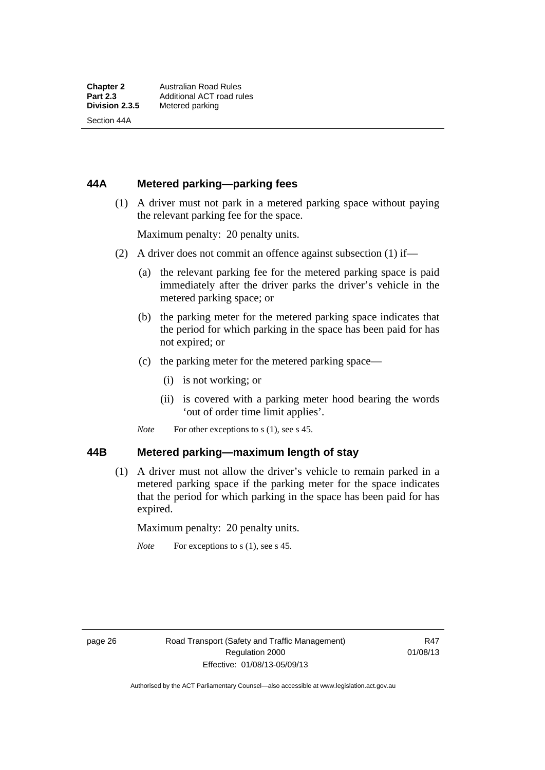Section 44A

## **44A Metered parking—parking fees**

 (1) A driver must not park in a metered parking space without paying the relevant parking fee for the space.

Maximum penalty: 20 penalty units.

- (2) A driver does not commit an offence against subsection (1) if—
	- (a) the relevant parking fee for the metered parking space is paid immediately after the driver parks the driver's vehicle in the metered parking space; or
	- (b) the parking meter for the metered parking space indicates that the period for which parking in the space has been paid for has not expired; or
	- (c) the parking meter for the metered parking space—
		- (i) is not working; or
		- (ii) is covered with a parking meter hood bearing the words 'out of order time limit applies'.
	- *Note* For other exceptions to s (1), see s 45.

#### **44B Metered parking—maximum length of stay**

 (1) A driver must not allow the driver's vehicle to remain parked in a metered parking space if the parking meter for the space indicates that the period for which parking in the space has been paid for has expired.

Maximum penalty: 20 penalty units.

*Note* For exceptions to s (1), see s 45.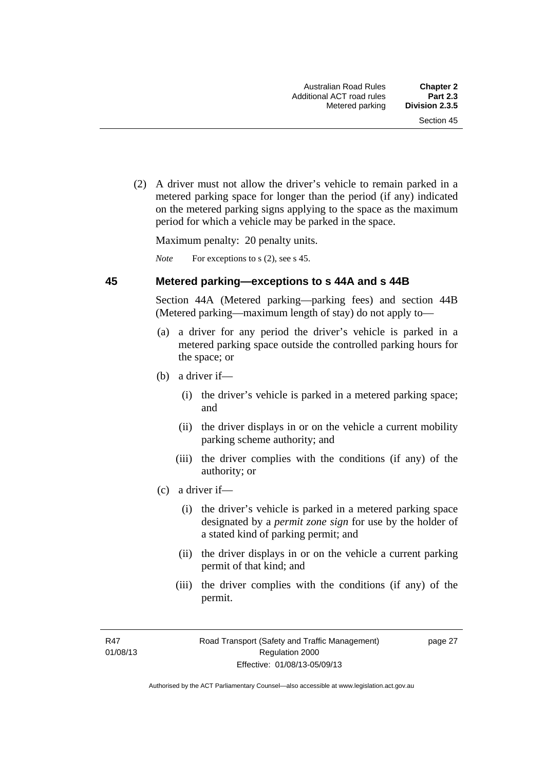(2) A driver must not allow the driver's vehicle to remain parked in a metered parking space for longer than the period (if any) indicated on the metered parking signs applying to the space as the maximum period for which a vehicle may be parked in the space.

Maximum penalty: 20 penalty units.

*Note* For exceptions to s (2), see s 45.

#### **45 Metered parking—exceptions to s 44A and s 44B**

Section 44A (Metered parking—parking fees) and section 44B (Metered parking—maximum length of stay) do not apply to—

- (a) a driver for any period the driver's vehicle is parked in a metered parking space outside the controlled parking hours for the space; or
- (b) a driver if—
	- (i) the driver's vehicle is parked in a metered parking space; and
	- (ii) the driver displays in or on the vehicle a current mobility parking scheme authority; and
	- (iii) the driver complies with the conditions (if any) of the authority; or
- (c) a driver if—
	- (i) the driver's vehicle is parked in a metered parking space designated by a *permit zone sign* for use by the holder of a stated kind of parking permit; and
	- (ii) the driver displays in or on the vehicle a current parking permit of that kind; and
	- (iii) the driver complies with the conditions (if any) of the permit.

R47 01/08/13 page 27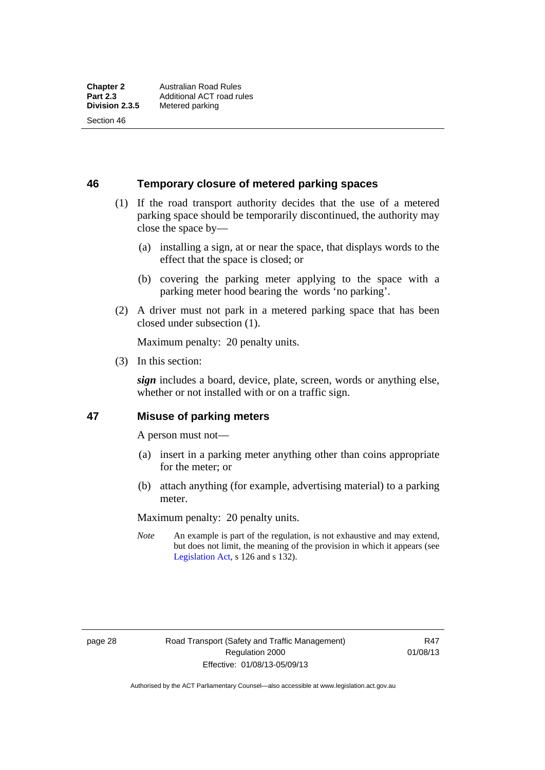Section 46

**46 Temporary closure of metered parking spaces**

- (1) If the road transport authority decides that the use of a metered parking space should be temporarily discontinued, the authority may close the space by—
	- (a) installing a sign, at or near the space, that displays words to the effect that the space is closed; or
	- (b) covering the parking meter applying to the space with a parking meter hood bearing the words 'no parking'.
- (2) A driver must not park in a metered parking space that has been closed under subsection (1).

Maximum penalty: 20 penalty units.

(3) In this section:

*sign* includes a board, device, plate, screen, words or anything else, whether or not installed with or on a traffic sign.

#### **47 Misuse of parking meters**

A person must not—

- (a) insert in a parking meter anything other than coins appropriate for the meter; or
- (b) attach anything (for example, advertising material) to a parking meter.

Maximum penalty: 20 penalty units.

*Note* An example is part of the regulation, is not exhaustive and may extend, but does not limit, the meaning of the provision in which it appears (see [Legislation Act,](http://www.legislation.act.gov.au/a/2001-14) s 126 and s 132).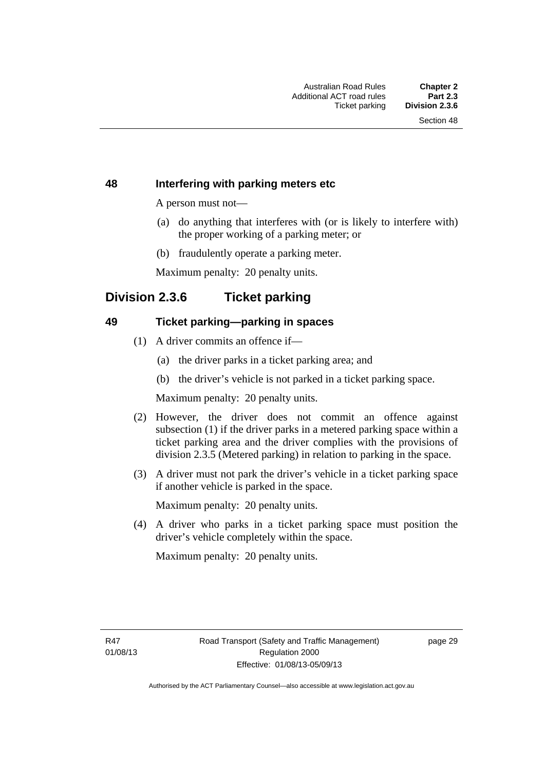#### **48 Interfering with parking meters etc**

A person must not—

- (a) do anything that interferes with (or is likely to interfere with) the proper working of a parking meter; or
- (b) fraudulently operate a parking meter.

Maximum penalty: 20 penalty units.

# **Division 2.3.6 Ticket parking**

#### **49 Ticket parking—parking in spaces**

- (1) A driver commits an offence if—
	- (a) the driver parks in a ticket parking area; and
	- (b) the driver's vehicle is not parked in a ticket parking space.

Maximum penalty: 20 penalty units.

- (2) However, the driver does not commit an offence against subsection (1) if the driver parks in a metered parking space within a ticket parking area and the driver complies with the provisions of division 2.3.5 (Metered parking) in relation to parking in the space.
- (3) A driver must not park the driver's vehicle in a ticket parking space if another vehicle is parked in the space.

Maximum penalty: 20 penalty units.

 (4) A driver who parks in a ticket parking space must position the driver's vehicle completely within the space.

Maximum penalty: 20 penalty units.

R47 01/08/13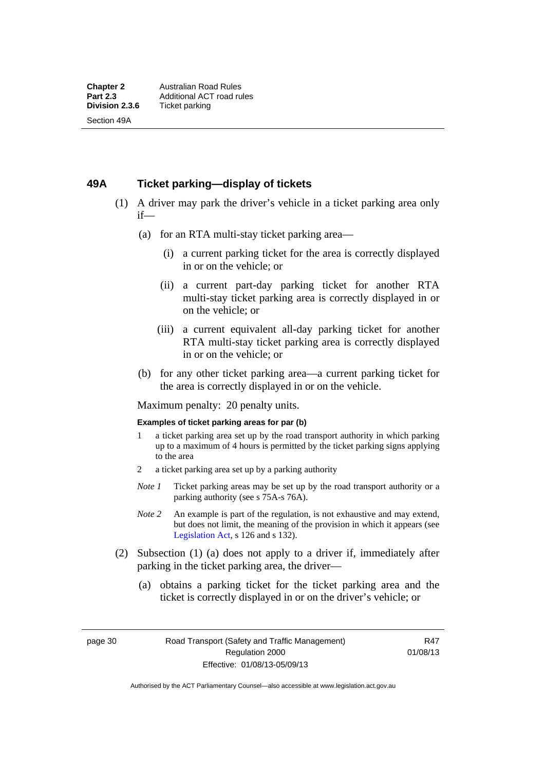### **49A Ticket parking—display of tickets**

- (1) A driver may park the driver's vehicle in a ticket parking area only if—
	- (a) for an RTA multi-stay ticket parking area—
		- (i) a current parking ticket for the area is correctly displayed in or on the vehicle; or
		- (ii) a current part-day parking ticket for another RTA multi-stay ticket parking area is correctly displayed in or on the vehicle; or
		- (iii) a current equivalent all-day parking ticket for another RTA multi-stay ticket parking area is correctly displayed in or on the vehicle; or
	- (b) for any other ticket parking area—a current parking ticket for the area is correctly displayed in or on the vehicle.

Maximum penalty: 20 penalty units.

#### **Examples of ticket parking areas for par (b)**

- 1 a ticket parking area set up by the road transport authority in which parking up to a maximum of 4 hours is permitted by the ticket parking signs applying to the area
- 2 a ticket parking area set up by a parking authority
- *Note 1* Ticket parking areas may be set up by the road transport authority or a parking authority (see s 75A-s 76A).
- *Note 2* An example is part of the regulation, is not exhaustive and may extend, but does not limit, the meaning of the provision in which it appears (see [Legislation Act,](http://www.legislation.act.gov.au/a/2001-14) s 126 and s 132).
- (2) Subsection (1) (a) does not apply to a driver if, immediately after parking in the ticket parking area, the driver—
	- (a) obtains a parking ticket for the ticket parking area and the ticket is correctly displayed in or on the driver's vehicle; or

page 30 Road Transport (Safety and Traffic Management) Regulation 2000 Effective: 01/08/13-05/09/13

R47 01/08/13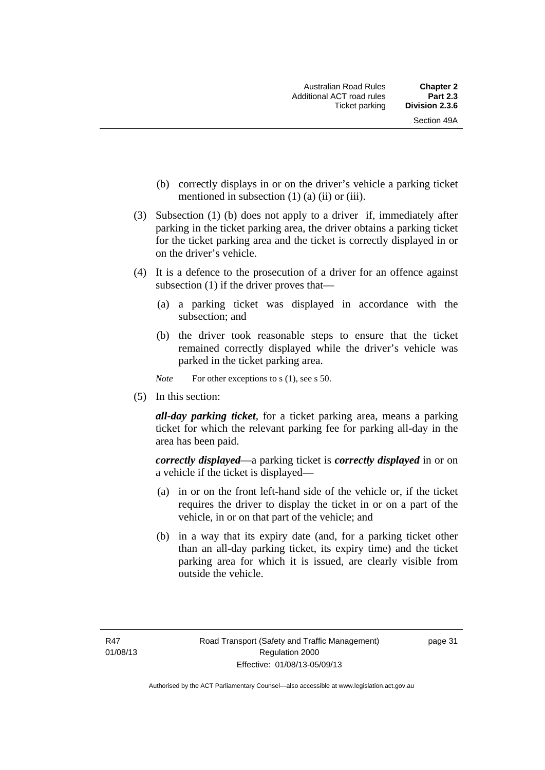- (b) correctly displays in or on the driver's vehicle a parking ticket mentioned in subsection  $(1)$   $(a)$   $(ii)$  or  $(iii)$ .
- (3) Subsection (1) (b) does not apply to a driver if, immediately after parking in the ticket parking area, the driver obtains a parking ticket for the ticket parking area and the ticket is correctly displayed in or on the driver's vehicle.
- (4) It is a defence to the prosecution of a driver for an offence against subsection (1) if the driver proves that—
	- (a) a parking ticket was displayed in accordance with the subsection; and
	- (b) the driver took reasonable steps to ensure that the ticket remained correctly displayed while the driver's vehicle was parked in the ticket parking area.

*Note* For other exceptions to s (1), see s 50.

(5) In this section:

*all-day parking ticket*, for a ticket parking area, means a parking ticket for which the relevant parking fee for parking all-day in the area has been paid.

*correctly displayed*—a parking ticket is *correctly displayed* in or on a vehicle if the ticket is displayed—

- (a) in or on the front left-hand side of the vehicle or, if the ticket requires the driver to display the ticket in or on a part of the vehicle, in or on that part of the vehicle; and
- (b) in a way that its expiry date (and, for a parking ticket other than an all-day parking ticket, its expiry time) and the ticket parking area for which it is issued, are clearly visible from outside the vehicle.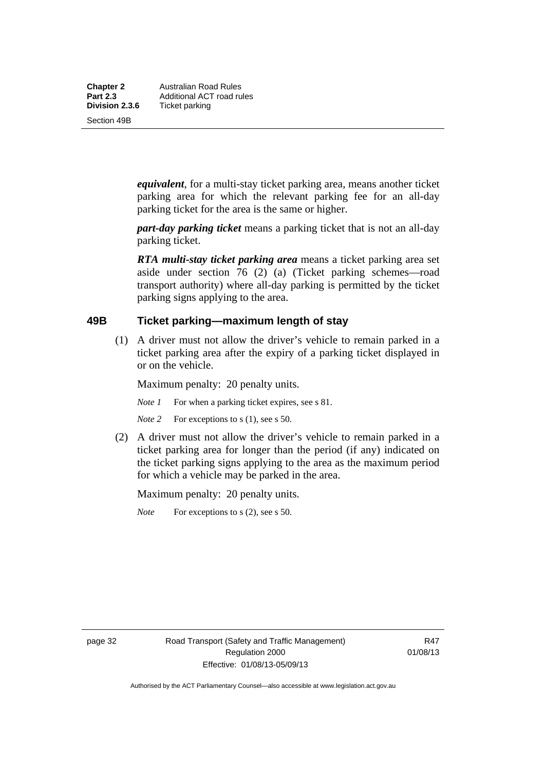**Chapter 2 Australian Road Rules**<br>**Part 2.3 Additional ACT road rules Part 2.3 Additional ACT road rules**<br>**Division 2.3.6** Ticket parking **Ticket parking** 

Section 49B

*equivalent*, for a multi-stay ticket parking area, means another ticket parking area for which the relevant parking fee for an all-day parking ticket for the area is the same or higher.

*part-day parking ticket* means a parking ticket that is not an all-day parking ticket.

*RTA multi-stay ticket parking area* means a ticket parking area set aside under section 76 (2) (a) (Ticket parking schemes—road transport authority) where all-day parking is permitted by the ticket parking signs applying to the area.

#### **49B Ticket parking—maximum length of stay**

(1) A driver must not allow the driver's vehicle to remain parked in a ticket parking area after the expiry of a parking ticket displayed in or on the vehicle.

Maximum penalty: 20 penalty units.

- *Note 1* For when a parking ticket expires, see s 81.
- *Note* 2 For exceptions to s (1), see s 50.
- (2) A driver must not allow the driver's vehicle to remain parked in a ticket parking area for longer than the period (if any) indicated on the ticket parking signs applying to the area as the maximum period for which a vehicle may be parked in the area.

Maximum penalty: 20 penalty units.

*Note* For exceptions to s (2), see s 50.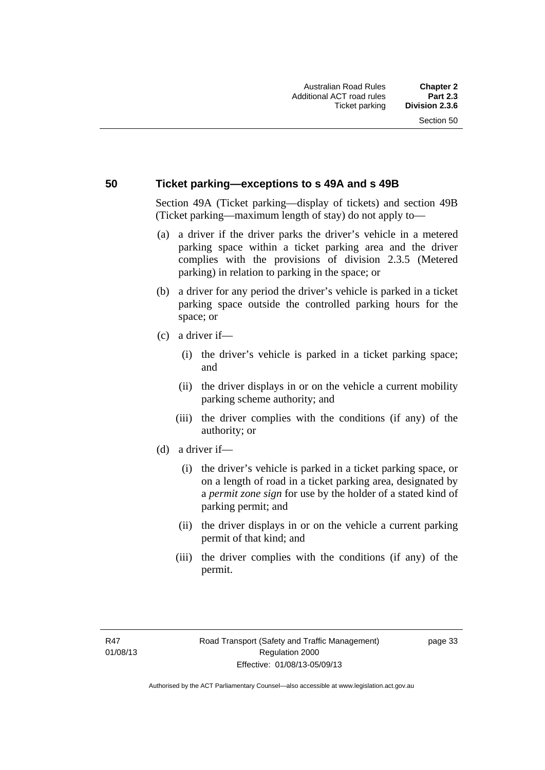#### **50 Ticket parking—exceptions to s 49A and s 49B**

Section 49A (Ticket parking—display of tickets) and section 49B (Ticket parking—maximum length of stay) do not apply to—

- (a) a driver if the driver parks the driver's vehicle in a metered parking space within a ticket parking area and the driver complies with the provisions of division 2.3.5 (Metered parking) in relation to parking in the space; or
- (b) a driver for any period the driver's vehicle is parked in a ticket parking space outside the controlled parking hours for the space; or
- (c) a driver if—
	- (i) the driver's vehicle is parked in a ticket parking space; and
	- (ii) the driver displays in or on the vehicle a current mobility parking scheme authority; and
	- (iii) the driver complies with the conditions (if any) of the authority; or
- (d) a driver if—
	- (i) the driver's vehicle is parked in a ticket parking space, or on a length of road in a ticket parking area, designated by a *permit zone sign* for use by the holder of a stated kind of parking permit; and
	- (ii) the driver displays in or on the vehicle a current parking permit of that kind; and
	- (iii) the driver complies with the conditions (if any) of the permit.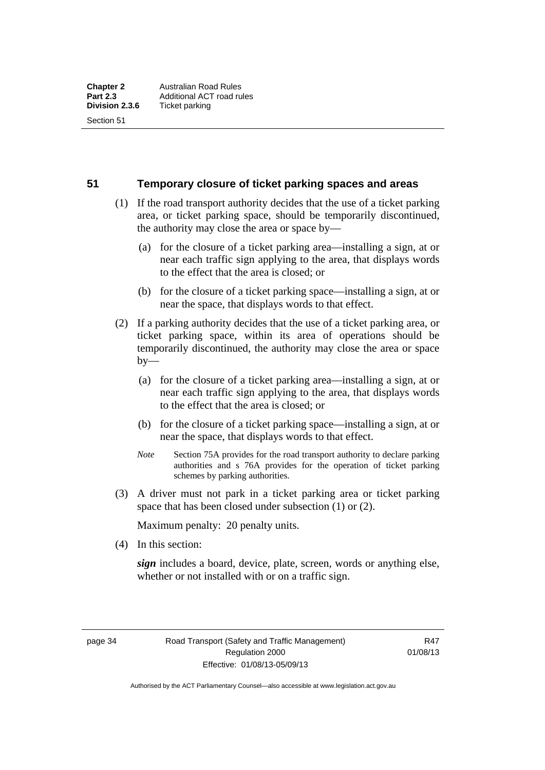Section 51

**51 Temporary closure of ticket parking spaces and areas** 

- (1) If the road transport authority decides that the use of a ticket parking area, or ticket parking space, should be temporarily discontinued, the authority may close the area or space by—
	- (a) for the closure of a ticket parking area—installing a sign, at or near each traffic sign applying to the area, that displays words to the effect that the area is closed; or
	- (b) for the closure of a ticket parking space—installing a sign, at or near the space, that displays words to that effect.
- (2) If a parking authority decides that the use of a ticket parking area, or ticket parking space, within its area of operations should be temporarily discontinued, the authority may close the area or space  $by-$ 
	- (a) for the closure of a ticket parking area—installing a sign, at or near each traffic sign applying to the area, that displays words to the effect that the area is closed; or
	- (b) for the closure of a ticket parking space—installing a sign, at or near the space, that displays words to that effect.
	- *Note* Section 75A provides for the road transport authority to declare parking authorities and s 76A provides for the operation of ticket parking schemes by parking authorities.
- (3) A driver must not park in a ticket parking area or ticket parking space that has been closed under subsection (1) or (2).

Maximum penalty: 20 penalty units.

(4) In this section:

*sign* includes a board, device, plate, screen, words or anything else, whether or not installed with or on a traffic sign.

page 34 Road Transport (Safety and Traffic Management) Regulation 2000 Effective: 01/08/13-05/09/13

R47 01/08/13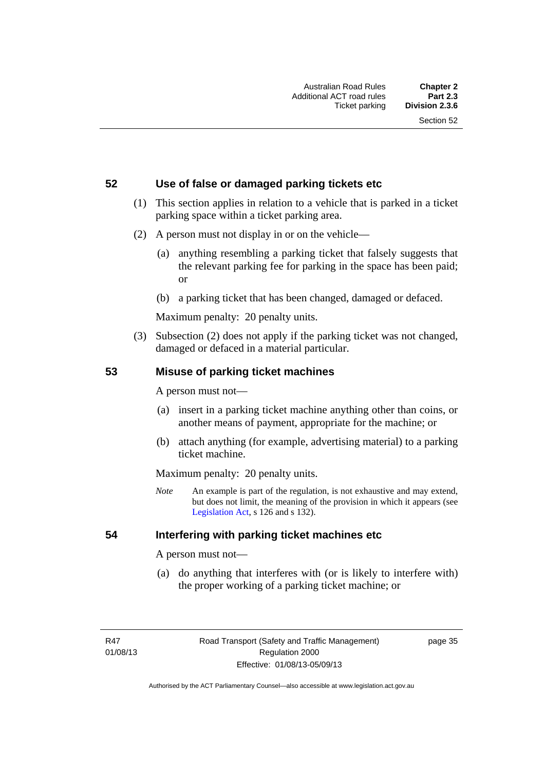#### **52 Use of false or damaged parking tickets etc**

- (1) This section applies in relation to a vehicle that is parked in a ticket parking space within a ticket parking area.
- (2) A person must not display in or on the vehicle—
	- (a) anything resembling a parking ticket that falsely suggests that the relevant parking fee for parking in the space has been paid; or
	- (b) a parking ticket that has been changed, damaged or defaced.

Maximum penalty: 20 penalty units.

 (3) Subsection (2) does not apply if the parking ticket was not changed, damaged or defaced in a material particular.

#### **53 Misuse of parking ticket machines**

A person must not—

- (a) insert in a parking ticket machine anything other than coins, or another means of payment, appropriate for the machine; or
- (b) attach anything (for example, advertising material) to a parking ticket machine.

Maximum penalty: 20 penalty units.

*Note* An example is part of the regulation, is not exhaustive and may extend, but does not limit, the meaning of the provision in which it appears (see [Legislation Act,](http://www.legislation.act.gov.au/a/2001-14) s 126 and s 132).

#### **54 Interfering with parking ticket machines etc**

A person must not—

 (a) do anything that interferes with (or is likely to interfere with) the proper working of a parking ticket machine; or

page 35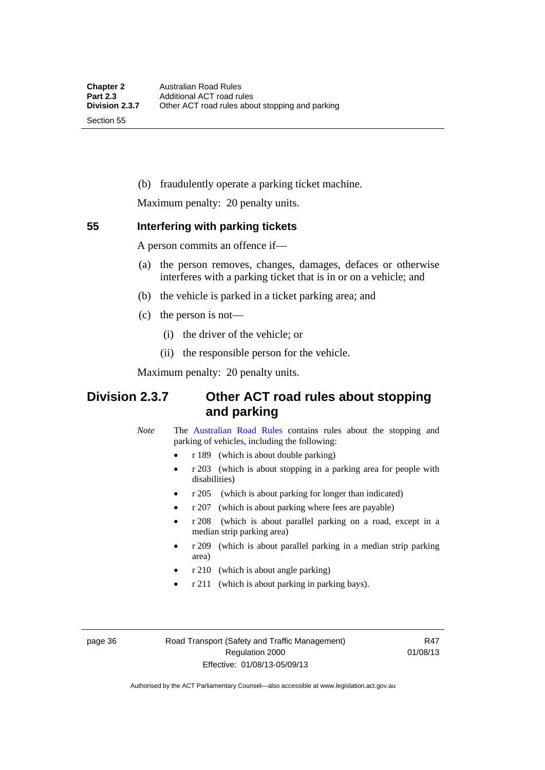Section 55

(b) fraudulently operate a parking ticket machine.

Maximum penalty: 20 penalty units.

#### **55 Interfering with parking tickets**

A person commits an offence if—

- (a) the person removes, changes, damages, defaces or otherwise interferes with a parking ticket that is in or on a vehicle; and
- (b) the vehicle is parked in a ticket parking area; and
- (c) the person is not—
	- (i) the driver of the vehicle; or
	- (ii) the responsible person for the vehicle.

Maximum penalty: 20 penalty units.

# **Division 2.3.7 Other ACT road rules about stopping and parking**

*Note* The [Australian Road Rules](http://www.legislation.act.gov.au//ni/db_37271/default.asp) contains rules about the stopping and parking of vehicles, including the following:

- r 189 (which is about double parking)
- r 203 (which is about stopping in a parking area for people with disabilities)
- r 205 (which is about parking for longer than indicated)
- r 207 (which is about parking where fees are payable)
- r 208 (which is about parallel parking on a road, except in a median strip parking area)
- r 209 (which is about parallel parking in a median strip parking area)
- r 210 (which is about angle parking)
- r 211 (which is about parking in parking bays).

page 36 Road Transport (Safety and Traffic Management) Regulation 2000 Effective: 01/08/13-05/09/13

R47 01/08/13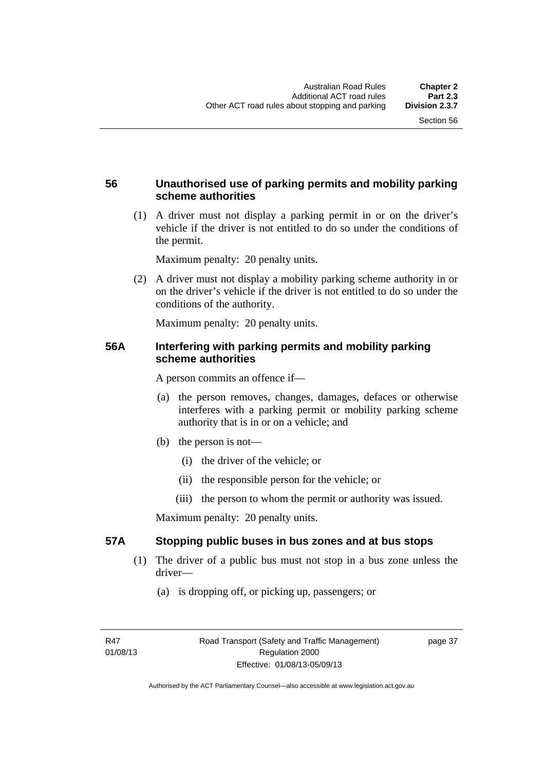## **56 Unauthorised use of parking permits and mobility parking scheme authorities**

 (1) A driver must not display a parking permit in or on the driver's vehicle if the driver is not entitled to do so under the conditions of the permit.

Maximum penalty: 20 penalty units.

 (2) A driver must not display a mobility parking scheme authority in or on the driver's vehicle if the driver is not entitled to do so under the conditions of the authority.

Maximum penalty: 20 penalty units.

#### **56A Interfering with parking permits and mobility parking scheme authorities**

A person commits an offence if—

- (a) the person removes, changes, damages, defaces or otherwise interferes with a parking permit or mobility parking scheme authority that is in or on a vehicle; and
- (b) the person is not—
	- (i) the driver of the vehicle; or
	- (ii) the responsible person for the vehicle; or
	- (iii) the person to whom the permit or authority was issued.

Maximum penalty: 20 penalty units.

## **57A Stopping public buses in bus zones and at bus stops**

- (1) The driver of a public bus must not stop in a bus zone unless the driver—
	- (a) is dropping off, or picking up, passengers; or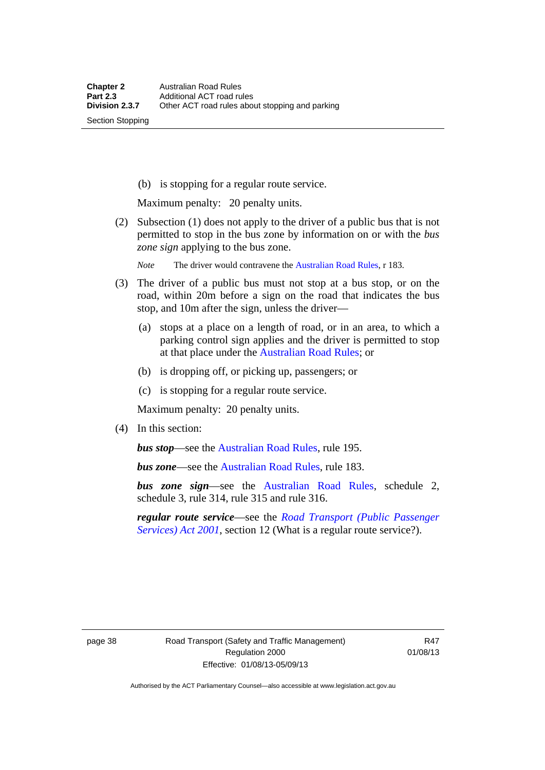Section Stopping

(b) is stopping for a regular route service.

Maximum penalty: 20 penalty units.

 (2) Subsection (1) does not apply to the driver of a public bus that is not permitted to stop in the bus zone by information on or with the *bus zone sign* applying to the bus zone.

*Note* The driver would contravene the [Australian Road Rules,](http://www.legislation.act.gov.au//ni/db_37271/default.asp) r 183.

- (3) The driver of a public bus must not stop at a bus stop, or on the road, within 20m before a sign on the road that indicates the bus stop, and 10m after the sign, unless the driver—
	- (a) stops at a place on a length of road, or in an area, to which a parking control sign applies and the driver is permitted to stop at that place under the [Australian Road Rules;](http://www.legislation.act.gov.au//ni/db_37271/default.asp) or
	- (b) is dropping off, or picking up, passengers; or
	- (c) is stopping for a regular route service.

Maximum penalty: 20 penalty units.

(4) In this section:

*bus stop***—see the Australian Road Rules**, rule 195.

*bus zone*—see the [Australian Road Rules,](http://www.legislation.act.gov.au//ni/db_37271/default.asp) rule 183.

*bus zone sign*—see the [Australian Road Rules,](http://www.legislation.act.gov.au//ni/db_37271/default.asp) schedule 2, schedule 3, rule 314, rule 315 and rule 316.

*regular route service*—see the *[Road Transport \(Public Passenger](http://www.legislation.act.gov.au/a/2001-62)  [Services\) Act 2001](http://www.legislation.act.gov.au/a/2001-62)*, section 12 (What is a regular route service?).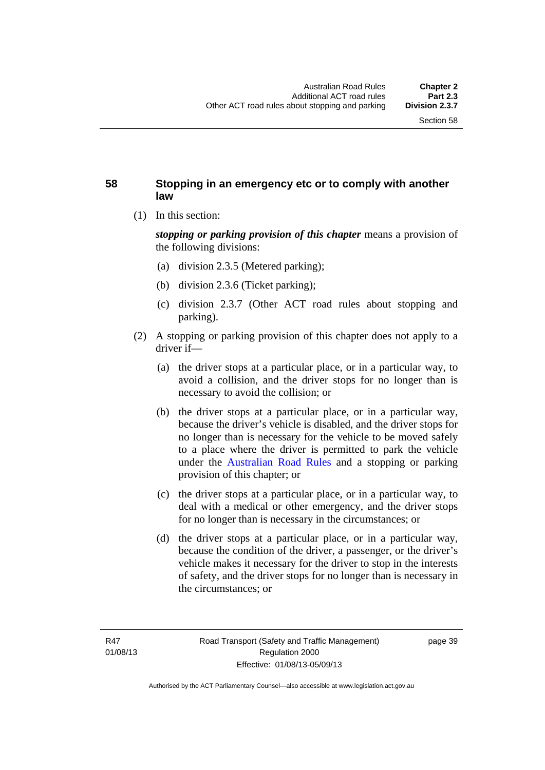### **58 Stopping in an emergency etc or to comply with another law**

(1) In this section:

*stopping or parking provision of this chapter* means a provision of the following divisions:

- (a) division 2.3.5 (Metered parking);
- (b) division 2.3.6 (Ticket parking);
- (c) division 2.3.7 (Other ACT road rules about stopping and parking).
- (2) A stopping or parking provision of this chapter does not apply to a driver if—
	- (a) the driver stops at a particular place, or in a particular way, to avoid a collision, and the driver stops for no longer than is necessary to avoid the collision; or
	- (b) the driver stops at a particular place, or in a particular way, because the driver's vehicle is disabled, and the driver stops for no longer than is necessary for the vehicle to be moved safely to a place where the driver is permitted to park the vehicle under the [Australian Road Rules](http://www.legislation.act.gov.au//ni/db_37271/default.asp) and a stopping or parking provision of this chapter; or
	- (c) the driver stops at a particular place, or in a particular way, to deal with a medical or other emergency, and the driver stops for no longer than is necessary in the circumstances; or
	- (d) the driver stops at a particular place, or in a particular way, because the condition of the driver, a passenger, or the driver's vehicle makes it necessary for the driver to stop in the interests of safety, and the driver stops for no longer than is necessary in the circumstances; or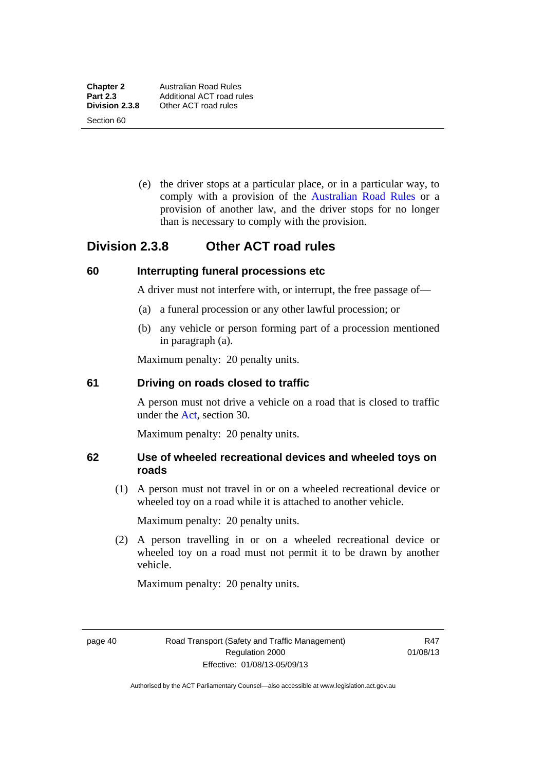Section 60

 (e) the driver stops at a particular place, or in a particular way, to comply with a provision of the [Australian Road Rules](http://www.legislation.act.gov.au//ni/db_37271/default.asp) or a provision of another law, and the driver stops for no longer than is necessary to comply with the provision.

# **Division 2.3.8 Other ACT road rules**

#### **60 Interrupting funeral processions etc**

A driver must not interfere with, or interrupt, the free passage of—

- (a) a funeral procession or any other lawful procession; or
- (b) any vehicle or person forming part of a procession mentioned in paragraph (a).

Maximum penalty: 20 penalty units.

#### **61 Driving on roads closed to traffic**

A person must not drive a vehicle on a road that is closed to traffic under the [Act](http://www.legislation.act.gov.au/a/1999-80/default.asp), section 30.

Maximum penalty: 20 penalty units.

#### **62 Use of wheeled recreational devices and wheeled toys on roads**

 (1) A person must not travel in or on a wheeled recreational device or wheeled toy on a road while it is attached to another vehicle.

Maximum penalty: 20 penalty units.

 (2) A person travelling in or on a wheeled recreational device or wheeled toy on a road must not permit it to be drawn by another vehicle.

Maximum penalty: 20 penalty units.

page 40 Road Transport (Safety and Traffic Management) Regulation 2000 Effective: 01/08/13-05/09/13

R47 01/08/13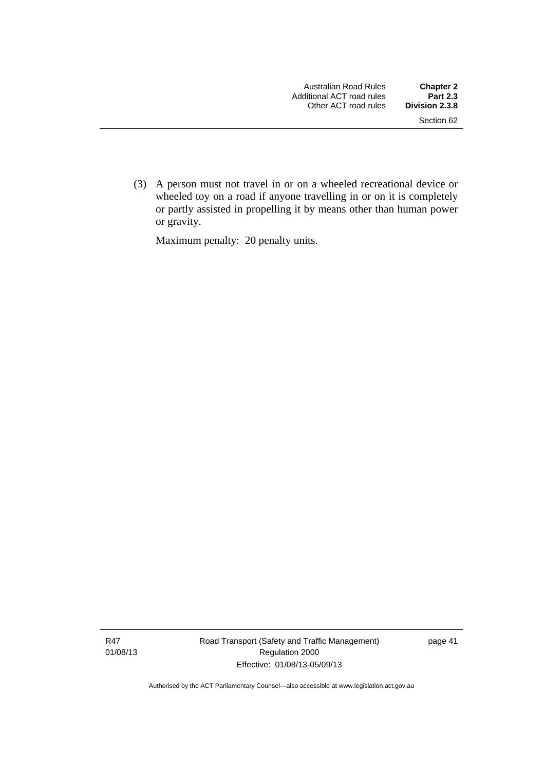(3) A person must not travel in or on a wheeled recreational device or wheeled toy on a road if anyone travelling in or on it is completely or partly assisted in propelling it by means other than human power or gravity.

Maximum penalty: 20 penalty units.

R47 01/08/13 Road Transport (Safety and Traffic Management) Regulation 2000 Effective: 01/08/13-05/09/13

page 41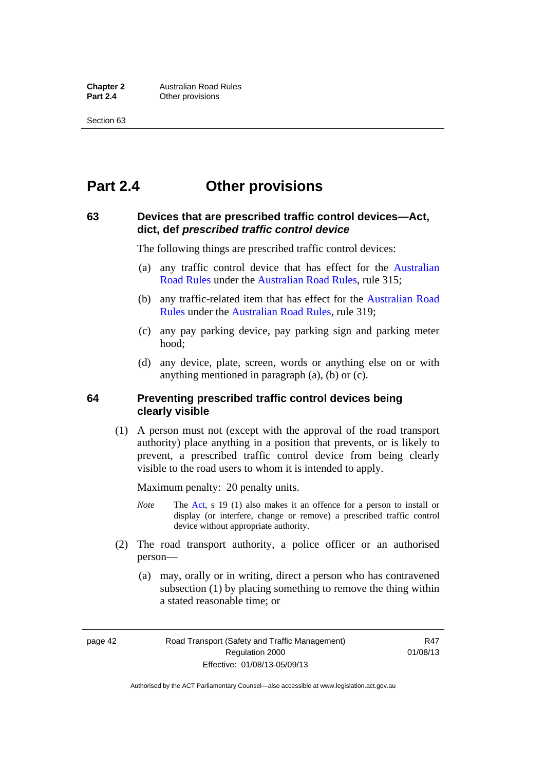# **Part 2.4 Other provisions**

#### **63 Devices that are prescribed traffic control devices—Act, dict, def** *prescribed traffic control device*

The following things are prescribed traffic control devices:

- (a) any traffic control device that has effect for the [Australian](http://www.legislation.act.gov.au//ni/db_37271/default.asp)  [Road Rules](http://www.legislation.act.gov.au//ni/db_37271/default.asp) under the [Australian Road Rules](http://www.legislation.act.gov.au//ni/db_37271/default.asp), rule 315;
- (b) any traffic-related item that has effect for the [Australian Road](http://www.legislation.act.gov.au//ni/db_37271/default.asp)  [Rules](http://www.legislation.act.gov.au//ni/db_37271/default.asp) under the [Australian Road Rules,](http://www.legislation.act.gov.au//ni/db_37271/default.asp) rule 319;
- (c) any pay parking device, pay parking sign and parking meter hood;
- (d) any device, plate, screen, words or anything else on or with anything mentioned in paragraph (a), (b) or (c).

#### **64 Preventing prescribed traffic control devices being clearly visible**

 (1) A person must not (except with the approval of the road transport authority) place anything in a position that prevents, or is likely to prevent, a prescribed traffic control device from being clearly visible to the road users to whom it is intended to apply.

Maximum penalty: 20 penalty units.

- *Note* The [Act](http://www.legislation.act.gov.au/a/1999-80/default.asp), s 19 (1) also makes it an offence for a person to install or display (or interfere, change or remove) a prescribed traffic control device without appropriate authority.
- (2) The road transport authority, a police officer or an authorised person—
	- (a) may, orally or in writing, direct a person who has contravened subsection (1) by placing something to remove the thing within a stated reasonable time; or

page 42 Road Transport (Safety and Traffic Management) Regulation 2000 Effective: 01/08/13-05/09/13

R47 01/08/13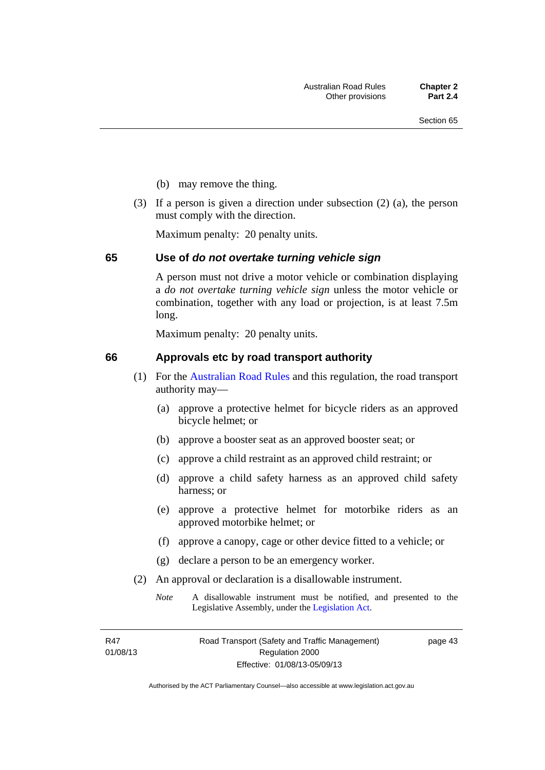- (b) may remove the thing.
- (3) If a person is given a direction under subsection (2) (a), the person must comply with the direction.

Maximum penalty: 20 penalty units.

#### **65 Use of** *do not overtake turning vehicle sign*

A person must not drive a motor vehicle or combination displaying a *do not overtake turning vehicle sign* unless the motor vehicle or combination, together with any load or projection, is at least 7.5m long.

Maximum penalty: 20 penalty units.

#### **66 Approvals etc by road transport authority**

- (1) For the [Australian Road Rules](http://www.legislation.act.gov.au//ni/db_37271/default.asp) and this regulation, the road transport authority may—
	- (a) approve a protective helmet for bicycle riders as an approved bicycle helmet; or
	- (b) approve a booster seat as an approved booster seat; or
	- (c) approve a child restraint as an approved child restraint; or
	- (d) approve a child safety harness as an approved child safety harness; or
	- (e) approve a protective helmet for motorbike riders as an approved motorbike helmet; or
	- (f) approve a canopy, cage or other device fitted to a vehicle; or
	- (g) declare a person to be an emergency worker.
- (2) An approval or declaration is a disallowable instrument.
	- *Note* A disallowable instrument must be notified, and presented to the Legislative Assembly, under the [Legislation Act.](http://www.legislation.act.gov.au/a/2001-14)

page 43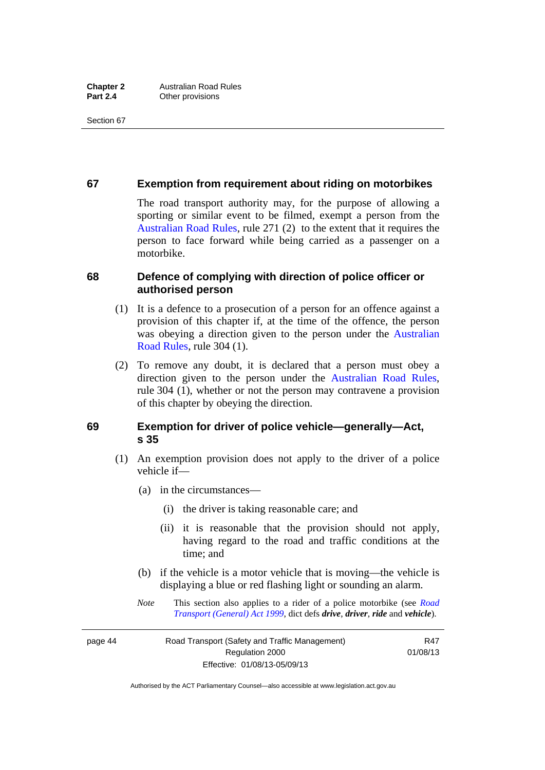#### **67 Exemption from requirement about riding on motorbikes**

The road transport authority may, for the purpose of allowing a sporting or similar event to be filmed, exempt a person from the [Australian Road Rules](http://www.legislation.act.gov.au//ni/db_37271/default.asp), rule 271 (2) to the extent that it requires the person to face forward while being carried as a passenger on a motorbike.

#### **68 Defence of complying with direction of police officer or authorised person**

- (1) It is a defence to a prosecution of a person for an offence against a provision of this chapter if, at the time of the offence, the person was obeying a direction given to the person under the [Australian](http://www.legislation.act.gov.au//ni/db_37271/default.asp)  [Road Rules,](http://www.legislation.act.gov.au//ni/db_37271/default.asp) rule 304 (1).
- (2) To remove any doubt, it is declared that a person must obey a direction given to the person under the [Australian Road Rules](http://www.legislation.act.gov.au//ni/db_37271/default.asp), rule 304 (1), whether or not the person may contravene a provision of this chapter by obeying the direction.

#### **69 Exemption for driver of police vehicle—generally—Act, s 35**

- (1) An exemption provision does not apply to the driver of a police vehicle if—
	- (a) in the circumstances—
		- (i) the driver is taking reasonable care; and
		- (ii) it is reasonable that the provision should not apply, having regard to the road and traffic conditions at the time; and
	- (b) if the vehicle is a motor vehicle that is moving—the vehicle is displaying a blue or red flashing light or sounding an alarm.
	- *Note* This section also applies to a rider of a police motorbike (see *[Road](http://www.legislation.act.gov.au/a/1999-77)  [Transport \(General\) Act 1999](http://www.legislation.act.gov.au/a/1999-77)*, dict defs *drive*, *driver*, *ride* and *vehicle*).

page 44 Road Transport (Safety and Traffic Management) Regulation 2000 Effective: 01/08/13-05/09/13

R47 01/08/13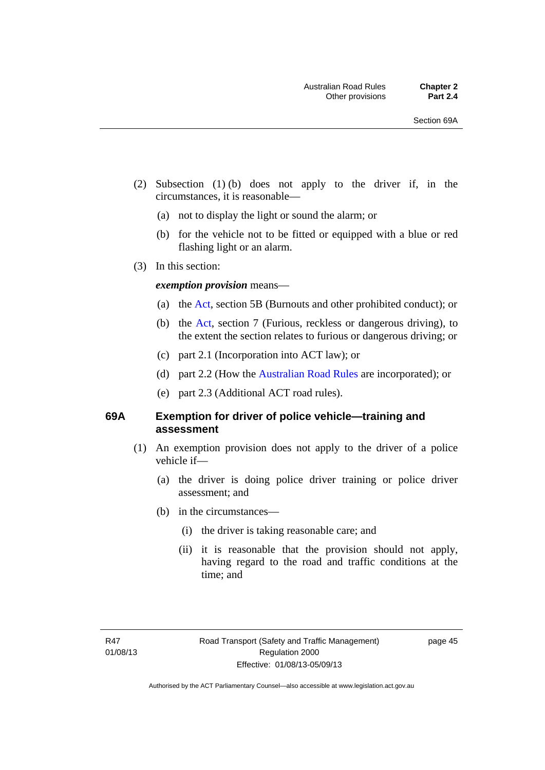- (2) Subsection (1) (b) does not apply to the driver if, in the circumstances, it is reasonable—
	- (a) not to display the light or sound the alarm; or
	- (b) for the vehicle not to be fitted or equipped with a blue or red flashing light or an alarm.
- (3) In this section:

#### *exemption provision* means—

- (a) the [Act](http://www.legislation.act.gov.au/a/1999-80/default.asp), section 5B (Burnouts and other prohibited conduct); or
- (b) the [Act](http://www.legislation.act.gov.au/a/1999-80/default.asp), section 7 (Furious, reckless or dangerous driving), to the extent the section relates to furious or dangerous driving; or
- (c) part 2.1 (Incorporation into ACT law); or
- (d) part 2.2 (How the [Australian Road Rules](http://www.legislation.act.gov.au//ni/db_37271/default.asp) are incorporated); or
- (e) part 2.3 (Additional ACT road rules).

#### **69A Exemption for driver of police vehicle—training and assessment**

- (1) An exemption provision does not apply to the driver of a police vehicle if—
	- (a) the driver is doing police driver training or police driver assessment; and
	- (b) in the circumstances—
		- (i) the driver is taking reasonable care; and
		- (ii) it is reasonable that the provision should not apply, having regard to the road and traffic conditions at the time; and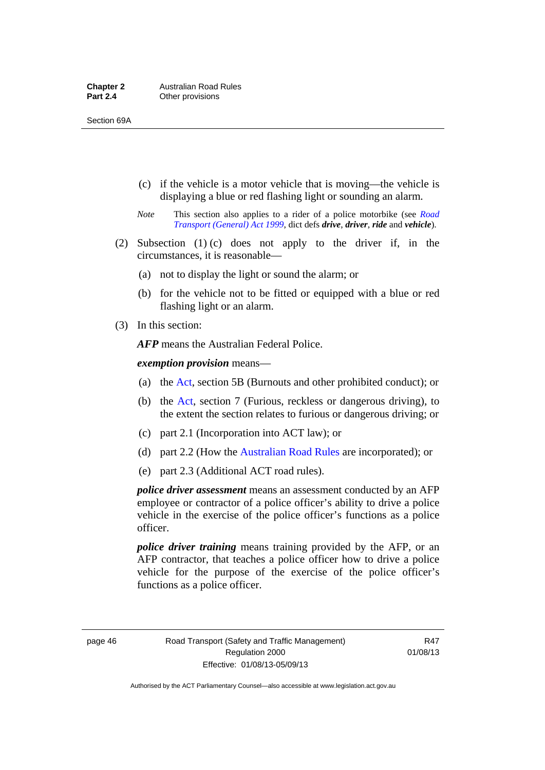- (c) if the vehicle is a motor vehicle that is moving—the vehicle is displaying a blue or red flashing light or sounding an alarm.
- *Note* This section also applies to a rider of a police motorbike (see *[Road](http://www.legislation.act.gov.au/a/1999-77)  [Transport \(General\) Act 1999](http://www.legislation.act.gov.au/a/1999-77)*, dict defs *drive*, *driver*, *ride* and *vehicle*).
- (2) Subsection (1) (c) does not apply to the driver if, in the circumstances, it is reasonable—
	- (a) not to display the light or sound the alarm; or
	- (b) for the vehicle not to be fitted or equipped with a blue or red flashing light or an alarm.
- (3) In this section:

*AFP* means the Australian Federal Police.

*exemption provision* means—

- (a) the [Act,](http://www.legislation.act.gov.au/a/1999-80/default.asp) section 5B (Burnouts and other prohibited conduct); or
- (b) the [Act](http://www.legislation.act.gov.au/a/1999-80/default.asp), section 7 (Furious, reckless or dangerous driving), to the extent the section relates to furious or dangerous driving; or
- (c) part 2.1 (Incorporation into ACT law); or
- (d) part 2.2 (How the [Australian Road Rules](http://www.legislation.act.gov.au//ni/db_37271/default.asp) are incorporated); or
- (e) part 2.3 (Additional ACT road rules).

*police driver assessment* means an assessment conducted by an AFP employee or contractor of a police officer's ability to drive a police vehicle in the exercise of the police officer's functions as a police officer.

*police driver training* means training provided by the AFP, or an AFP contractor, that teaches a police officer how to drive a police vehicle for the purpose of the exercise of the police officer's functions as a police officer.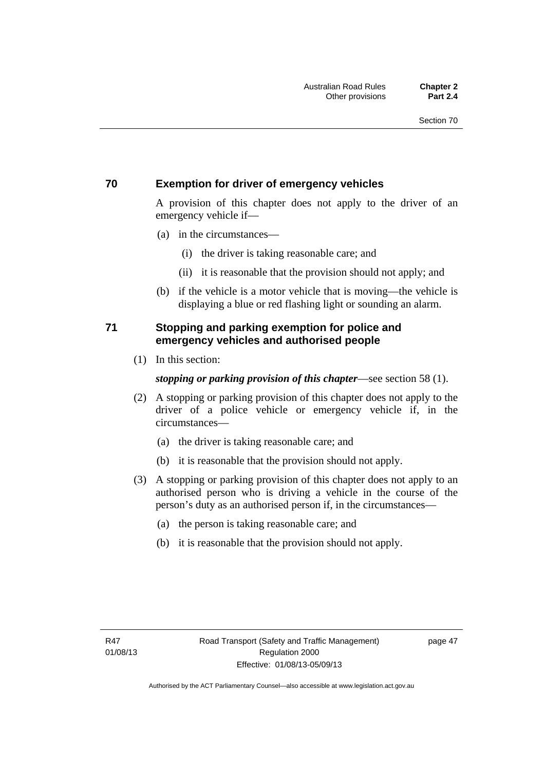### **70 Exemption for driver of emergency vehicles**

A provision of this chapter does not apply to the driver of an emergency vehicle if—

- (a) in the circumstances—
	- (i) the driver is taking reasonable care; and
	- (ii) it is reasonable that the provision should not apply; and
- (b) if the vehicle is a motor vehicle that is moving—the vehicle is displaying a blue or red flashing light or sounding an alarm.

### **71 Stopping and parking exemption for police and emergency vehicles and authorised people**

(1) In this section:

#### *stopping or parking provision of this chapter*—see section 58 (1).

- (2) A stopping or parking provision of this chapter does not apply to the driver of a police vehicle or emergency vehicle if, in the circumstances—
	- (a) the driver is taking reasonable care; and
	- (b) it is reasonable that the provision should not apply.
- (3) A stopping or parking provision of this chapter does not apply to an authorised person who is driving a vehicle in the course of the person's duty as an authorised person if, in the circumstances—
	- (a) the person is taking reasonable care; and
	- (b) it is reasonable that the provision should not apply.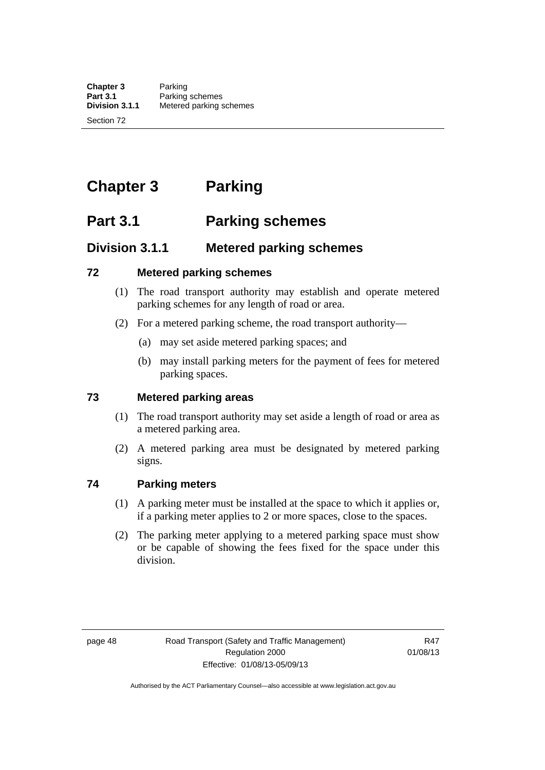# **Chapter 3 Parking**

# **Part 3.1 Parking schemes**

# **Division 3.1.1 Metered parking schemes**

#### **72 Metered parking schemes**

- (1) The road transport authority may establish and operate metered parking schemes for any length of road or area.
- (2) For a metered parking scheme, the road transport authority—
	- (a) may set aside metered parking spaces; and
	- (b) may install parking meters for the payment of fees for metered parking spaces.

## **73 Metered parking areas**

- (1) The road transport authority may set aside a length of road or area as a metered parking area.
- (2) A metered parking area must be designated by metered parking signs.

## **74 Parking meters**

- (1) A parking meter must be installed at the space to which it applies or, if a parking meter applies to 2 or more spaces, close to the spaces.
- (2) The parking meter applying to a metered parking space must show or be capable of showing the fees fixed for the space under this division.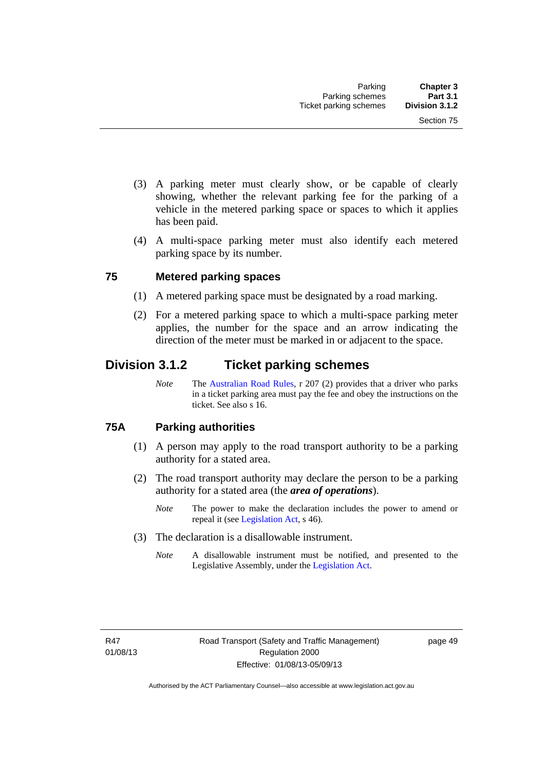- (3) A parking meter must clearly show, or be capable of clearly showing, whether the relevant parking fee for the parking of a vehicle in the metered parking space or spaces to which it applies has been paid.
- (4) A multi-space parking meter must also identify each metered parking space by its number.

#### **75 Metered parking spaces**

- (1) A metered parking space must be designated by a road marking.
- (2) For a metered parking space to which a multi-space parking meter applies, the number for the space and an arrow indicating the direction of the meter must be marked in or adjacent to the space.

## **Division 3.1.2 Ticket parking schemes**

*Note* The [Australian Road Rules](http://www.legislation.act.gov.au//ni/db_37271/default.asp), r 207 (2) provides that a driver who parks in a ticket parking area must pay the fee and obey the instructions on the ticket. See also s 16.

### **75A Parking authorities**

- (1) A person may apply to the road transport authority to be a parking authority for a stated area.
- (2) The road transport authority may declare the person to be a parking authority for a stated area (the *area of operations*).
	- *Note* The power to make the declaration includes the power to amend or repeal it (see [Legislation Act,](http://www.legislation.act.gov.au/a/2001-14) s 46).
- (3) The declaration is a disallowable instrument.
	- *Note* A disallowable instrument must be notified, and presented to the Legislative Assembly, under the [Legislation Act.](http://www.legislation.act.gov.au/a/2001-14)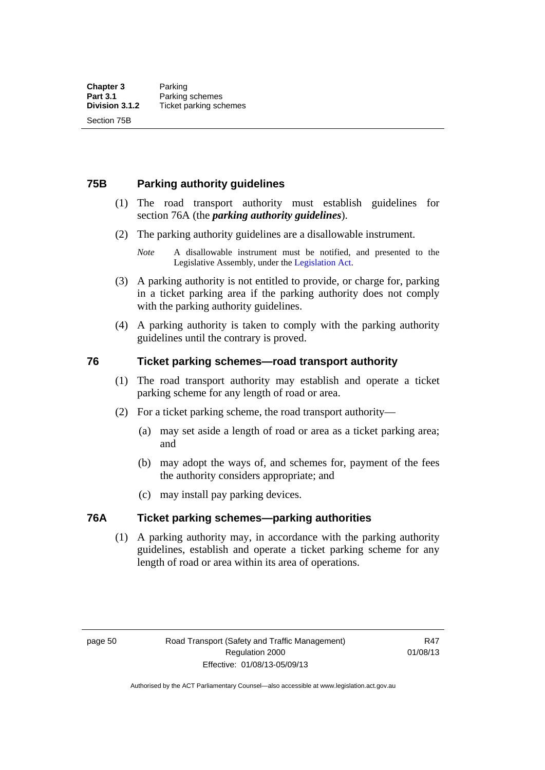### **75B Parking authority guidelines**

- (1) The road transport authority must establish guidelines for section 76A (the *parking authority guidelines*).
- (2) The parking authority guidelines are a disallowable instrument.
	- *Note* A disallowable instrument must be notified, and presented to the Legislative Assembly, under the [Legislation Act.](http://www.legislation.act.gov.au/a/2001-14)
- (3) A parking authority is not entitled to provide, or charge for, parking in a ticket parking area if the parking authority does not comply with the parking authority guidelines.
- (4) A parking authority is taken to comply with the parking authority guidelines until the contrary is proved.

#### **76 Ticket parking schemes—road transport authority**

- (1) The road transport authority may establish and operate a ticket parking scheme for any length of road or area.
- (2) For a ticket parking scheme, the road transport authority—
	- (a) may set aside a length of road or area as a ticket parking area; and
	- (b) may adopt the ways of, and schemes for, payment of the fees the authority considers appropriate; and
	- (c) may install pay parking devices.

#### **76A Ticket parking schemes—parking authorities**

(1) A parking authority may, in accordance with the parking authority guidelines, establish and operate a ticket parking scheme for any length of road or area within its area of operations.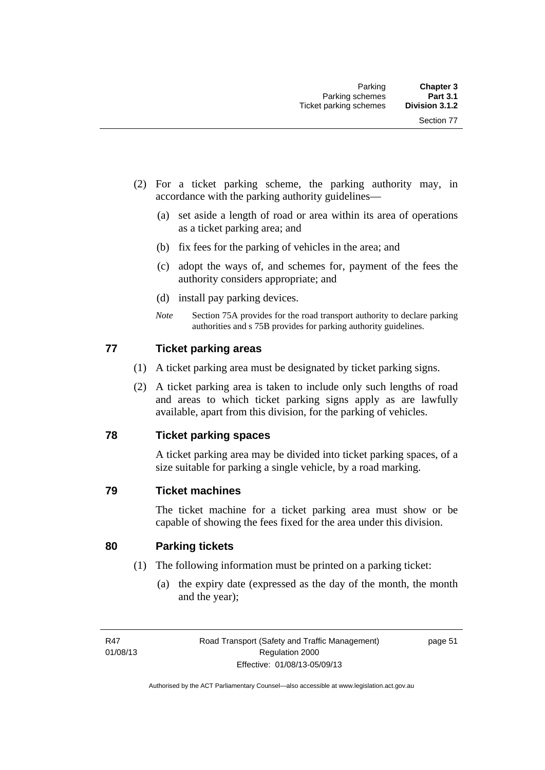- (2) For a ticket parking scheme, the parking authority may, in accordance with the parking authority guidelines—
	- (a) set aside a length of road or area within its area of operations as a ticket parking area; and
	- (b) fix fees for the parking of vehicles in the area; and
	- (c) adopt the ways of, and schemes for, payment of the fees the authority considers appropriate; and
	- (d) install pay parking devices.
	- *Note* Section 75A provides for the road transport authority to declare parking authorities and s 75B provides for parking authority guidelines.

#### **77 Ticket parking areas**

- (1) A ticket parking area must be designated by ticket parking signs.
- (2) A ticket parking area is taken to include only such lengths of road and areas to which ticket parking signs apply as are lawfully available, apart from this division, for the parking of vehicles.

#### **78 Ticket parking spaces**

A ticket parking area may be divided into ticket parking spaces, of a size suitable for parking a single vehicle, by a road marking.

#### **79 Ticket machines**

The ticket machine for a ticket parking area must show or be capable of showing the fees fixed for the area under this division.

#### **80 Parking tickets**

- (1) The following information must be printed on a parking ticket:
	- (a) the expiry date (expressed as the day of the month, the month and the year);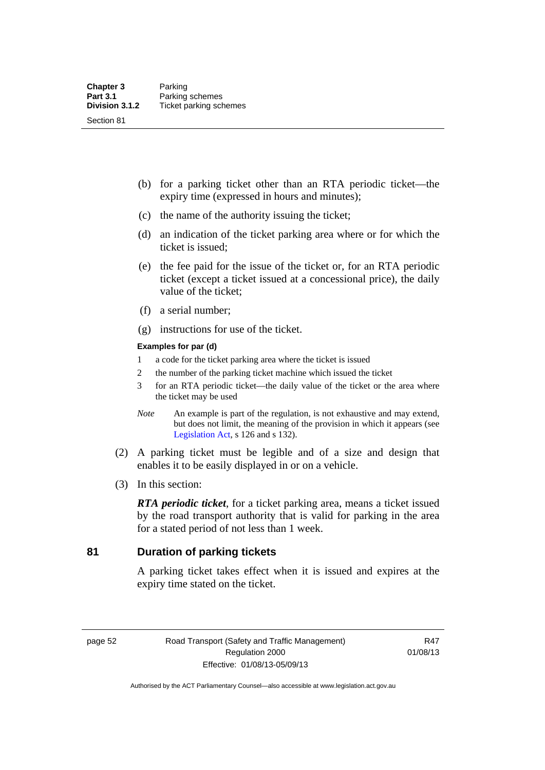- (b) for a parking ticket other than an RTA periodic ticket—the expiry time (expressed in hours and minutes);
- (c) the name of the authority issuing the ticket;
- (d) an indication of the ticket parking area where or for which the ticket is issued;
- (e) the fee paid for the issue of the ticket or, for an RTA periodic ticket (except a ticket issued at a concessional price), the daily value of the ticket;
- (f) a serial number;
- (g) instructions for use of the ticket.

#### **Examples for par (d)**

- 1 a code for the ticket parking area where the ticket is issued
- 2 the number of the parking ticket machine which issued the ticket
- 3 for an RTA periodic ticket—the daily value of the ticket or the area where the ticket may be used
- *Note* An example is part of the regulation, is not exhaustive and may extend, but does not limit, the meaning of the provision in which it appears (see [Legislation Act,](http://www.legislation.act.gov.au/a/2001-14) s 126 and s 132).
- (2) A parking ticket must be legible and of a size and design that enables it to be easily displayed in or on a vehicle.
- (3) In this section:

*RTA periodic ticket*, for a ticket parking area, means a ticket issued by the road transport authority that is valid for parking in the area for a stated period of not less than 1 week.

## **81 Duration of parking tickets**

A parking ticket takes effect when it is issued and expires at the expiry time stated on the ticket.

page 52 Road Transport (Safety and Traffic Management) Regulation 2000 Effective: 01/08/13-05/09/13

R47 01/08/13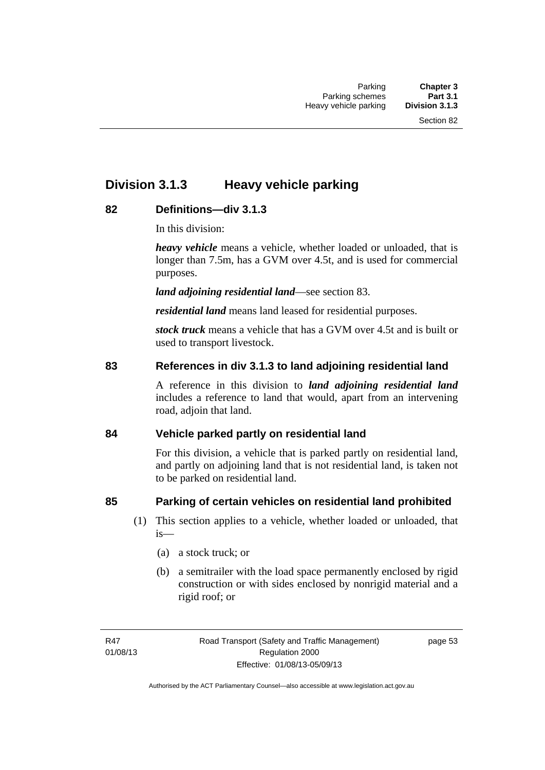# **Division 3.1.3 Heavy vehicle parking**

## **82 Definitions—div 3.1.3**

In this division:

*heavy vehicle* means a vehicle, whether loaded or unloaded, that is longer than 7.5m, has a GVM over 4.5t, and is used for commercial purposes.

*land adjoining residential land*—see section 83.

*residential land* means land leased for residential purposes.

*stock truck* means a vehicle that has a GVM over 4.5t and is built or used to transport livestock.

## **83 References in div 3.1.3 to land adjoining residential land**

A reference in this division to *land adjoining residential land* includes a reference to land that would, apart from an intervening road, adjoin that land.

## **84 Vehicle parked partly on residential land**

For this division, a vehicle that is parked partly on residential land, and partly on adjoining land that is not residential land, is taken not to be parked on residential land.

## **85 Parking of certain vehicles on residential land prohibited**

- (1) This section applies to a vehicle, whether loaded or unloaded, that is—
	- (a) a stock truck; or
	- (b) a semitrailer with the load space permanently enclosed by rigid construction or with sides enclosed by nonrigid material and a rigid roof; or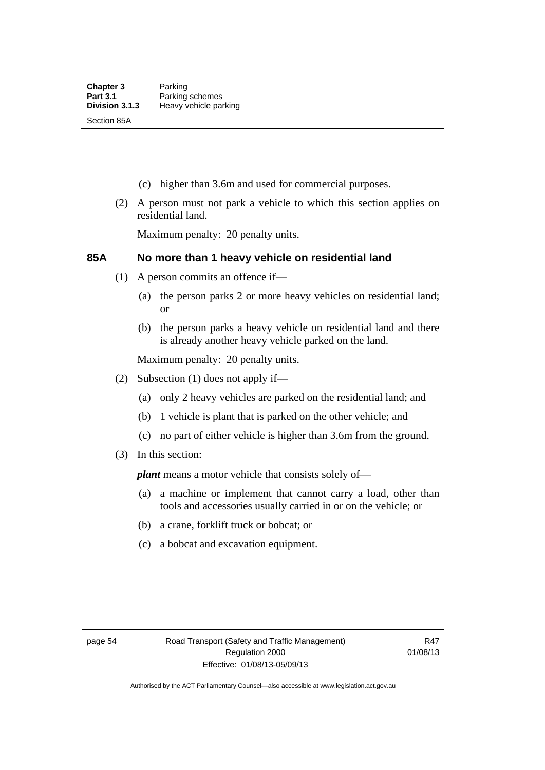- (c) higher than 3.6m and used for commercial purposes.
- (2) A person must not park a vehicle to which this section applies on residential land.

Maximum penalty: 20 penalty units.

#### **85A No more than 1 heavy vehicle on residential land**

- (1) A person commits an offence if—
	- (a) the person parks 2 or more heavy vehicles on residential land; or
	- (b) the person parks a heavy vehicle on residential land and there is already another heavy vehicle parked on the land.

Maximum penalty: 20 penalty units.

- (2) Subsection (1) does not apply if—
	- (a) only 2 heavy vehicles are parked on the residential land; and
	- (b) 1 vehicle is plant that is parked on the other vehicle; and
	- (c) no part of either vehicle is higher than 3.6m from the ground.
- (3) In this section:

*plant* means a motor vehicle that consists solely of—

- (a) a machine or implement that cannot carry a load, other than tools and accessories usually carried in or on the vehicle; or
- (b) a crane, forklift truck or bobcat; or
- (c) a bobcat and excavation equipment.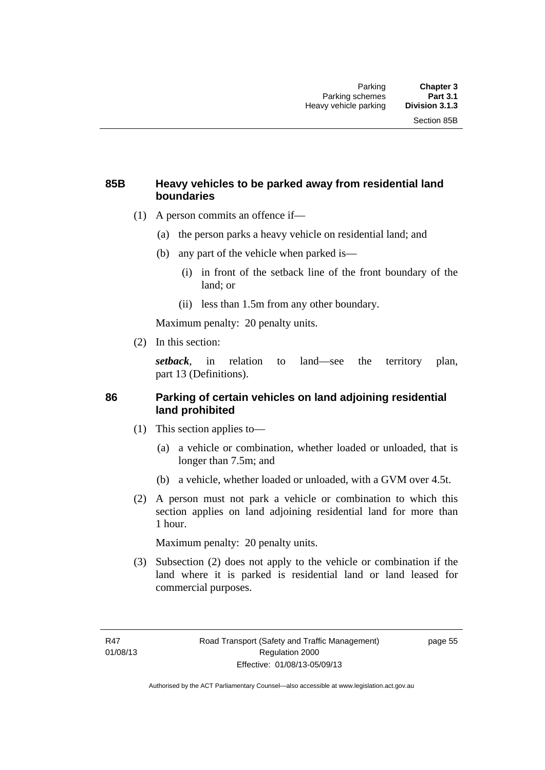#### **85B Heavy vehicles to be parked away from residential land boundaries**

- (1) A person commits an offence if—
	- (a) the person parks a heavy vehicle on residential land; and
	- (b) any part of the vehicle when parked is—
		- (i) in front of the setback line of the front boundary of the land; or
		- (ii) less than 1.5m from any other boundary.

Maximum penalty: 20 penalty units.

(2) In this section:

*setback*, in relation to land—see the territory plan, part 13 (Definitions).

#### **86 Parking of certain vehicles on land adjoining residential land prohibited**

- (1) This section applies to—
	- (a) a vehicle or combination, whether loaded or unloaded, that is longer than 7.5m; and
	- (b) a vehicle, whether loaded or unloaded, with a GVM over 4.5t.
- (2) A person must not park a vehicle or combination to which this section applies on land adjoining residential land for more than 1 hour.

Maximum penalty: 20 penalty units.

 (3) Subsection (2) does not apply to the vehicle or combination if the land where it is parked is residential land or land leased for commercial purposes.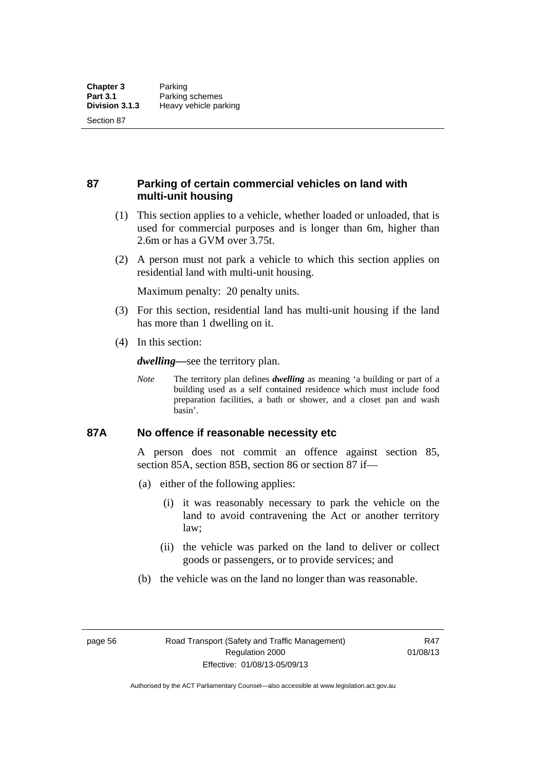Section 87

**87 Parking of certain commercial vehicles on land with multi-unit housing** 

- (1) This section applies to a vehicle, whether loaded or unloaded, that is used for commercial purposes and is longer than 6m, higher than 2.6m or has a GVM over 3.75t.
- (2) A person must not park a vehicle to which this section applies on residential land with multi-unit housing.

Maximum penalty: 20 penalty units.

- (3) For this section, residential land has multi-unit housing if the land has more than 1 dwelling on it.
- (4) In this section:

*dwelling—*see the territory plan.

*Note* The territory plan defines *dwelling* as meaning 'a building or part of a building used as a self contained residence which must include food preparation facilities, a bath or shower, and a closet pan and wash basin'.

#### **87A No offence if reasonable necessity etc**

A person does not commit an offence against section 85, section 85A, section 85B, section 86 or section 87 if—

- (a) either of the following applies:
	- (i) it was reasonably necessary to park the vehicle on the land to avoid contravening the Act or another territory law;
	- (ii) the vehicle was parked on the land to deliver or collect goods or passengers, or to provide services; and
- (b) the vehicle was on the land no longer than was reasonable.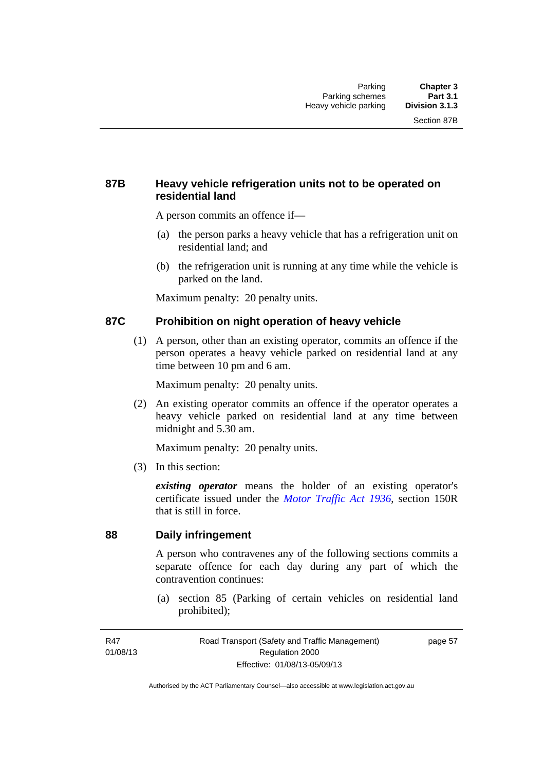### **87B Heavy vehicle refrigeration units not to be operated on residential land**

A person commits an offence if—

- (a) the person parks a heavy vehicle that has a refrigeration unit on residential land; and
- (b) the refrigeration unit is running at any time while the vehicle is parked on the land.

Maximum penalty: 20 penalty units.

#### **87C Prohibition on night operation of heavy vehicle**

 (1) A person, other than an existing operator, commits an offence if the person operates a heavy vehicle parked on residential land at any time between 10 pm and 6 am.

Maximum penalty: 20 penalty units.

 (2) An existing operator commits an offence if the operator operates a heavy vehicle parked on residential land at any time between midnight and 5.30 am.

Maximum penalty: 20 penalty units.

(3) In this section:

*existing operator* means the holder of an existing operator's certificate issued under the *[Motor Traffic Act 1936](http://www.legislation.act.gov.au/a/1936-45)*, section 150R that is still in force.

### **88 Daily infringement**

A person who contravenes any of the following sections commits a separate offence for each day during any part of which the contravention continues:

 (a) section 85 (Parking of certain vehicles on residential land prohibited);

page 57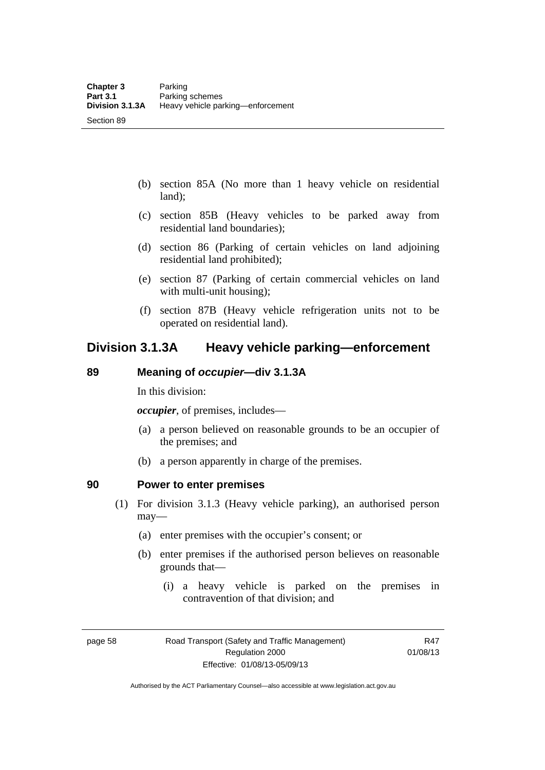Section 89

- (b) section 85A (No more than 1 heavy vehicle on residential land);
- (c) section 85B (Heavy vehicles to be parked away from residential land boundaries);
- (d) section 86 (Parking of certain vehicles on land adjoining residential land prohibited);
- (e) section 87 (Parking of certain commercial vehicles on land with multi-unit housing);
- (f) section 87B (Heavy vehicle refrigeration units not to be operated on residential land).

## **Division 3.1.3A Heavy vehicle parking—enforcement**

#### **89 Meaning of** *occupier***—div 3.1.3A**

In this division:

*occupier*, of premises, includes—

- (a) a person believed on reasonable grounds to be an occupier of the premises; and
- (b) a person apparently in charge of the premises.

#### **90 Power to enter premises**

- (1) For division 3.1.3 (Heavy vehicle parking), an authorised person may—
	- (a) enter premises with the occupier's consent; or
	- (b) enter premises if the authorised person believes on reasonable grounds that—
		- (i) a heavy vehicle is parked on the premises in contravention of that division; and

page 58 Road Transport (Safety and Traffic Management) Regulation 2000 Effective: 01/08/13-05/09/13

R47 01/08/13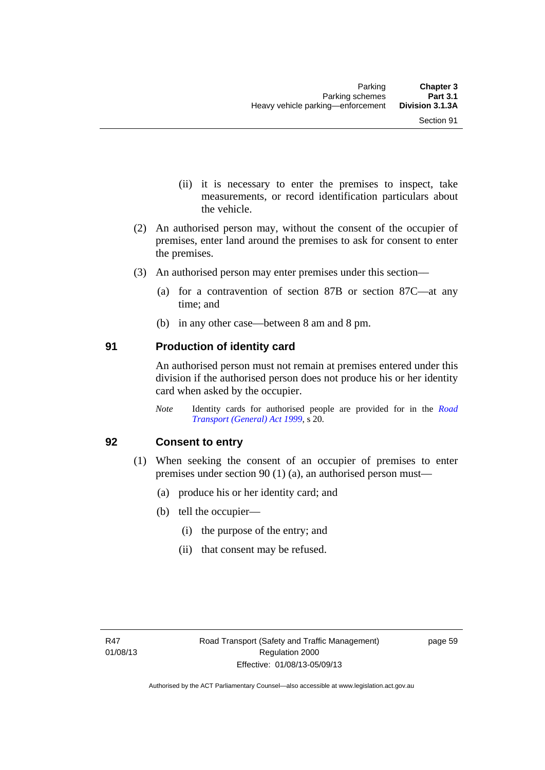- (ii) it is necessary to enter the premises to inspect, take measurements, or record identification particulars about the vehicle.
- (2) An authorised person may, without the consent of the occupier of premises, enter land around the premises to ask for consent to enter the premises.
- (3) An authorised person may enter premises under this section––
	- (a) for a contravention of section 87B or section 87C––at any time; and
	- (b) in any other case––between 8 am and 8 pm.

#### **91 Production of identity card**

An authorised person must not remain at premises entered under this division if the authorised person does not produce his or her identity card when asked by the occupier.

*Note* Identity cards for authorised people are provided for in the *[Road](http://www.legislation.act.gov.au/a/1999-77)  [Transport \(General\) Act 1999](http://www.legislation.act.gov.au/a/1999-77)*, s 20.

#### **92 Consent to entry**

- (1) When seeking the consent of an occupier of premises to enter premises under section 90 (1) (a), an authorised person must—
	- (a) produce his or her identity card; and
	- (b) tell the occupier—
		- (i) the purpose of the entry; and
		- (ii) that consent may be refused.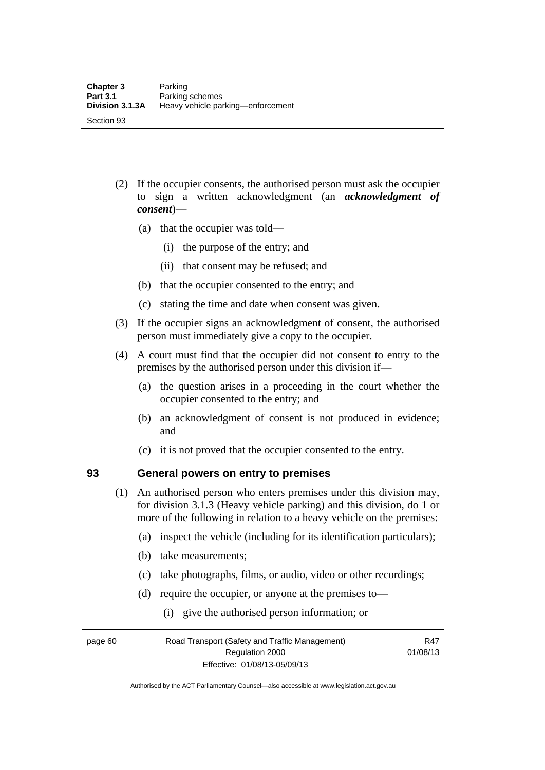- (2) If the occupier consents, the authorised person must ask the occupier to sign a written acknowledgment (an *acknowledgment of consent*)—
	- (a) that the occupier was told—
		- (i) the purpose of the entry; and
		- (ii) that consent may be refused; and
	- (b) that the occupier consented to the entry; and
	- (c) stating the time and date when consent was given.
- (3) If the occupier signs an acknowledgment of consent, the authorised person must immediately give a copy to the occupier.
- (4) A court must find that the occupier did not consent to entry to the premises by the authorised person under this division if—
	- (a) the question arises in a proceeding in the court whether the occupier consented to the entry; and
	- (b) an acknowledgment of consent is not produced in evidence; and
	- (c) it is not proved that the occupier consented to the entry.

#### **93 General powers on entry to premises**

- (1) An authorised person who enters premises under this division may, for division 3.1.3 (Heavy vehicle parking) and this division, do 1 or more of the following in relation to a heavy vehicle on the premises:
	- (a) inspect the vehicle (including for its identification particulars);
	- (b) take measurements;
	- (c) take photographs, films, or audio, video or other recordings;
	- (d) require the occupier, or anyone at the premises to—
		- (i) give the authorised person information; or

page 60 Road Transport (Safety and Traffic Management) Regulation 2000 Effective: 01/08/13-05/09/13

R47 01/08/13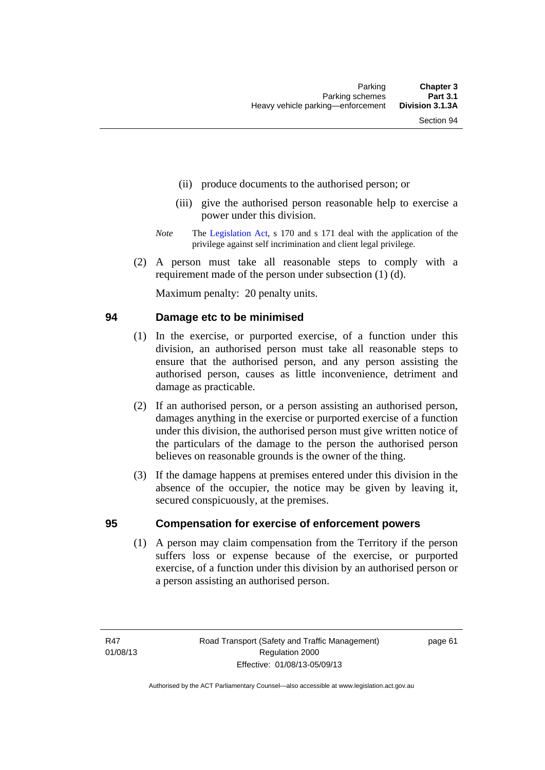- (ii) produce documents to the authorised person; or
- (iii) give the authorised person reasonable help to exercise a power under this division.
- *Note* The [Legislation Act,](http://www.legislation.act.gov.au/a/2001-14) s 170 and s 171 deal with the application of the privilege against self incrimination and client legal privilege.
- (2) A person must take all reasonable steps to comply with a requirement made of the person under subsection (1) (d).

Maximum penalty: 20 penalty units.

#### **94 Damage etc to be minimised**

- (1) In the exercise, or purported exercise, of a function under this division, an authorised person must take all reasonable steps to ensure that the authorised person, and any person assisting the authorised person, causes as little inconvenience, detriment and damage as practicable.
- (2) If an authorised person, or a person assisting an authorised person, damages anything in the exercise or purported exercise of a function under this division, the authorised person must give written notice of the particulars of the damage to the person the authorised person believes on reasonable grounds is the owner of the thing.
- (3) If the damage happens at premises entered under this division in the absence of the occupier, the notice may be given by leaving it, secured conspicuously, at the premises.

#### **95 Compensation for exercise of enforcement powers**

(1) A person may claim compensation from the Territory if the person suffers loss or expense because of the exercise, or purported exercise, of a function under this division by an authorised person or a person assisting an authorised person.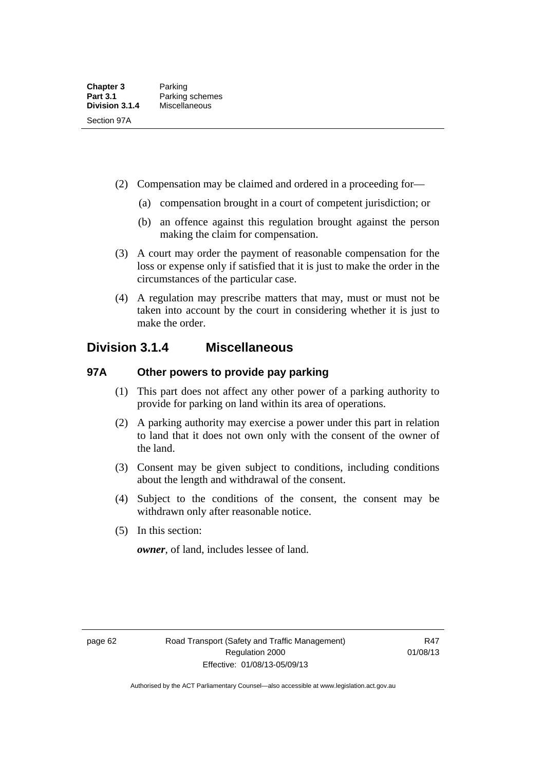- (2) Compensation may be claimed and ordered in a proceeding for—
	- (a) compensation brought in a court of competent jurisdiction; or
	- (b) an offence against this regulation brought against the person making the claim for compensation.
- (3) A court may order the payment of reasonable compensation for the loss or expense only if satisfied that it is just to make the order in the circumstances of the particular case.
- (4) A regulation may prescribe matters that may, must or must not be taken into account by the court in considering whether it is just to make the order.

### **Division 3.1.4 Miscellaneous**

### **97A Other powers to provide pay parking**

- (1) This part does not affect any other power of a parking authority to provide for parking on land within its area of operations.
- (2) A parking authority may exercise a power under this part in relation to land that it does not own only with the consent of the owner of the land.
- (3) Consent may be given subject to conditions, including conditions about the length and withdrawal of the consent.
- (4) Subject to the conditions of the consent, the consent may be withdrawn only after reasonable notice.
- (5) In this section:

*owner*, of land, includes lessee of land.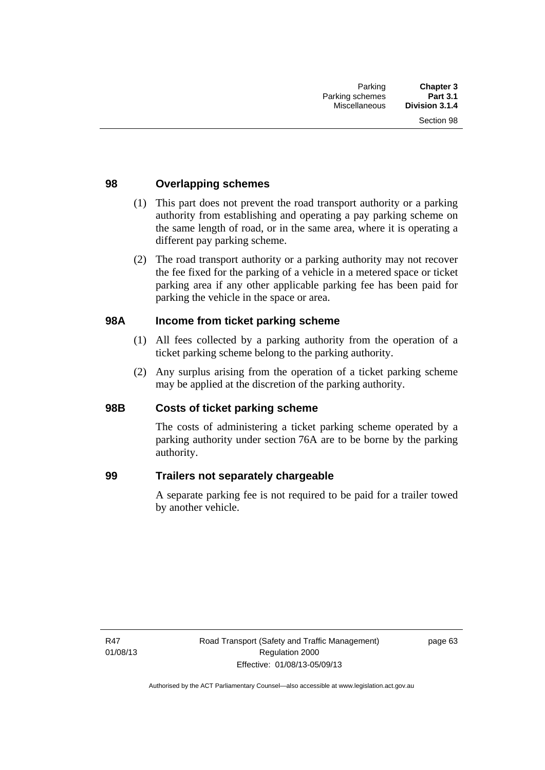### **98 Overlapping schemes**

- (1) This part does not prevent the road transport authority or a parking authority from establishing and operating a pay parking scheme on the same length of road, or in the same area, where it is operating a different pay parking scheme.
- (2) The road transport authority or a parking authority may not recover the fee fixed for the parking of a vehicle in a metered space or ticket parking area if any other applicable parking fee has been paid for parking the vehicle in the space or area.

### **98A Income from ticket parking scheme**

- (1) All fees collected by a parking authority from the operation of a ticket parking scheme belong to the parking authority.
- (2) Any surplus arising from the operation of a ticket parking scheme may be applied at the discretion of the parking authority.

### **98B Costs of ticket parking scheme**

The costs of administering a ticket parking scheme operated by a parking authority under section 76A are to be borne by the parking authority.

#### **99 Trailers not separately chargeable**

A separate parking fee is not required to be paid for a trailer towed by another vehicle.

R47 01/08/13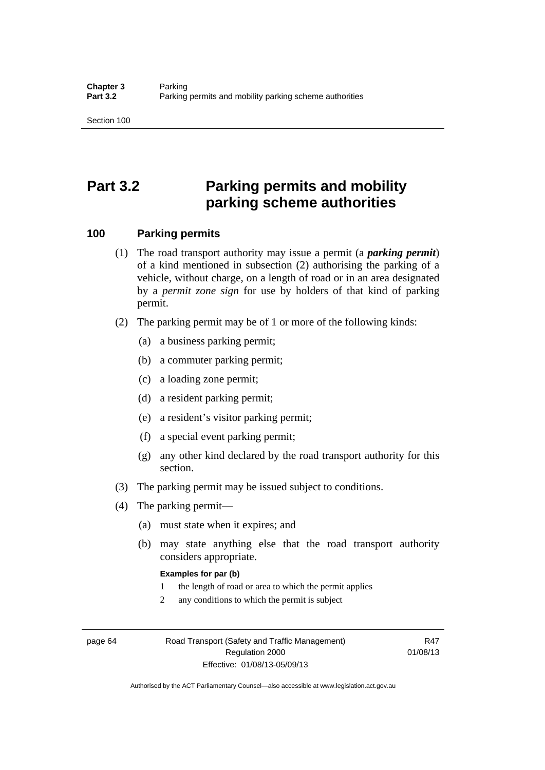# **Part 3.2 Parking permits and mobility parking scheme authorities**

#### **100 Parking permits**

- (1) The road transport authority may issue a permit (a *parking permit*) of a kind mentioned in subsection (2) authorising the parking of a vehicle, without charge, on a length of road or in an area designated by a *permit zone sign* for use by holders of that kind of parking permit.
- (2) The parking permit may be of 1 or more of the following kinds:
	- (a) a business parking permit;
	- (b) a commuter parking permit;
	- (c) a loading zone permit;
	- (d) a resident parking permit;
	- (e) a resident's visitor parking permit;
	- (f) a special event parking permit;
	- (g) any other kind declared by the road transport authority for this section.
- (3) The parking permit may be issued subject to conditions.
- (4) The parking permit—
	- (a) must state when it expires; and
	- (b) may state anything else that the road transport authority considers appropriate.

#### **Examples for par (b)**

- 1 the length of road or area to which the permit applies
- 2 any conditions to which the permit is subject

page 64 Road Transport (Safety and Traffic Management) Regulation 2000 Effective: 01/08/13-05/09/13

R47 01/08/13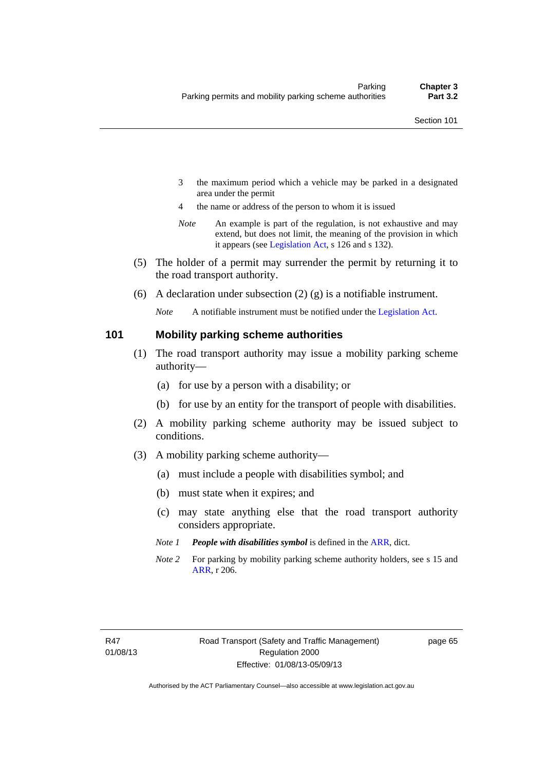- 3 the maximum period which a vehicle may be parked in a designated area under the permit
- 4 the name or address of the person to whom it is issued
- *Note* An example is part of the regulation, is not exhaustive and may extend, but does not limit, the meaning of the provision in which it appears (see [Legislation Act,](http://www.legislation.act.gov.au/a/2001-14) s 126 and s 132).
- (5) The holder of a permit may surrender the permit by returning it to the road transport authority.
- (6) A declaration under subsection  $(2)$  (g) is a notifiable instrument.

*Note* A notifiable instrument must be notified under the [Legislation Act](http://www.legislation.act.gov.au/a/2001-14).

#### **101 Mobility parking scheme authorities**

- (1) The road transport authority may issue a mobility parking scheme authority—
	- (a) for use by a person with a disability; or
	- (b) for use by an entity for the transport of people with disabilities.
- (2) A mobility parking scheme authority may be issued subject to conditions.
- (3) A mobility parking scheme authority—
	- (a) must include a people with disabilities symbol; and
	- (b) must state when it expires; and
	- (c) may state anything else that the road transport authority considers appropriate.
	- *Note 1 People with disabilities symbol* is defined in the [ARR,](http://www.legislation.act.gov.au//ni/db_37271/default.asp) dict.
	- *Note 2* For parking by mobility parking scheme authority holders, see s 15 and [ARR,](http://www.legislation.act.gov.au//ni/db_37271/default.asp) r 206.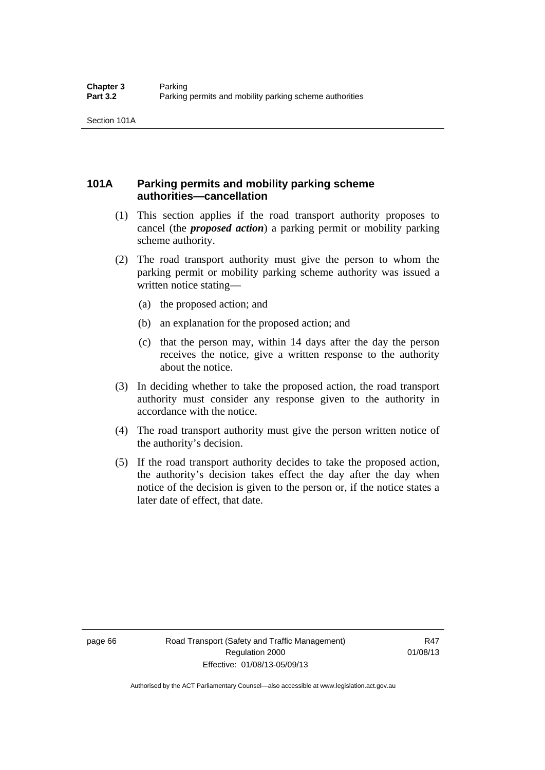### **101A Parking permits and mobility parking scheme authorities—cancellation**

- (1) This section applies if the road transport authority proposes to cancel (the *proposed action*) a parking permit or mobility parking scheme authority.
- (2) The road transport authority must give the person to whom the parking permit or mobility parking scheme authority was issued a written notice stating—
	- (a) the proposed action; and
	- (b) an explanation for the proposed action; and
	- (c) that the person may, within 14 days after the day the person receives the notice, give a written response to the authority about the notice.
- (3) In deciding whether to take the proposed action, the road transport authority must consider any response given to the authority in accordance with the notice.
- (4) The road transport authority must give the person written notice of the authority's decision.
- (5) If the road transport authority decides to take the proposed action, the authority's decision takes effect the day after the day when notice of the decision is given to the person or, if the notice states a later date of effect, that date.

page 66 Road Transport (Safety and Traffic Management) Regulation 2000 Effective: 01/08/13-05/09/13

R47 01/08/13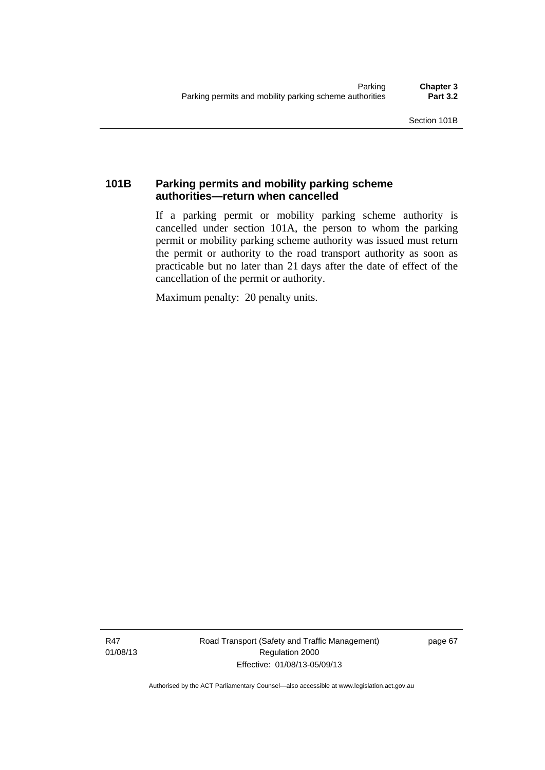### **101B Parking permits and mobility parking scheme authorities—return when cancelled**

If a parking permit or mobility parking scheme authority is cancelled under section 101A, the person to whom the parking permit or mobility parking scheme authority was issued must return the permit or authority to the road transport authority as soon as practicable but no later than 21 days after the date of effect of the cancellation of the permit or authority.

Maximum penalty: 20 penalty units.

R47 01/08/13 Road Transport (Safety and Traffic Management) Regulation 2000 Effective: 01/08/13-05/09/13

page 67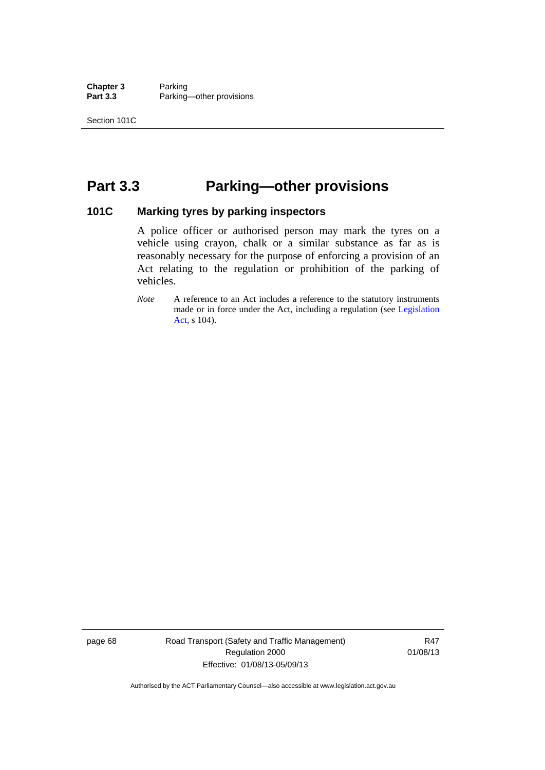**Chapter 3** Parking<br>**Part 3.3** Parking Parking—other provisions

# **Part 3.3 Parking—other provisions**

#### **101C Marking tyres by parking inspectors**

A police officer or authorised person may mark the tyres on a vehicle using crayon, chalk or a similar substance as far as is reasonably necessary for the purpose of enforcing a provision of an Act relating to the regulation or prohibition of the parking of vehicles.

page 68 Road Transport (Safety and Traffic Management) Regulation 2000 Effective: 01/08/13-05/09/13

R47 01/08/13

*Note* A reference to an Act includes a reference to the statutory instruments made or in force under the Act, including a regulation (see [Legislation](http://www.legislation.act.gov.au/a/2001-14)  [Act](http://www.legislation.act.gov.au/a/2001-14), s 104).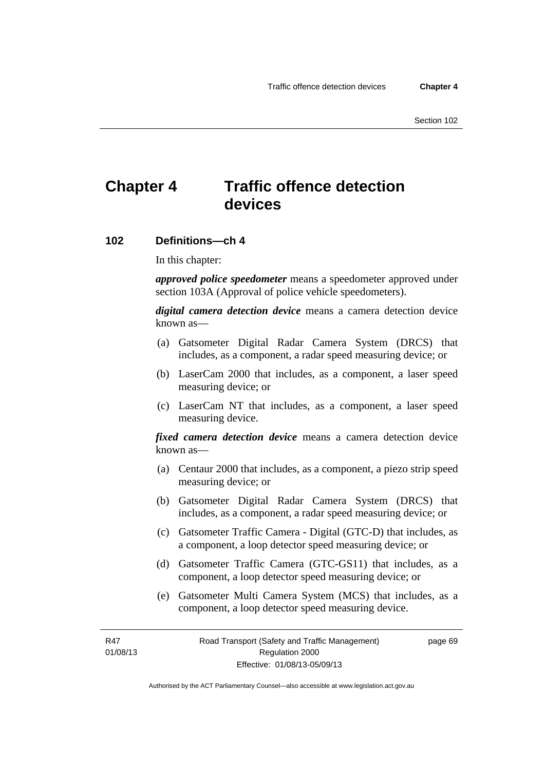# **Chapter 4 Traffic offence detection devices**

#### **102 Definitions—ch 4**

In this chapter:

*approved police speedometer* means a speedometer approved under section 103A (Approval of police vehicle speedometers).

*digital camera detection device* means a camera detection device known as—

- (a) Gatsometer Digital Radar Camera System (DRCS) that includes, as a component, a radar speed measuring device; or
- (b) LaserCam 2000 that includes, as a component, a laser speed measuring device; or
- (c) LaserCam NT that includes, as a component, a laser speed measuring device.

*fixed camera detection device* means a camera detection device known as—

- (a) Centaur 2000 that includes, as a component, a piezo strip speed measuring device; or
- (b) Gatsometer Digital Radar Camera System (DRCS) that includes, as a component, a radar speed measuring device; or
- (c) Gatsometer Traffic Camera Digital (GTC-D) that includes, as a component, a loop detector speed measuring device; or
- (d) Gatsometer Traffic Camera (GTC-GS11) that includes, as a component, a loop detector speed measuring device; or
- (e) Gatsometer Multi Camera System (MCS) that includes, as a component, a loop detector speed measuring device.

R47 01/08/13 page 69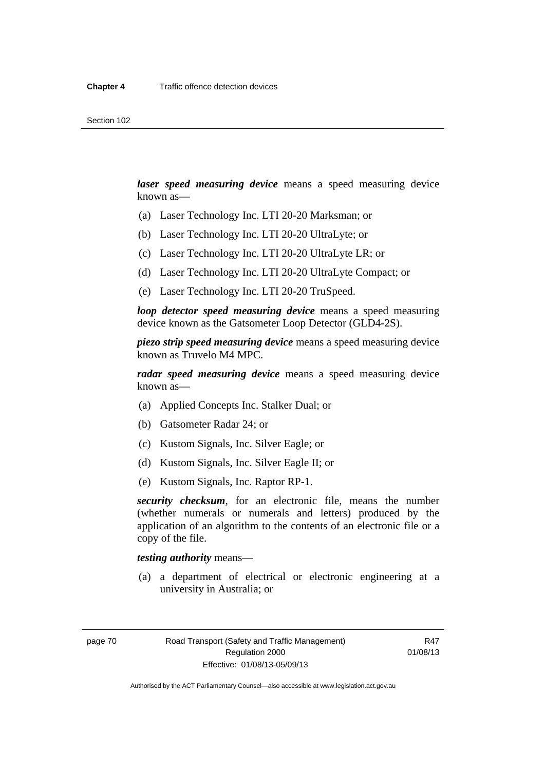*laser speed measuring device* means a speed measuring device known as—

- (a) Laser Technology Inc. LTI 20-20 Marksman; or
- (b) Laser Technology Inc. LTI 20-20 UltraLyte; or
- (c) Laser Technology Inc. LTI 20-20 UltraLyte LR; or
- (d) Laser Technology Inc. LTI 20-20 UltraLyte Compact; or
- (e) Laser Technology Inc. LTI 20-20 TruSpeed.

*loop detector speed measuring device* means a speed measuring device known as the Gatsometer Loop Detector (GLD4-2S).

*piezo strip speed measuring device* means a speed measuring device known as Truvelo M4 MPC.

*radar speed measuring device* means a speed measuring device known as—

- (a) Applied Concepts Inc. Stalker Dual; or
- (b) Gatsometer Radar 24; or
- (c) Kustom Signals, Inc. Silver Eagle; or
- (d) Kustom Signals, Inc. Silver Eagle II; or
- (e) Kustom Signals, Inc. Raptor RP-1.

*security checksum*, for an electronic file, means the number (whether numerals or numerals and letters) produced by the application of an algorithm to the contents of an electronic file or a copy of the file.

*testing authority* means—

 (a) a department of electrical or electronic engineering at a university in Australia; or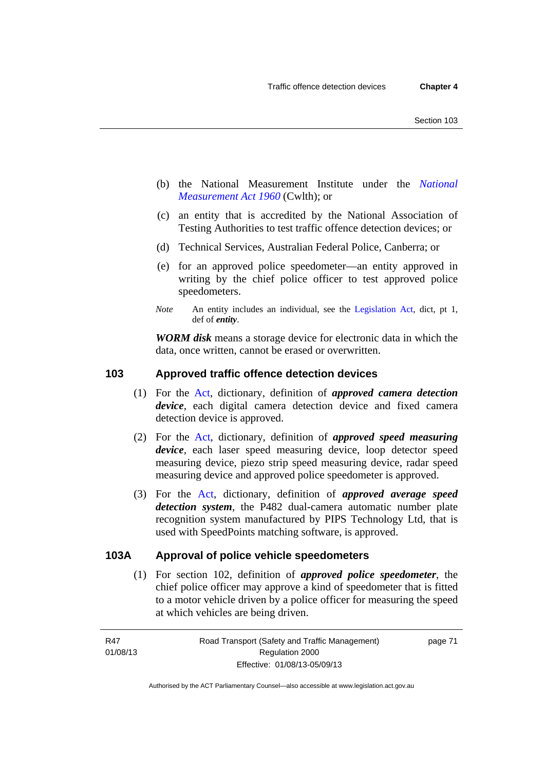- (b) the National Measurement Institute under the *[National](http://www.comlaw.gov.au/Series/C2004A07405)  [Measurement Act 1960](http://www.comlaw.gov.au/Series/C2004A07405)* (Cwlth); or
- (c) an entity that is accredited by the National Association of Testing Authorities to test traffic offence detection devices; or
- (d) Technical Services, Australian Federal Police, Canberra; or
- (e) for an approved police speedometer—an entity approved in writing by the chief police officer to test approved police speedometers.
- *Note* An entity includes an individual, see the [Legislation Act,](http://www.legislation.act.gov.au/a/2001-14) dict, pt 1, def of *entity*.

*WORM disk* means a storage device for electronic data in which the data, once written, cannot be erased or overwritten.

#### **103 Approved traffic offence detection devices**

- (1) For the [Act,](http://www.legislation.act.gov.au/a/1999-80/default.asp) dictionary, definition of *approved camera detection device*, each digital camera detection device and fixed camera detection device is approved.
- (2) For the [Act,](http://www.legislation.act.gov.au/a/1999-80/default.asp) dictionary, definition of *approved speed measuring device*, each laser speed measuring device, loop detector speed measuring device, piezo strip speed measuring device, radar speed measuring device and approved police speedometer is approved.
- (3) For the [Act](http://www.legislation.act.gov.au/a/1999-80/default.asp), dictionary, definition of *approved average speed detection system*, the P482 dual-camera automatic number plate recognition system manufactured by PIPS Technology Ltd, that is used with SpeedPoints matching software, is approved.

#### **103A Approval of police vehicle speedometers**

(1) For section 102, definition of *approved police speedometer*, the chief police officer may approve a kind of speedometer that is fitted to a motor vehicle driven by a police officer for measuring the speed at which vehicles are being driven.

page 71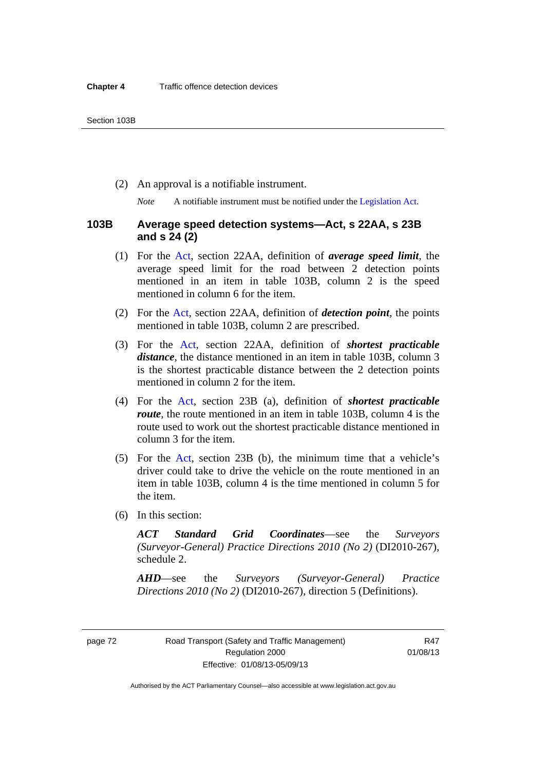(2) An approval is a notifiable instrument.

*Note* A notifiable instrument must be notified under the [Legislation Act](http://www.legislation.act.gov.au/a/2001-14).

#### **103B Average speed detection systems—Act, s 22AA, s 23B and s 24 (2)**

- (1) For the [Act](http://www.legislation.act.gov.au/a/1999-80/default.asp), section 22AA, definition of *average speed limit*, the average speed limit for the road between 2 detection points mentioned in an item in table 103B, column 2 is the speed mentioned in column 6 for the item.
- (2) For the [Act](http://www.legislation.act.gov.au/a/1999-80/default.asp), section 22AA, definition of *detection point*, the points mentioned in table 103B, column 2 are prescribed.
- (3) For the [Act](http://www.legislation.act.gov.au/a/1999-80/default.asp), section 22AA, definition of *shortest practicable distance*, the distance mentioned in an item in table 103B, column 3 is the shortest practicable distance between the 2 detection points mentioned in column 2 for the item.
- (4) For the [Act,](http://www.legislation.act.gov.au/a/1999-80/default.asp) section 23B (a), definition of *shortest practicable route*, the route mentioned in an item in table 103B, column 4 is the route used to work out the shortest practicable distance mentioned in column 3 for the item.
- (5) For the [Act](http://www.legislation.act.gov.au/a/1999-80/default.asp), section 23B (b), the minimum time that a vehicle's driver could take to drive the vehicle on the route mentioned in an item in table 103B, column 4 is the time mentioned in column 5 for the item.
- (6) In this section:

*ACT Standard Grid Coordinates*—see the *Surveyors (Surveyor-General) Practice Directions 2010 (No 2)* (DI2010-267), schedule 2.

*AHD*—see the *Surveyors (Surveyor-General) Practice Directions 2010 (No 2)* (DI2010-267), direction 5 (Definitions).

page 72 Road Transport (Safety and Traffic Management) Regulation 2000 Effective: 01/08/13-05/09/13

R47 01/08/13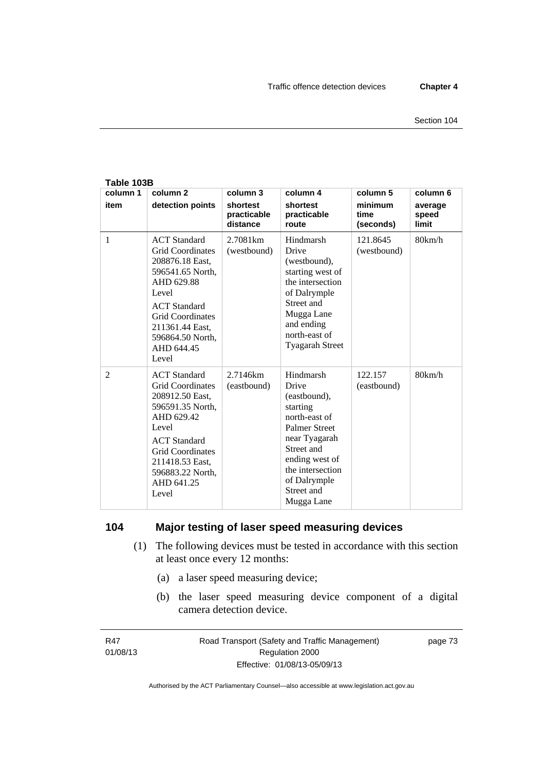| Table 103B       |                                                                                                                                                                                                                              |                                                 |                                                                                                                                                                                                          |                                          |                                       |  |
|------------------|------------------------------------------------------------------------------------------------------------------------------------------------------------------------------------------------------------------------------|-------------------------------------------------|----------------------------------------------------------------------------------------------------------------------------------------------------------------------------------------------------------|------------------------------------------|---------------------------------------|--|
| column 1<br>item | column <sub>2</sub><br>detection points                                                                                                                                                                                      | column 3<br>shortest<br>practicable<br>distance | column 4<br>shortest<br>practicable<br>route                                                                                                                                                             | column 5<br>minimum<br>time<br>(seconds) | column 6<br>average<br>speed<br>limit |  |
| 1                | <b>ACT</b> Standard<br><b>Grid Coordinates</b><br>208876.18 East,<br>596541.65 North,<br>AHD 629.88<br>Level<br><b>ACT</b> Standard<br><b>Grid Coordinates</b><br>211361.44 East,<br>596864.50 North,<br>AHD 644.45<br>Level | 2.7081 <sub>km</sub><br>(westbound)             | Hindmarsh<br>Drive<br>(westbound),<br>starting west of<br>the intersection<br>of Dalrymple<br>Street and<br>Mugga Lane<br>and ending<br>north-east of<br><b>Tyagarah Street</b>                          | 121.8645<br>(westbound)                  | 80km/h                                |  |
| $\overline{2}$   | <b>ACT</b> Standard<br><b>Grid Coordinates</b><br>208912.50 East,<br>596591.35 North,<br>AHD 629.42<br>Level<br><b>ACT</b> Standard<br><b>Grid Coordinates</b><br>211418.53 East,<br>596883.22 North,<br>AHD 641.25<br>Level | 2.7146km<br>(eastbound)                         | Hindmarsh<br>Drive<br>(eastbound),<br>starting<br>north-east of<br><b>Palmer Street</b><br>near Tyagarah<br>Street and<br>ending west of<br>the intersection<br>of Dalrymple<br>Street and<br>Mugga Lane | 122.157<br>(eastbound)                   | 80km/h                                |  |

### **104 Major testing of laser speed measuring devices**

- (1) The following devices must be tested in accordance with this section at least once every 12 months:
	- (a) a laser speed measuring device;
	- (b) the laser speed measuring device component of a digital camera detection device.

R47 01/08/13 page 73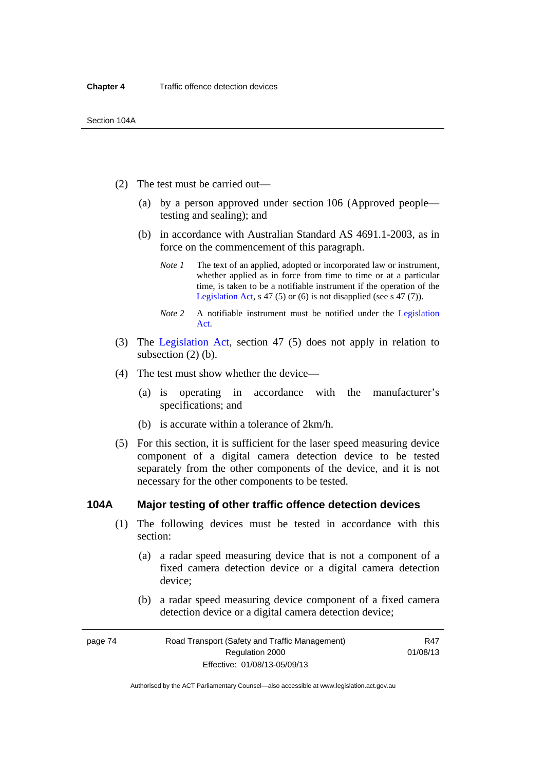- (2) The test must be carried out—
	- (a) by a person approved under section 106 (Approved people testing and sealing); and
	- (b) in accordance with Australian Standard AS 4691.1-2003, as in force on the commencement of this paragraph.
		- *Note 1* The text of an applied, adopted or incorporated law or instrument, whether applied as in force from time to time or at a particular time, is taken to be a notifiable instrument if the operation of the [Legislation Act,](http://www.legislation.act.gov.au/a/2001-14) s 47 (5) or (6) is not disapplied (see s 47 (7)).
		- *Note 2* A notifiable instrument must be notified under the [Legislation](http://www.legislation.act.gov.au/a/2001-14)  [Act](http://www.legislation.act.gov.au/a/2001-14).
- (3) The [Legislation Act,](http://www.legislation.act.gov.au/a/2001-14) section 47 (5) does not apply in relation to subsection (2) (b).
- (4) The test must show whether the device—
	- (a) is operating in accordance with the manufacturer's specifications; and
	- (b) is accurate within a tolerance of 2km/h.
- (5) For this section, it is sufficient for the laser speed measuring device component of a digital camera detection device to be tested separately from the other components of the device, and it is not necessary for the other components to be tested.

#### **104A Major testing of other traffic offence detection devices**

- (1) The following devices must be tested in accordance with this section:
	- (a) a radar speed measuring device that is not a component of a fixed camera detection device or a digital camera detection device;
	- (b) a radar speed measuring device component of a fixed camera detection device or a digital camera detection device;

| page 74 | Road Transport (Safety and Traffic Management) | R47      |
|---------|------------------------------------------------|----------|
|         | Regulation 2000                                | 01/08/13 |
|         | Effective: 01/08/13-05/09/13                   |          |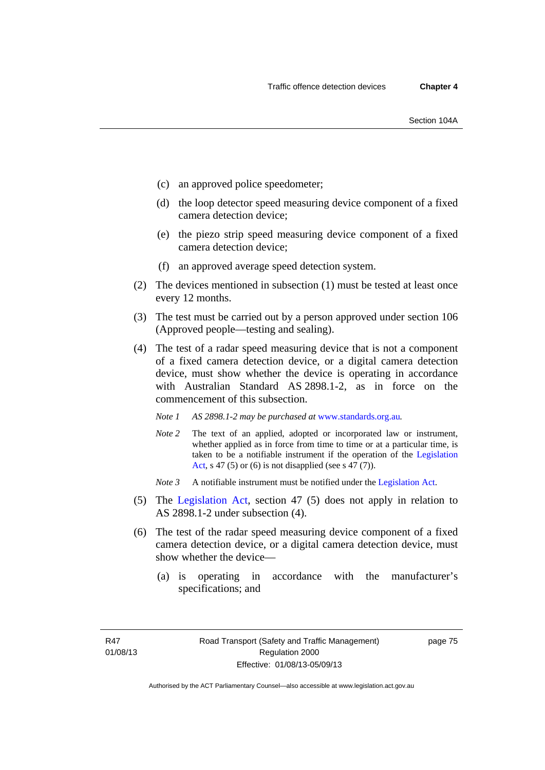- (c) an approved police speedometer;
- (d) the loop detector speed measuring device component of a fixed camera detection device;
- (e) the piezo strip speed measuring device component of a fixed camera detection device;
- (f) an approved average speed detection system.
- (2) The devices mentioned in subsection (1) must be tested at least once every 12 months.
- (3) The test must be carried out by a person approved under section 106 (Approved people—testing and sealing).
- (4) The test of a radar speed measuring device that is not a component of a fixed camera detection device, or a digital camera detection device, must show whether the device is operating in accordance with Australian Standard AS 2898.1-2, as in force on the commencement of this subsection.
	- *Note 1 AS 2898.1-2 may be purchased at* [www.standards.org.au](http://www.standards.org.au/Pages/default.aspx)*.*
	- *Note* 2 The text of an applied, adopted or incorporated law or instrument, whether applied as in force from time to time or at a particular time, is taken to be a notifiable instrument if the operation of the [Legislation](http://www.legislation.act.gov.au/a/2001-14)  [Act,](http://www.legislation.act.gov.au/a/2001-14) s 47 (5) or (6) is not disapplied (see s 47 (7)).
	- *Note 3* A notifiable instrument must be notified under the [Legislation Act](http://www.legislation.act.gov.au/a/2001-14).
- (5) The [Legislation Act,](http://www.legislation.act.gov.au/a/2001-14) section 47 (5) does not apply in relation to AS 2898.1-2 under subsection (4).
- (6) The test of the radar speed measuring device component of a fixed camera detection device, or a digital camera detection device, must show whether the device—
	- (a) is operating in accordance with the manufacturer's specifications; and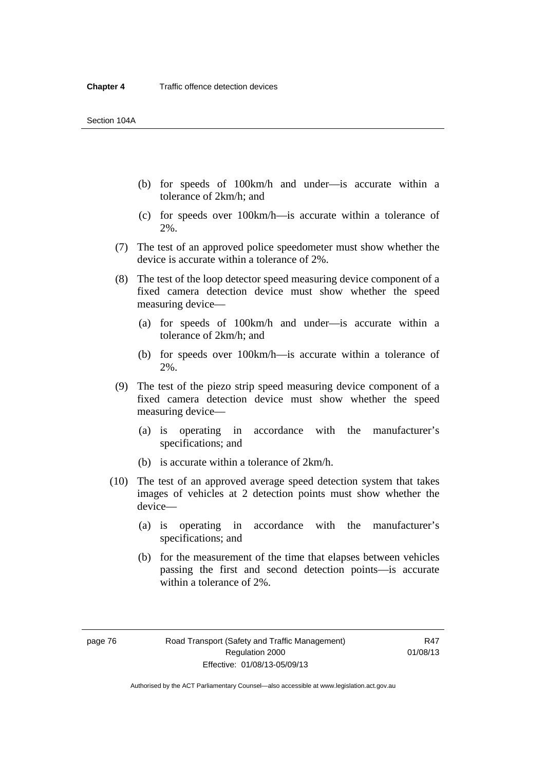- (b) for speeds of 100km/h and under—is accurate within a tolerance of 2km/h; and
- (c) for speeds over 100km/h—is accurate within a tolerance of 2%.
- (7) The test of an approved police speedometer must show whether the device is accurate within a tolerance of 2%.
- (8) The test of the loop detector speed measuring device component of a fixed camera detection device must show whether the speed measuring device—
	- (a) for speeds of 100km/h and under—is accurate within a tolerance of 2km/h; and
	- (b) for speeds over 100km/h—is accurate within a tolerance of 2%.
- (9) The test of the piezo strip speed measuring device component of a fixed camera detection device must show whether the speed measuring device—
	- (a) is operating in accordance with the manufacturer's specifications; and
	- (b) is accurate within a tolerance of 2km/h.
- (10) The test of an approved average speed detection system that takes images of vehicles at 2 detection points must show whether the device—
	- (a) is operating in accordance with the manufacturer's specifications; and
	- (b) for the measurement of the time that elapses between vehicles passing the first and second detection points—is accurate within a tolerance of 2%.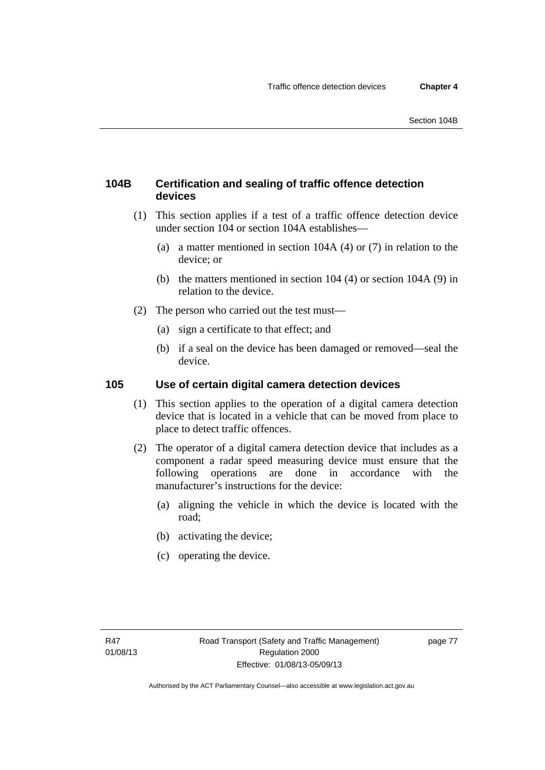### **104B Certification and sealing of traffic offence detection devices**

- (1) This section applies if a test of a traffic offence detection device under section 104 or section 104A establishes—
	- (a) a matter mentioned in section 104A (4) or (7) in relation to the device; or
	- (b) the matters mentioned in section 104 (4) or section 104A (9) in relation to the device.
- (2) The person who carried out the test must—
	- (a) sign a certificate to that effect; and
	- (b) if a seal on the device has been damaged or removed—seal the device.

#### **105 Use of certain digital camera detection devices**

- (1) This section applies to the operation of a digital camera detection device that is located in a vehicle that can be moved from place to place to detect traffic offences.
- (2) The operator of a digital camera detection device that includes as a component a radar speed measuring device must ensure that the following operations are done in accordance with the manufacturer's instructions for the device:
	- (a) aligning the vehicle in which the device is located with the road;
	- (b) activating the device;
	- (c) operating the device.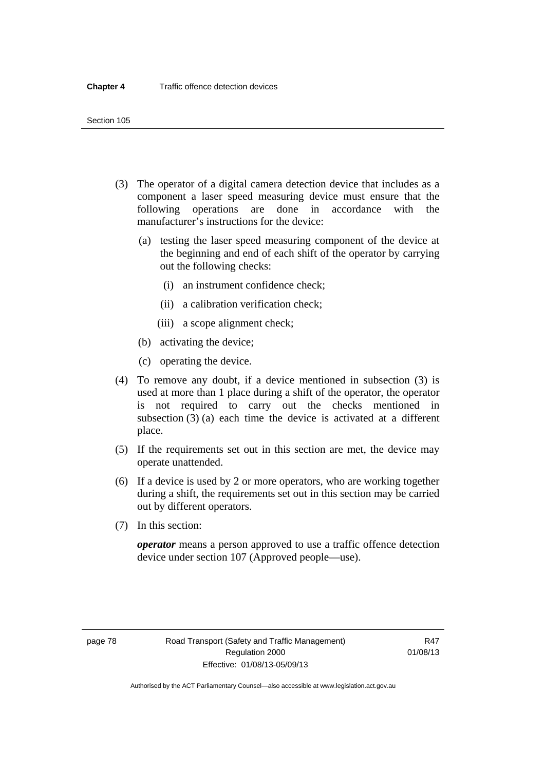- (3) The operator of a digital camera detection device that includes as a component a laser speed measuring device must ensure that the following operations are done in accordance with the manufacturer's instructions for the device:
	- (a) testing the laser speed measuring component of the device at the beginning and end of each shift of the operator by carrying out the following checks:
		- (i) an instrument confidence check;
		- (ii) a calibration verification check;
		- (iii) a scope alignment check;
	- (b) activating the device;
	- (c) operating the device.
- (4) To remove any doubt, if a device mentioned in subsection (3) is used at more than 1 place during a shift of the operator, the operator is not required to carry out the checks mentioned in subsection (3) (a) each time the device is activated at a different place.
- (5) If the requirements set out in this section are met, the device may operate unattended.
- (6) If a device is used by 2 or more operators, who are working together during a shift, the requirements set out in this section may be carried out by different operators.
- (7) In this section:

*operator* means a person approved to use a traffic offence detection device under section 107 (Approved people—use).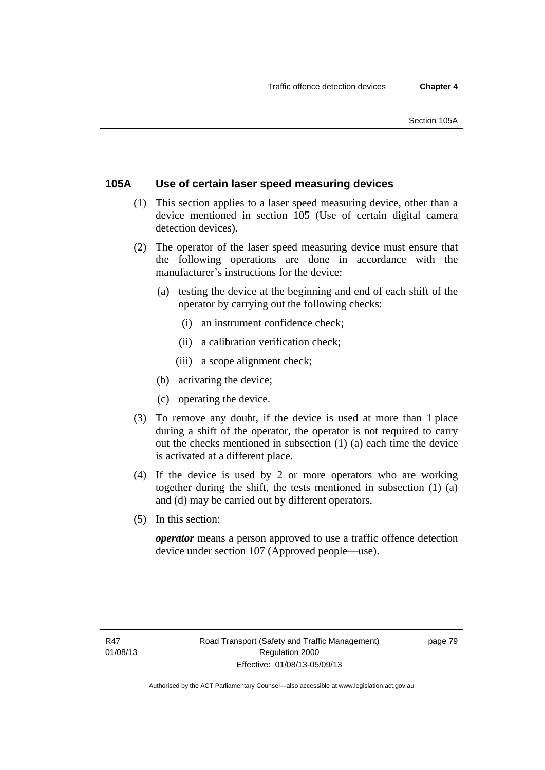### **105A Use of certain laser speed measuring devices**

- (1) This section applies to a laser speed measuring device, other than a device mentioned in section 105 (Use of certain digital camera detection devices).
- (2) The operator of the laser speed measuring device must ensure that the following operations are done in accordance with the manufacturer's instructions for the device:
	- (a) testing the device at the beginning and end of each shift of the operator by carrying out the following checks:
		- (i) an instrument confidence check;
		- (ii) a calibration verification check;
		- (iii) a scope alignment check;
	- (b) activating the device;
	- (c) operating the device.
- (3) To remove any doubt, if the device is used at more than 1 place during a shift of the operator, the operator is not required to carry out the checks mentioned in subsection (1) (a) each time the device is activated at a different place.
- (4) If the device is used by 2 or more operators who are working together during the shift, the tests mentioned in subsection (1) (a) and (d) may be carried out by different operators.
- (5) In this section:

*operator* means a person approved to use a traffic offence detection device under section 107 (Approved people—use).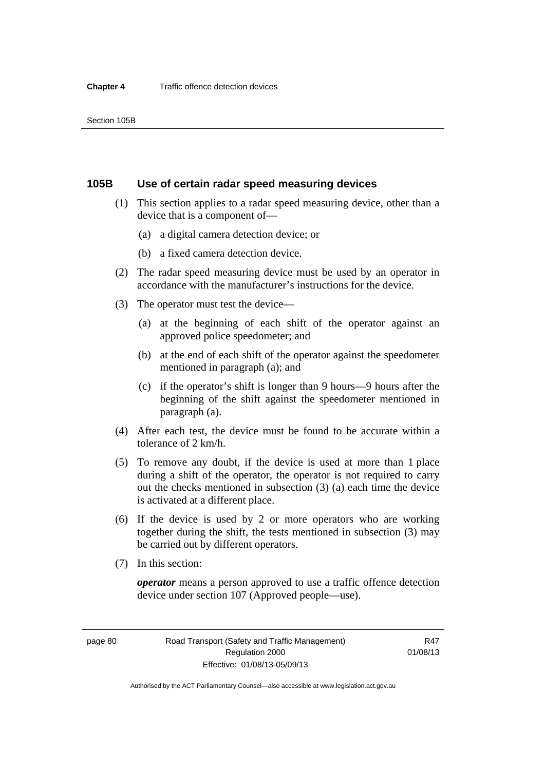#### **105B Use of certain radar speed measuring devices**

- (1) This section applies to a radar speed measuring device, other than a device that is a component of—
	- (a) a digital camera detection device; or
	- (b) a fixed camera detection device.
- (2) The radar speed measuring device must be used by an operator in accordance with the manufacturer's instructions for the device.
- (3) The operator must test the device—
	- (a) at the beginning of each shift of the operator against an approved police speedometer; and
	- (b) at the end of each shift of the operator against the speedometer mentioned in paragraph (a); and
	- (c) if the operator's shift is longer than 9 hours—9 hours after the beginning of the shift against the speedometer mentioned in paragraph (a).
- (4) After each test, the device must be found to be accurate within a tolerance of 2 km/h.
- (5) To remove any doubt, if the device is used at more than 1 place during a shift of the operator, the operator is not required to carry out the checks mentioned in subsection (3) (a) each time the device is activated at a different place.
- (6) If the device is used by 2 or more operators who are working together during the shift, the tests mentioned in subsection (3) may be carried out by different operators.
- (7) In this section:

*operator* means a person approved to use a traffic offence detection device under section 107 (Approved people—use).

page 80 Road Transport (Safety and Traffic Management) Regulation 2000 Effective: 01/08/13-05/09/13

R47 01/08/13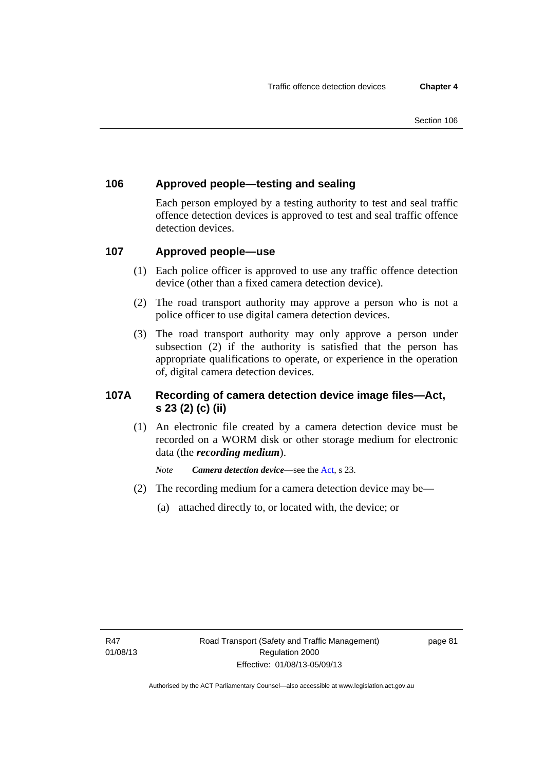### **106 Approved people—testing and sealing**

Each person employed by a testing authority to test and seal traffic offence detection devices is approved to test and seal traffic offence detection devices.

### **107 Approved people—use**

- (1) Each police officer is approved to use any traffic offence detection device (other than a fixed camera detection device).
- (2) The road transport authority may approve a person who is not a police officer to use digital camera detection devices.
- (3) The road transport authority may only approve a person under subsection (2) if the authority is satisfied that the person has appropriate qualifications to operate, or experience in the operation of, digital camera detection devices.

### **107A Recording of camera detection device image files—Act, s 23 (2) (c) (ii)**

(1) An electronic file created by a camera detection device must be recorded on a WORM disk or other storage medium for electronic data (the *recording medium*).

*Note Camera detection device*—see the [Act](http://www.legislation.act.gov.au/a/1999-80/default.asp), s 23.

- (2) The recording medium for a camera detection device may be—
	- (a) attached directly to, or located with, the device; or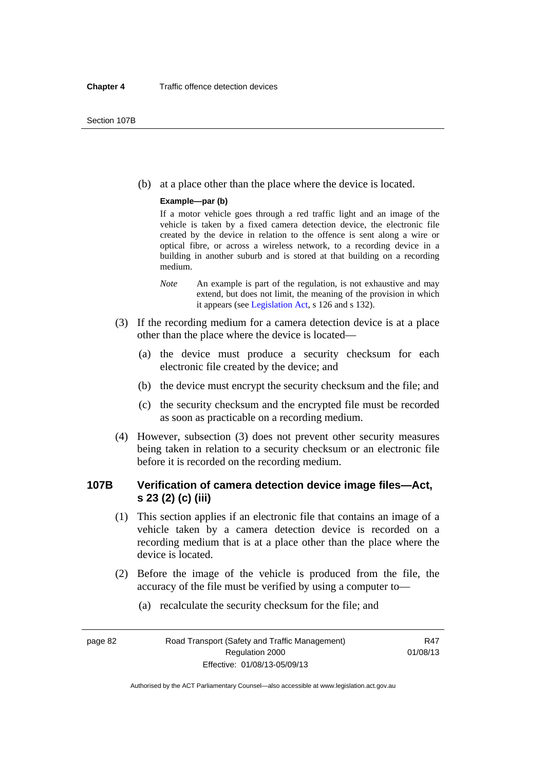(b) at a place other than the place where the device is located.

#### **Example—par (b)**

If a motor vehicle goes through a red traffic light and an image of the vehicle is taken by a fixed camera detection device, the electronic file created by the device in relation to the offence is sent along a wire or optical fibre, or across a wireless network, to a recording device in a building in another suburb and is stored at that building on a recording medium.

- *Note* An example is part of the regulation, is not exhaustive and may extend, but does not limit, the meaning of the provision in which it appears (see [Legislation Act,](http://www.legislation.act.gov.au/a/2001-14) s 126 and s 132).
- (3) If the recording medium for a camera detection device is at a place other than the place where the device is located—
	- (a) the device must produce a security checksum for each electronic file created by the device; and
	- (b) the device must encrypt the security checksum and the file; and
	- (c) the security checksum and the encrypted file must be recorded as soon as practicable on a recording medium.
- (4) However, subsection (3) does not prevent other security measures being taken in relation to a security checksum or an electronic file before it is recorded on the recording medium.

### **107B Verification of camera detection device image files—Act, s 23 (2) (c) (iii)**

- (1) This section applies if an electronic file that contains an image of a vehicle taken by a camera detection device is recorded on a recording medium that is at a place other than the place where the device is located.
- (2) Before the image of the vehicle is produced from the file, the accuracy of the file must be verified by using a computer to—
	- (a) recalculate the security checksum for the file; and

page 82 Road Transport (Safety and Traffic Management) Regulation 2000 Effective: 01/08/13-05/09/13

R47 01/08/13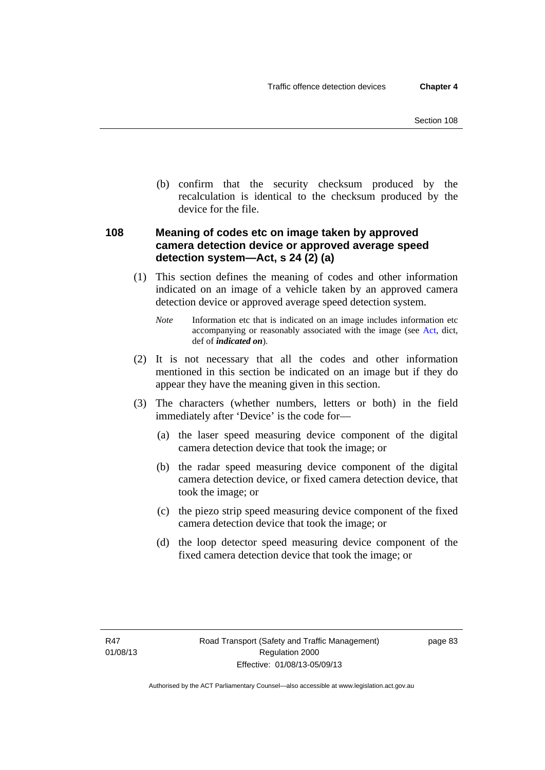(b) confirm that the security checksum produced by the recalculation is identical to the checksum produced by the device for the file.

### **108 Meaning of codes etc on image taken by approved camera detection device or approved average speed detection system—Act, s 24 (2) (a)**

(1) This section defines the meaning of codes and other information indicated on an image of a vehicle taken by an approved camera detection device or approved average speed detection system.

*Note* Information etc that is indicated on an image includes information etc accompanying or reasonably associated with the image (see [Act,](http://www.legislation.act.gov.au/a/1999-80/default.asp) dict, def of *indicated on*).

- (2) It is not necessary that all the codes and other information mentioned in this section be indicated on an image but if they do appear they have the meaning given in this section.
- (3) The characters (whether numbers, letters or both) in the field immediately after 'Device' is the code for—
	- (a) the laser speed measuring device component of the digital camera detection device that took the image; or
	- (b) the radar speed measuring device component of the digital camera detection device, or fixed camera detection device, that took the image; or
	- (c) the piezo strip speed measuring device component of the fixed camera detection device that took the image; or
	- (d) the loop detector speed measuring device component of the fixed camera detection device that took the image; or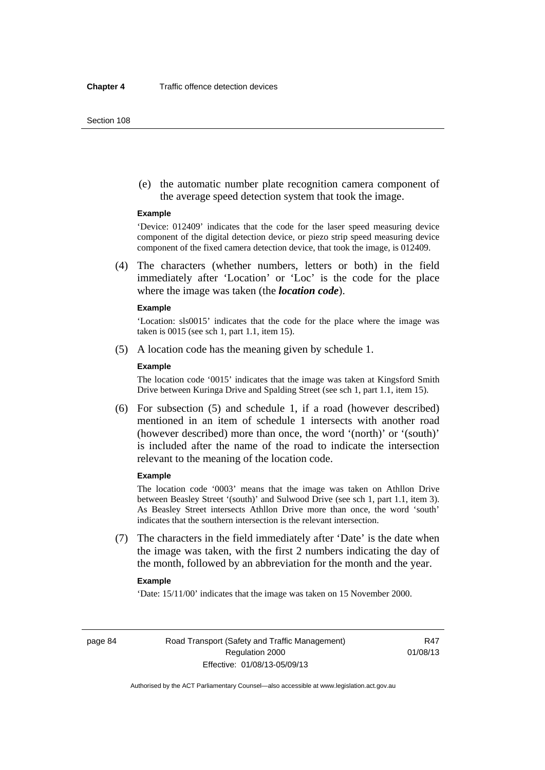(e) the automatic number plate recognition camera component of the average speed detection system that took the image.

#### **Example**

'Device: 012409' indicates that the code for the laser speed measuring device component of the digital detection device, or piezo strip speed measuring device component of the fixed camera detection device, that took the image, is 012409.

 (4) The characters (whether numbers, letters or both) in the field immediately after 'Location' or 'Loc' is the code for the place where the image was taken (the *location code*).

#### **Example**

'Location: sls0015' indicates that the code for the place where the image was taken is 0015 (see sch 1, part 1.1, item 15).

(5) A location code has the meaning given by schedule 1.

#### **Example**

The location code '0015' indicates that the image was taken at Kingsford Smith Drive between Kuringa Drive and Spalding Street (see sch 1, part 1.1, item 15).

 (6) For subsection (5) and schedule 1, if a road (however described) mentioned in an item of schedule 1 intersects with another road (however described) more than once, the word '(north)' or '(south)' is included after the name of the road to indicate the intersection relevant to the meaning of the location code.

#### **Example**

The location code '0003' means that the image was taken on Athllon Drive between Beasley Street '(south)' and Sulwood Drive (see sch 1, part 1.1, item 3). As Beasley Street intersects Athllon Drive more than once, the word 'south' indicates that the southern intersection is the relevant intersection.

 (7) The characters in the field immediately after 'Date' is the date when the image was taken, with the first 2 numbers indicating the day of the month, followed by an abbreviation for the month and the year.

#### **Example**

'Date: 15/11/00' indicates that the image was taken on 15 November 2000.

page 84 Road Transport (Safety and Traffic Management) Regulation 2000 Effective: 01/08/13-05/09/13

R47 01/08/13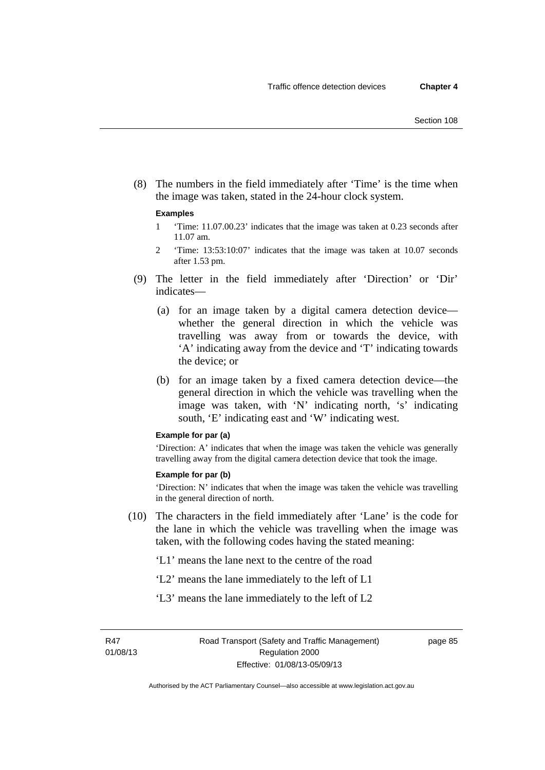(8) The numbers in the field immediately after 'Time' is the time when the image was taken, stated in the 24-hour clock system.

#### **Examples**

- 1 'Time: 11.07.00.23' indicates that the image was taken at 0.23 seconds after 11.07 am.
- 2 'Time: 13:53:10:07' indicates that the image was taken at 10.07 seconds after 1.53 pm.
- (9) The letter in the field immediately after 'Direction' or 'Dir' indicates—
	- (a) for an image taken by a digital camera detection device whether the general direction in which the vehicle was travelling was away from or towards the device, with 'A' indicating away from the device and 'T' indicating towards the device; or
	- (b) for an image taken by a fixed camera detection device—the general direction in which the vehicle was travelling when the image was taken, with 'N' indicating north, 's' indicating south, 'E' indicating east and 'W' indicating west.

#### **Example for par (a)**

'Direction: A' indicates that when the image was taken the vehicle was generally travelling away from the digital camera detection device that took the image.

#### **Example for par (b)**

'Direction: N' indicates that when the image was taken the vehicle was travelling in the general direction of north.

 (10) The characters in the field immediately after 'Lane' is the code for the lane in which the vehicle was travelling when the image was taken, with the following codes having the stated meaning:

'L1' means the lane next to the centre of the road

- 'L2' means the lane immediately to the left of L1
- 'L3' means the lane immediately to the left of L2

R47 01/08/13 page 85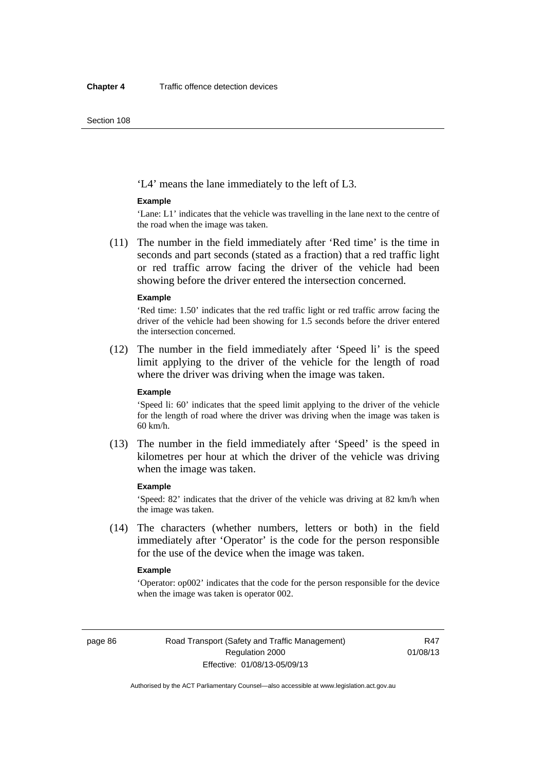'L4' means the lane immediately to the left of L3.

#### **Example**

'Lane: L1' indicates that the vehicle was travelling in the lane next to the centre of the road when the image was taken.

 (11) The number in the field immediately after 'Red time' is the time in seconds and part seconds (stated as a fraction) that a red traffic light or red traffic arrow facing the driver of the vehicle had been showing before the driver entered the intersection concerned.

#### **Example**

'Red time: 1.50' indicates that the red traffic light or red traffic arrow facing the driver of the vehicle had been showing for 1.5 seconds before the driver entered the intersection concerned.

 (12) The number in the field immediately after 'Speed li' is the speed limit applying to the driver of the vehicle for the length of road where the driver was driving when the image was taken.

#### **Example**

'Speed li: 60' indicates that the speed limit applying to the driver of the vehicle for the length of road where the driver was driving when the image was taken is 60 km/h.

 (13) The number in the field immediately after 'Speed' is the speed in kilometres per hour at which the driver of the vehicle was driving when the image was taken.

#### **Example**

'Speed: 82' indicates that the driver of the vehicle was driving at 82 km/h when the image was taken.

 (14) The characters (whether numbers, letters or both) in the field immediately after 'Operator' is the code for the person responsible for the use of the device when the image was taken.

#### **Example**

'Operator: op002' indicates that the code for the person responsible for the device when the image was taken is operator 002.

page 86 Road Transport (Safety and Traffic Management) Regulation 2000 Effective: 01/08/13-05/09/13

R47 01/08/13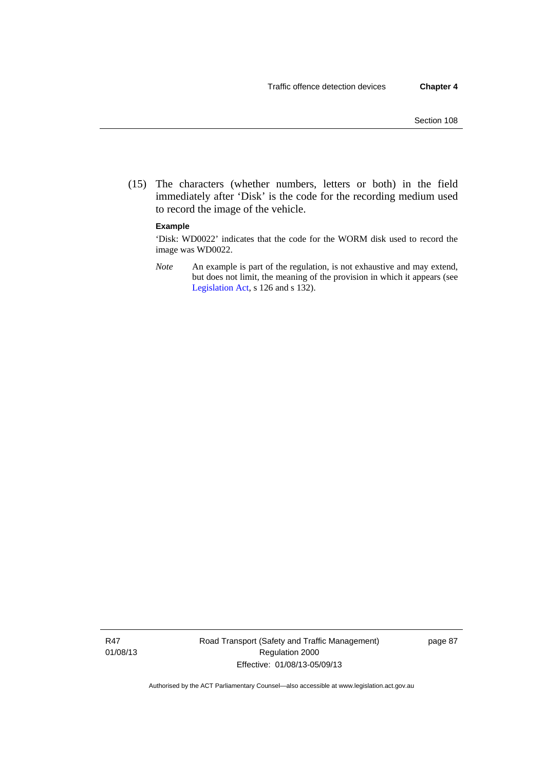(15) The characters (whether numbers, letters or both) in the field immediately after 'Disk' is the code for the recording medium used to record the image of the vehicle.

#### **Example**

'Disk: WD0022' indicates that the code for the WORM disk used to record the image was WD0022.

*Note* An example is part of the regulation, is not exhaustive and may extend, but does not limit, the meaning of the provision in which it appears (see [Legislation Act,](http://www.legislation.act.gov.au/a/2001-14) s 126 and s 132).

R47 01/08/13 Road Transport (Safety and Traffic Management) Regulation 2000 Effective: 01/08/13-05/09/13

page 87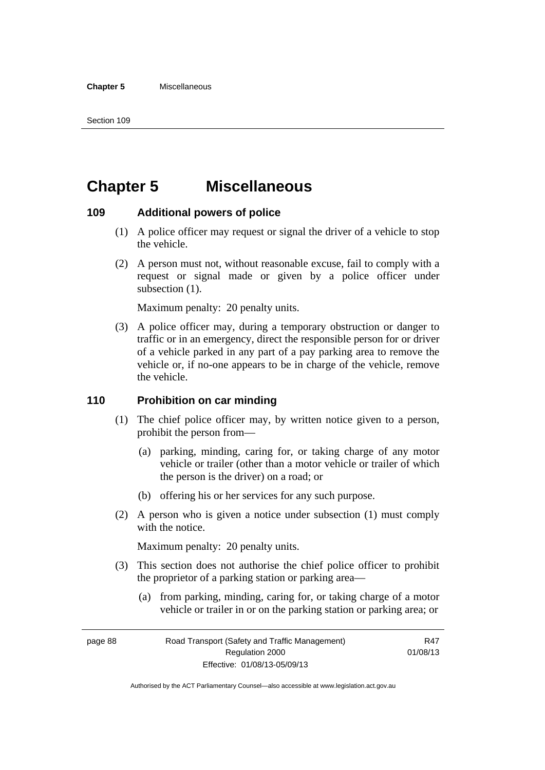# **Chapter 5 Miscellaneous**

#### **109 Additional powers of police**

- (1) A police officer may request or signal the driver of a vehicle to stop the vehicle.
- (2) A person must not, without reasonable excuse, fail to comply with a request or signal made or given by a police officer under subsection  $(1)$ .

Maximum penalty: 20 penalty units.

 (3) A police officer may, during a temporary obstruction or danger to traffic or in an emergency, direct the responsible person for or driver of a vehicle parked in any part of a pay parking area to remove the vehicle or, if no-one appears to be in charge of the vehicle, remove the vehicle.

#### **110 Prohibition on car minding**

- (1) The chief police officer may, by written notice given to a person, prohibit the person from—
	- (a) parking, minding, caring for, or taking charge of any motor vehicle or trailer (other than a motor vehicle or trailer of which the person is the driver) on a road; or
	- (b) offering his or her services for any such purpose.
- (2) A person who is given a notice under subsection (1) must comply with the notice.

Maximum penalty: 20 penalty units.

- (3) This section does not authorise the chief police officer to prohibit the proprietor of a parking station or parking area—
	- (a) from parking, minding, caring for, or taking charge of a motor vehicle or trailer in or on the parking station or parking area; or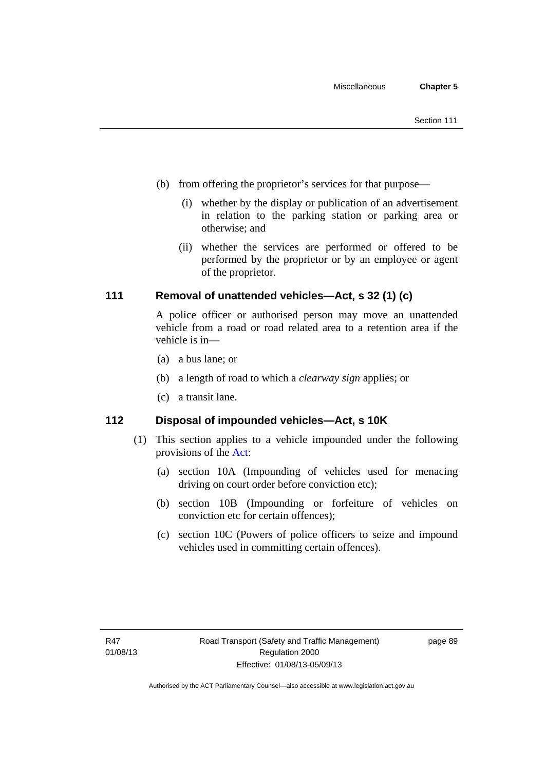- (b) from offering the proprietor's services for that purpose—
	- (i) whether by the display or publication of an advertisement in relation to the parking station or parking area or otherwise; and
	- (ii) whether the services are performed or offered to be performed by the proprietor or by an employee or agent of the proprietor.

### **111 Removal of unattended vehicles—Act, s 32 (1) (c)**

A police officer or authorised person may move an unattended vehicle from a road or road related area to a retention area if the vehicle is in—

- (a) a bus lane; or
- (b) a length of road to which a *clearway sign* applies; or
- (c) a transit lane.

### **112 Disposal of impounded vehicles—Act, s 10K**

- (1) This section applies to a vehicle impounded under the following provisions of the [Act](http://www.legislation.act.gov.au/a/1999-80/default.asp):
	- (a) section 10A (Impounding of vehicles used for menacing driving on court order before conviction etc);
	- (b) section 10B (Impounding or forfeiture of vehicles on conviction etc for certain offences);
	- (c) section 10C (Powers of police officers to seize and impound vehicles used in committing certain offences).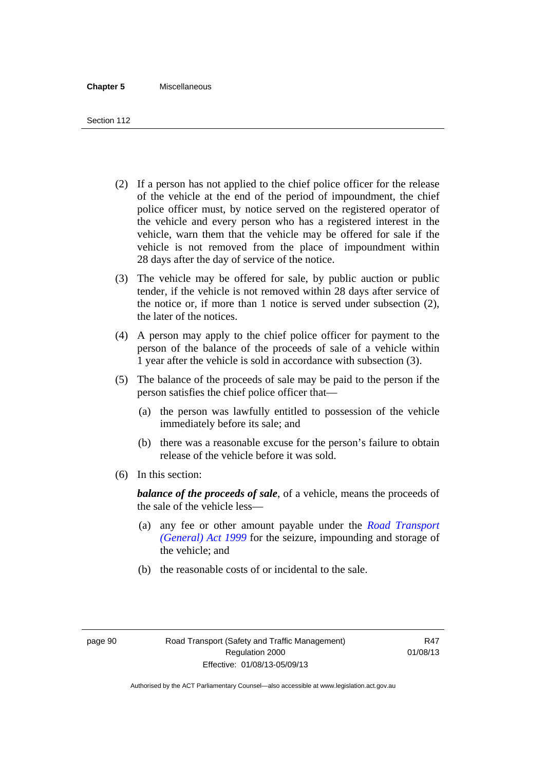- (2) If a person has not applied to the chief police officer for the release of the vehicle at the end of the period of impoundment, the chief police officer must, by notice served on the registered operator of the vehicle and every person who has a registered interest in the vehicle, warn them that the vehicle may be offered for sale if the vehicle is not removed from the place of impoundment within 28 days after the day of service of the notice.
- (3) The vehicle may be offered for sale, by public auction or public tender, if the vehicle is not removed within 28 days after service of the notice or, if more than 1 notice is served under subsection (2), the later of the notices.
- (4) A person may apply to the chief police officer for payment to the person of the balance of the proceeds of sale of a vehicle within 1 year after the vehicle is sold in accordance with subsection (3).
- (5) The balance of the proceeds of sale may be paid to the person if the person satisfies the chief police officer that—
	- (a) the person was lawfully entitled to possession of the vehicle immediately before its sale; and
	- (b) there was a reasonable excuse for the person's failure to obtain release of the vehicle before it was sold.
- (6) In this section:

*balance of the proceeds of sale*, of a vehicle, means the proceeds of the sale of the vehicle less—

- (a) any fee or other amount payable under the *[Road Transport](http://www.legislation.act.gov.au/a/1999-77)  [\(General\) Act 1999](http://www.legislation.act.gov.au/a/1999-77)* for the seizure, impounding and storage of the vehicle; and
- (b) the reasonable costs of or incidental to the sale.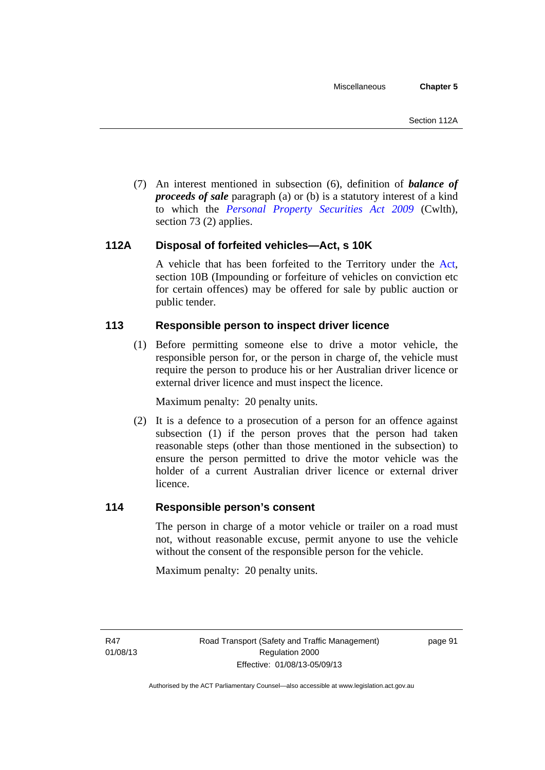(7) An interest mentioned in subsection (6), definition of *balance of proceeds of sale* paragraph (a) or (b) is a statutory interest of a kind to which the *[Personal Property Securities Act 2009](http://www.comlaw.gov.au/Series/C2009A00130)* (Cwlth), section 73 (2) applies.

### **112A Disposal of forfeited vehicles—Act, s 10K**

A vehicle that has been forfeited to the Territory under the [Act](http://www.legislation.act.gov.au/a/1999-80/default.asp), section 10B (Impounding or forfeiture of vehicles on conviction etc for certain offences) may be offered for sale by public auction or public tender.

### **113 Responsible person to inspect driver licence**

(1) Before permitting someone else to drive a motor vehicle, the responsible person for, or the person in charge of, the vehicle must require the person to produce his or her Australian driver licence or external driver licence and must inspect the licence.

Maximum penalty: 20 penalty units.

 (2) It is a defence to a prosecution of a person for an offence against subsection (1) if the person proves that the person had taken reasonable steps (other than those mentioned in the subsection) to ensure the person permitted to drive the motor vehicle was the holder of a current Australian driver licence or external driver licence.

### **114 Responsible person's consent**

The person in charge of a motor vehicle or trailer on a road must not, without reasonable excuse, permit anyone to use the vehicle without the consent of the responsible person for the vehicle.

Maximum penalty: 20 penalty units.

R47 01/08/13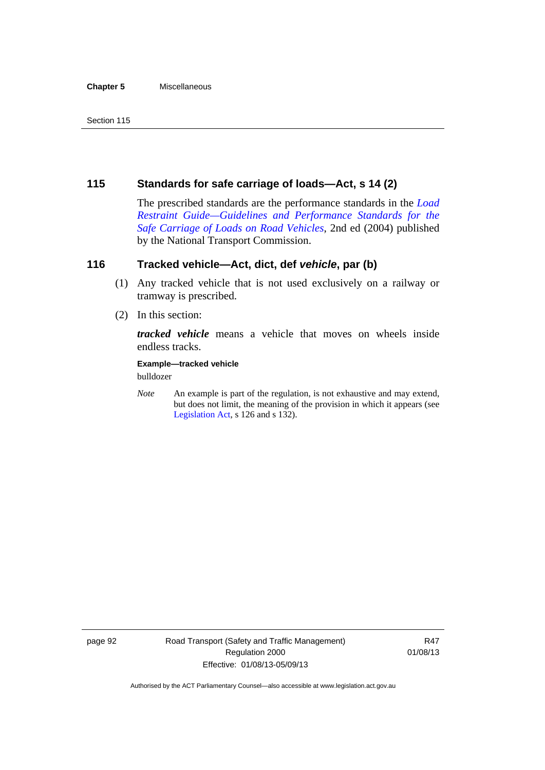#### **Chapter 5** Miscellaneous

# **115 Standards for safe carriage of loads—Act, s 14 (2)**

The prescribed standards are the performance standards in the *[Load](http://www.ntc.gov.au/viewpage.aspx?documentid=862)  [Restraint Guide—Guidelines and Performance Standards for the](http://www.ntc.gov.au/viewpage.aspx?documentid=862)  [Safe Carriage of Loads on Road Vehicles](http://www.ntc.gov.au/viewpage.aspx?documentid=862)*, 2nd ed (2004) published by the National Transport Commission.

# **116 Tracked vehicle—Act, dict, def** *vehicle***, par (b)**

- (1) Any tracked vehicle that is not used exclusively on a railway or tramway is prescribed.
- (2) In this section:

*tracked vehicle* means a vehicle that moves on wheels inside endless tracks.

### **Example—tracked vehicle**

bulldozer

*Note* An example is part of the regulation, is not exhaustive and may extend, but does not limit, the meaning of the provision in which it appears (see [Legislation Act,](http://www.legislation.act.gov.au/a/2001-14) s 126 and s 132).

page 92 Road Transport (Safety and Traffic Management) Regulation 2000 Effective: 01/08/13-05/09/13

R47 01/08/13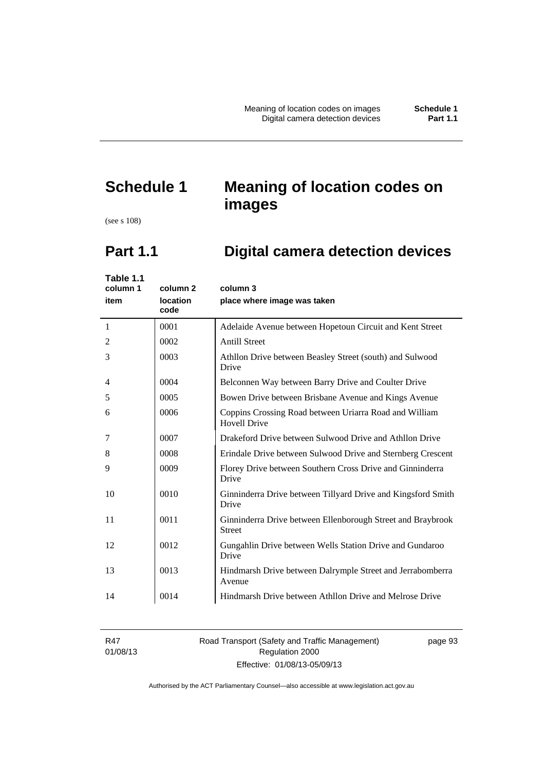# **Schedule 1 Meaning of location codes on images**

(see s 108)

# **Part 1.1 Digital camera detection devices**

| Table 1.1<br>column 1<br>item | column <sub>2</sub><br>location<br>code | column 3<br>place where image was taken                                       |
|-------------------------------|-----------------------------------------|-------------------------------------------------------------------------------|
| 1                             | 0001                                    | Adelaide Avenue between Hopetoun Circuit and Kent Street                      |
| 2                             | 0002                                    | <b>Antill Street</b>                                                          |
| 3                             | 0003                                    | Athllon Drive between Beasley Street (south) and Sulwood<br>Drive             |
| 4                             | 0004                                    | Belconnen Way between Barry Drive and Coulter Drive                           |
| 5                             | 0005                                    | Bowen Drive between Brisbane Avenue and Kings Avenue                          |
| 6                             | 0006                                    | Coppins Crossing Road between Uriarra Road and William<br><b>Hovell Drive</b> |
| 7                             | 0007                                    | Drakeford Drive between Sulwood Drive and Athllon Drive                       |
| 8                             | 0008                                    | Erindale Drive between Sulwood Drive and Sternberg Crescent                   |
| 9                             | 0009                                    | Florey Drive between Southern Cross Drive and Ginninderra<br>Drive            |
| 10                            | 0010                                    | Ginninderra Drive between Tillyard Drive and Kingsford Smith<br>Drive         |
| 11                            | 0011                                    | Ginninderra Drive between Ellenborough Street and Braybrook<br><b>Street</b>  |
| 12                            | 0012                                    | Gungahlin Drive between Wells Station Drive and Gundaroo<br>Drive             |
| 13                            | 0013                                    | Hindmarsh Drive between Dalrymple Street and Jerrabomberra<br>Avenue          |
| 14                            | 0014                                    | Hindmarsh Drive between Athllon Drive and Melrose Drive                       |

R47 01/08/13 Road Transport (Safety and Traffic Management) Regulation 2000 Effective: 01/08/13-05/09/13

page 93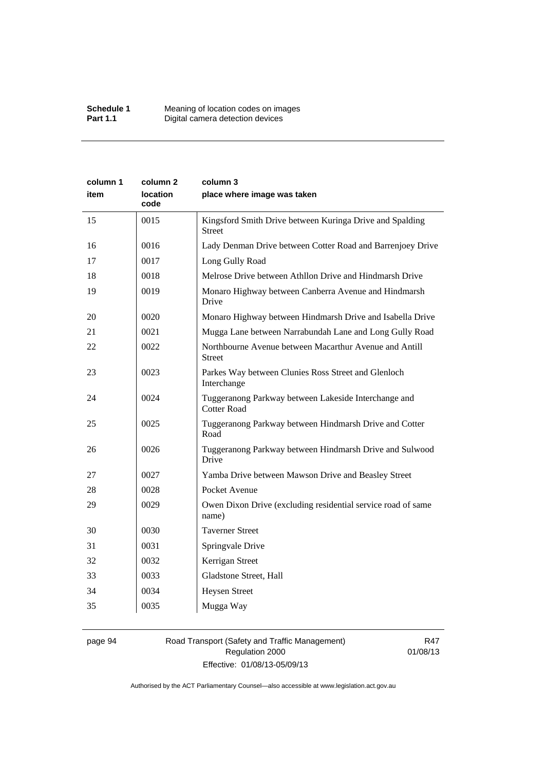| column 1<br>item | column 2<br><b>location</b><br>code | column 3<br>place where image was taken                                    |
|------------------|-------------------------------------|----------------------------------------------------------------------------|
| 15               | 0015                                | Kingsford Smith Drive between Kuringa Drive and Spalding<br><b>Street</b>  |
| 16               | 0016                                | Lady Denman Drive between Cotter Road and Barrenjoey Drive                 |
| 17               | 0017                                | Long Gully Road                                                            |
| 18               | 0018                                | Melrose Drive between Athllon Drive and Hindmarsh Drive                    |
| 19               | 0019                                | Monaro Highway between Canberra Avenue and Hindmarsh<br>Drive              |
| 20               | 0020                                | Monaro Highway between Hindmarsh Drive and Isabella Drive                  |
| 21               | 0021                                | Mugga Lane between Narrabundah Lane and Long Gully Road                    |
| 22               | 0022                                | Northbourne Avenue between Macarthur Avenue and Antill<br><b>Street</b>    |
| 23               | 0023                                | Parkes Way between Clunies Ross Street and Glenloch<br>Interchange         |
| 24               | 0024                                | Tuggeranong Parkway between Lakeside Interchange and<br><b>Cotter Road</b> |
| 25               | 0025                                | Tuggeranong Parkway between Hindmarsh Drive and Cotter<br>Road             |
| 26               | 0026                                | Tuggeranong Parkway between Hindmarsh Drive and Sulwood<br>Drive           |
| 27               | 0027                                | Yamba Drive between Mawson Drive and Beasley Street                        |
| 28               | 0028                                | Pocket Avenue                                                              |
| 29               | 0029                                | Owen Dixon Drive (excluding residential service road of same<br>name)      |
| 30               | 0030                                | <b>Taverner Street</b>                                                     |
| 31               | 0031                                | Springvale Drive                                                           |
| 32               | 0032                                | Kerrigan Street                                                            |
| 33               | 0033                                | Gladstone Street, Hall                                                     |
| 34               | 0034                                | <b>Heysen Street</b>                                                       |
| 35               | 0035                                | Mugga Way                                                                  |

# page 94 Road Transport (Safety and Traffic Management) Regulation 2000 Effective: 01/08/13-05/09/13

R47 01/08/13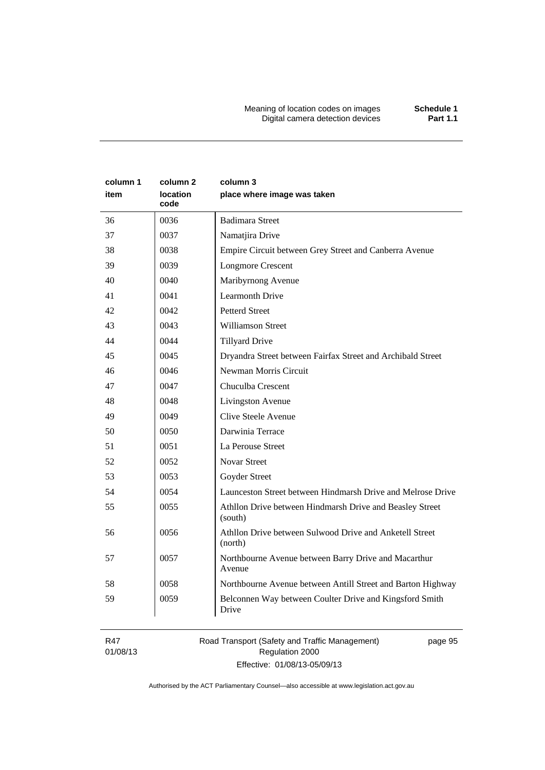Meaning of location codes on images **Schedule 1** Digital camera detection devices **Part 1.1** 

| column 1<br>item | column 2<br><b>location</b><br>code | column 3<br>place where image was taken                             |
|------------------|-------------------------------------|---------------------------------------------------------------------|
| 36               | 0036                                | <b>Badimara Street</b>                                              |
| 37               | 0037                                | Namatjira Drive                                                     |
| 38               | 0038                                | Empire Circuit between Grey Street and Canberra Avenue              |
| 39               | 0039                                | <b>Longmore Crescent</b>                                            |
| 40               | 0040                                | Maribyrnong Avenue                                                  |
| 41               | 0041                                | <b>Learmonth Drive</b>                                              |
| 42               | 0042                                | <b>Petterd Street</b>                                               |
| 43               | 0043                                | <b>Williamson Street</b>                                            |
| 44               | 0044                                | <b>Tillyard Drive</b>                                               |
| 45               | 0045                                | Dryandra Street between Fairfax Street and Archibald Street         |
| 46               | 0046                                | Newman Morris Circuit                                               |
| 47               | 0047                                | Chuculba Crescent                                                   |
| 48               | 0048                                | Livingston Avenue                                                   |
| 49               | 0049                                | Clive Steele Avenue                                                 |
| 50               | 0050                                | Darwinia Terrace                                                    |
| 51               | 0051                                | La Perouse Street                                                   |
| 52               | 0052                                | <b>Novar Street</b>                                                 |
| 53               | 0053                                | Goyder Street                                                       |
| 54               | 0054                                | Launceston Street between Hindmarsh Drive and Melrose Drive         |
| 55               | 0055                                | Athllon Drive between Hindmarsh Drive and Beasley Street<br>(south) |
| 56               | 0056                                | Athllon Drive between Sulwood Drive and Anketell Street<br>(north)  |
| 57               | 0057                                | Northbourne Avenue between Barry Drive and Macarthur<br>Avenue      |
| 58               | 0058                                | Northbourne Avenue between Antill Street and Barton Highway         |
| 59               | 0059                                | Belconnen Way between Coulter Drive and Kingsford Smith<br>Drive    |

R47 01/08/13 Road Transport (Safety and Traffic Management) Regulation 2000 Effective: 01/08/13-05/09/13

page 95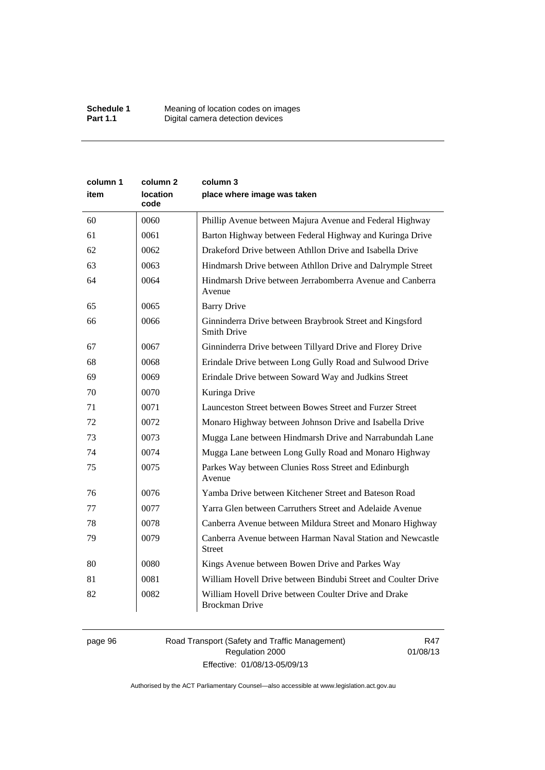| column 1 | column <sub>2</sub>     | column 3                                                                       |
|----------|-------------------------|--------------------------------------------------------------------------------|
| item     | <b>location</b><br>code | place where image was taken                                                    |
| 60       | 0060                    | Phillip Avenue between Majura Avenue and Federal Highway                       |
| 61       | 0061                    | Barton Highway between Federal Highway and Kuringa Drive                       |
| 62       | 0062                    | Drakeford Drive between Athllon Drive and Isabella Drive                       |
| 63       | 0063                    | Hindmarsh Drive between Athllon Drive and Dalrymple Street                     |
| 64       | 0064                    | Hindmarsh Drive between Jerrabomberra Avenue and Canberra<br>Avenue            |
| 65       | 0065                    | <b>Barry Drive</b>                                                             |
| 66       | 0066                    | Ginninderra Drive between Braybrook Street and Kingsford<br><b>Smith Drive</b> |
| 67       | 0067                    | Ginninderra Drive between Tillyard Drive and Florey Drive                      |
| 68       | 0068                    | Erindale Drive between Long Gully Road and Sulwood Drive                       |
| 69       | 0069                    | Erindale Drive between Soward Way and Judkins Street                           |
| 70       | 0070                    | Kuringa Drive                                                                  |
| 71       | 0071                    | Launceston Street between Bowes Street and Furzer Street                       |
| 72       | 0072                    | Monaro Highway between Johnson Drive and Isabella Drive                        |
| 73       | 0073                    | Mugga Lane between Hindmarsh Drive and Narrabundah Lane                        |
| 74       | 0074                    | Mugga Lane between Long Gully Road and Monaro Highway                          |
| 75       | 0075                    | Parkes Way between Clunies Ross Street and Edinburgh<br>Avenue                 |
| 76       | 0076                    | Yamba Drive between Kitchener Street and Bateson Road                          |
| 77       | 0077                    | Yarra Glen between Carruthers Street and Adelaide Avenue                       |
| 78       | 0078                    | Canberra Avenue between Mildura Street and Monaro Highway                      |
| 79       | 0079                    | Canberra Avenue between Harman Naval Station and Newcastle<br><b>Street</b>    |
| 80       | 0080                    | Kings Avenue between Bowen Drive and Parkes Way                                |
| 81       | 0081                    | William Hovell Drive between Bindubi Street and Coulter Drive                  |
| 82       | 0082                    | William Hovell Drive between Coulter Drive and Drake<br><b>Brockman Drive</b>  |

page 96 Road Transport (Safety and Traffic Management) Regulation 2000 Effective: 01/08/13-05/09/13

R47 01/08/13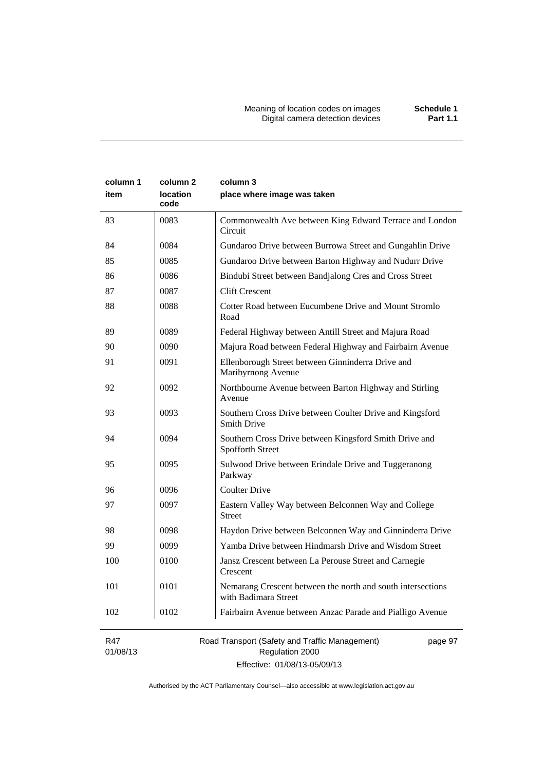| column 1<br>item | column 2<br>location<br>code | column 3<br>place where image was taken                                             |
|------------------|------------------------------|-------------------------------------------------------------------------------------|
| 83               | 0083                         | Commonwealth Ave between King Edward Terrace and London<br>Circuit                  |
| 84               | 0084                         | Gundaroo Drive between Burrowa Street and Gungahlin Drive                           |
| 85               | 0085                         | Gundaroo Drive between Barton Highway and Nudurr Drive                              |
| 86               | 0086                         | Bindubi Street between Bandjalong Cres and Cross Street                             |
| 87               | 0087                         | <b>Clift Crescent</b>                                                               |
| 88               | 0088                         | Cotter Road between Eucumbene Drive and Mount Stromlo<br>Road                       |
| 89               | 0089                         | Federal Highway between Antill Street and Majura Road                               |
| 90               | 0090                         | Majura Road between Federal Highway and Fairbairn Avenue                            |
| 91               | 0091                         | Ellenborough Street between Ginninderra Drive and<br>Maribyrnong Avenue             |
| 92               | 0092                         | Northbourne Avenue between Barton Highway and Stirling<br>Avenue                    |
| 93               | 0093                         | Southern Cross Drive between Coulter Drive and Kingsford<br><b>Smith Drive</b>      |
| 94               | 0094                         | Southern Cross Drive between Kingsford Smith Drive and<br>Spofforth Street          |
| 95               | 0095                         | Sulwood Drive between Erindale Drive and Tuggeranong<br>Parkway                     |
| 96               | 0096                         | <b>Coulter Drive</b>                                                                |
| 97               | 0097                         | Eastern Valley Way between Belconnen Way and College<br><b>Street</b>               |
| 98               | 0098                         | Haydon Drive between Belconnen Way and Ginninderra Drive                            |
| 99               | 0099                         | Yamba Drive between Hindmarsh Drive and Wisdom Street                               |
| 100              | 0100                         | Jansz Crescent between La Perouse Street and Carnegie<br>Crescent                   |
| 101              | 0101                         | Nemarang Crescent between the north and south intersections<br>with Badimara Street |
| 102              | 0102                         | Fairbairn Avenue between Anzac Parade and Pialligo Avenue                           |
| R47              |                              | Road Transport (Safety and Traffic Management)<br>page 97                           |

01/08/13

Regulation 2000 Effective: 01/08/13-05/09/13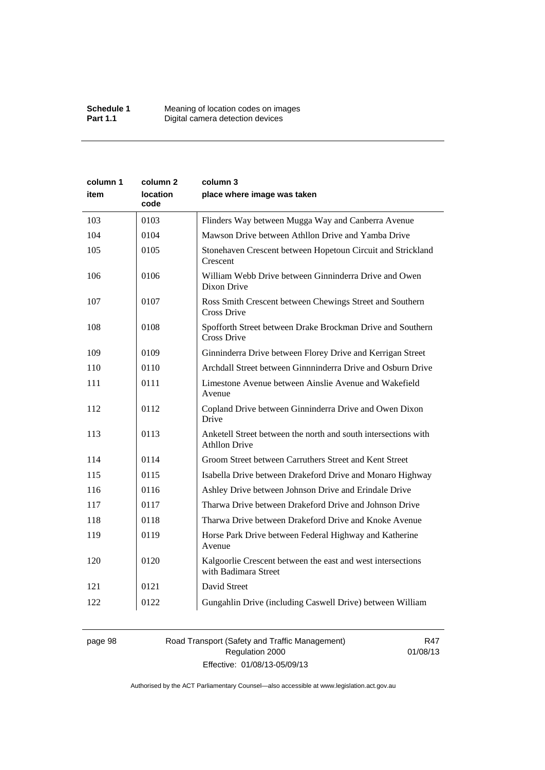| column 1 | column 2                | column 3                                                                               |
|----------|-------------------------|----------------------------------------------------------------------------------------|
| item     | <b>location</b><br>code | place where image was taken                                                            |
| 103      | 0103                    | Flinders Way between Mugga Way and Canberra Avenue                                     |
| 104      | 0104                    | Mawson Drive between Athllon Drive and Yamba Drive                                     |
| 105      | 0105                    | Stonehaven Crescent between Hopetoun Circuit and Strickland<br>Crescent                |
| 106      | 0106                    | William Webb Drive between Ginninderra Drive and Owen<br>Dixon Drive                   |
| 107      | 0107                    | Ross Smith Crescent between Chewings Street and Southern<br>Cross Drive                |
| 108      | 0108                    | Spofforth Street between Drake Brockman Drive and Southern<br>Cross Drive              |
| 109      | 0109                    | Ginninderra Drive between Florey Drive and Kerrigan Street                             |
| 110      | 0110                    | Archdall Street between Ginnninderra Drive and Osburn Drive                            |
| 111      | 0111                    | Limestone Avenue between Ainslie Avenue and Wakefield<br>Avenue                        |
| 112      | 0112                    | Copland Drive between Ginninderra Drive and Owen Dixon<br>Drive                        |
| 113      | 0113                    | Anketell Street between the north and south intersections with<br><b>Athllon Drive</b> |
| 114      | 0114                    | Groom Street between Carruthers Street and Kent Street                                 |
| 115      | 0115                    | Isabella Drive between Drakeford Drive and Monaro Highway                              |
| 116      | 0116                    | Ashley Drive between Johnson Drive and Erindale Drive                                  |
| 117      | 0117                    | Tharwa Drive between Drakeford Drive and Johnson Drive                                 |
| 118      | 0118                    | Tharwa Drive between Drakeford Drive and Knoke Avenue                                  |
| 119      | 0119                    | Horse Park Drive between Federal Highway and Katherine<br>Avenue                       |
| 120      | 0120                    | Kalgoorlie Crescent between the east and west intersections<br>with Badimara Street    |
| 121      | 0121                    | David Street                                                                           |
| 122      | 0122                    | Gungahlin Drive (including Caswell Drive) between William                              |

# page 98 Road Transport (Safety and Traffic Management) Regulation 2000 Effective: 01/08/13-05/09/13

R47 01/08/13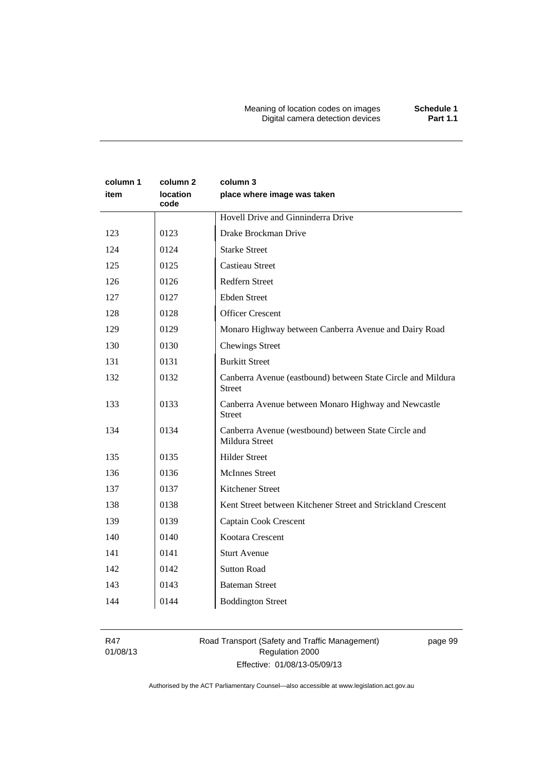# **column 1 item column 2 location code column 3 place where image was taken**  Hovell Drive and Ginninderra Drive 123 | 0123 | Drake Brockman Drive 124 | 0124 | Starke Street 125 0125 Castieau Street 126 0126 Redfern Street 127 0127 Ebden Street 128 0128 Officer Crescent 129 0129 Monaro Highway between Canberra Avenue and Dairy Road 130 0130 Chewings Street 131 | 0131 | Burkitt Street 132 0132 Canberra Avenue (eastbound) between State Circle and Mildura Street 133 0133 Canberra Avenue between Monaro Highway and Newcastle Street 134 0134 Canberra Avenue (westbound) between State Circle and Mildura Street 135 0135 Hilder Street 136 | 0136 | McInnes Street 137 0137 Kitchener Street 138 0138 Kent Street between Kitchener Street and Strickland Crescent 139 0139 Captain Cook Crescent 140 0140 Kootara Crescent 141 0141 Sturt Avenue 142 | 0142 | Sutton Road 143 0143 Bateman Street 144 0144 Boddington Street

R47 01/08/13

## Road Transport (Safety and Traffic Management) Regulation 2000 Effective: 01/08/13-05/09/13

page 99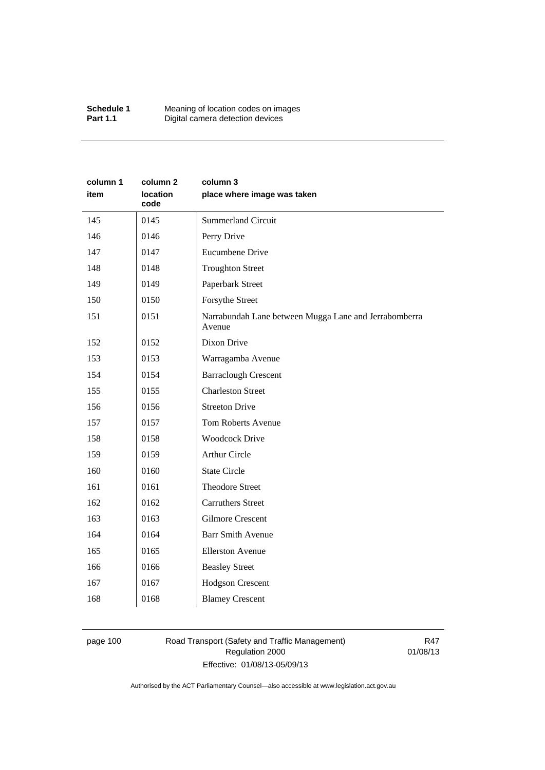| Schedule 1      | Meaning of location codes on images |
|-----------------|-------------------------------------|
| <b>Part 1.1</b> | Digital camera detection devices    |

| column 1<br>item | column <sub>2</sub><br>location<br>code | column 3<br>place where image was taken                         |
|------------------|-----------------------------------------|-----------------------------------------------------------------|
| 145              | 0145                                    | <b>Summerland Circuit</b>                                       |
| 146              | 0146                                    | Perry Drive                                                     |
| 147              | 0147                                    | Eucumbene Drive                                                 |
| 148              | 0148                                    | <b>Troughton Street</b>                                         |
| 149              | 0149                                    | Paperbark Street                                                |
| 150              | 0150                                    | Forsythe Street                                                 |
| 151              | 0151                                    | Narrabundah Lane between Mugga Lane and Jerrabomberra<br>Avenue |
| 152              | 0152                                    | Dixon Drive                                                     |
| 153              | 0153                                    | Warragamba Avenue                                               |
| 154              | 0154                                    | <b>Barraclough Crescent</b>                                     |
| 155              | 0155                                    | <b>Charleston Street</b>                                        |
| 156              | 0156                                    | <b>Streeton Drive</b>                                           |
| 157              | 0157                                    | Tom Roberts Avenue                                              |
| 158              | 0158                                    | <b>Woodcock Drive</b>                                           |
| 159              | 0159                                    | <b>Arthur Circle</b>                                            |
| 160              | 0160                                    | <b>State Circle</b>                                             |
| 161              | 0161                                    | <b>Theodore Street</b>                                          |
| 162              | 0162                                    | <b>Carruthers Street</b>                                        |
| 163              | 0163                                    | <b>Gilmore Crescent</b>                                         |
| 164              | 0164                                    | <b>Barr Smith Avenue</b>                                        |
| 165              | 0165                                    | <b>Ellerston Avenue</b>                                         |
| 166              | 0166                                    | <b>Beasley Street</b>                                           |
| 167              | 0167                                    | <b>Hodgson Crescent</b>                                         |
| 168              | 0168                                    | <b>Blamey Crescent</b>                                          |

# page 100 Road Transport (Safety and Traffic Management) Regulation 2000 Effective: 01/08/13-05/09/13

R47 01/08/13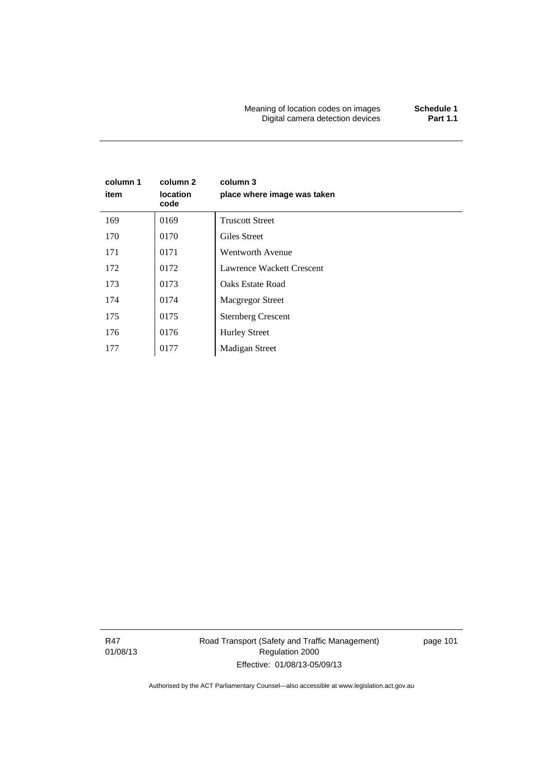Meaning of location codes on images **Schedule 1 Digital camera detection devices** 

# **column 1 item column 2 location code column 3 place where image was taken**  169 0169 Truscott Street 170 | 0170 | Giles Street 171 0171 Wentworth Avenue 172 | 0172 | Lawrence Wackett Crescent 173 | 0173 | Oaks Estate Road 174 | 0174 Macgregor Street 175 | 0175 | Sternberg Crescent 176 | 0176 | Hurley Street 177 | Madigan Street

R47 01/08/13 Road Transport (Safety and Traffic Management) Regulation 2000 Effective: 01/08/13-05/09/13

page 101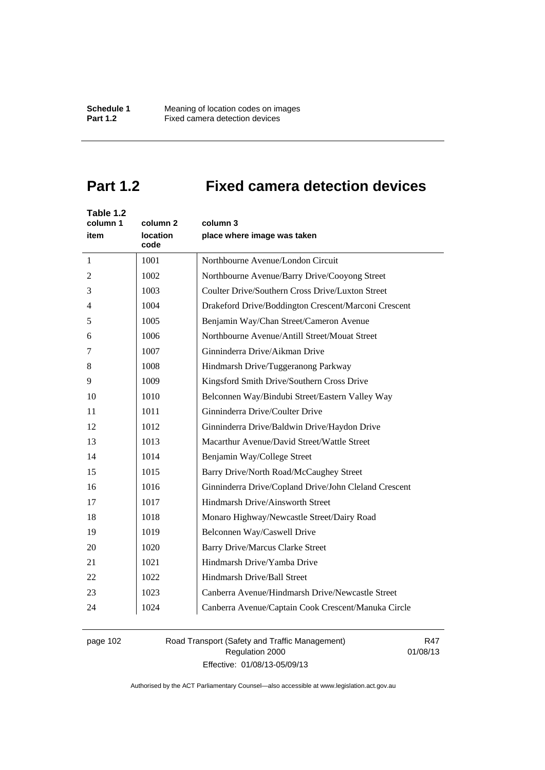# **Part 1.2 Fixed camera detection devices**

| Table 1.2<br>column 1<br>item | column <sub>2</sub><br><b>location</b><br>code | column 3<br>place where image was taken               |
|-------------------------------|------------------------------------------------|-------------------------------------------------------|
| $\mathbf{1}$                  | 1001                                           | Northbourne Avenue/London Circuit                     |
| 2                             | 1002                                           | Northbourne Avenue/Barry Drive/Cooyong Street         |
| 3                             | 1003                                           | Coulter Drive/Southern Cross Drive/Luxton Street      |
| 4                             | 1004                                           | Drakeford Drive/Boddington Crescent/Marconi Crescent  |
| 5                             | 1005                                           | Benjamin Way/Chan Street/Cameron Avenue               |
| 6                             | 1006                                           | Northbourne Avenue/Antill Street/Mouat Street         |
| 7                             | 1007                                           | Ginninderra Drive/Aikman Drive                        |
| 8                             | 1008                                           | Hindmarsh Drive/Tuggeranong Parkway                   |
| 9                             | 1009                                           | Kingsford Smith Drive/Southern Cross Drive            |
| 10                            | 1010                                           | Belconnen Way/Bindubi Street/Eastern Valley Way       |
| 11                            | 1011                                           | Ginninderra Drive/Coulter Drive                       |
| 12                            | 1012                                           | Ginninderra Drive/Baldwin Drive/Haydon Drive          |
| 13                            | 1013                                           | Macarthur Avenue/David Street/Wattle Street           |
| 14                            | 1014                                           | Benjamin Way/College Street                           |
| 15                            | 1015                                           | Barry Drive/North Road/McCaughey Street               |
| 16                            | 1016                                           | Ginninderra Drive/Copland Drive/John Cleland Crescent |
| 17                            | 1017                                           | Hindmarsh Drive/Ainsworth Street                      |
| 18                            | 1018                                           | Monaro Highway/Newcastle Street/Dairy Road            |
| 19                            | 1019                                           | Belconnen Way/Caswell Drive                           |
| 20                            | 1020                                           | <b>Barry Drive/Marcus Clarke Street</b>               |
| 21                            | 1021                                           | Hindmarsh Drive/Yamba Drive                           |
| 22                            | 1022                                           | Hindmarsh Drive/Ball Street                           |
| 23                            | 1023                                           | Canberra Avenue/Hindmarsh Drive/Newcastle Street      |
| 24                            | 1024                                           | Canberra Avenue/Captain Cook Crescent/Manuka Circle   |

# page 102 Road Transport (Safety and Traffic Management) Regulation 2000 Effective: 01/08/13-05/09/13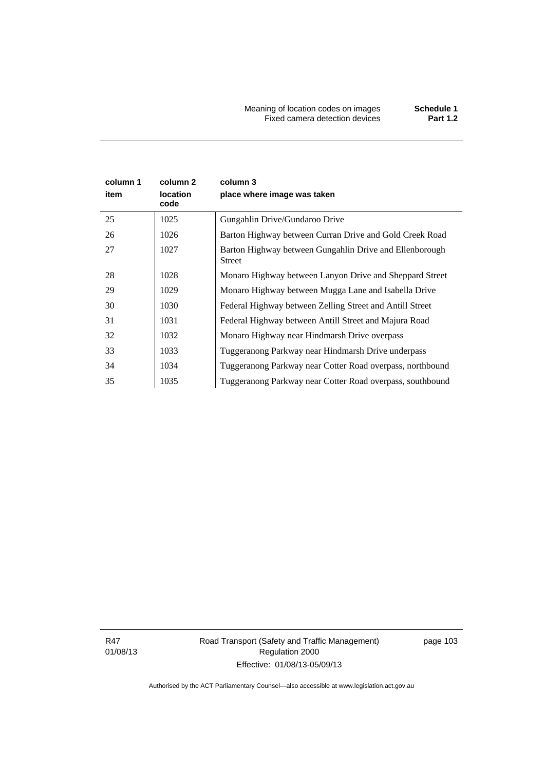Meaning of location codes on images **Schedule 1** Fixed camera detection devices **Part 1.2**

| column 1<br>item | column 2<br><b>location</b><br>code | column 3<br>place where image was taken                           |
|------------------|-------------------------------------|-------------------------------------------------------------------|
| 25               | 1025                                | Gungahlin Drive/Gundaroo Drive                                    |
| 26               | 1026                                | Barton Highway between Curran Drive and Gold Creek Road           |
| 27               | 1027                                | Barton Highway between Gungahlin Drive and Ellenborough<br>Street |
| 28               | 1028                                | Monaro Highway between Lanyon Drive and Sheppard Street           |
| 29               | 1029                                | Monaro Highway between Mugga Lane and Isabella Drive              |
| 30               | 1030                                | Federal Highway between Zelling Street and Antill Street          |
| 31               | 1031                                | Federal Highway between Antill Street and Majura Road             |
| 32               | 1032                                | Monaro Highway near Hindmarsh Drive overpass                      |
| 33               | 1033                                | Tuggeranong Parkway near Hindmarsh Drive underpass                |
| 34               | 1034                                | Tuggeranong Parkway near Cotter Road overpass, northbound         |
| 35               | 1035                                | Tuggeranong Parkway near Cotter Road overpass, southbound         |

R47 01/08/13 Road Transport (Safety and Traffic Management) Regulation 2000 Effective: 01/08/13-05/09/13

page 103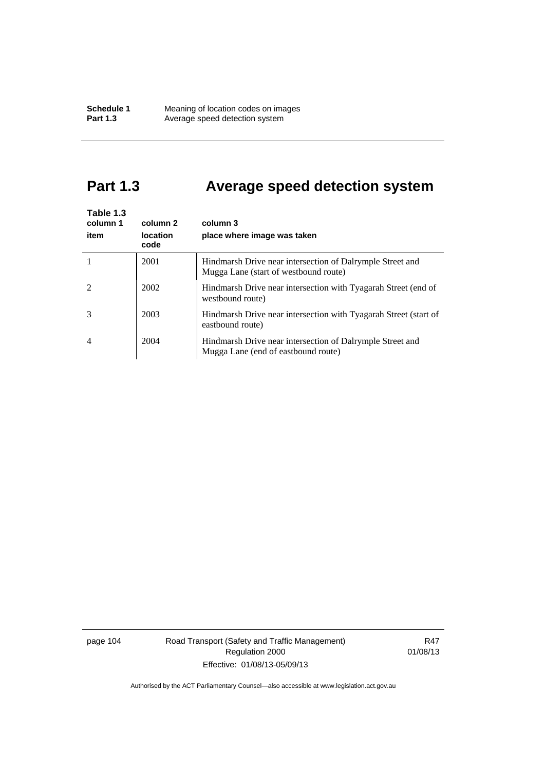# **Part 1.3 Average speed detection system**

| Table 1.3<br>column 1<br>item | column 2<br><b>location</b><br>code | column 3<br>place where image was taken                                                            |
|-------------------------------|-------------------------------------|----------------------------------------------------------------------------------------------------|
|                               | 2001                                | Hindmarsh Drive near intersection of Dalrymple Street and<br>Mugga Lane (start of westbound route) |
| $\mathfrak{D}$                | 2002                                | Hindmarsh Drive near intersection with Tyagarah Street (end of<br>westbound route)                 |
| 3                             | 2003                                | Hindmarsh Drive near intersection with Tyagarah Street (start of<br>eastbound route)               |
| $\overline{4}$                | 2004                                | Hindmarsh Drive near intersection of Dalrymple Street and<br>Mugga Lane (end of eastbound route)   |

page 104 Road Transport (Safety and Traffic Management) Regulation 2000 Effective: 01/08/13-05/09/13

R47 01/08/13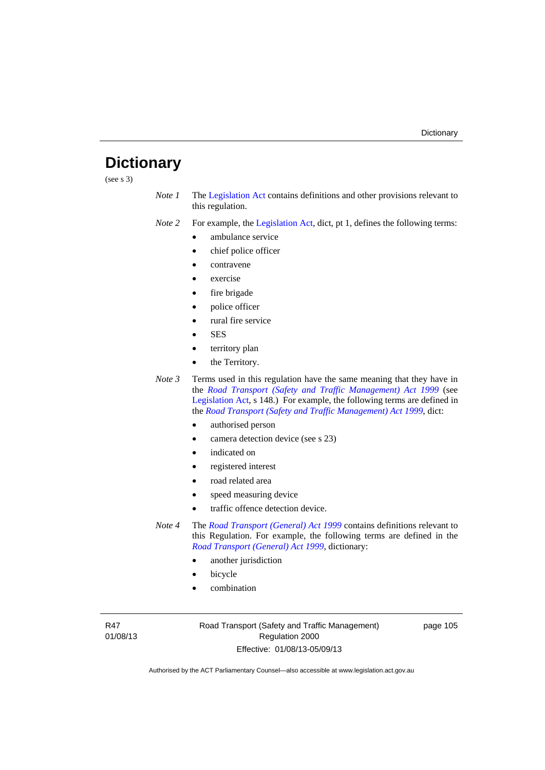# **Dictionary**

(see s 3)

*Note 1* The [Legislation Act](http://www.legislation.act.gov.au/a/2001-14) contains definitions and other provisions relevant to this regulation.

*Note 2* For example, the [Legislation Act,](http://www.legislation.act.gov.au/a/2001-14) dict, pt 1, defines the following terms:

- ambulance service
- chief police officer
- contravene
- exercise
- fire brigade
- police officer
- rural fire service
- SES
- territory plan
- the Territory.
- *Note 3* Terms used in this regulation have the same meaning that they have in the *[Road Transport \(Safety and Traffic Management\) Act 1999](http://www.legislation.act.gov.au/a/1999-80)* (see [Legislation Act,](http://www.legislation.act.gov.au/a/2001-14) s 148.) For example, the following terms are defined in the *[Road Transport \(Safety and Traffic Management\) Act 1999](http://www.legislation.act.gov.au/a/1999-80)*, dict:
	- authorised person
	- camera detection device (see s 23)
	- indicated on
	- registered interest
	- road related area
	- speed measuring device
	- traffic offence detection device.

*Note 4* The *[Road Transport \(General\) Act 1999](http://www.legislation.act.gov.au/a/1999-77)* contains definitions relevant to this Regulation. For example, the following terms are defined in the *[Road Transport \(General\) Act 1999](http://www.legislation.act.gov.au/a/1999-77)*, dictionary:

- another jurisdiction
- bicycle
- combination

R47 01/08/13 Road Transport (Safety and Traffic Management) Regulation 2000 Effective: 01/08/13-05/09/13

page 105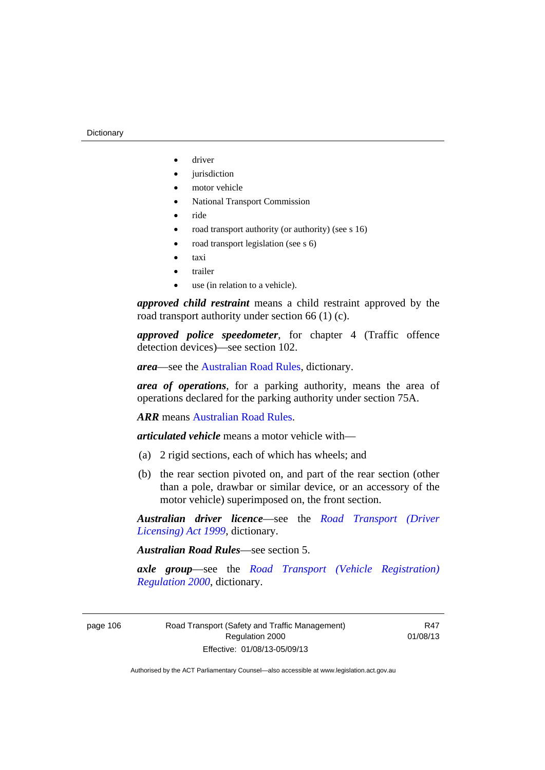- driver
- jurisdiction
- motor vehicle
- National Transport Commission
- ride
- road transport authority (or authority) (see s 16)
- road transport legislation (see s 6)
- taxi
- trailer
- use (in relation to a vehicle).

*approved child restraint* means a child restraint approved by the road transport authority under section 66 (1) (c).

*approved police speedometer*, for chapter 4 (Traffic offence detection devices)—see section 102.

*area*—see the [Australian Road Rules,](http://www.legislation.act.gov.au//ni/db_37271/default.asp) dictionary.

*area of operations*, for a parking authority, means the area of operations declared for the parking authority under section 75A.

*ARR* means [Australian Road Rules](http://www.legislation.act.gov.au//ni/db_37271/default.asp).

*articulated vehicle* means a motor vehicle with—

- (a) 2 rigid sections, each of which has wheels; and
- (b) the rear section pivoted on, and part of the rear section (other than a pole, drawbar or similar device, or an accessory of the motor vehicle) superimposed on, the front section.

*Australian driver licence*—see the *[Road Transport \(Driver](http://www.legislation.act.gov.au/a/1999-78)  [Licensing\) Act 1999](http://www.legislation.act.gov.au/a/1999-78)*, dictionary.

*Australian Road Rules*—see section 5.

*axle group*—see the *[Road Transport \(Vehicle Registration\)](http://www.legislation.act.gov.au/sl/2000-12)  [Regulation 2000](http://www.legislation.act.gov.au/sl/2000-12)*, dictionary.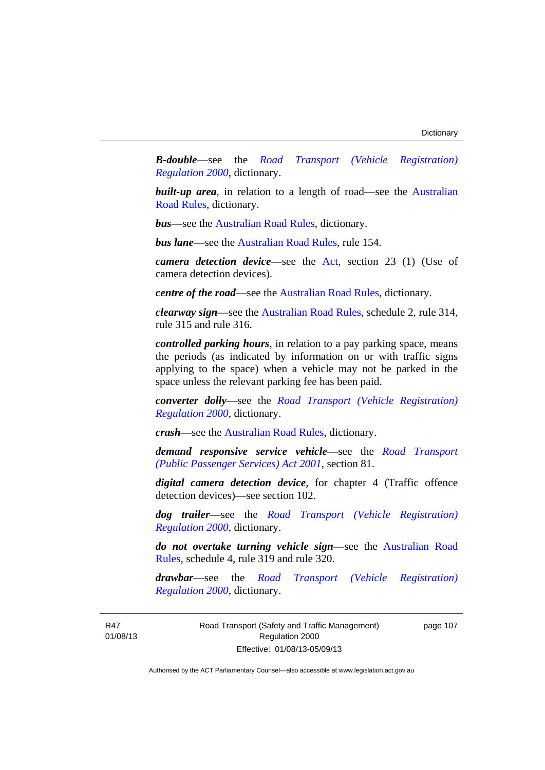*B-double*—see the *[Road Transport \(Vehicle Registration\)](http://www.legislation.act.gov.au/sl/2000-12)  [Regulation 2000](http://www.legislation.act.gov.au/sl/2000-12)*, dictionary.

**built-up area**, in relation to a length of road—see the Australian [Road Rules,](http://www.legislation.act.gov.au//ni/db_37271/default.asp) dictionary.

*bus*—see the [Australian Road Rules](http://www.legislation.act.gov.au//ni/db_37271/default.asp), dictionary.

*bus lane*—see the [Australian Road Rules](http://www.legislation.act.gov.au//ni/db_37271/default.asp), rule 154.

*camera detection device*—see the [Act,](http://www.legislation.act.gov.au/a/1999-80/default.asp) section 23 (1) (Use of camera detection devices).

*centre of the road*—see the [Australian Road Rules](http://www.legislation.act.gov.au//ni/db_37271/default.asp), dictionary.

*clearway sign*—see the [Australian Road Rules,](http://www.legislation.act.gov.au//ni/db_37271/default.asp) schedule 2, rule 314, rule 315 and rule 316.

*controlled parking hours*, in relation to a pay parking space, means the periods (as indicated by information on or with traffic signs applying to the space) when a vehicle may not be parked in the space unless the relevant parking fee has been paid.

*converter dolly*—see the *[Road Transport \(Vehicle Registration\)](http://www.legislation.act.gov.au/sl/2000-12)  [Regulation 2000](http://www.legislation.act.gov.au/sl/2000-12)*, dictionary.

*crash*—see the [Australian Road Rules](http://www.legislation.act.gov.au//ni/db_37271/default.asp), dictionary.

*demand responsive service vehicle*—see the *[Road Transport](http://www.legislation.act.gov.au/a/2001-62)  [\(Public Passenger Services\) Act 2001](http://www.legislation.act.gov.au/a/2001-62)*, section 81.

*digital camera detection device*, for chapter 4 (Traffic offence detection devices)—see section 102.

*dog trailer*—see the *[Road Transport \(Vehicle Registration\)](http://www.legislation.act.gov.au/sl/2000-12)  [Regulation 2000](http://www.legislation.act.gov.au/sl/2000-12)*, dictionary.

*do not overtake turning vehicle sign*—see the [Australian Road](http://www.legislation.act.gov.au//ni/db_37271/default.asp)  [Rules](http://www.legislation.act.gov.au//ni/db_37271/default.asp), schedule 4, rule 319 and rule 320.

*drawbar*—see the *[Road Transport \(Vehicle Registration\)](http://www.legislation.act.gov.au/sl/2000-12)  [Regulation 2000](http://www.legislation.act.gov.au/sl/2000-12)*, dictionary.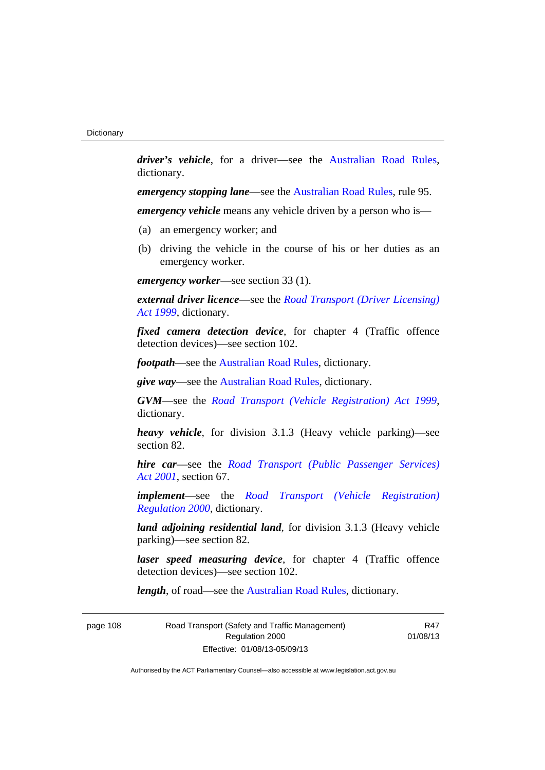*driver's vehicle*, for a driver*—*see the [Australian Road Rules](http://www.legislation.act.gov.au//ni/db_37271/default.asp), dictionary.

*emergency stopping lane*—see the [Australian Road Rules](http://www.legislation.act.gov.au//ni/db_37271/default.asp), rule 95.

*emergency vehicle* means any vehicle driven by a person who is—

- (a) an emergency worker; and
- (b) driving the vehicle in the course of his or her duties as an emergency worker.

*emergency worker*—see section 33 (1).

*external driver licence*—see the *[Road Transport \(Driver Licensing\)](http://www.legislation.act.gov.au/a/1999-78)  [Act 1999](http://www.legislation.act.gov.au/a/1999-78)*, dictionary.

*fixed camera detection device*, for chapter 4 (Traffic offence detection devices)—see section 102.

*footpath*—see the [Australian Road Rules](http://www.legislation.act.gov.au//ni/db_37271/default.asp), dictionary.

*give way*—see the [Australian Road Rules,](http://www.legislation.act.gov.au//ni/db_37271/default.asp) dictionary.

*GVM*—see the *[Road Transport \(Vehicle Registration\) Act 1999](http://www.legislation.act.gov.au/a/1999-81)*, dictionary.

*heavy vehicle*, for division 3.1.3 (Heavy vehicle parking)—see section 82.

*hire car*—see the *[Road Transport \(Public Passenger Services\)](http://www.legislation.act.gov.au/a/2001-62)  [Act 2001](http://www.legislation.act.gov.au/a/2001-62)*, section 67.

*implement*—see the *[Road Transport \(Vehicle Registration\)](http://www.legislation.act.gov.au/sl/2000-12)  [Regulation 2000](http://www.legislation.act.gov.au/sl/2000-12)*, dictionary.

*land adjoining residential land*, for division 3.1.3 (Heavy vehicle parking)—see section 82.

*laser speed measuring device*, for chapter 4 (Traffic offence detection devices)—see section 102.

*length*, of road—see the [Australian Road Rules](http://www.legislation.act.gov.au//ni/db_37271/default.asp), dictionary.

| page 108 | Road Transport (Safety and Traffic Management) |
|----------|------------------------------------------------|
|          | Regulation 2000                                |
|          | Effective: 01/08/13-05/09/13                   |

R47 01/08/13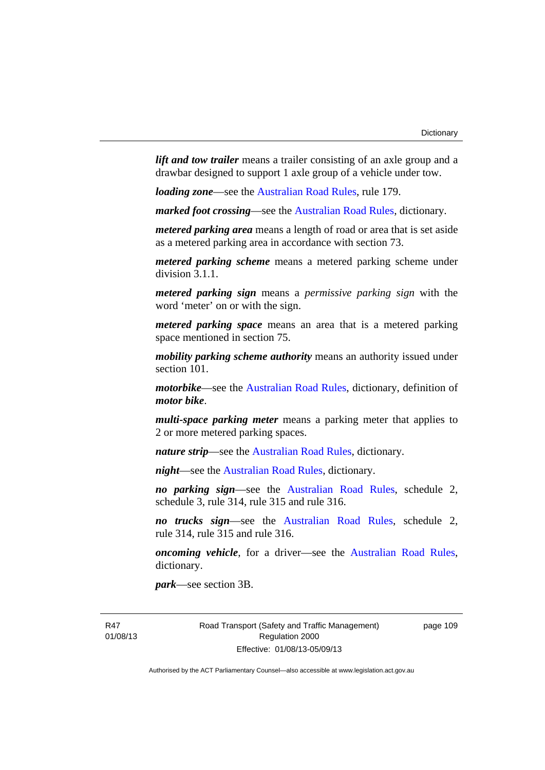*lift and tow trailer* means a trailer consisting of an axle group and a drawbar designed to support 1 axle group of a vehicle under tow.

*loading zone*—see the [Australian Road Rules,](http://www.legislation.act.gov.au//ni/db_37271/default.asp) rule 179.

*marked foot crossing*—see the [Australian Road Rules,](http://www.legislation.act.gov.au//ni/db_37271/default.asp) dictionary.

*metered parking area* means a length of road or area that is set aside as a metered parking area in accordance with section 73.

*metered parking scheme* means a metered parking scheme under division 3.1.1.

*metered parking sign* means a *permissive parking sign* with the word 'meter' on or with the sign.

*metered parking space* means an area that is a metered parking space mentioned in section 75.

*mobility parking scheme authority* means an authority issued under section 101.

*motorbike*—see the [Australian Road Rules,](http://www.legislation.act.gov.au//ni/db_37271/default.asp) dictionary, definition of *motor bike*.

*multi-space parking meter* means a parking meter that applies to 2 or more metered parking spaces.

*nature strip*—see the [Australian Road Rules](http://www.legislation.act.gov.au//ni/db_37271/default.asp), dictionary.

*night*—see the [Australian Road Rules,](http://www.legislation.act.gov.au//ni/db_37271/default.asp) dictionary.

*no parking sign*—see the [Australian Road Rules](http://www.legislation.act.gov.au//ni/db_37271/default.asp), schedule 2, schedule 3, rule 314, rule 315 and rule 316.

*no trucks sign*—see the [Australian Road Rules,](http://www.legislation.act.gov.au//ni/db_37271/default.asp) schedule 2, rule 314, rule 315 and rule 316.

*oncoming vehicle*, for a driver—see the [Australian Road Rules](http://www.legislation.act.gov.au//ni/db_37271/default.asp), dictionary.

*park*—see section 3B.

R47 01/08/13 Road Transport (Safety and Traffic Management) Regulation 2000 Effective: 01/08/13-05/09/13

page 109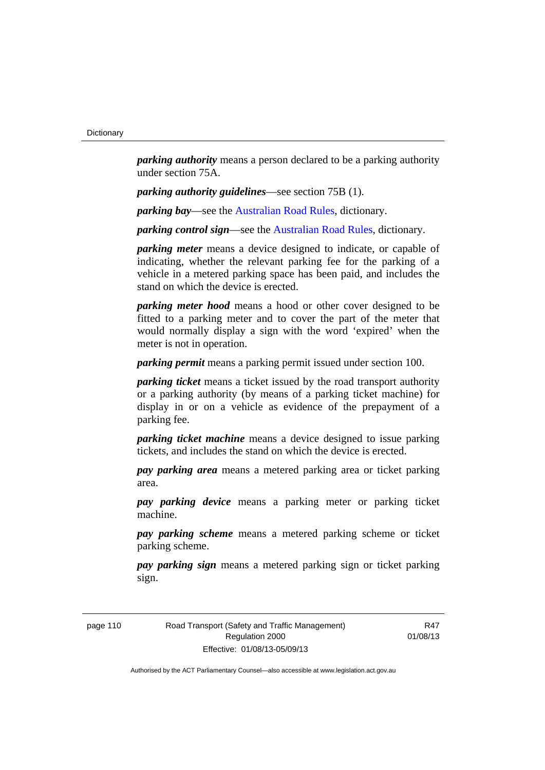*parking authority* means a person declared to be a parking authority under section 75A.

*parking authority guidelines*—see section 75B (1).

*parking bay*—see the [Australian Road Rules,](http://www.legislation.act.gov.au//ni/db_37271/default.asp) dictionary.

*parking control sign*—see the [Australian Road Rules](http://www.legislation.act.gov.au//ni/db_37271/default.asp), dictionary.

*parking meter* means a device designed to indicate, or capable of indicating, whether the relevant parking fee for the parking of a vehicle in a metered parking space has been paid, and includes the stand on which the device is erected.

*parking meter hood* means a hood or other cover designed to be fitted to a parking meter and to cover the part of the meter that would normally display a sign with the word 'expired' when the meter is not in operation.

*parking permit* means a parking permit issued under section 100.

*parking ticket* means a ticket issued by the road transport authority or a parking authority (by means of a parking ticket machine) for display in or on a vehicle as evidence of the prepayment of a parking fee.

*parking ticket machine* means a device designed to issue parking tickets, and includes the stand on which the device is erected.

*pay parking area* means a metered parking area or ticket parking area.

*pay parking device* means a parking meter or parking ticket machine.

*pay parking scheme* means a metered parking scheme or ticket parking scheme.

*pay parking sign* means a metered parking sign or ticket parking sign.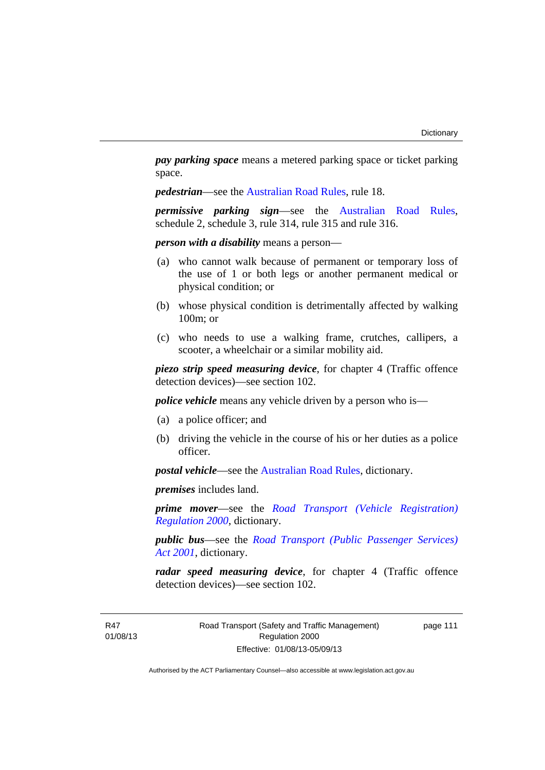*pay parking space* means a metered parking space or ticket parking space.

*pedestrian*—see the [Australian Road Rules](http://www.legislation.act.gov.au//ni/db_37271/default.asp), rule 18.

*permissive parking sign*—see the [Australian Road Rules](http://www.legislation.act.gov.au//ni/db_37271/default.asp), schedule 2, schedule 3, rule 314, rule 315 and rule 316.

*person with a disability* means a person—

- (a) who cannot walk because of permanent or temporary loss of the use of 1 or both legs or another permanent medical or physical condition; or
- (b) whose physical condition is detrimentally affected by walking 100m; or
- (c) who needs to use a walking frame, crutches, callipers, a scooter, a wheelchair or a similar mobility aid.

*piezo strip speed measuring device*, for chapter 4 (Traffic offence detection devices)—see section 102.

*police vehicle* means any vehicle driven by a person who is—

- (a) a police officer; and
- (b) driving the vehicle in the course of his or her duties as a police officer.

*postal vehicle*—see the [Australian Road Rules,](http://www.legislation.act.gov.au//ni/db_37271/default.asp) dictionary.

*premises* includes land.

*prime mover*—see the *[Road Transport \(Vehicle Registration\)](http://www.legislation.act.gov.au/sl/2000-12)  [Regulation 2000](http://www.legislation.act.gov.au/sl/2000-12)*, dictionary.

*public bus*—see the *[Road Transport \(Public Passenger Services\)](http://www.legislation.act.gov.au/a/2001-62)  [Act 2001](http://www.legislation.act.gov.au/a/2001-62)*, dictionary.

*radar speed measuring device*, for chapter 4 (Traffic offence detection devices)—see section 102.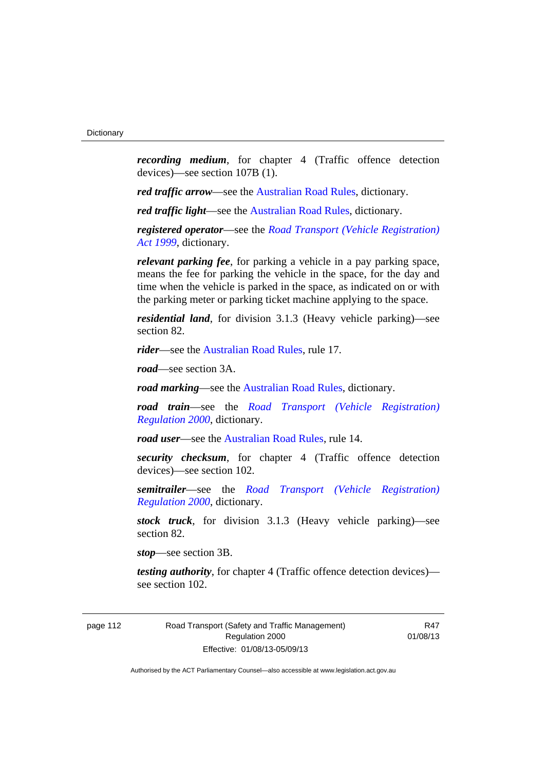*recording medium*, for chapter 4 (Traffic offence detection devices)—see section 107B (1).

*red traffic arrow*—see the [Australian Road Rules,](http://www.legislation.act.gov.au//ni/db_37271/default.asp) dictionary.

*red traffic light*—see the [Australian Road Rules,](http://www.legislation.act.gov.au//ni/db_37271/default.asp) dictionary.

*registered operator*—see the *[Road Transport \(Vehicle Registration\)](http://www.legislation.act.gov.au/a/1999-81)  [Act 1999](http://www.legislation.act.gov.au/a/1999-81)*, dictionary.

*relevant parking fee*, for parking a vehicle in a pay parking space, means the fee for parking the vehicle in the space, for the day and time when the vehicle is parked in the space, as indicated on or with the parking meter or parking ticket machine applying to the space.

*residential land*, for division 3.1.3 (Heavy vehicle parking)—see section 82.

*rider*—see the [Australian Road Rules,](http://www.legislation.act.gov.au//ni/db_37271/default.asp) rule 17.

*road*—see section 3A.

*road marking*—see the [Australian Road Rules](http://www.legislation.act.gov.au//ni/db_37271/default.asp), dictionary.

*road train*—see the *[Road Transport \(Vehicle Registration\)](http://www.legislation.act.gov.au/sl/2000-12)  [Regulation 2000](http://www.legislation.act.gov.au/sl/2000-12)*, dictionary.

*road user*—see the [Australian Road Rules,](http://www.legislation.act.gov.au//ni/db_37271/default.asp) rule 14.

*security checksum*, for chapter 4 (Traffic offence detection devices)—see section 102.

*semitrailer*—see the *[Road Transport \(Vehicle Registration\)](http://www.legislation.act.gov.au/sl/2000-12)  [Regulation 2000](http://www.legislation.act.gov.au/sl/2000-12)*, dictionary.

*stock truck*, for division 3.1.3 (Heavy vehicle parking)—see section 82.

*stop*—see section 3B.

*testing authority*, for chapter 4 (Traffic offence detection devices) see section 102.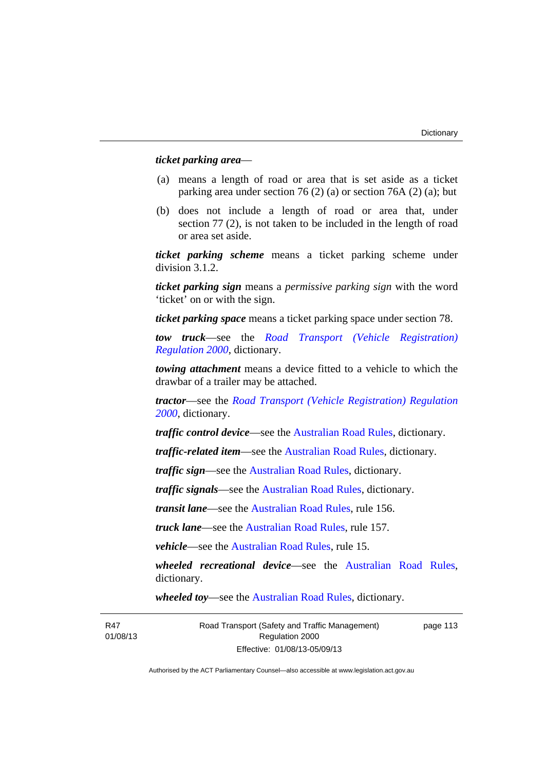# *ticket parking area*—

- (a) means a length of road or area that is set aside as a ticket parking area under section 76 (2) (a) or section 76A (2) (a); but
- (b) does not include a length of road or area that, under section 77 (2), is not taken to be included in the length of road or area set aside.

*ticket parking scheme* means a ticket parking scheme under division 3.1.2.

*ticket parking sign* means a *permissive parking sign* with the word 'ticket' on or with the sign.

*ticket parking space* means a ticket parking space under section 78.

*tow truck*—see the *[Road Transport \(Vehicle Registration\)](http://www.legislation.act.gov.au/sl/2000-12)  [Regulation 2000](http://www.legislation.act.gov.au/sl/2000-12)*, dictionary.

*towing attachment* means a device fitted to a vehicle to which the drawbar of a trailer may be attached.

*tractor*—see the *[Road Transport \(Vehicle Registration\) Regulation](http://www.legislation.act.gov.au/sl/2000-12)  [2000](http://www.legislation.act.gov.au/sl/2000-12)*, dictionary.

*traffic control device*—see the [Australian Road Rules](http://www.legislation.act.gov.au//ni/db_37271/default.asp), dictionary.

*traffic-related item*—see the [Australian Road Rules,](http://www.legislation.act.gov.au//ni/db_37271/default.asp) dictionary.

*traffic sign*—see the [Australian Road Rules](http://www.legislation.act.gov.au//ni/db_37271/default.asp), dictionary.

*traffic signals*—see the [Australian Road Rules](http://www.legislation.act.gov.au//ni/db_37271/default.asp), dictionary.

*transit lane*—see the [Australian Road Rules](http://www.legislation.act.gov.au//ni/db_37271/default.asp), rule 156.

*truck lane*—see the [Australian Road Rules](http://www.legislation.act.gov.au//ni/db_37271/default.asp), rule 157.

*vehicle*—see the [Australian Road Rules](http://www.legislation.act.gov.au//ni/db_37271/default.asp), rule 15.

*wheeled recreational device*—see the [Australian Road Rules](http://www.legislation.act.gov.au//ni/db_37271/default.asp), dictionary.

*wheeled toy*—see the [Australian Road Rules](http://www.legislation.act.gov.au//ni/db_37271/default.asp), dictionary.

R47 01/08/13 Road Transport (Safety and Traffic Management) Regulation 2000 Effective: 01/08/13-05/09/13

page 113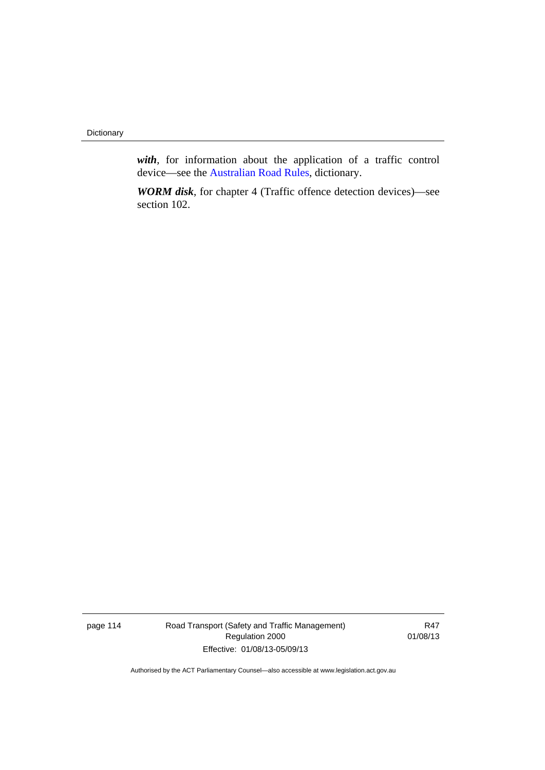**Dictionary** 

*with*, for information about the application of a traffic control device—see the [Australian Road Rules,](http://www.legislation.act.gov.au//ni/db_37271/default.asp) dictionary.

*WORM disk*, for chapter 4 (Traffic offence detection devices)—see section 102.

page 114 Road Transport (Safety and Traffic Management) Regulation 2000 Effective: 01/08/13-05/09/13

R47 01/08/13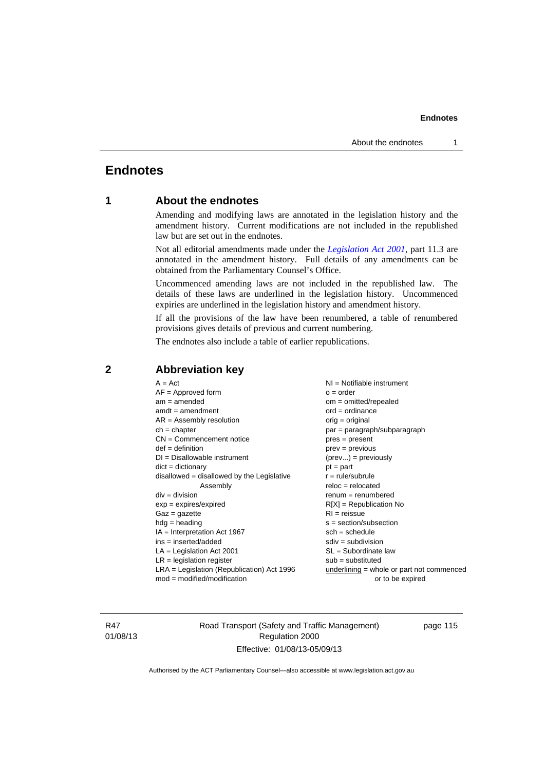# **Endnotes**

# **1 About the endnotes**

Amending and modifying laws are annotated in the legislation history and the amendment history. Current modifications are not included in the republished law but are set out in the endnotes.

Not all editorial amendments made under the *[Legislation Act 2001](http://www.legislation.act.gov.au/a/2001-14)*, part 11.3 are annotated in the amendment history. Full details of any amendments can be obtained from the Parliamentary Counsel's Office.

Uncommenced amending laws are not included in the republished law. The details of these laws are underlined in the legislation history. Uncommenced expiries are underlined in the legislation history and amendment history.

If all the provisions of the law have been renumbered, a table of renumbered provisions gives details of previous and current numbering.

The endnotes also include a table of earlier republications.

| $A = Act$<br>$AF =$ Approved form<br>$am = amended$<br>$amdt = amendment$<br>$AR = Assembly resolution$<br>$ch = chapter$<br>$CN =$ Commencement notice<br>$def = definition$<br>$DI = Disallowable instrument$<br>$dict = dictionary$<br>$disallowed = disallowed by the Legislative$<br>Assembly<br>$div = division$<br>$exp = expires/expired$<br>$Gaz = gazette$<br>$hdg = heading$<br>$IA = Interpretation Act 1967$<br>$ins = inserted/added$<br>$LA =$ Legislation Act 2001<br>$LR =$ legislation register<br>$LRA =$ Legislation (Republication) Act 1996 | NI = Notifiable instrument<br>$o = order$<br>$om = omitted/repealed$<br>$ord = ordinance$<br>$orig = original$<br>par = paragraph/subparagraph<br>$pres = present$<br>$prev = previous$<br>$(\text{prev}) = \text{previously}$<br>$pt = part$<br>$r = rule/subrule$<br>$reloc = relocated$<br>$renum = renumbered$<br>$R[X]$ = Republication No<br>$RI = reissue$<br>$s = section/subsection$<br>$sch = schedule$<br>$sdiv = subdivision$<br>$SL = Subordinate$ law<br>$sub =$ substituted<br>underlining = whole or part not commenced |
|-------------------------------------------------------------------------------------------------------------------------------------------------------------------------------------------------------------------------------------------------------------------------------------------------------------------------------------------------------------------------------------------------------------------------------------------------------------------------------------------------------------------------------------------------------------------|-----------------------------------------------------------------------------------------------------------------------------------------------------------------------------------------------------------------------------------------------------------------------------------------------------------------------------------------------------------------------------------------------------------------------------------------------------------------------------------------------------------------------------------------|
| $mod = modified/modification$                                                                                                                                                                                                                                                                                                                                                                                                                                                                                                                                     | or to be expired                                                                                                                                                                                                                                                                                                                                                                                                                                                                                                                        |
|                                                                                                                                                                                                                                                                                                                                                                                                                                                                                                                                                                   |                                                                                                                                                                                                                                                                                                                                                                                                                                                                                                                                         |

# **2 Abbreviation key**

R47 01/08/13 Road Transport (Safety and Traffic Management) Regulation 2000 Effective: 01/08/13-05/09/13

page 115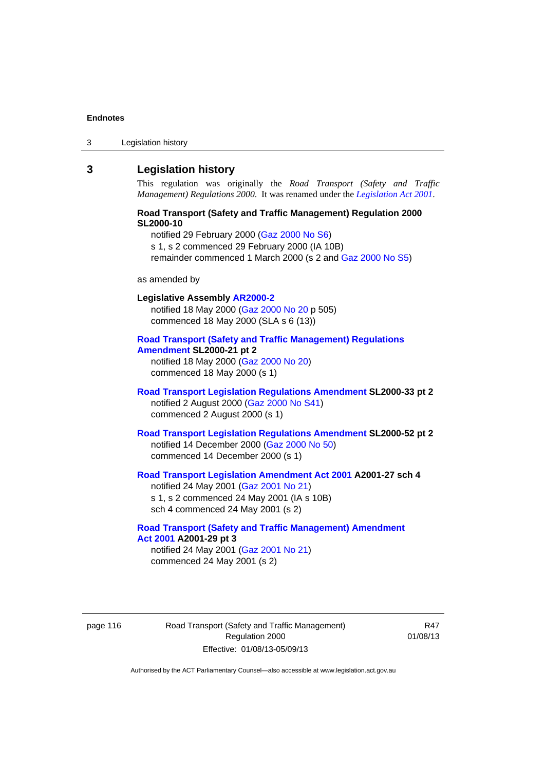3 Legislation history

# **3 Legislation history**

This regulation was originally the *Road Transport (Safety and Traffic Management) Regulations 2000*. It was renamed under the *[Legislation Act 2001](http://www.legislation.act.gov.au/a/2001-14)*.

#### **Road Transport (Safety and Traffic Management) Regulation 2000 SL2000-10**

notified 29 February 2000 [\(Gaz 2000 No S6\)](http://www.legislation.act.gov.au/gaz/2000-S6/default.asp) s 1, s 2 commenced 29 February 2000 (IA 10B) remainder commenced 1 March 2000 (s 2 and [Gaz 2000 No S5\)](http://www.legislation.act.gov.au/gaz/2000-S5/default.asp)

#### as amended by

# **Legislative Assembly [AR2000-2](http://www.legislation.act.gov.au/ar/2000-2/default.asp)** notified 18 May 2000 ([Gaz 2000 No 20 p](http://www.legislation.act.gov.au/gaz/2000-20/default.asp) 505) commenced 18 May 2000 (SLA s 6 (13)) **[Road Transport \(Safety and Traffic Management\) Regulations](http://www.legislation.act.gov.au/sl/2000-21/default.asp)**

**[Amendment](http://www.legislation.act.gov.au/sl/2000-21/default.asp) SL2000-21 pt 2**  notified 18 May 2000 ([Gaz 2000 No 20\)](http://www.legislation.act.gov.au/gaz/2000-20/default.asp) commenced 18 May 2000 (s 1)

### **[Road Transport Legislation Regulations Amendment](http://www.legislation.act.gov.au/sl/2000-33/default.asp) SL2000-33 pt 2**  notified 2 August 2000 ([Gaz 2000 No S41](http://www.legislation.act.gov.au/gaz/2000-S41/default.asp)) commenced 2 August 2000 (s 1)

**[Road Transport Legislation Regulations Amendment](http://www.legislation.act.gov.au/sl/2000-52/default.asp) SL2000-52 pt 2**  notified 14 December 2000 [\(Gaz 2000 No 50](http://www.legislation.act.gov.au/gaz/2000-50/default.asp)) commenced 14 December 2000 (s 1)

### **[Road Transport Legislation Amendment Act 2001](http://www.legislation.act.gov.au/a/2001-27) A2001-27 sch 4**  notified 24 May 2001 ([Gaz 2001 No 21\)](http://www.legislation.act.gov.au/gaz/2001-21/default.asp) s 1, s 2 commenced 24 May 2001 (IA s 10B)

sch 4 commenced 24 May 2001 (s 2)

# **[Road Transport \(Safety and Traffic Management\) Amendment](http://www.legislation.act.gov.au/a/2001-29)  [Act 2001](http://www.legislation.act.gov.au/a/2001-29) A2001-29 pt 3**

notified 24 May 2001 ([Gaz 2001 No 21\)](http://www.legislation.act.gov.au/gaz/2001-21/default.asp) commenced 24 May 2001 (s 2)

page 116 Road Transport (Safety and Traffic Management) Regulation 2000 Effective: 01/08/13-05/09/13

R47 01/08/13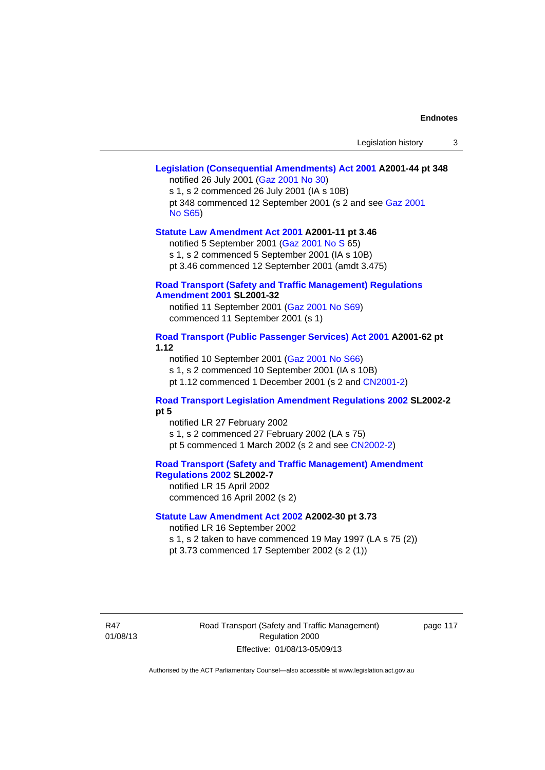#### **[Legislation \(Consequential Amendments\) Act 2001](http://www.legislation.act.gov.au/a/2001-44) A2001-44 pt 348**  notified 26 July 2001 ([Gaz 2001 No 30\)](http://www.legislation.act.gov.au/gaz/2001-30/default.asp)

s 1, s 2 commenced 26 July 2001 (IA s 10B) pt 348 commenced 12 September 2001 (s 2 and see [Gaz 2001](http://www.legislation.act.gov.au/gaz/2001-S65/default.asp)  [No S65](http://www.legislation.act.gov.au/gaz/2001-S65/default.asp))

#### **[Statute Law Amendment Act 2001](http://www.legislation.act.gov.au/a/2001-11) A2001-11 pt 3.46**

notified 5 September 2001 [\(Gaz 2001 No S 6](http://www.legislation.act.gov.au/gaz/2001-S/default.asp)5)

s 1, s 2 commenced 5 September 2001 (IA s 10B)

pt 3.46 commenced 12 September 2001 (amdt 3.475)

#### **[Road Transport \(Safety and Traffic Management\) Regulations](http://www.legislation.act.gov.au/sl/2001-32)  [Amendment 2001](http://www.legislation.act.gov.au/sl/2001-32) SL2001-32**

notified 11 September 2001 [\(Gaz 2001 No S69\)](http://www.legislation.act.gov.au/gaz/2001-S69/default.asp) commenced 11 September 2001 (s 1)

#### **[Road Transport \(Public Passenger Services\) Act 2001](http://www.legislation.act.gov.au/a/2001-62) A2001-62 pt 1.12**

notified 10 September 2001 [\(Gaz 2001 No S66\)](http://www.legislation.act.gov.au/gaz/2001-S66/default.asp)

s 1, s 2 commenced 10 September 2001 (IA s 10B)

pt 1.12 commenced 1 December 2001 (s 2 and [CN2001-2](http://www.legislation.act.gov.au/cn/2001-2/default.asp))

### **[Road Transport Legislation Amendment Regulations 2002](http://www.legislation.act.gov.au/sl/2002-2) SL2002-2 pt 5**

notified LR 27 February 2002 s 1, s 2 commenced 27 February 2002 (LA s 75) pt 5 commenced 1 March 2002 (s 2 and see [CN2002-2](http://www.legislation.act.gov.au/cn/2002-2/default.asp))

**[Road Transport \(Safety and Traffic Management\) Amendment](http://www.legislation.act.gov.au/sl/2002-7)  [Regulations 2002](http://www.legislation.act.gov.au/sl/2002-7) SL2002-7** 

notified LR 15 April 2002 commenced 16 April 2002 (s 2)

# **[Statute Law Amendment Act 2002](http://www.legislation.act.gov.au/a/2002-30) A2002-30 pt 3.73**

notified LR 16 September 2002

s 1, s 2 taken to have commenced 19 May 1997 (LA s 75 (2))

pt 3.73 commenced 17 September 2002 (s 2 (1))

R47 01/08/13 Road Transport (Safety and Traffic Management) Regulation 2000 Effective: 01/08/13-05/09/13

page 117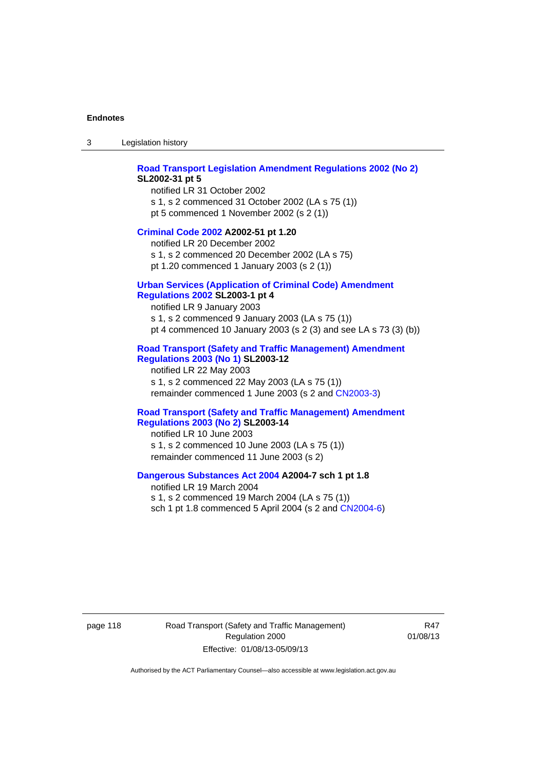3 Legislation history

#### **[Road Transport Legislation Amendment Regulations 2002 \(No 2\)](http://www.legislation.act.gov.au/sl/2002-31) SL2002-31 pt 5**

notified LR 31 October 2002 s 1, s 2 commenced 31 October 2002 (LA s 75 (1)) pt 5 commenced 1 November 2002 (s 2 (1))

#### **[Criminal Code 2002](http://www.legislation.act.gov.au/a/2002-51) A2002-51 pt 1.20**

notified LR 20 December 2002 s 1, s 2 commenced 20 December 2002 (LA s 75) pt 1.20 commenced 1 January 2003 (s 2 (1))

#### **[Urban Services \(Application of Criminal Code\) Amendment](http://www.legislation.act.gov.au/sl/2003-1)**

# **[Regulations 2002](http://www.legislation.act.gov.au/sl/2003-1) SL2003-1 pt 4**

notified LR 9 January 2003 s 1, s 2 commenced 9 January 2003 (LA s 75 (1)) pt 4 commenced 10 January 2003 (s 2 (3) and see LA s 73 (3) (b))

### **[Road Transport \(Safety and Traffic Management\) Amendment](http://www.legislation.act.gov.au/sl/2003-12)  [Regulations 2003 \(No 1\)](http://www.legislation.act.gov.au/sl/2003-12) SL2003-12**

notified LR 22 May 2003 s 1, s 2 commenced 22 May 2003 (LA s 75 (1)) remainder commenced 1 June 2003 (s 2 and [CN2003-3](http://www.legislation.act.gov.au/cn/2003-3/default.asp))

#### **[Road Transport \(Safety and Traffic Management\) Amendment](http://www.legislation.act.gov.au/sl/2003-14)  [Regulations 2003 \(No 2\)](http://www.legislation.act.gov.au/sl/2003-14) SL2003-14**

notified LR 10 June 2003 s 1, s 2 commenced 10 June 2003 (LA s 75 (1)) remainder commenced 11 June 2003 (s 2)

#### **[Dangerous Substances Act 2004](http://www.legislation.act.gov.au/a/2004-7) A2004-7 sch 1 pt 1.8**

notified LR 19 March 2004 s 1, s 2 commenced 19 March 2004 (LA s 75 (1)) sch 1 pt 1.8 commenced 5 April 2004 (s 2 and [CN2004-6](http://www.legislation.act.gov.au/cn/2004-6/default.asp))

page 118 Road Transport (Safety and Traffic Management) Regulation 2000 Effective: 01/08/13-05/09/13

R47 01/08/13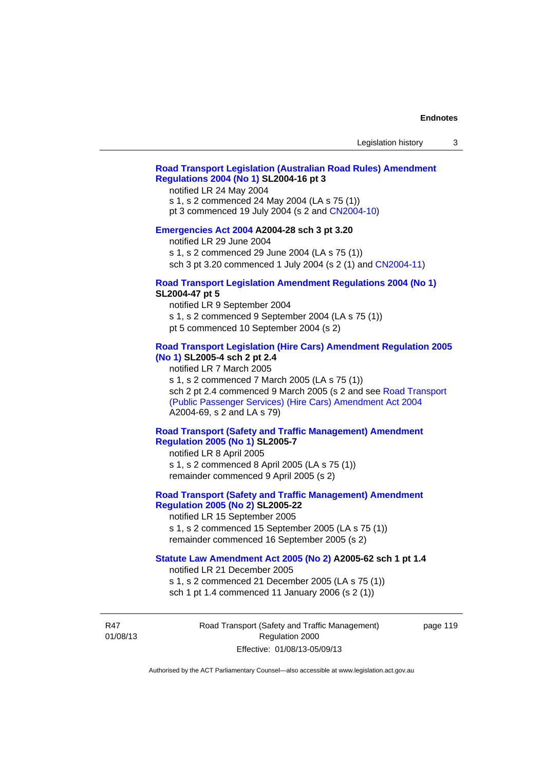## **[Road Transport Legislation \(Australian Road Rules\) Amendment](http://www.legislation.act.gov.au/sl/2004-16)  [Regulations 2004 \(No 1\)](http://www.legislation.act.gov.au/sl/2004-16) SL2004-16 pt 3**

notified LR 24 May 2004

s 1, s 2 commenced 24 May 2004 (LA s 75 (1))

pt 3 commenced 19 July 2004 (s 2 and [CN2004-10](http://www.legislation.act.gov.au/cn/2004-10/default.asp))

### **[Emergencies Act 2004](http://www.legislation.act.gov.au/a/2004-28) A2004-28 sch 3 pt 3.20**

notified LR 29 June 2004

s 1, s 2 commenced 29 June 2004 (LA s 75 (1))

sch 3 pt 3.20 commenced 1 July 2004 (s 2 (1) and [CN2004-11](http://www.legislation.act.gov.au/cn/2004-11/default.asp))

### **[Road Transport Legislation Amendment Regulations 2004 \(No 1\)](http://www.legislation.act.gov.au/sl/2004-47) SL2004-47 pt 5**

notified LR 9 September 2004

- s 1, s 2 commenced 9 September 2004 (LA s 75 (1))
- pt 5 commenced 10 September 2004 (s 2)

### **[Road Transport Legislation \(Hire Cars\) Amendment Regulation 2005](http://www.legislation.act.gov.au/sl/2005-4)  [\(No 1\)](http://www.legislation.act.gov.au/sl/2005-4) SL2005-4 sch 2 pt 2.4**

notified LR 7 March 2005

s 1, s 2 commenced 7 March 2005 (LA s 75 (1))

sch 2 pt 2.4 commenced 9 March 2005 (s 2 and see [Road Transport](http://www.legislation.act.gov.au/a/2004-69)  [\(Public Passenger Services\) \(Hire Cars\) Amendment Act 2004](http://www.legislation.act.gov.au/a/2004-69) A2004-69, s 2 and LA s 79)

### **[Road Transport \(Safety and Traffic Management\) Amendment](http://www.legislation.act.gov.au/sl/2005-7)  [Regulation 2005 \(No 1\)](http://www.legislation.act.gov.au/sl/2005-7) SL2005-7**

notified LR 8 April 2005 s 1, s 2 commenced 8 April 2005 (LA s 75 (1)) remainder commenced 9 April 2005 (s 2)

## **[Road Transport \(Safety and Traffic Management\) Amendment](http://www.legislation.act.gov.au/sl/2005-22)  [Regulation 2005 \(No 2\)](http://www.legislation.act.gov.au/sl/2005-22) SL2005-22**

notified LR 15 September 2005 s 1, s 2 commenced 15 September 2005 (LA s 75 (1)) remainder commenced 16 September 2005 (s 2)

#### **[Statute Law Amendment Act 2005 \(No 2\)](http://www.legislation.act.gov.au/a/2005-62) A2005-62 sch 1 pt 1.4**

notified LR 21 December 2005 s 1, s 2 commenced 21 December 2005 (LA s 75 (1)) sch 1 pt 1.4 commenced 11 January 2006 (s 2 (1))

R47 01/08/13 Road Transport (Safety and Traffic Management) Regulation 2000 Effective: 01/08/13-05/09/13

page 119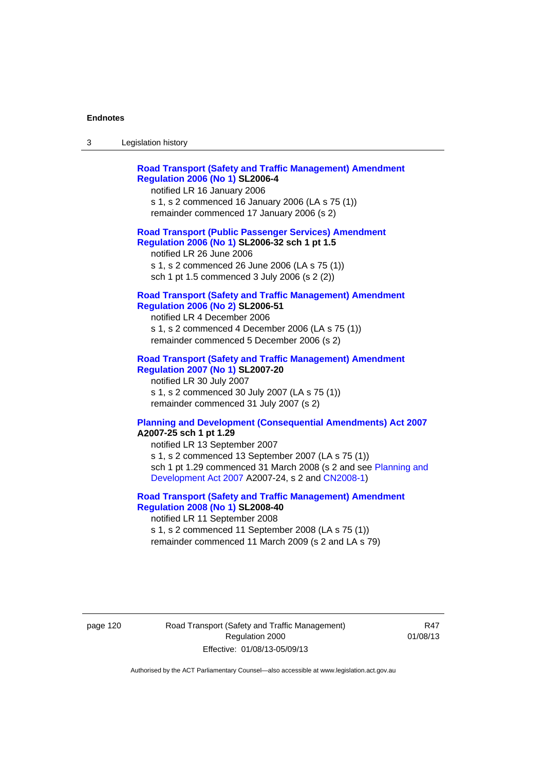| - 3 | Legislation history |
|-----|---------------------|
|-----|---------------------|

| <b>Road Transport (Safety and Traffic Management) Amendment</b><br><b>Regulation 2006 (No 1) SL2006-4</b><br>notified LR 16 January 2006<br>s 1, s 2 commenced 16 January 2006 (LA s 75 (1))<br>remainder commenced 17 January 2006 (s 2)                                                                   |
|-------------------------------------------------------------------------------------------------------------------------------------------------------------------------------------------------------------------------------------------------------------------------------------------------------------|
| <b>Road Transport (Public Passenger Services) Amendment</b><br>Regulation 2006 (No 1) SL2006-32 sch 1 pt 1.5<br>notified LR 26 June 2006<br>s 1, s 2 commenced 26 June 2006 (LA s 75 (1))<br>sch 1 pt 1.5 commenced 3 July 2006 (s 2 (2))                                                                   |
| <b>Road Transport (Safety and Traffic Management) Amendment</b><br><b>Regulation 2006 (No 2) SL2006-51</b><br>notified LR 4 December 2006<br>s 1, s 2 commenced 4 December 2006 (LA s 75 (1))<br>remainder commenced 5 December 2006 (s 2)                                                                  |
| <b>Road Transport (Safety and Traffic Management) Amendment</b><br><b>Regulation 2007 (No 1) SL2007-20</b><br>notified LR 30 July 2007<br>s 1, s 2 commenced 30 July 2007 (LA s 75 (1))<br>remainder commenced 31 July 2007 (s 2)                                                                           |
| <b>Planning and Development (Consequential Amendments) Act 2007</b><br>A2007-25 sch 1 pt 1.29<br>notified LR 13 September 2007<br>s 1, s 2 commenced 13 September 2007 (LA s 75 (1))<br>sch 1 pt 1.29 commenced 31 March 2008 (s 2 and see Planning and<br>Development Act 2007 A2007-24, s 2 and CN2008-1) |

### **[Road Transport \(Safety and Traffic Management\) Amendment](http://www.legislation.act.gov.au/sl/2008-40)  [Regulation 2008 \(No 1\)](http://www.legislation.act.gov.au/sl/2008-40) SL2008-40**  notified LR 11 September 2008

s 1, s 2 commenced 11 September 2008 (LA s 75 (1)) remainder commenced 11 March 2009 (s 2 and LA s 79)

page 120 Road Transport (Safety and Traffic Management) Regulation 2000 Effective: 01/08/13-05/09/13

R47 01/08/13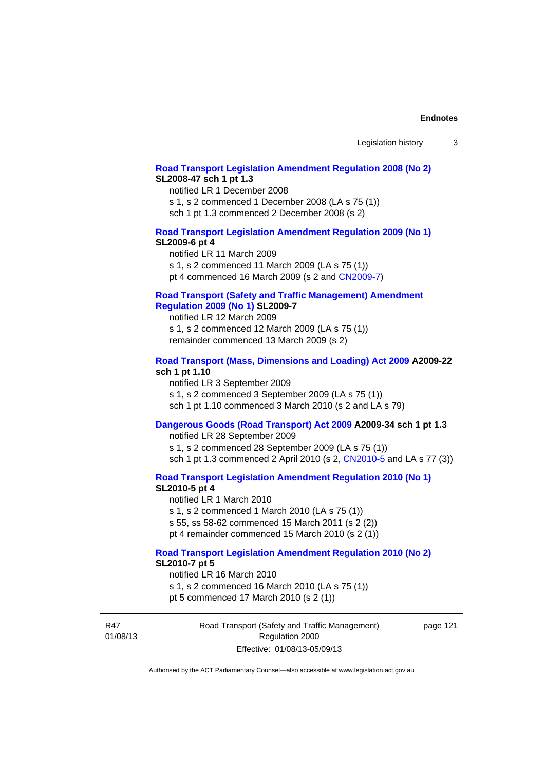#### **[Road Transport Legislation Amendment Regulation 2008 \(No 2\)](http://www.legislation.act.gov.au/sl/2008-47) SL2008-47 sch 1 pt 1.3**

notified LR 1 December 2008 s 1, s 2 commenced 1 December 2008 (LA s 75 (1)) sch 1 pt 1.3 commenced 2 December 2008 (s 2)

### **[Road Transport Legislation Amendment Regulation 2009 \(No 1\)](http://www.legislation.act.gov.au/sl/2009-6) SL2009-6 pt 4**

notified LR 11 March 2009 s 1, s 2 commenced 11 March 2009 (LA s 75 (1)) pt 4 commenced 16 March 2009 (s 2 and [CN2009-7\)](http://www.legislation.act.gov.au/cn/2009-7/default.asp)

#### **[Road Transport \(Safety and Traffic Management\) Amendment](http://www.legislation.act.gov.au/sl/2009-7)  [Regulation 2009 \(No 1\)](http://www.legislation.act.gov.au/sl/2009-7) SL2009-7**

notified LR 12 March 2009 s 1, s 2 commenced 12 March 2009 (LA s 75 (1)) remainder commenced 13 March 2009 (s 2)

#### **[Road Transport \(Mass, Dimensions and Loading\) Act 2009](http://www.legislation.act.gov.au/a/2009-22/default.asp) A2009-22 sch 1 pt 1.10**

notified LR 3 September 2009 s 1, s 2 commenced 3 September 2009 (LA s 75 (1)) sch 1 pt 1.10 commenced 3 March 2010 (s 2 and LA s 79)

# **[Dangerous Goods \(Road Transport\) Act 2009](http://www.legislation.act.gov.au/a/2009-34) A2009-34 sch 1 pt 1.3**

notified LR 28 September 2009 s 1, s 2 commenced 28 September 2009 (LA s 75 (1)) sch 1 pt 1.3 commenced 2 April 2010 (s 2, [CN2010-5 a](http://www.legislation.act.gov.au/cn/2010-5/default.asp)nd LA s 77 (3))

**[Road Transport Legislation Amendment Regulation 2010 \(No 1\)](http://www.legislation.act.gov.au/sl/2010-5)**

#### **SL2010-5 pt 4**

notified LR 1 March 2010 s 1, s 2 commenced 1 March 2010 (LA s 75 (1)) s 55, ss 58-62 commenced 15 March 2011 (s 2 (2)) pt 4 remainder commenced 15 March 2010 (s 2 (1))

# **[Road Transport Legislation Amendment Regulation 2010 \(No 2\)](http://www.legislation.act.gov.au/sl/2010-7) SL2010-7 pt 5**

notified LR 16 March 2010 s 1, s 2 commenced 16 March 2010 (LA s 75 (1)) pt 5 commenced 17 March 2010 (s 2 (1))

R47 01/08/13 Road Transport (Safety and Traffic Management) Regulation 2000 Effective: 01/08/13-05/09/13

page 121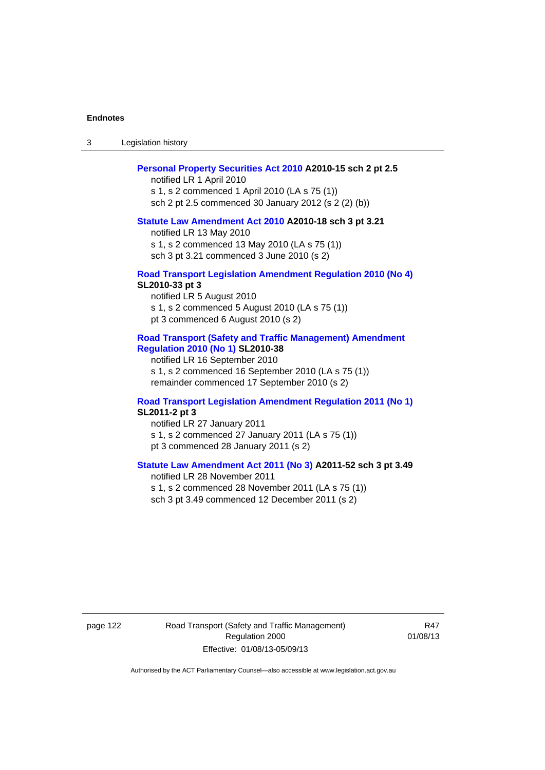3 Legislation history

#### **[Personal Property Securities Act 2010](http://www.legislation.act.gov.au/a/2010-15) A2010-15 sch 2 pt 2.5**

notified LR 1 April 2010 s 1, s 2 commenced 1 April 2010 (LA s 75 (1)) sch 2 pt 2.5 commenced 30 January 2012 (s 2 (2) (b))

#### **[Statute Law Amendment Act 2010](http://www.legislation.act.gov.au/a/2010-18) A2010-18 sch 3 pt 3.21**

notified LR 13 May 2010 s 1, s 2 commenced 13 May 2010 (LA s 75 (1)) sch 3 pt 3.21 commenced 3 June 2010 (s 2)

#### **[Road Transport Legislation Amendment Regulation 2010 \(No 4\)](http://www.legislation.act.gov.au/sl/2010-33) SL2010-33 pt 3**

notified LR 5 August 2010 s 1, s 2 commenced 5 August 2010 (LA s 75 (1)) pt 3 commenced 6 August 2010 (s 2)

#### **[Road Transport \(Safety and Traffic Management\) Amendment](http://www.legislation.act.gov.au/sl/2010-38)  [Regulation 2010 \(No 1\)](http://www.legislation.act.gov.au/sl/2010-38) SL2010-38**

notified LR 16 September 2010 s 1, s 2 commenced 16 September 2010 (LA s 75 (1)) remainder commenced 17 September 2010 (s 2)

#### **[Road Transport Legislation Amendment Regulation 2011 \(No 1\)](http://www.legislation.act.gov.au/sl/2011-2) SL2011-2 pt 3**

notified LR 27 January 2011 s 1, s 2 commenced 27 January 2011 (LA s 75 (1)) pt 3 commenced 28 January 2011 (s 2)

# **[Statute Law Amendment Act 2011 \(No 3\)](http://www.legislation.act.gov.au/a/2011-52) A2011-52 sch 3 pt 3.49**

notified LR 28 November 2011 s 1, s 2 commenced 28 November 2011 (LA s 75 (1)) sch 3 pt 3.49 commenced 12 December 2011 (s 2)

page 122 Road Transport (Safety and Traffic Management) Regulation 2000 Effective: 01/08/13-05/09/13

R47 01/08/13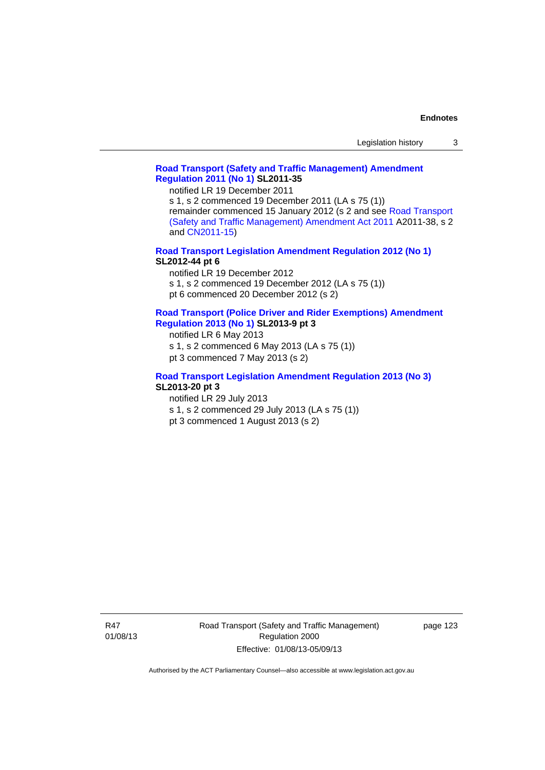### **[Road Transport \(Safety and Traffic Management\) Amendment](http://www.legislation.act.gov.au/sl/2011-35)  [Regulation 2011 \(No 1\)](http://www.legislation.act.gov.au/sl/2011-35) SL2011-35**

notified LR 19 December 2011

s 1, s 2 commenced 19 December 2011 (LA s 75 (1)) remainder commenced 15 January 2012 (s 2 and see [Road Transport](http://www.legislation.act.gov.au/a/2011-38)  [\(Safety and Traffic Management\) Amendment Act 2011](http://www.legislation.act.gov.au/a/2011-38) A2011-38, s 2 and [CN2011-15\)](http://www.legislation.act.gov.au/cn/2011-15/default.asp)

**[Road Transport Legislation Amendment Regulation 2012 \(No 1\)](http://www.legislation.act.gov.au/sl/2012-44/default.asp) SL2012-44 pt 6** 

notified LR 19 December 2012

s 1, s 2 commenced 19 December 2012 (LA s 75 (1))

pt 6 commenced 20 December 2012 (s 2)

#### **[Road Transport \(Police Driver and Rider Exemptions\) Amendment](http://www.legislation.act.gov.au/sl/2013-9/default.asp)  [Regulation 2013 \(No 1\)](http://www.legislation.act.gov.au/sl/2013-9/default.asp) SL2013-9 pt 3**

notified LR 6 May 2013

s 1, s 2 commenced 6 May 2013 (LA s 75 (1))

pt 3 commenced 7 May 2013 (s 2)

### **[Road Transport Legislation Amendment Regulation 2013 \(No 3\)](http://www.legislation.act.gov.au/sl/2013-20) SL2013-20 pt 3**

notified LR 29 July 2013

s 1, s 2 commenced 29 July 2013 (LA s 75 (1))

pt 3 commenced 1 August 2013 (s 2)

R47 01/08/13 Road Transport (Safety and Traffic Management) Regulation 2000 Effective: 01/08/13-05/09/13

page 123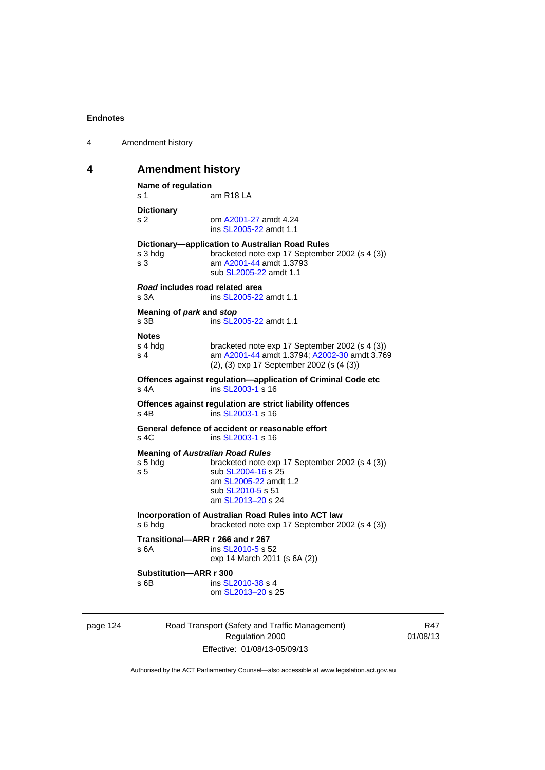| 4 | Amendment history |
|---|-------------------|
|---|-------------------|

# **4 Amendment history**

```
Name of regulation 
s 1 am R18 LA
Dictionary 
s 2 om A2001-27 amdt 4.24
                ins SL2005-22 amdt 1.1 
Dictionary—application to Australian Road Rules 
s 3 hdg bracketed note exp 17 September 2002 (s 4 (3))
s 3 am A2001-44 amdt 1.3793 
                sub SL2005-22 amdt 1.1 
Road includes road related area 
s 3A ins SL2005-22 amdt 1.1
Meaning of park and stop
SL2005-22 amdt 1.1
Notes 
s 4 hdg bracketed note exp 17 September 2002 (s 4 (3))<br>s 4 am A2001-44 amdt 1.3794: A2002-30 amdt 3.76
                A2001-44 A2002-30 amdt 3.769
                (2), (3) exp 17 September 2002 (s (4 (3)) 
Offences against regulation—application of Criminal Code etc 
SL2003-1 s 16
Offences against regulation are strict liability offences 
SL2003-1 s 16
General defence of accident or reasonable effort 
SL2003-1 s 16
Meaning of Australian Road Rules
s 5 hdg bracketed note exp 17 September 2002 (s 4 (3)) 
SL2004-16 s 25
                 am SL2005-22 amdt 1.2 
                sub SL2010-5 s 51 
                 am SL2013–20 s 24 
Incorporation of Australian Road Rules into ACT law 
s 6 hdg bracketed note exp 17 September 2002 (s 4 (3)) 
Transitional—ARR r 266 and r 267 
SL2010-5 s 52
                exp 14 March 2011 (s 6A (2)) 
Substitution—ARR r 300 
SL2010-38 s 4
                om SL2013–20 s 25
```

| page 124 |  |  |
|----------|--|--|
|          |  |  |

Road Transport (Safety and Traffic Management) Regulation 2000 Effective: 01/08/13-05/09/13

R47 01/08/13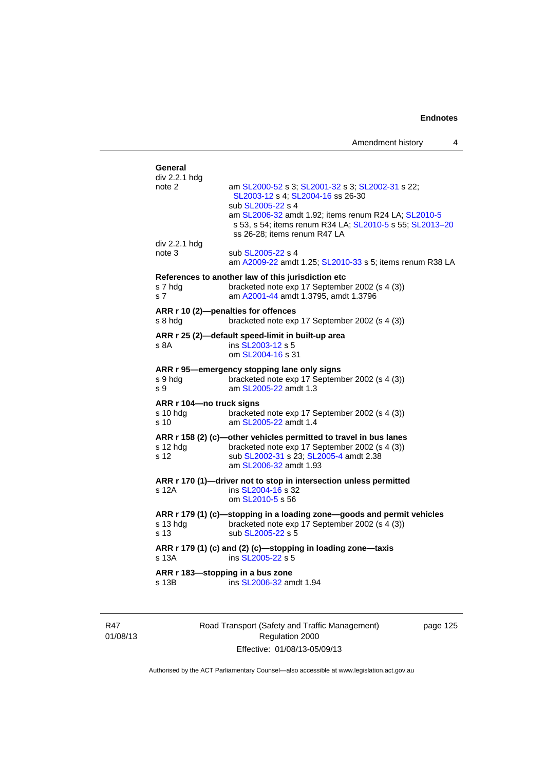Amendment history 4

| General       |                                                                                                                                                 |
|---------------|-------------------------------------------------------------------------------------------------------------------------------------------------|
| div 2.2.1 hdg |                                                                                                                                                 |
| note 2        | am SL2000-52 s 3; SL2001-32 s 3; SL2002-31 s 22;                                                                                                |
|               | SL2003-12 s 4: SL2004-16 ss 26-30                                                                                                               |
|               | sub SL2005-22 s 4                                                                                                                               |
|               | am SL2006-32 amdt 1.92; items renum R24 LA; SL2010-5<br>s 53, s 54; items renum R34 LA; SL2010-5 s 55; SL2013-2<br>ss 26-28; items renum R47 LA |
| div 2.2.1 hdg |                                                                                                                                                 |
| note 3        | sub SL2005-22 s 4                                                                                                                               |
|               | am A2009-22 amdt 1.25; SL2010-33 s 5; items renum R38 L                                                                                         |
|               |                                                                                                                                                 |

# sub [SL2005-22](http://www.legislation.act.gov.au/sl/2005-22) am [SL2006-32](http://www.legislation.act.gov.au/sl/2006-32) a s 53, s 54; items renum R34 LA; [SL2010-5](http://www.legislation.act.gov.au/sl/2010-5) s 55; [SL2013–20](http://www.legislation.act.gov.au/sl/2013-20) ss 26-28; items div 2.2.1 hdg note 3 sub [SL2005-22](http://www.legislation.act.gov.au/sl/2005-22) s am [A2009-22](http://www.legislation.act.gov.au/a/2009-22) amdt 1.25; [SL2010-33](http://www.legislation.act.gov.au/sl/2010-33) s 5; items renum R38 LA **References to another law of this jurisdiction etc**  s 7 hdg bracketed note exp 17 September 2002 (s 4 (3))<br>s 7 am A2001-44 amdt 1.3795, amdt 1.3796 s 7 am [A2001-44](http://www.legislation.act.gov.au/a/2001-44) amdt 1.3795, amdt 1.3796 **ARR r 10 (2)—penalties for offences**  s 8 hdg bracketed note exp 17 September 2002 (s 4 (3)) **ARR r 25 (2)—default speed-limit in built-up area**  s 8A ins [SL2003-12](http://www.legislation.act.gov.au/sl/2003-12) s 5 om [SL2004-16](http://www.legislation.act.gov.au/sl/2004-16) s 31 **ARR r 95—emergency stopping lane only signs**  s 9 hdg bracketed note exp 17 September 2002 (s 4 (3)) s 9 am [SL2005-22](http://www.legislation.act.gov.au/sl/2005-22) amdt 1.3 **ARR r 104—no truck signs**  s 10 hdg bracketed note exp 17 September 2002 (s 4 (3)) s 10 am [SL2005-22](http://www.legislation.act.gov.au/sl/2005-22) amdt 1.4 **ARR r 158 (2) (c)—other vehicles permitted to travel in bus lanes**  s 12 hdg bracketed note exp 17 September 2002 (s 4 (3)) s 12 sub [SL2002-31](http://www.legislation.act.gov.au/sl/2002-31) s 23; [SL2005-4](http://www.legislation.act.gov.au/sl/2005-4) amdt 2.38 am [SL2006-32](http://www.legislation.act.gov.au/sl/2006-32) amdt 1.93 **ARR r 170 (1)—driver not to stop in intersection unless permitted**  s 12A ins [SL2004-16](http://www.legislation.act.gov.au/sl/2004-16) s 32 om [SL2010-5](http://www.legislation.act.gov.au/sl/2010-5) s 56 **ARR r 179 (1) (c)—stopping in a loading zone—goods and permit vehicles**  s 13 hdg bracketed note exp 17 September 2002 (s 4 (3)) s 13 sub [SL2005-22](http://www.legislation.act.gov.au/sl/2005-22) s 5 **ARR r 179 (1) (c) and (2) (c)—stopping in loading zone—taxis**  s 13A ins [SL2005-22](http://www.legislation.act.gov.au/sl/2005-22) s 5

**ARR r 183—stopping in a bus zone**  s 13B ins [SL2006-32](http://www.legislation.act.gov.au/sl/2006-32) amdt 1.94

R47 01/08/13 
> Road Transport (Safety and Traffic Management) Regulation 2000 Effective: 01/08/13-05/09/13

page 125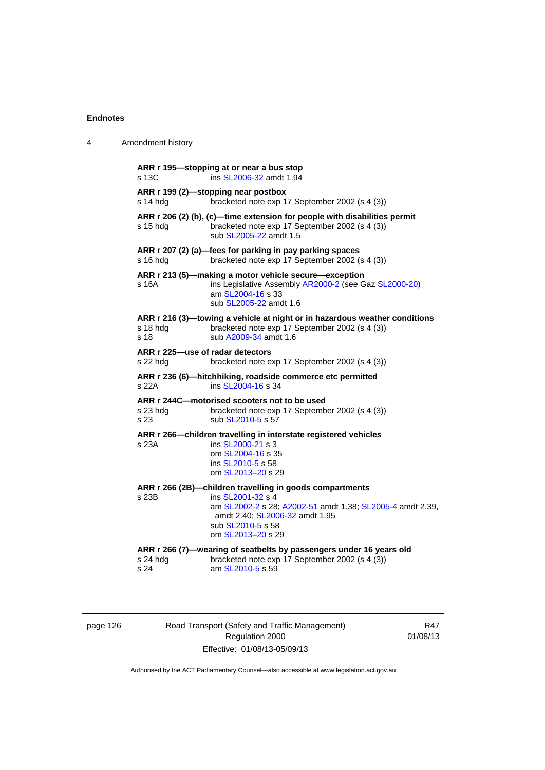| 4 | Amendment history                                                                                                                                                                                                               |
|---|---------------------------------------------------------------------------------------------------------------------------------------------------------------------------------------------------------------------------------|
|   | ARR r 195-stopping at or near a bus stop<br>s 13C<br>ins SL2006-32 amdt 1.94                                                                                                                                                    |
|   | ARR r 199 (2)-stopping near postbox<br>s 14 hdg<br>bracketed note exp 17 September 2002 (s 4 (3))                                                                                                                               |
|   | ARR r 206 (2) (b), (c)—time extension for people with disabilities permit<br>bracketed note exp 17 September 2002 (s 4 (3))<br>s 15 hdq<br>sub SL2005-22 amdt 1.5                                                               |
|   | ARR r 207 (2) (a)—fees for parking in pay parking spaces<br>s 16 hdg<br>bracketed note exp 17 September 2002 (s 4 (3))                                                                                                          |
|   | ARR r 213 (5)—making a motor vehicle secure—exception<br>ins Legislative Assembly AR2000-2 (see Gaz SL2000-20)<br>s 16A<br>am SL2004-16 s 33<br>sub SL2005-22 amdt 1.6                                                          |
|   | ARR r 216 (3)—towing a vehicle at night or in hazardous weather conditions<br>s 18 hdg<br>bracketed note exp 17 September 2002 (s 4 (3))<br>s 18<br>sub A2009-34 amdt 1.6                                                       |
|   | ARR r 225-use of radar detectors<br>s 22 hdg<br>bracketed note exp 17 September 2002 (s 4 (3))                                                                                                                                  |
|   | ARR r 236 (6)-hitchhiking, roadside commerce etc permitted<br>s 22A<br>ins SL2004-16 s 34                                                                                                                                       |
|   | ARR r 244C-motorised scooters not to be used<br>s 23 hdg<br>bracketed note exp 17 September 2002 (s 4 (3))<br>s 23<br>sub SL2010-5 s 57                                                                                         |
|   | ARR r 266-children travelling in interstate registered vehicles<br>ins SL2000-21 s 3<br>s 23A<br>om SL2004-16 s 35<br>ins SL2010-5 s 58<br>om SL2013-20 s 29                                                                    |
|   | ARR r 266 (2B)-children travelling in goods compartments<br>s 23B<br>ins SL2001-32 s 4<br>am SL2002-2 s 28; A2002-51 amdt 1.38; SL2005-4 amdt 2.39,<br>amdt 2.40; SL2006-32 amdt 1.95<br>sub SL2010-5 s 58<br>om SL2013-20 s 29 |
|   | ARR r 266 (7)-wearing of seatbelts by passengers under 16 years old<br>s 24 hdg<br>bracketed note exp 17 September 2002 (s 4 (3))<br>s 24<br>am SL2010-5 s 59                                                                   |

| page 126 |  |
|----------|--|
|----------|--|

Road Transport (Safety and Traffic Management) Regulation 2000 Effective: 01/08/13-05/09/13

R47 01/08/13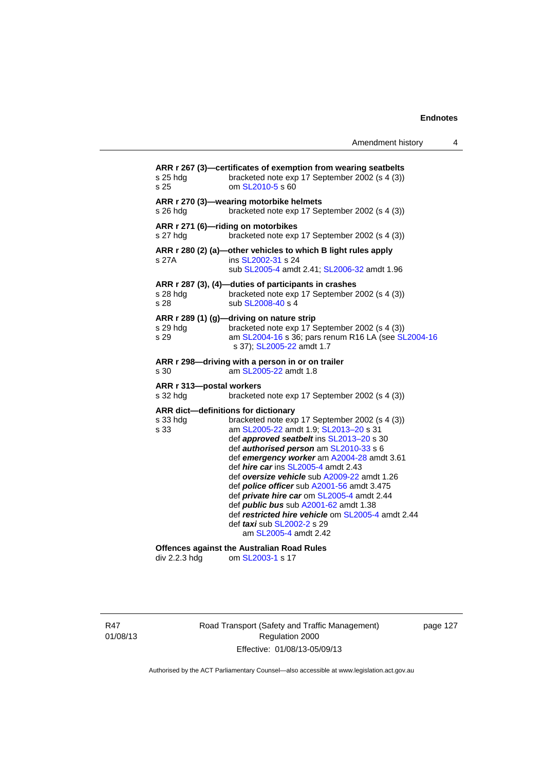Amendment history 4

| s 25 hda<br>s 25                     | ARR r 267 (3)-certificates of exemption from wearing seatbelts<br>bracketed note exp 17 September 2002 (s 4 (3))<br>om SL2010-5 s 60                                                                                                                                                                                                                                                                                                                                                                                                                                                                                                         |
|--------------------------------------|----------------------------------------------------------------------------------------------------------------------------------------------------------------------------------------------------------------------------------------------------------------------------------------------------------------------------------------------------------------------------------------------------------------------------------------------------------------------------------------------------------------------------------------------------------------------------------------------------------------------------------------------|
| s 26 hda                             | ARR r 270 (3)-wearing motorbike helmets<br>bracketed note exp 17 September 2002 (s 4 (3))                                                                                                                                                                                                                                                                                                                                                                                                                                                                                                                                                    |
| s 27 hda                             | ARR r 271 (6)-riding on motorbikes<br>bracketed note exp 17 September 2002 (s 4 (3))                                                                                                                                                                                                                                                                                                                                                                                                                                                                                                                                                         |
| s 27A                                | ARR r 280 (2) (a)-other vehicles to which B light rules apply<br>ins SL2002-31 s 24<br>sub SL2005-4 amdt 2.41; SL2006-32 amdt 1.96                                                                                                                                                                                                                                                                                                                                                                                                                                                                                                           |
| s 28 hda<br>s 28                     | ARR r 287 (3), (4)-duties of participants in crashes<br>bracketed note exp 17 September 2002 (s 4 (3))<br>sub SL2008-40 s 4                                                                                                                                                                                                                                                                                                                                                                                                                                                                                                                  |
| s 29 hdg<br>s 29                     | ARR r 289 (1) (g)—driving on nature strip<br>bracketed note exp 17 September 2002 (s 4 (3))<br>am SL2004-16 s 36; pars renum R16 LA (see SL2004-16<br>s 37); SL2005-22 amdt 1.7                                                                                                                                                                                                                                                                                                                                                                                                                                                              |
| s 30                                 | ARR r 298—driving with a person in or on trailer<br>am SL2005-22 amdt 1.8                                                                                                                                                                                                                                                                                                                                                                                                                                                                                                                                                                    |
| ARR r 313-postal workers<br>s 32 hdg | bracketed note exp 17 September 2002 (s 4 (3))                                                                                                                                                                                                                                                                                                                                                                                                                                                                                                                                                                                               |
| s 33 hdg<br>s 33                     | ARR dict-definitions for dictionary<br>bracketed note exp 17 September 2002 (s 4 (3))<br>am SL2005-22 amdt 1.9; SL2013-20 s 31<br>def approved seatbelt ins SL2013-20 s 30<br>def <i>authorised person</i> am SL2010-33 s 6<br>def emergency worker am A2004-28 amdt 3.61<br>def <i>hire car</i> ins SL2005-4 amdt 2.43<br>def oversize vehicle sub A2009-22 amdt 1.26<br>def <b>police officer</b> sub A2001-56 amdt 3.475<br>def private hire car om SL2005-4 amdt 2.44<br>def <b>public bus</b> sub A2001-62 amdt 1.38<br>def restricted hire vehicle om SL2005-4 amdt 2.44<br>def <i>taxi</i> sub SL2002-2 s 29<br>am SL2005-4 amdt 2.42 |
| div 2.2.3 hdg                        | <b>Offences against the Australian Road Rules</b><br>om SL2003-1 s 17                                                                                                                                                                                                                                                                                                                                                                                                                                                                                                                                                                        |

R47 01/08/13 Road Transport (Safety and Traffic Management) Regulation 2000 Effective: 01/08/13-05/09/13

page 127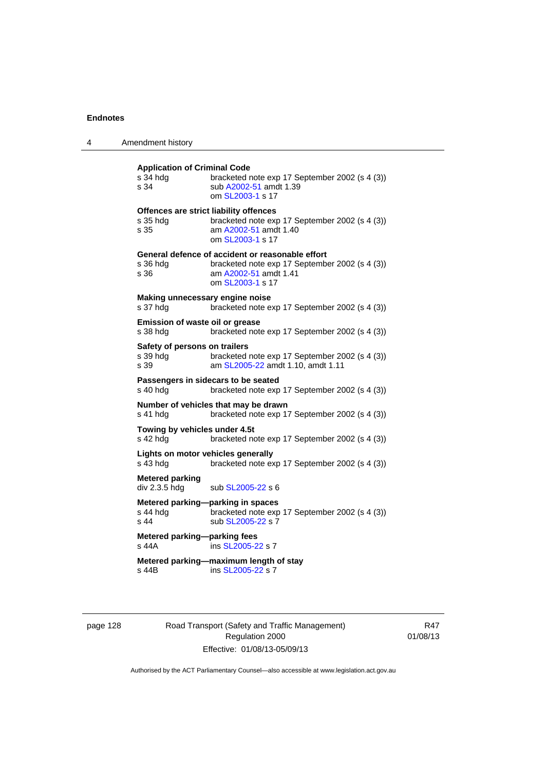| 4 | Amendment history                                          |                                                                                                                                                 |
|---|------------------------------------------------------------|-------------------------------------------------------------------------------------------------------------------------------------------------|
|   | <b>Application of Criminal Code</b><br>s 34 hda<br>s 34    | bracketed note exp 17 September 2002 (s 4 (3))<br>sub A2002-51 amdt 1.39<br>om SL2003-1 s 17                                                    |
|   | Offences are strict liability offences<br>s 35 hdg<br>s 35 | bracketed note exp 17 September 2002 (s 4 (3))<br>am A2002-51 amdt 1.40<br>om SL2003-1 s 17                                                     |
|   | s 36 hda<br>s 36                                           | General defence of accident or reasonable effort<br>bracketed note exp 17 September 2002 (s 4 (3))<br>am A2002-51 amdt 1.41<br>om SL2003-1 s 17 |
|   | Making unnecessary engine noise<br>s 37 hdg                | bracketed note exp 17 September 2002 (s 4 (3))                                                                                                  |
|   | Emission of waste oil or grease<br>s 38 hda                | bracketed note exp 17 September 2002 (s 4 (3))                                                                                                  |
|   | Safety of persons on trailers<br>s 39 hdg<br>s 39          | bracketed note exp 17 September 2002 (s 4 (3))<br>am SL2005-22 amdt 1.10, amdt 1.11                                                             |
|   | Passengers in sidecars to be seated<br>s 40 hdg            | bracketed note exp 17 September 2002 (s 4 (3))                                                                                                  |
|   | s 41 hda                                                   | Number of vehicles that may be drawn<br>bracketed note exp 17 September 2002 (s 4 (3))                                                          |
|   | Towing by vehicles under 4.5t<br>s 42 hdg                  | bracketed note exp 17 September 2002 (s 4 (3))                                                                                                  |
|   | Lights on motor vehicles generally<br>s 43 hda             | bracketed note exp 17 September 2002 (s 4 (3))                                                                                                  |
|   | <b>Metered parking</b><br>div 2.3.5 hdg                    | sub SL2005-22 s 6                                                                                                                               |
|   | Metered parking-parking in spaces<br>s 44 hdg<br>s 44      | bracketed note exp 17 September 2002 (s 4 (3))<br>sub SL2005-22 s 7                                                                             |
|   | Metered parking-parking fees<br>s 44A                      | ins SL2005-22 s 7                                                                                                                               |
|   | s 44B                                                      | Metered parking-maximum length of stay<br>ins SL2005-22 s 7                                                                                     |

# page 128 Road Transport (Safety and Traffic Management) Regulation 2000 Effective: 01/08/13-05/09/13

R47 01/08/13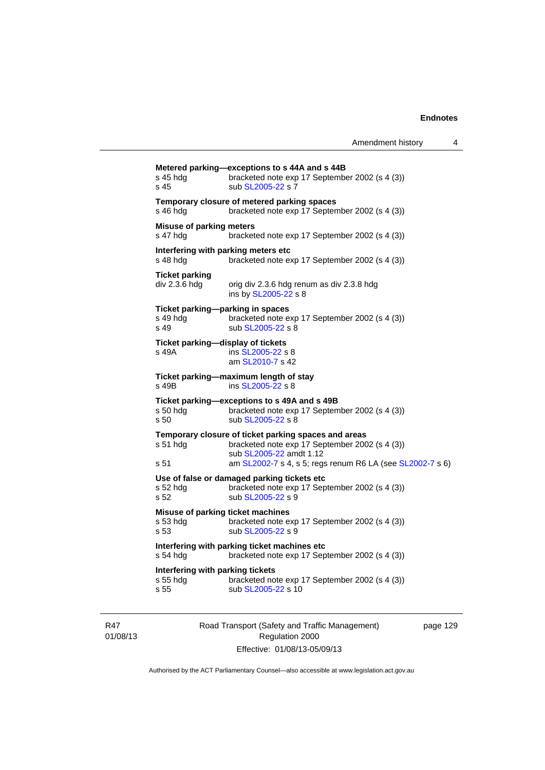| s 45 hdg<br>s 45                                      | bracketed note exp 17 September 2002 (s 4 (3))<br>sub SL2005-22 s 7                                                               |
|-------------------------------------------------------|-----------------------------------------------------------------------------------------------------------------------------------|
| s 46 hdg                                              | Temporary closure of metered parking spaces<br>bracketed note exp 17 September 2002 (s 4 (3))                                     |
| Misuse of parking meters<br>s 47 hdg                  | bracketed note exp 17 September 2002 (s 4 (3))                                                                                    |
| Interfering with parking meters etc<br>s 48 hdg       | bracketed note exp 17 September 2002 (s 4 (3))                                                                                    |
| <b>Ticket parking</b><br>div 2.3.6 hdg                | orig div 2.3.6 hdg renum as div 2.3.8 hdg<br>ins by SL2005-22 s 8                                                                 |
| Ticket parking-parking in spaces<br>s 49 hdg<br>s 49  | bracketed note exp 17 September 2002 (s 4 (3))<br>sub SL2005-22 s 8                                                               |
| Ticket parking-display of tickets<br>s 49A            | ins SL2005-22 s 8<br>am SL2010-7 s 42                                                                                             |
| s 49B                                                 | Ticket parking—maximum length of stay<br>ins SL2005-22 s 8                                                                        |
| s 50 hdg<br>s 50                                      | Ticket parking—exceptions to s 49A and s 49B<br>bracketed note exp 17 September 2002 (s 4 (3))<br>sub SL2005-22 s 8               |
| s 51 hdg                                              | Temporary closure of ticket parking spaces and areas<br>bracketed note exp 17 September 2002 (s 4 (3))<br>sub SL2005-22 amdt 1.12 |
| s 51                                                  | am SL2002-7 s 4, s 5; regs renum R6 LA (see SL2002-7 s 6)                                                                         |
| s 52 hdg<br>s 52                                      | Use of false or damaged parking tickets etc<br>bracketed note exp 17 September 2002 (s 4 (3))<br>sub SL2005-22 s 9                |
| Misuse of parking ticket machines<br>s 53 hdg<br>s 53 | bracketed note exp 17 September 2002 (s 4 (3))<br>sub SL2005-22 s 9                                                               |
| s 54 hdg                                              | Interfering with parking ticket machines etc<br>bracketed note exp 17 September 2002 (s 4 (3))                                    |
| Interfering with parking tickets<br>s 55 hda          | bracketed note exp 17 September 2002 (s 4 (3))                                                                                    |

R47 01/08/13 Road Transport (Safety and Traffic Management) Regulation 2000 Effective: 01/08/13-05/09/13

page 129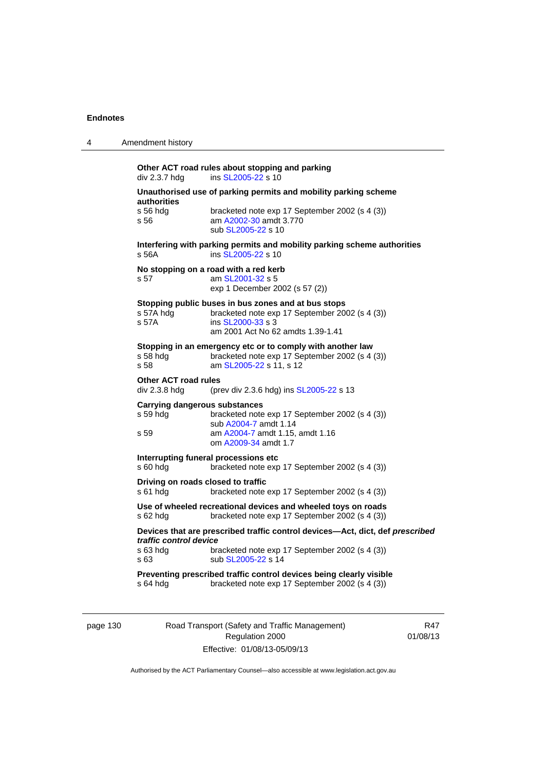| 4 | Amendment history                                                                                                                                                                                   |
|---|-----------------------------------------------------------------------------------------------------------------------------------------------------------------------------------------------------|
|   | Other ACT road rules about stopping and parking<br>ins SL2005-22 s 10<br>div 2.3.7 hdg                                                                                                              |
|   | Unauthorised use of parking permits and mobility parking scheme                                                                                                                                     |
|   | authorities<br>s 56 hda<br>bracketed note exp 17 September 2002 (s 4 (3))<br>s 56<br>am A2002-30 amdt 3.770<br>sub SL2005-22 s 10                                                                   |
|   | Interfering with parking permits and mobility parking scheme authorities<br>s 56A<br>ins SL2005-22 s 10                                                                                             |
|   | No stopping on a road with a red kerb<br>s 57<br>am SL2001-32 s 5<br>exp 1 December 2002 (s 57 (2))                                                                                                 |
|   | Stopping public buses in bus zones and at bus stops<br>bracketed note exp 17 September 2002 (s 4 (3))<br>s 57A hdg<br>s 57A<br>ins SL2000-33 s 3<br>am 2001 Act No 62 amdts 1.39-1.41               |
|   | Stopping in an emergency etc or to comply with another law<br>bracketed note exp 17 September 2002 (s 4 (3))<br>s 58 hda<br>s 58<br>am SL2005-22 s 11, s 12                                         |
|   | Other ACT road rules<br>div 2.3.8 hdg<br>(prev div 2.3.6 hdg) ins SL2005-22 s 13                                                                                                                    |
|   | <b>Carrying dangerous substances</b><br>s 59 hdg<br>bracketed note exp 17 September 2002 (s 4 (3))<br>sub A2004-7 amdt 1.14                                                                         |
|   | am A2004-7 amdt 1.15, amdt 1.16<br>s 59<br>om A2009-34 amdt 1.7                                                                                                                                     |
|   | Interrupting funeral processions etc<br>bracketed note exp 17 September 2002 (s 4 (3))<br>s 60 hda                                                                                                  |
|   | Driving on roads closed to traffic<br>s 61 hda<br>bracketed note exp 17 September 2002 (s 4 (3))                                                                                                    |
|   | Use of wheeled recreational devices and wheeled toys on roads<br>s 62 hda<br>bracketed note exp 17 September 2002 (s 4 (3))                                                                         |
|   | Devices that are prescribed traffic control devices-Act, dict, def prescribed<br>traffic control device<br>s 63 hda<br>bracketed note exp 17 September 2002 (s 4 (3))<br>sub SL2005-22 s 14<br>s 63 |
|   | Preventing prescribed traffic control devices being clearly visible<br>s 64 hda<br>bracketed note exp 17 September 2002 (s 4 (3))                                                                   |

page 130 Road Transport (Safety and Traffic Management) Regulation 2000 Effective: 01/08/13-05/09/13

R47 01/08/13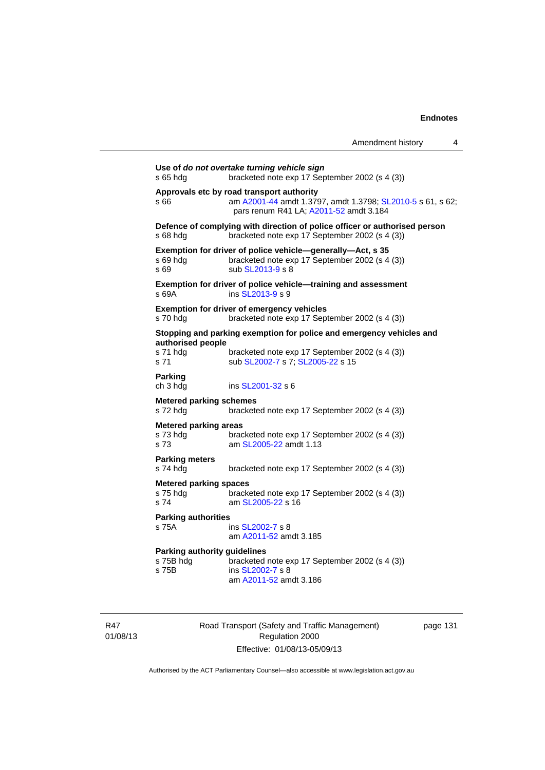| Amendment history |  |
|-------------------|--|
|-------------------|--|

```
Use of do not overtake turning vehicle sign 
s 65 hdg bracketed note exp 17 September 2002 (s 4 (3)) 
Approvals etc by road transport authority 
s 66 am A2001-44 amdt 1.3797, amdt 1.3798; SL2010-5 s 61, s 62; 
                 pars renum R41 LA; A2011-52 amdt 3.184 
Defence of complying with direction of police officer or authorised person 
s 68 hdg bracketed note exp 17 September 2002 (s 4 (3)) 
Exemption for driver of police vehicle—generally—Act, s 35 
s 69 hdg bracketed note exp 17 September 2002 (s 4 (3)) 
s 69 sub SL2013-9 s 8
Exemption for driver of police vehicle—training and assessment 
s 69A ins SL2013-9 s 9
Exemption for driver of emergency vehicles 
s 70 hdg bracketed note exp 17 September 2002 (s 4 (3)) 
Stopping and parking exemption for police and emergency vehicles and 
authorised people 
s 71 hdg bracketed note exp 17 September 2002 (s 4 (3)) 
SL2002-7 SL2005-22 s 15
Parking 
ch 3 hdg ins SL2001-32 s 6
Metered parking schemes 
s 72 hdg bracketed note exp 17 September 2002 (s 4 (3)) 
Metered parking areas 
s 73 hdg bracketed note exp 17 September 2002 (s 4 (3))<br>s 73 am SL2005-22 amdt 1.13
                  SL2005-22 amdt 1.13
Parking meters 
s 74 hdg bracketed note exp 17 September 2002 (s 4 (3)) 
Metered parking spaces 
s 75 hdg bracketed note exp 17 September 2002 (s 4 (3))
 SL2005-22 s 16
Parking authorities 
s 75A ins SL2002-7 s 8
                  am A2011-52 amdt 3.185
Parking authority guidelines 
                 bracketed note exp 17 September 2002 (s 4 (3))
s 75B ins SL2002-7 s 8
                  am A2011-52 amdt 3.186
```
R47 01/08/13 Road Transport (Safety and Traffic Management) Regulation 2000 Effective: 01/08/13-05/09/13

page 131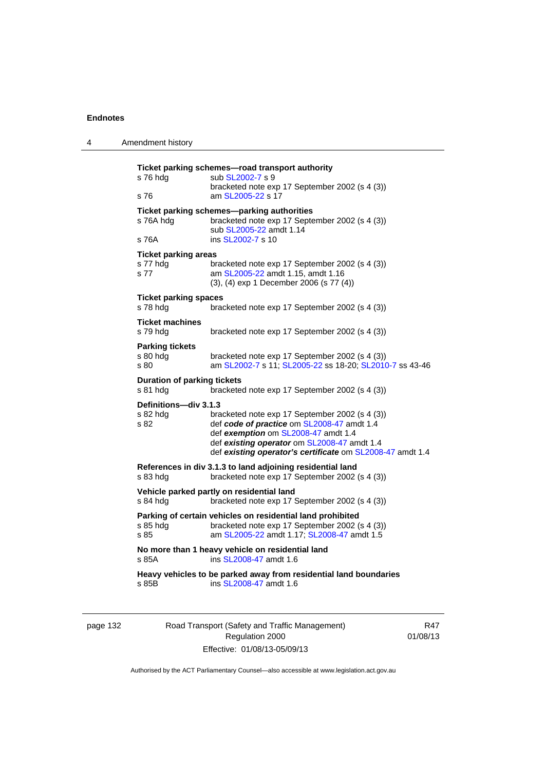| 4 | Amendment history                               |                                                                                                                                                                                                                                                 |
|---|-------------------------------------------------|-------------------------------------------------------------------------------------------------------------------------------------------------------------------------------------------------------------------------------------------------|
|   | s 76 hdg<br>s 76                                | Ticket parking schemes-road transport authority<br>sub SL2002-7 s 9<br>bracketed note exp 17 September 2002 (s 4 (3))<br>am SL2005-22 s 17                                                                                                      |
|   | s 76A hdg<br>s 76A                              | Ticket parking schemes-parking authorities<br>bracketed note exp 17 September 2002 (s 4 (3))<br>sub SL2005-22 amdt 1.14<br>ins SL2002-7 s 10                                                                                                    |
|   | <b>Ticket parking areas</b><br>s 77 hdg<br>s 77 | bracketed note exp 17 September 2002 (s 4 (3))<br>am SL2005-22 amdt 1.15, amdt 1.16<br>(3), (4) exp 1 December 2006 (s 77 (4))                                                                                                                  |
|   | <b>Ticket parking spaces</b><br>s 78 hdg        | bracketed note exp 17 September 2002 (s 4 (3))                                                                                                                                                                                                  |
|   | <b>Ticket machines</b><br>s 79 hda              | bracketed note exp 17 September 2002 (s 4 (3))                                                                                                                                                                                                  |
|   | <b>Parking tickets</b><br>s 80 hdg<br>s 80      | bracketed note exp 17 September 2002 (s 4 (3))<br>am SL2002-7 s 11; SL2005-22 ss 18-20; SL2010-7 ss 43-46                                                                                                                                       |
|   | <b>Duration of parking tickets</b><br>s 81 hdg  | bracketed note exp 17 September 2002 (s 4 (3))                                                                                                                                                                                                  |
|   | Definitions-div 3.1.3<br>s 82 hda<br>s 82       | bracketed note exp 17 September 2002 (s 4 (3))<br>def code of practice om SL2008-47 amdt 1.4<br>def exemption om SL2008-47 amdt 1.4<br>def existing operator om SL2008-47 amdt 1.4<br>def existing operator's certificate om SL2008-47 amdt 1.4 |
|   | s 83 hdg                                        | References in div 3.1.3 to land adjoining residential land<br>bracketed note exp 17 September 2002 (s 4 (3))                                                                                                                                    |
|   | s 84 hdg                                        | Vehicle parked partly on residential land<br>bracketed note exp 17 September 2002 (s 4 (3))                                                                                                                                                     |
|   | s 85 hdg<br>s 85                                | Parking of certain vehicles on residential land prohibited<br>bracketed note exp 17 September 2002 (s 4 (3))<br>am SL2005-22 amdt 1.17; SL2008-47 amdt 1.5                                                                                      |
|   | s 85A                                           | No more than 1 heavy vehicle on residential land<br>ins SL2008-47 amdt 1.6                                                                                                                                                                      |
|   | s 85B                                           | Heavy vehicles to be parked away from residential land boundaries<br>ins SL2008-47 amdt 1.6                                                                                                                                                     |

| page 132 |  |
|----------|--|
|          |  |

Road Transport (Safety and Traffic Management) Regulation 2000 Effective: 01/08/13-05/09/13

R47 01/08/13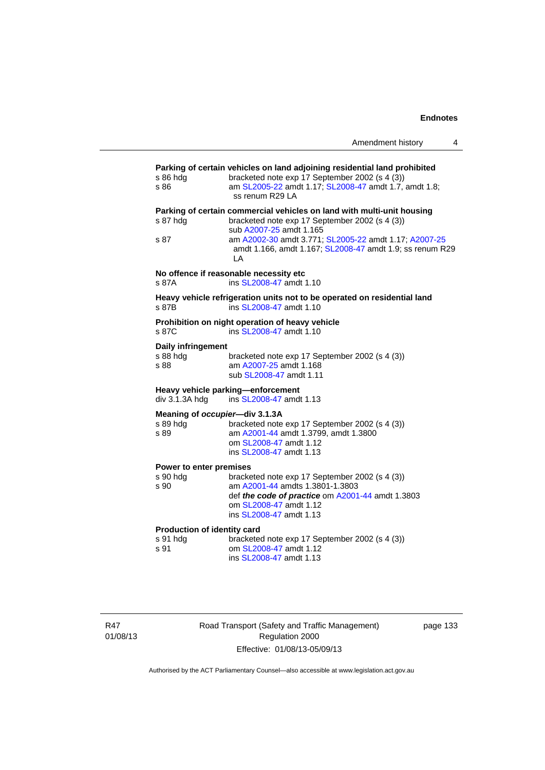| s 86 hda<br>s 86                                | bracketed note exp 17 September 2002 (s 4 (3))<br>am SL2005-22 amdt 1.17; SL2008-47 amdt 1.7, amdt 1.8;<br>ss renum R29 LA                                                                                                                                               |
|-------------------------------------------------|--------------------------------------------------------------------------------------------------------------------------------------------------------------------------------------------------------------------------------------------------------------------------|
| s 87 hdg<br>s 87                                | Parking of certain commercial vehicles on land with multi-unit housing<br>bracketed note exp 17 September 2002 (s 4 (3))<br>sub A2007-25 amdt 1.165<br>am A2002-30 amdt 3.771; SL2005-22 amdt 1.17; A2007-25<br>amdt 1.166, amdt 1.167; SL2008-47 amdt 1.9; ss renum R29 |
| s 87A                                           | LA<br>No offence if reasonable necessity etc<br>ins SL2008-47 amdt 1.10                                                                                                                                                                                                  |
| s 87B                                           | Heavy vehicle refrigeration units not to be operated on residential land<br>ins SL2008-47 amdt 1.10                                                                                                                                                                      |
| s 87C                                           | Prohibition on night operation of heavy vehicle<br>ins SL2008-47 amdt 1.10                                                                                                                                                                                               |
| <b>Daily infringement</b><br>s 88 hdg<br>s 88   | bracketed note exp 17 September 2002 (s 4 (3))<br>am A2007-25 amdt 1.168<br>sub SL2008-47 amdt 1.11                                                                                                                                                                      |
| div 3.1.3A hdg                                  | Heavy vehicle parking-enforcement<br>ins SL2008-47 amdt 1.13                                                                                                                                                                                                             |
| s 89 hdg<br>s 89                                | Meaning of occupier-div 3.1.3A<br>bracketed note exp 17 September 2002 (s 4 (3))<br>am A2001-44 amdt 1.3799, amdt 1.3800<br>om SL2008-47 amdt 1.12<br>ins SL2008-47 amdt 1.13                                                                                            |
| Power to enter premises<br>s 90 hdg<br>s 90     | bracketed note exp 17 September 2002 (s 4 (3))<br>am A2001-44 amdts 1.3801-1.3803<br>def the code of practice om A2001-44 amdt 1.3803<br>om SL2008-47 amdt 1.12<br>ins SL2008-47 amdt 1.13                                                                               |
| Production of identity card<br>s 91 hdg<br>s 91 | bracketed note exp 17 September 2002 (s 4 (3))<br>om SL2008-47 amdt 1.12<br>ins SL2008-47 amdt 1.13                                                                                                                                                                      |

R47 01/08/13 Road Transport (Safety and Traffic Management) Regulation 2000 Effective: 01/08/13-05/09/13

page 133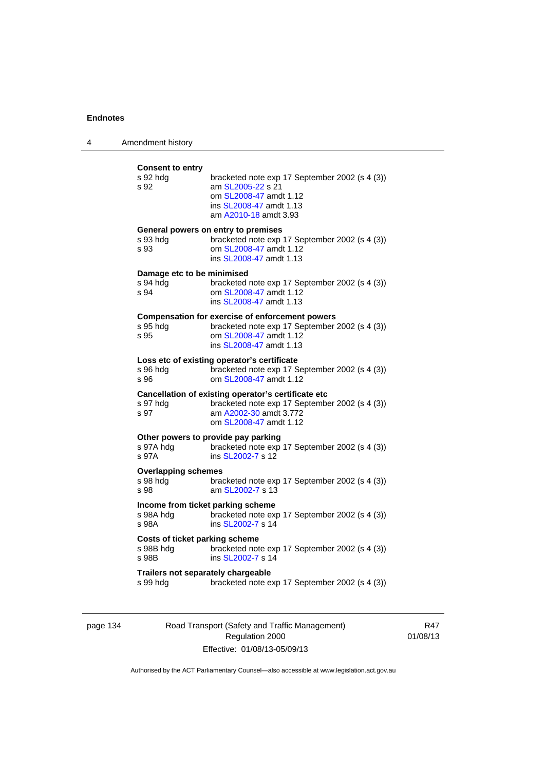| 4 | Amendment history                                       |                                                                                                                                                               |
|---|---------------------------------------------------------|---------------------------------------------------------------------------------------------------------------------------------------------------------------|
|   | <b>Consent to entry</b><br>s 92 hdg<br>s 92             | bracketed note exp 17 September 2002 (s 4 (3))<br>am SL2005-22 s 21<br>om SL2008-47 amdt 1.12<br>ins SL2008-47 amdt 1.13<br>am A2010-18 amdt 3.93             |
|   | s 93 hdg<br>s 93                                        | General powers on entry to premises<br>bracketed note exp 17 September 2002 (s 4 (3))<br>om SL2008-47 amdt 1.12<br>ins SL2008-47 amdt 1.13                    |
|   | Damage etc to be minimised<br>s 94 hdg<br>s 94          | bracketed note exp 17 September 2002 (s 4 (3))<br>om SL2008-47 amdt 1.12<br>ins SL2008-47 amdt 1.13                                                           |
|   | s 95 hdg<br>s 95                                        | <b>Compensation for exercise of enforcement powers</b><br>bracketed note exp 17 September 2002 (s 4 (3))<br>om SL2008-47 amdt 1.12<br>ins SL2008-47 amdt 1.13 |
|   | s 96 hdg<br>s 96                                        | Loss etc of existing operator's certificate<br>bracketed note exp 17 September 2002 (s 4 (3))<br>om SL2008-47 amdt 1.12                                       |
|   | s 97 hdg<br>s 97                                        | Cancellation of existing operator's certificate etc<br>bracketed note exp 17 September 2002 (s 4 (3))<br>am A2002-30 amdt 3.772<br>om SL2008-47 amdt 1.12     |
|   | s 97A hdg<br>s 97A                                      | Other powers to provide pay parking<br>bracketed note exp 17 September 2002 (s 4 (3))<br>ins SL2002-7 s 12                                                    |
|   | <b>Overlapping schemes</b><br>s 98 hdg<br>s 98          | bracketed note exp 17 September 2002 (s 4 (3))<br>am SL2002-7 s 13                                                                                            |
|   | Income from ticket parking scheme<br>s 98A hdg<br>s 98A | bracketed note exp 17 September 2002 (s 4 (3))<br>ins SL2002-7 s 14                                                                                           |
|   | Costs of ticket parking scheme<br>s 98B hdg<br>s 98B    | bracketed note exp 17 September 2002 (s 4 (3))<br>ins SL2002-7 s 14                                                                                           |
|   | Trailers not separately chargeable<br>s 99 hdg          | bracketed note exp 17 September 2002 (s 4 (3))                                                                                                                |

page 134 Road Transport (Safety and Traffic Management) Regulation 2000 Effective: 01/08/13-05/09/13

R47 01/08/13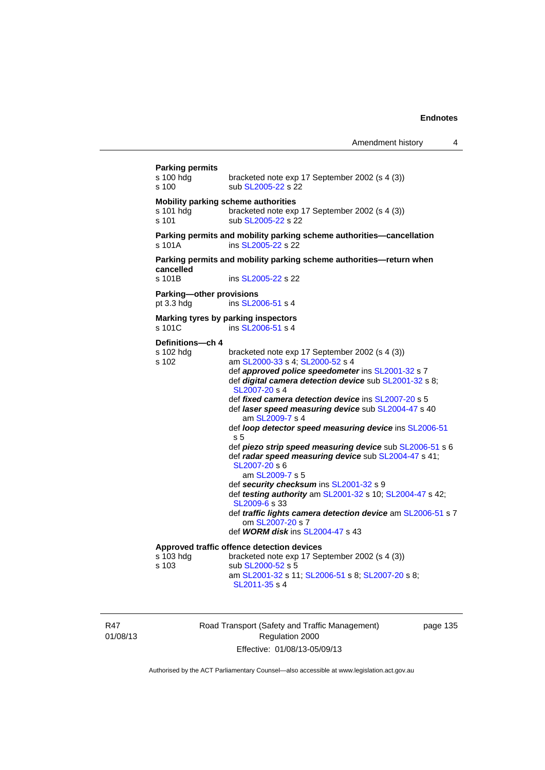| <b>Parking permits</b><br>s 100 hdg<br>s 100 | bracketed note exp 17 September 2002 (s 4 (3))<br>sub SL2005-22 s 22                                                                                                                                                                                                                                                                                                                                                                                                                                                                                                                                                                                                                                                                                                                                                              |
|----------------------------------------------|-----------------------------------------------------------------------------------------------------------------------------------------------------------------------------------------------------------------------------------------------------------------------------------------------------------------------------------------------------------------------------------------------------------------------------------------------------------------------------------------------------------------------------------------------------------------------------------------------------------------------------------------------------------------------------------------------------------------------------------------------------------------------------------------------------------------------------------|
| s 101 hdg<br>s 101                           | Mobility parking scheme authorities<br>bracketed note exp 17 September 2002 (s 4 (3))<br>sub SL2005-22 s 22                                                                                                                                                                                                                                                                                                                                                                                                                                                                                                                                                                                                                                                                                                                       |
| s 101A                                       | Parking permits and mobility parking scheme authorities-cancellation<br>ins SL2005-22 s 22                                                                                                                                                                                                                                                                                                                                                                                                                                                                                                                                                                                                                                                                                                                                        |
| cancelled                                    | Parking permits and mobility parking scheme authorities-return when                                                                                                                                                                                                                                                                                                                                                                                                                                                                                                                                                                                                                                                                                                                                                               |
| s 101B                                       | ins SL2005-22 s 22                                                                                                                                                                                                                                                                                                                                                                                                                                                                                                                                                                                                                                                                                                                                                                                                                |
| Parking-other provisions<br>pt 3.3 hdg       | ins SL2006-51 s 4                                                                                                                                                                                                                                                                                                                                                                                                                                                                                                                                                                                                                                                                                                                                                                                                                 |
| s 101C                                       | Marking tyres by parking inspectors<br>ins SL2006-51 s 4                                                                                                                                                                                                                                                                                                                                                                                                                                                                                                                                                                                                                                                                                                                                                                          |
| Definitions-ch 4                             |                                                                                                                                                                                                                                                                                                                                                                                                                                                                                                                                                                                                                                                                                                                                                                                                                                   |
| s 102 hdg<br>s 102                           | bracketed note exp 17 September 2002 (s 4 (3))<br>am SL2000-33 s 4; SL2000-52 s 4<br>def approved police speedometer ins SL2001-32 s 7<br>def digital camera detection device sub SL2001-32 s 8;<br>SL2007-20 s 4<br>def fixed camera detection device ins SL2007-20 s 5<br>def laser speed measuring device sub SL2004-47 s 40<br>am SL2009-7 s 4<br>def loop detector speed measuring device ins SL2006-51<br>s 5<br>def piezo strip speed measuring device sub SL2006-51 s 6<br>def radar speed measuring device sub SL2004-47 s 41;<br>SL2007-20 s 6<br>am SL2009-7 s 5<br>def security checksum ins SL2001-32 s 9<br>def testing authority am SL2001-32 s 10; SL2004-47 s 42;<br>SL2009-6 s 33<br>def traffic lights camera detection device am SL2006-51 s 7<br>om SL2007-20 s 7<br>def <b>WORM disk</b> ins SL2004-47 s 43 |
|                                              | Approved traffic offence detection devices                                                                                                                                                                                                                                                                                                                                                                                                                                                                                                                                                                                                                                                                                                                                                                                        |
| s 103 hdg<br>s 103                           | bracketed note exp 17 September 2002 (s 4 (3))<br>sub SL2000-52 s 5<br>am SL2001-32 s 11; SL2006-51 s 8; SL2007-20 s 8;<br>SL2011-35 s 4                                                                                                                                                                                                                                                                                                                                                                                                                                                                                                                                                                                                                                                                                          |

R47 01/08/13 Road Transport (Safety and Traffic Management) Regulation 2000 Effective: 01/08/13-05/09/13

page 135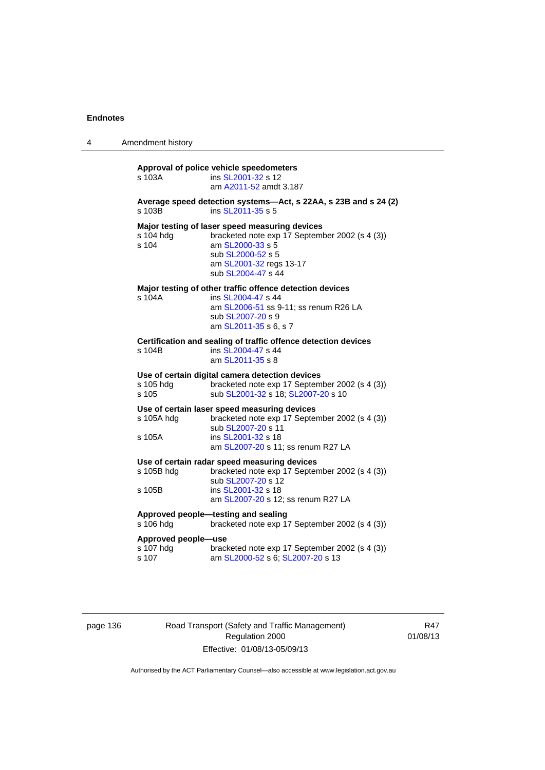| 4 | Amendment history                         |                                                                                                                                                                                                                        |
|---|-------------------------------------------|------------------------------------------------------------------------------------------------------------------------------------------------------------------------------------------------------------------------|
|   | s 103A                                    | Approval of police vehicle speedometers<br>ins SL2001-32 s 12<br>am A2011-52 amdt 3.187                                                                                                                                |
|   | s 103B                                    | Average speed detection systems-Act, s 22AA, s 23B and s 24 (2)<br>ins SL2011-35 s 5                                                                                                                                   |
|   | s 104 hdg<br>s 104                        | Major testing of laser speed measuring devices<br>bracketed note exp 17 September 2002 (s 4 (3))<br>am SL2000-33 s 5<br>sub SL2000-52 s 5<br>am SL2001-32 regs 13-17<br>sub SL2004-47 s 44                             |
|   | s 104A                                    | Major testing of other traffic offence detection devices<br>ins SL2004-47 s 44<br>am SL2006-51 ss 9-11; ss renum R26 LA<br>sub SL2007-20 s 9<br>am SL2011-35 s 6, s 7                                                  |
|   | s 104B                                    | Certification and sealing of traffic offence detection devices<br>ins SL2004-47 s 44<br>am SL2011-35 s 8                                                                                                               |
|   | s 105 hdg<br>s 105                        | Use of certain digital camera detection devices<br>bracketed note exp 17 September 2002 (s 4 (3))<br>sub SL2001-32 s 18; SL2007-20 s 10                                                                                |
|   | s 105A hdg<br>s 105A                      | Use of certain laser speed measuring devices<br>bracketed note exp 17 September 2002 (s 4 (3))<br>sub SL2007-20 s 11<br>ins SL2001-32 s 18                                                                             |
|   | s 105B hdg<br>s 105B                      | am SL2007-20 s 11; ss renum R27 LA<br>Use of certain radar speed measuring devices<br>bracketed note exp 17 September 2002 (s 4 (3))<br>sub SL2007-20 s 12<br>ins SL2001-32 s 18<br>am SL2007-20 s 12; ss renum R27 LA |
|   | s 106 hdg                                 | Approved people-testing and sealing<br>bracketed note exp 17 September 2002 (s 4 (3))                                                                                                                                  |
|   | Approved people-use<br>s 107 hdg<br>s 107 | bracketed note exp 17 September 2002 (s 4 (3))<br>am SL2000-52 s 6; SL2007-20 s 13                                                                                                                                     |

# page 136 Road Transport (Safety and Traffic Management) Regulation 2000 Effective: 01/08/13-05/09/13

R47 01/08/13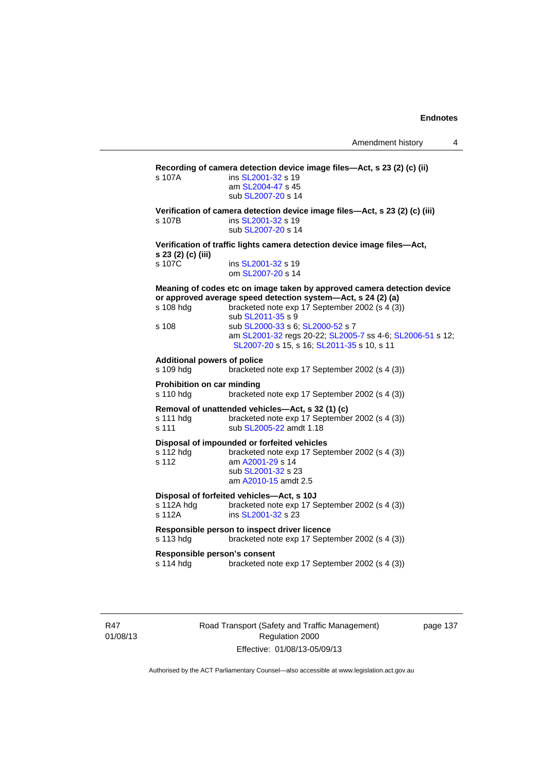**Recording of camera detection device image files—Act, s 23 (2) (c) (ii)**  s 107A **ins [SL2001-32](http://www.legislation.act.gov.au/sl/2001-32) s** 19 am [SL2004-47](http://www.legislation.act.gov.au/sl/2004-47) s 45 sub [SL2007-20](http://www.legislation.act.gov.au/sl/2007-20) s 14 **Verification of camera detection device image files—Act, s 23 (2) (c) (iii)**  s 107B ins [SL2001-32](http://www.legislation.act.gov.au/sl/2001-32) s 19 sub [SL2007-20](http://www.legislation.act.gov.au/sl/2007-20) s 14 **Verification of traffic lights camera detection device image files—Act, s 23 (2) (c) (iii)**  s 107C ins [SL2001-32](http://www.legislation.act.gov.au/sl/2001-32) s 19 om [SL2007-20](http://www.legislation.act.gov.au/sl/2007-20) s 14 **Meaning of codes etc on image taken by approved camera detection device or approved average speed detection system—Act, s 24 (2) (a)**  s 108 hdg bracketed note exp 17 September 2002 (s 4 (3))  $\begin{array}{r} \text{sub S} \perp 2011-35 \text{ s } 9 \\ \text{s } 108 \hspace{2.5cm} \text{sub S} \perp 2000-33 \text{ s } 6 \end{array}$ sub [SL2000-33](http://www.legislation.act.gov.au/sl/2000-33) s 6; [SL2000-52](http://www.legislation.act.gov.au/sl/2000-52) s 7 am [SL2001-32](http://www.legislation.act.gov.au/sl/2001-32) regs 20-22; [SL2005-7](http://www.legislation.act.gov.au/sl/2005-7) ss 4-6; [SL2006-51](http://www.legislation.act.gov.au/sl/2006-51) s 12; [SL2007-20](http://www.legislation.act.gov.au/sl/2007-20) s 15, s 16; [SL2011-35](http://www.legislation.act.gov.au/sl/2011-35) s 10, s 11 **Additional powers of police**  s 109 hdg bracketed note exp 17 September 2002 (s 4 (3)) **Prohibition on car minding**  s 110 hdg bracketed note exp 17 September 2002 (s 4 (3)) **Removal of unattended vehicles—Act, s 32 (1) (c)**  s 111 hdg bracketed note exp 17 September 2002 (s 4 (3)) s 111 sub [SL2005-22](http://www.legislation.act.gov.au/sl/2005-22) amdt 1.18 **Disposal of impounded or forfeited vehicles**  s 112 hdg bracketed note exp 17 September 2002 (s 4 (3)) s 112 am [A2001-29](http://www.legislation.act.gov.au/a/2001-29) s 14 sub [SL2001-32](http://www.legislation.act.gov.au/sl/2001-32) s 23 am [A2010-15](http://www.legislation.act.gov.au/a/2010-15) amdt 2.5 **Disposal of forfeited vehicles—Act, s 10J**  s 112A hdg bracketed note exp 17 September 2002 (s 4 (3)) s 112A **ins [SL2001-32](http://www.legislation.act.gov.au/sl/2001-32) s 23 Responsible person to inspect driver licence**  s 113 hdg bracketed note exp 17 September 2002 (s 4 (3)) **Responsible person's consent**  s 114 hdg bracketed note exp 17 September 2002 (s 4 (3))

R47 01/08/13 Road Transport (Safety and Traffic Management) Regulation 2000 Effective: 01/08/13-05/09/13

page 137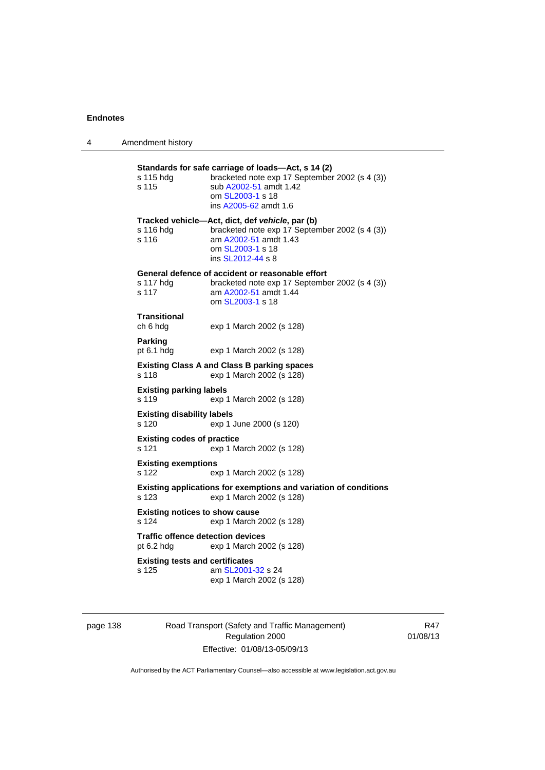| 4 | Amendment history                                                                                                                                                                                 |
|---|---------------------------------------------------------------------------------------------------------------------------------------------------------------------------------------------------|
|   | Standards for safe carriage of loads-Act, s 14 (2)<br>bracketed note exp 17 September 2002 (s 4 (3))<br>s 115 hdg<br>sub A2002-51 amdt 1.42<br>s 115<br>om SL2003-1 s 18<br>ins A2005-62 amdt 1.6 |
|   | Tracked vehicle-Act, dict, def vehicle, par (b)<br>bracketed note exp 17 September 2002 (s 4 (3))<br>s 116 hdg<br>s 116<br>am A2002-51 amdt 1.43<br>om SL2003-1 s 18<br>ins SL2012-44 s 8         |
|   | General defence of accident or reasonable effort<br>s 117 hdg<br>bracketed note exp 17 September 2002 (s 4 (3))<br>s 117<br>am A2002-51 amdt 1.44<br>om SL2003-1 s 18                             |
|   | <b>Transitional</b><br>ch 6 hdg<br>exp 1 March 2002 (s 128)                                                                                                                                       |
|   | Parking<br>pt $6.1$ hdg<br>exp 1 March 2002 (s 128)                                                                                                                                               |
|   | <b>Existing Class A and Class B parking spaces</b><br>exp 1 March 2002 (s 128)<br>s 118                                                                                                           |
|   | <b>Existing parking labels</b><br>s 119<br>exp 1 March 2002 (s 128)                                                                                                                               |
|   | <b>Existing disability labels</b><br>s 120<br>exp 1 June 2000 (s 120)                                                                                                                             |
|   | <b>Existing codes of practice</b><br>s 121<br>exp 1 March 2002 (s 128)                                                                                                                            |
|   | <b>Existing exemptions</b><br>s 122<br>exp 1 March 2002 (s 128)                                                                                                                                   |
|   | Existing applications for exemptions and variation of conditions<br>s 123<br>exp 1 March 2002 (s 128)                                                                                             |
|   | <b>Existing notices to show cause</b><br>s 124<br>exp 1 March 2002 (s 128)                                                                                                                        |
|   | <b>Traffic offence detection devices</b><br>exp 1 March 2002 (s 128)<br>pt $6.2$ hdg                                                                                                              |
|   | <b>Existing tests and certificates</b><br>s 125<br>am SL2001-32 s 24<br>exp 1 March 2002 (s 128)                                                                                                  |
|   |                                                                                                                                                                                                   |

page 138 Road Transport (Safety and Traffic Management) Regulation 2000 Effective: 01/08/13-05/09/13

R47 01/08/13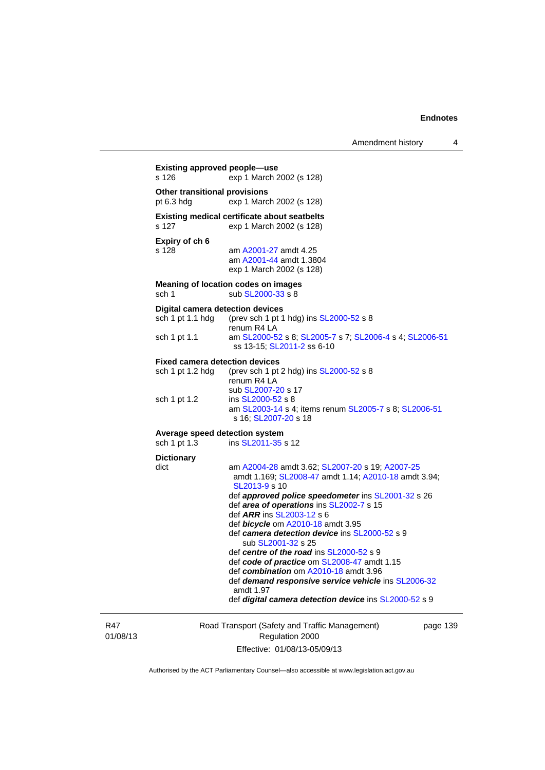| Amendment history |  |
|-------------------|--|
|-------------------|--|

| s 126                                          | exp 1 March 2002 (s 128)                                                                                                           |
|------------------------------------------------|------------------------------------------------------------------------------------------------------------------------------------|
| Other transitional provisions<br>pt 6.3 hdg    | exp 1 March 2002 (s 128)                                                                                                           |
| s 127                                          | <b>Existing medical certificate about seatbelts</b><br>exp 1 March 2002 (s 128)                                                    |
| Expiry of ch 6<br>s 128                        | am A2001-27 amdt 4.25<br>am A2001-44 amdt 1.3804<br>exp 1 March 2002 (s 128)                                                       |
| sch 1                                          | Meaning of location codes on images<br>sub SL2000-33 s 8                                                                           |
| <b>Digital camera detection devices</b>        |                                                                                                                                    |
| sch 1 pt 1.1 hdg                               | (prev sch 1 pt 1 hdg) ins SL2000-52 s 8<br>renum R4 LA                                                                             |
| sch 1 pt 1.1                                   | am SL2000-52 s 8; SL2005-7 s 7; SL2006-4 s 4; SL2006-51<br>ss 13-15; SL2011-2 ss 6-10                                              |
| <b>Fixed camera detection devices</b>          |                                                                                                                                    |
| sch 1 pt 1.2 hdg                               | (prev sch 1 pt 2 hdg) ins SL2000-52 s 8<br>renum R4 LA<br>sub SL2007-20 s 17                                                       |
| sch 1 pt 1.2                                   | ins SL2000-52 s 8<br>am SL2003-14 s 4; items renum SL2005-7 s 8; SL2006-51<br>s 16; SL2007-20 s 18                                 |
| Average speed detection system<br>sch 1 pt 1.3 | ins SL2011-35 s 12                                                                                                                 |
| <b>Dictionary</b>                              |                                                                                                                                    |
| dict                                           | am A2004-28 amdt 3.62; SL2007-20 s 19; A2007-25<br>amdt 1.169; SL2008-47 amdt 1.14; A2010-18 amdt 3.94;<br>SL2013-9 s 10           |
|                                                | def approved police speedometer ins SL2001-32 s 26<br>def area of operations ins SL2002-7 s 15<br>def <i>ARR</i> ins SL2003-12 s 6 |
|                                                | def bicycle om A2010-18 amdt 3.95                                                                                                  |
|                                                | def camera detection device ins SL2000-52 s 9<br>sub SL2001-32 s 25                                                                |
|                                                | def centre of the road ins $SL2000-52$ s 9                                                                                         |
|                                                | def code of practice om SL2008-47 amdt 1.15<br>def combination om A2010-18 amdt 3.96                                               |
|                                                | def demand responsive service vehicle ins SL2006-32                                                                                |
|                                                | amdt 1.97                                                                                                                          |

R47 01/08/13

Road Transport (Safety and Traffic Management) Regulation 2000 Effective: 01/08/13-05/09/13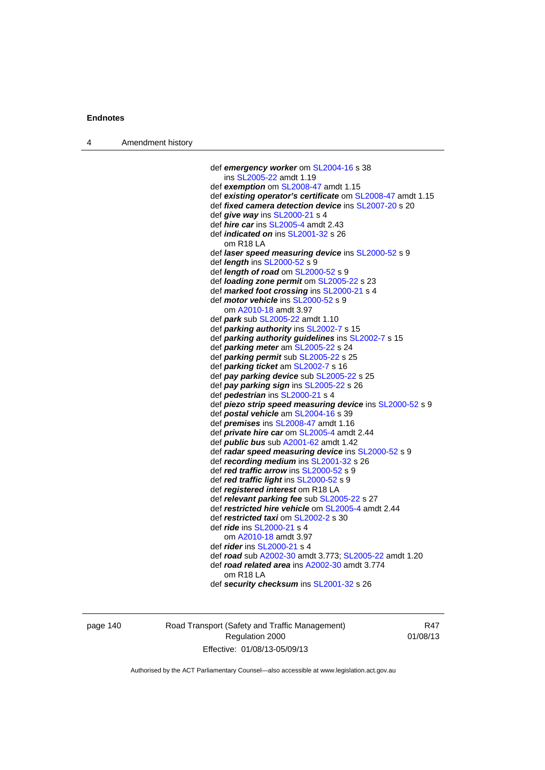|  | Amendment history |
|--|-------------------|
|--|-------------------|

```
 def emergency worker om SL2004-16 s 38 
    ins SL2005-22 amdt 1.19 
 def exemption om SL2008-47 amdt 1.15
 def existing operator's certificate om SL2008-47 amdt 1.15 
 def fixed camera detection device ins SL2007-20 s 20 
 def give way ins SL2000-21 s 4 
 def hire car ins SL2005-4 amdt 2.43 
 def indicated on ins SL2001-32 s 26 
   om R18 LA 
 def laser speed measuring device ins SL2000-52 s 9 
 def length ins SL2000-52 s 9 
 def length of road om SL2000-52 s 9 
 def loading zone permit om SL2005-22 s 23 
 def marked foot crossing ins SL2000-21 s 4 
 def motor vehicle ins SL2000-52 s 9 
    om A2010-18 amdt 3.97
 def park sub SL2005-22 amdt 1.10 
 def parking authority ins SL2002-7 s 15 
 def parking authority guidelines ins SL2002-7 s 15 
 def parking meter am SL2005-22 s 24 
 def parking permit sub SL2005-22 s 25 
 def parking ticket am SL2002-7 s 16 
 def pay parking device sub SL2005-22 s 25 
 def pay parking sign ins SL2005-22 s 26 
 def pedestrian ins SL2000-21 s 4 
 def piezo strip speed measuring device ins SL2000-52 s 9 
 def postal vehicle am SL2004-16 s 39 
 def premises ins SL2008-47 amdt 1.16 
 def private hire car om SL2005-4 amdt 2.44 
 def public bus sub A2001-62 amdt 1.42
 def radar speed measuring device ins SL2000-52 s 9 
 def recording medium ins SL2001-32 s 26 
 def red traffic arrow ins SL2000-52 s 9 
 def red traffic light ins SL2000-52 s 9 
 def registered interest om R18 LA 
 def relevant parking fee sub SL2005-22 s 27 
 def restricted hire vehicle om SL2005-4 amdt 2.44 
 def restricted taxi om SL2002-2 s 30 
 def ride ins SL2000-21 s 4 
    om A2010-18 amdt 3.97
 def rider ins SL2000-21 s 4 
 def road sub A2002-30 amdt 3.773; SL2005-22 amdt 1.20 
 def road related area ins A2002-30 amdt 3.774 
   om R18 LA 
 def security checksum ins SL2001-32 s 26
```
page 140 Road Transport (Safety and Traffic Management) Regulation 2000 Effective: 01/08/13-05/09/13

R47 01/08/13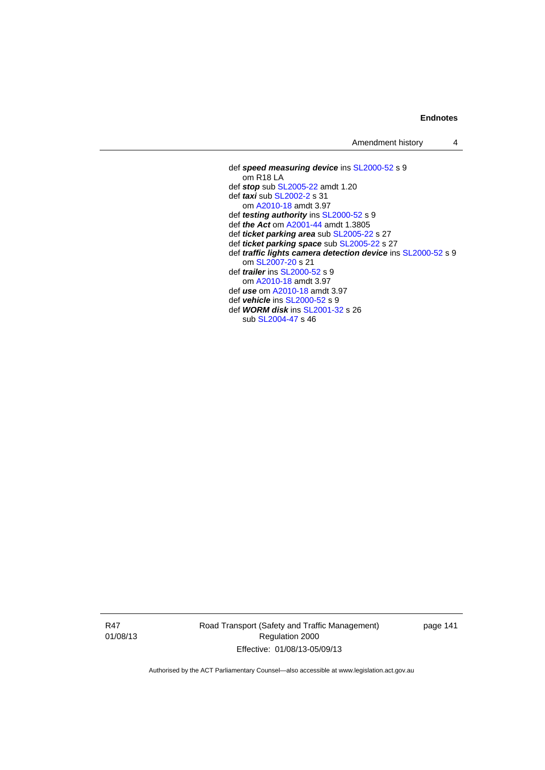Amendment history 4

 def *speed measuring device* ins [SL2000-52](http://www.legislation.act.gov.au/sl/2000-52) s 9 om R18 LA def *stop* sub [SL2005-22](http://www.legislation.act.gov.au/sl/2005-22) amdt 1.20 def *taxi* sub [SL2002-2](http://www.legislation.act.gov.au/sl/2002-2) s 31 om [A2010-18](http://www.legislation.act.gov.au/a/2010-18) amdt 3.97 def *testing authority* ins [SL2000-52](http://www.legislation.act.gov.au/sl/2000-52) s 9 def *the Act* om [A2001-44](http://www.legislation.act.gov.au/a/2001-44) amdt 1.3805 def *ticket parking area* sub [SL2005-22](http://www.legislation.act.gov.au/sl/2005-22) s 27 def *ticket parking space* sub [SL2005-22](http://www.legislation.act.gov.au/sl/2005-22) s 27 def *traffic lights camera detection device* ins [SL2000-52](http://www.legislation.act.gov.au/sl/2000-52) s 9 om [SL2007-20](http://www.legislation.act.gov.au/sl/2007-20) s 21 def *trailer* ins [SL2000-52](http://www.legislation.act.gov.au/sl/2000-52) s 9 om [A2010-18](http://www.legislation.act.gov.au/a/2010-18) amdt 3.97 def *use* om [A2010-18](http://www.legislation.act.gov.au/a/2010-18) amdt 3.97 def *vehicle* ins [SL2000-52](http://www.legislation.act.gov.au/sl/2000-52) s 9 def *WORM disk* ins [SL2001-32](http://www.legislation.act.gov.au/sl/2001-32) s 26 sub [SL2004-47](http://www.legislation.act.gov.au/sl/2004-47) s 46

R47 01/08/13 Road Transport (Safety and Traffic Management) Regulation 2000 Effective: 01/08/13-05/09/13

page 141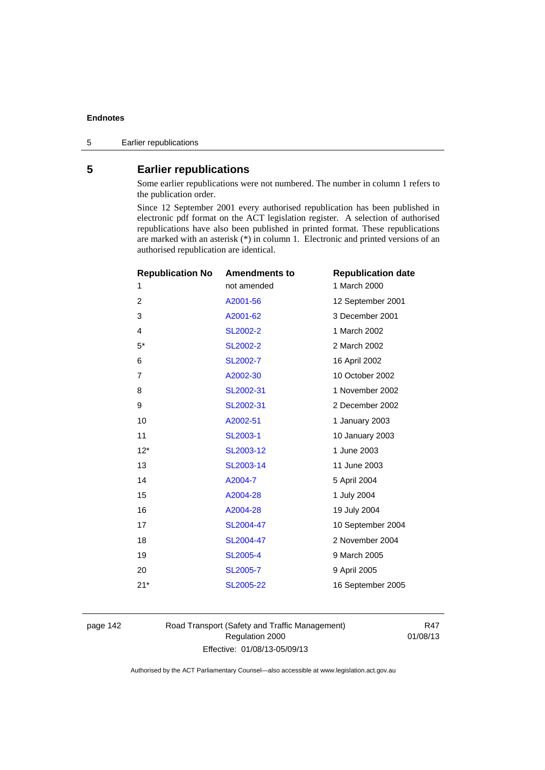# **5 Earlier republications**

Some earlier republications were not numbered. The number in column 1 refers to the publication order.

Since 12 September 2001 every authorised republication has been published in electronic pdf format on the ACT legislation register. A selection of authorised republications have also been published in printed format. These republications are marked with an asterisk (\*) in column 1. Electronic and printed versions of an authorised republication are identical.

| <b>Republication No</b> | <b>Amendments to</b> | <b>Republication date</b> |
|-------------------------|----------------------|---------------------------|
| 1                       | not amended          | 1 March 2000              |
| 2                       | A2001-56             | 12 September 2001         |
| 3                       | A2001-62             | 3 December 2001           |
| 4                       | SL2002-2             | 1 March 2002              |
| $5*$                    | <b>SL2002-2</b>      | 2 March 2002              |
| 6                       | SL2002-7             | 16 April 2002             |
| 7                       | A2002-30             | 10 October 2002           |
| 8                       | SL2002-31            | 1 November 2002           |
| 9                       | SL2002-31            | 2 December 2002           |
| 10                      | A2002-51             | 1 January 2003            |
| 11                      | <b>SL2003-1</b>      | 10 January 2003           |
| $12*$                   | SL2003-12            | 1 June 2003               |
| 13                      | SL2003-14            | 11 June 2003              |
| 14                      | A2004-7              | 5 April 2004              |
| 15                      | A2004-28             | 1 July 2004               |
| 16                      | A2004-28             | 19 July 2004              |
| 17                      | SL2004-47            | 10 September 2004         |
| 18                      | SL2004-47            | 2 November 2004           |
| 19                      | <b>SL2005-4</b>      | 9 March 2005              |
| 20                      | SL2005-7             | 9 April 2005              |
| $21*$                   | SL2005-22            | 16 September 2005         |
|                         |                      |                           |

page 142 Road Transport (Safety and Traffic Management) Regulation 2000 Effective: 01/08/13-05/09/13

R47 01/08/13